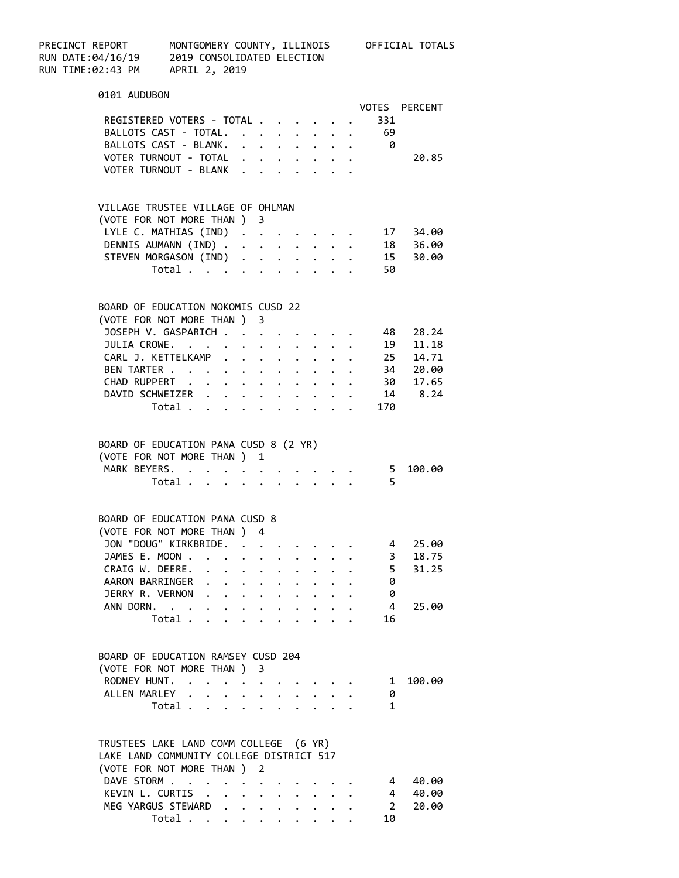| PRECINCT REPORT<br>RUN DATE:04/16/19<br>RUN DATE:04/16/19 2019 CONSOLIDATED ELECTION<br>RUN TIME:02:43 PM APRIL 2, 2019 |                                                                      |                                           |                      |                 |                      |        |                                         |                | MONTGOMERY COUNTY, ILLINOIS OFFICIAL TOTALS                                                         |  |
|-------------------------------------------------------------------------------------------------------------------------|----------------------------------------------------------------------|-------------------------------------------|----------------------|-----------------|----------------------|--------|-----------------------------------------|----------------|-----------------------------------------------------------------------------------------------------|--|
|                                                                                                                         |                                                                      |                                           |                      |                 |                      |        |                                         |                |                                                                                                     |  |
|                                                                                                                         | 0101 AUDUBON                                                         |                                           |                      |                 |                      |        |                                         |                |                                                                                                     |  |
|                                                                                                                         | REGISTERED VOTERS - TOTAL                                            |                                           |                      |                 |                      |        |                                         |                | VOTES PERCENT                                                                                       |  |
|                                                                                                                         |                                                                      |                                           |                      |                 |                      |        |                                         | 331            |                                                                                                     |  |
|                                                                                                                         | BALLOTS CAST - TOTAL. 69                                             |                                           |                      |                 |                      |        |                                         |                |                                                                                                     |  |
|                                                                                                                         | BALLOTS CAST - BLANK. 0<br>VOTER TURNOUT - TOTAL                     |                                           |                      |                 |                      |        |                                         |                | 20.85                                                                                               |  |
|                                                                                                                         | VOTER TURNOUT - BLANK                                                |                                           |                      |                 |                      |        |                                         |                |                                                                                                     |  |
|                                                                                                                         |                                                                      |                                           |                      |                 |                      |        |                                         |                |                                                                                                     |  |
|                                                                                                                         | VILLAGE TRUSTEE VILLAGE OF OHLMAN                                    |                                           |                      |                 |                      |        |                                         |                |                                                                                                     |  |
|                                                                                                                         | (VOTE FOR NOT MORE THAN ) 3                                          |                                           |                      |                 |                      |        |                                         |                |                                                                                                     |  |
|                                                                                                                         |                                                                      |                                           |                      |                 |                      |        |                                         |                |                                                                                                     |  |
|                                                                                                                         |                                                                      |                                           |                      |                 |                      |        |                                         |                |                                                                                                     |  |
|                                                                                                                         |                                                                      |                                           |                      |                 |                      |        |                                         |                |                                                                                                     |  |
|                                                                                                                         |                                                                      |                                           |                      |                 |                      |        |                                         |                | LYLE C. MATHIAS (IND)<br>DENNIS AUMANN (IND) 18 36.00<br>STEVEN MORGASON (IND) 15 30.00<br>Total 50 |  |
|                                                                                                                         |                                                                      |                                           |                      |                 |                      |        |                                         |                |                                                                                                     |  |
|                                                                                                                         | BOARD OF EDUCATION NOKOMIS CUSD 22                                   |                                           |                      |                 |                      |        |                                         |                |                                                                                                     |  |
|                                                                                                                         | (VOTE FOR NOT MORE THAN ) 3                                          |                                           |                      |                 |                      |        |                                         |                |                                                                                                     |  |
|                                                                                                                         | JOSEPH V. GASPARICH                                                  |                                           |                      |                 |                      |        |                                         |                | 48 28.24                                                                                            |  |
|                                                                                                                         | JULIA CROWE.                                                         |                                           |                      |                 |                      |        |                                         |                |                                                                                                     |  |
|                                                                                                                         | CARL J. KETTELKAMP                                                   |                                           |                      |                 |                      |        |                                         |                |                                                                                                     |  |
|                                                                                                                         | BEN TARTER                                                           |                                           |                      |                 |                      |        |                                         |                | 34 20.00                                                                                            |  |
|                                                                                                                         | CHAD RUPPERT 30 17.65                                                |                                           |                      |                 |                      |        |                                         |                |                                                                                                     |  |
|                                                                                                                         | DAVID SCHWEIZER 14 8.24                                              |                                           |                      |                 |                      |        |                                         |                |                                                                                                     |  |
|                                                                                                                         |                                                                      |                                           |                      |                 |                      |        |                                         | Total 170      |                                                                                                     |  |
|                                                                                                                         | BOARD OF EDUCATION PANA CUSD 8 (2 YR)<br>(VOTE FOR NOT MORE THAN ) 1 |                                           |                      |                 |                      |        |                                         |                |                                                                                                     |  |
|                                                                                                                         | MARK BEYERS.                                                         |                                           |                      |                 |                      |        |                                         |                | 5 100.00                                                                                            |  |
|                                                                                                                         |                                                                      | Total $\cdots$ $\cdots$ $\cdots$ $\cdots$ |                      |                 |                      |        |                                         | - 5            |                                                                                                     |  |
|                                                                                                                         |                                                                      |                                           |                      |                 |                      |        |                                         |                |                                                                                                     |  |
|                                                                                                                         | BOARD OF EDUCATION PANA CUSD 8                                       |                                           |                      |                 |                      |        |                                         |                |                                                                                                     |  |
|                                                                                                                         | (VOTE FOR NOT MORE THAN ) 4                                          |                                           |                      |                 |                      |        |                                         |                |                                                                                                     |  |
|                                                                                                                         | JON "DOUG" KIRKBRIDE.                                                |                                           |                      |                 |                      |        |                                         | 4              | 25.00                                                                                               |  |
|                                                                                                                         | JAMES E. MOON                                                        |                                           | $\ddot{\phantom{0}}$ | $\cdot$ $\cdot$ | $\ddot{\phantom{0}}$ | $\sim$ |                                         | 3              | 18.75                                                                                               |  |
|                                                                                                                         | CRAIG W. DEERE.                                                      |                                           |                      |                 |                      |        |                                         | 5              | 31.25                                                                                               |  |
|                                                                                                                         | AARON BARRINGER                                                      |                                           |                      |                 |                      |        |                                         | 0              |                                                                                                     |  |
|                                                                                                                         | JERRY R. VERNON                                                      |                                           |                      |                 |                      |        | $\cdot$ $\cdot$ $\cdot$ $\cdot$         | 0              |                                                                                                     |  |
|                                                                                                                         | ANN DORN.                                                            |                                           |                      |                 |                      |        | $\cdot$ $\cdot$ $\cdot$ $\cdot$ $\cdot$ | $\overline{4}$ | 25.00                                                                                               |  |
|                                                                                                                         |                                                                      | Total                                     |                      |                 |                      |        |                                         | 16             |                                                                                                     |  |
|                                                                                                                         | BOARD OF EDUCATION RAMSEY CUSD 204                                   |                                           |                      |                 |                      |        |                                         |                |                                                                                                     |  |
|                                                                                                                         | (VOTE FOR NOT MORE THAN ) 3                                          |                                           |                      |                 |                      |        |                                         |                |                                                                                                     |  |
|                                                                                                                         | RODNEY HUNT.                                                         |                                           |                      |                 |                      |        |                                         |                | 100.00                                                                                              |  |
|                                                                                                                         |                                                                      |                                           |                      |                 |                      |        |                                         | $\mathbf{1}$   |                                                                                                     |  |
|                                                                                                                         | ALLEN MARLEY                                                         |                                           |                      |                 |                      |        |                                         | 0              |                                                                                                     |  |
|                                                                                                                         |                                                                      | Total                                     |                      |                 |                      |        |                                         | 1              |                                                                                                     |  |
|                                                                                                                         | TRUSTEES LAKE LAND COMM COLLEGE (6 YR)                               |                                           |                      |                 |                      |        |                                         |                |                                                                                                     |  |
|                                                                                                                         | LAKE LAND COMMUNITY COLLEGE DISTRICT 517                             |                                           |                      |                 |                      |        |                                         |                |                                                                                                     |  |
|                                                                                                                         | (VOTE FOR NOT MORE THAN ) 2                                          |                                           |                      |                 |                      |        |                                         |                |                                                                                                     |  |
|                                                                                                                         | DAVE STORM                                                           |                                           |                      |                 |                      |        |                                         | 4              | 40.00                                                                                               |  |
|                                                                                                                         | KEVIN L. CURTIS                                                      |                                           |                      |                 |                      |        | $\cdot$ $\cdot$ $\cdot$ $\cdot$ $\cdot$ | 4              | 40.00                                                                                               |  |
|                                                                                                                         | MEG YARGUS STEWARD                                                   |                                           |                      |                 |                      |        |                                         | 2              | 20.00                                                                                               |  |
|                                                                                                                         |                                                                      | Total                                     |                      |                 |                      |        |                                         | 10             |                                                                                                     |  |
|                                                                                                                         |                                                                      |                                           |                      |                 |                      |        |                                         |                |                                                                                                     |  |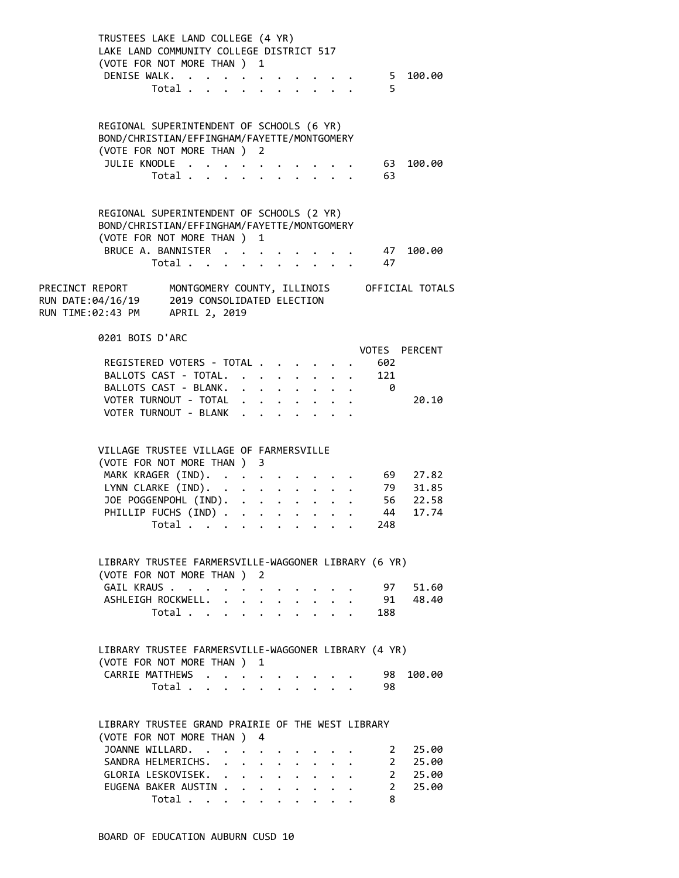| TRUSTEES LAKE LAND COLLEGE (4 YR)<br>LAKE LAND COMMUNITY COLLEGE DISTRICT 517<br>(VOTE FOR NOT MORE THAN ) 1<br>DENISE WALK. | Total .                 | $\mathbf{r}$ , and $\mathbf{r}$ , and $\mathbf{r}$ , and $\mathbf{r}$ , and $\mathbf{r}$ |  |                       |              |                      |                      |                                                  | -5    | 5 100.00                                     |  |
|------------------------------------------------------------------------------------------------------------------------------|-------------------------|------------------------------------------------------------------------------------------|--|-----------------------|--------------|----------------------|----------------------|--------------------------------------------------|-------|----------------------------------------------|--|
| REGIONAL SUPERINTENDENT OF SCHOOLS (6 YR)<br>BOND/CHRISTIAN/EFFINGHAM/FAYETTE/MONTGOMERY                                     |                         |                                                                                          |  |                       |              |                      |                      |                                                  |       |                                              |  |
| (VOTE FOR NOT MORE THAN ) 2                                                                                                  |                         |                                                                                          |  |                       |              |                      |                      |                                                  |       |                                              |  |
| JULIE KNODLE                                                                                                                 |                         |                                                                                          |  |                       |              |                      |                      |                                                  | 63    | 100.00                                       |  |
|                                                                                                                              | Total                   |                                                                                          |  |                       |              |                      |                      |                                                  | 63    |                                              |  |
| REGIONAL SUPERINTENDENT OF SCHOOLS (2 YR)<br>BOND/CHRISTIAN/EFFINGHAM/FAYETTE/MONTGOMERY<br>(VOTE FOR NOT MORE THAN ) 1      |                         |                                                                                          |  |                       |              |                      |                      |                                                  |       |                                              |  |
| BRUCE A. BANNISTER                                                                                                           |                         |                                                                                          |  |                       |              |                      |                      |                                                  |       | 47 100.00                                    |  |
|                                                                                                                              | Total 47                |                                                                                          |  |                       |              |                      |                      |                                                  |       |                                              |  |
|                                                                                                                              |                         |                                                                                          |  |                       |              |                      |                      |                                                  |       |                                              |  |
| 0201 BOIS D'ARC                                                                                                              |                         |                                                                                          |  |                       |              |                      |                      |                                                  |       | VOTES PERCENT                                |  |
| REGISTERED VOTERS - TOTAL                                                                                                    |                         |                                                                                          |  |                       |              |                      |                      |                                                  | . 602 |                                              |  |
| BALLOTS CAST - TOTAL. 121                                                                                                    |                         |                                                                                          |  |                       |              |                      |                      |                                                  |       |                                              |  |
| BALLOTS CAST - BLANK.                                                                                                        |                         |                                                                                          |  |                       |              |                      |                      |                                                  | ø     |                                              |  |
| VOTER TURNOUT - TOTAL                                                                                                        |                         |                                                                                          |  |                       |              |                      |                      |                                                  |       | 20.10                                        |  |
| VOTER TURNOUT - BLANK .                                                                                                      |                         |                                                                                          |  | $\Delta$ and $\Delta$ |              |                      |                      |                                                  |       |                                              |  |
| VILLAGE TRUSTEE VILLAGE OF FARMERSVILLE<br>(VOTE FOR NOT MORE THAN ) 3<br>MARK KRAGER (IND).                                 |                         |                                                                                          |  |                       |              |                      |                      |                                                  |       | 69 27.82<br>79 31.85<br>56 22.58<br>44 17.74 |  |
| LYNN CLARKE (IND).                                                                                                           |                         |                                                                                          |  |                       |              |                      |                      |                                                  |       |                                              |  |
| JOE POGGENPOHL (IND).                                                                                                        |                         |                                                                                          |  |                       |              |                      | $\ddot{\phantom{0}}$ |                                                  |       |                                              |  |
| PHILLIP FUCHS (IND)<br>$Total \cdot \cdot \cdot \cdot \cdot \cdot$                                                           |                         |                                                                                          |  |                       |              |                      |                      | $\overline{1}$ , $\overline{1}$ , $\overline{1}$ | 248   |                                              |  |
| LIBRARY TRUSTEE FARMERSVILLE-WAGGONER LIBRARY (6 YR)<br>(VOTE FOR NOT MORE THAN ) 2<br>GAIL KRAUS<br>ASHLEIGH ROCKWELL. .    | Total                   |                                                                                          |  | $\mathbf{L}$          | $\mathbf{L}$ |                      | $\mathbf{r}$         |                                                  | 188   | 97 51.60<br>91 48.40                         |  |
| LIBRARY TRUSTEE FARMERSVILLE-WAGGONER LIBRARY (4 YR)<br>(VOTE FOR NOT MORE THAN )                                            |                         |                                                                                          |  | 1                     |              |                      |                      |                                                  |       |                                              |  |
| CARRIE MATTHEWS                                                                                                              |                         |                                                                                          |  |                       |              |                      |                      |                                                  | 98    | 100.00                                       |  |
|                                                                                                                              | Total                   |                                                                                          |  |                       |              |                      |                      |                                                  | 98    |                                              |  |
| LIBRARY TRUSTEE GRAND PRAIRIE OF THE WEST LIBRARY<br>(VOTE FOR NOT MORE THAN ) 4                                             |                         |                                                                                          |  |                       |              |                      |                      |                                                  |       |                                              |  |
| JOANNE WILLARD.                                                                                                              |                         |                                                                                          |  |                       |              |                      |                      |                                                  |       | 2 25.00                                      |  |
| SANDRA HELMERICHS.                                                                                                           |                         |                                                                                          |  |                       |              |                      |                      |                                                  |       | 2 25.00                                      |  |
| GLORIA LESKOVISEK.                                                                                                           |                         |                                                                                          |  |                       |              |                      |                      |                                                  |       | 2 25.00                                      |  |
| EUGENA BAKER AUSTIN                                                                                                          |                         |                                                                                          |  |                       |              |                      |                      |                                                  |       | 2 25.00                                      |  |
|                                                                                                                              | Total $\cdots$ $\cdots$ |                                                                                          |  |                       |              | $\ddot{\phantom{0}}$ |                      |                                                  | 8     |                                              |  |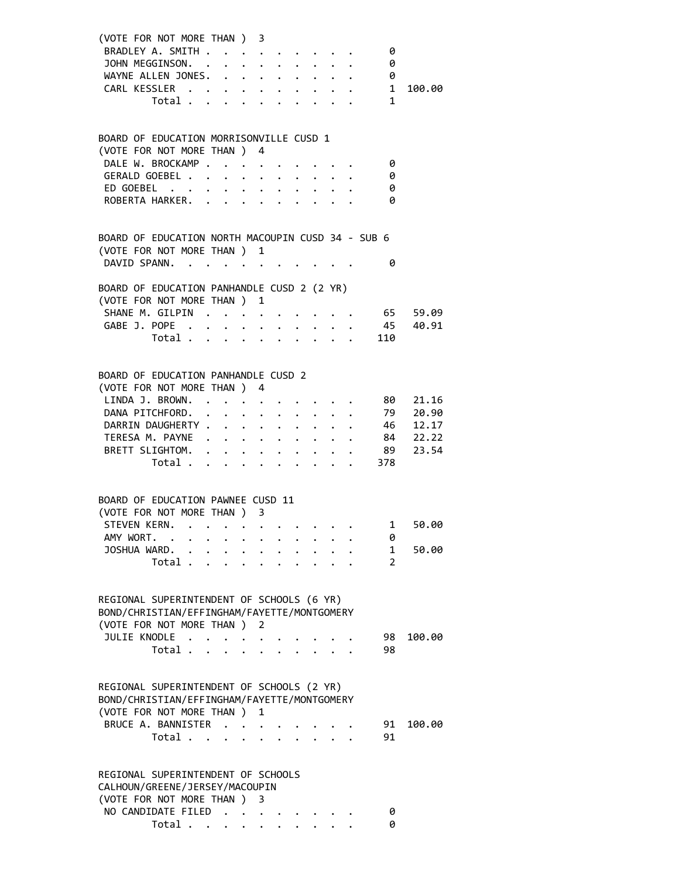| (VOTE FOR NOT MORE THAN ) 3                       |                                  |  |   |  |  |                       |          |
|---------------------------------------------------|----------------------------------|--|---|--|--|-----------------------|----------|
| BRADLEY A. SMITH                                  |                                  |  |   |  |  | 0                     |          |
|                                                   |                                  |  |   |  |  | 0                     |          |
|                                                   |                                  |  |   |  |  | 0                     |          |
|                                                   |                                  |  |   |  |  | $\frac{0}{1}$         | 100.00   |
|                                                   |                                  |  |   |  |  | 1                     |          |
|                                                   |                                  |  |   |  |  |                       |          |
|                                                   |                                  |  |   |  |  |                       |          |
| BOARD OF EDUCATION MORRISONVILLE CUSD 1           |                                  |  |   |  |  |                       |          |
| (VOTE FOR NOT MORE THAN ) 4                       |                                  |  |   |  |  |                       |          |
| DALE W. BROCKAMP                                  |                                  |  |   |  |  | 0<br>0                |          |
| GERALD GOEBEL<br>ED GOEBEL                        |                                  |  |   |  |  | 0                     |          |
| ROBERTA HARKER.                                   |                                  |  |   |  |  | 0                     |          |
|                                                   |                                  |  |   |  |  |                       |          |
|                                                   |                                  |  |   |  |  |                       |          |
| BOARD OF EDUCATION NORTH MACOUPIN CUSD 34 - SUB 6 |                                  |  |   |  |  |                       |          |
| (VOTE FOR NOT MORE THAN ) 1                       |                                  |  |   |  |  |                       |          |
| DAVID SPANN.                                      |                                  |  |   |  |  | 0                     |          |
|                                                   |                                  |  |   |  |  |                       |          |
| BOARD OF EDUCATION PANHANDLE CUSD 2 (2 YR)        |                                  |  |   |  |  |                       |          |
| (VOTE FOR NOT MORE THAN ) 1                       |                                  |  |   |  |  |                       |          |
| SHANE M. GILPIN 65 59.09                          |                                  |  |   |  |  |                       |          |
| GABE J. POPE 45 40.91                             |                                  |  |   |  |  |                       |          |
|                                                   | Total $\ldots$                   |  |   |  |  | 110                   |          |
|                                                   |                                  |  |   |  |  |                       |          |
| BOARD OF EDUCATION PANHANDLE CUSD 2               |                                  |  |   |  |  |                       |          |
| (VOTE FOR NOT MORE THAN ) 4                       |                                  |  |   |  |  |                       |          |
| LINDA J. BROWN. 80 21.16                          |                                  |  |   |  |  |                       |          |
| DANA PITCHFORD. 79 20.90                          |                                  |  |   |  |  |                       |          |
| DARRIN DAUGHERTY 46 12.17                         |                                  |  |   |  |  |                       |          |
| TERESA M. PAYNE                                   |                                  |  |   |  |  |                       | 84 22.22 |
| BRETT SLIGHTOM.                                   |                                  |  |   |  |  |                       | 89 23.54 |
|                                                   | Total $\cdot$                    |  |   |  |  | 378                   |          |
|                                                   |                                  |  |   |  |  |                       |          |
|                                                   |                                  |  |   |  |  |                       |          |
| BOARD OF EDUCATION PAWNEE CUSD 11                 |                                  |  |   |  |  |                       |          |
| (VOTE FOR NOT MORE THAN ) 3                       |                                  |  |   |  |  |                       |          |
| STEVEN KERN. 1                                    |                                  |  |   |  |  |                       | 50.00    |
| AMY WORT.                                         |                                  |  |   |  |  | 0                     |          |
| JOSHUA WARD. .                                    |                                  |  |   |  |  | 1                     | 50.00    |
|                                                   | Total                            |  |   |  |  | $\mathbf{2}^{\prime}$ |          |
|                                                   |                                  |  |   |  |  |                       |          |
| REGIONAL SUPERINTENDENT OF SCHOOLS (6 YR)         |                                  |  |   |  |  |                       |          |
| BOND/CHRISTIAN/EFFINGHAM/FAYETTE/MONTGOMERY       |                                  |  |   |  |  |                       |          |
| (VOTE FOR NOT MORE THAN)                          |                                  |  | 2 |  |  |                       |          |
| JULIE KNODLE                                      |                                  |  |   |  |  | 98                    | 100.00   |
|                                                   | Total $\cdots$ $\cdots$          |  |   |  |  | 98                    |          |
|                                                   |                                  |  |   |  |  |                       |          |
|                                                   |                                  |  |   |  |  |                       |          |
| REGIONAL SUPERINTENDENT OF SCHOOLS (2 YR)         |                                  |  |   |  |  |                       |          |
| BOND/CHRISTIAN/EFFINGHAM/FAYETTE/MONTGOMERY       |                                  |  |   |  |  |                       |          |
| (VOTE FOR NOT MORE THAN)                          |                                  |  | 1 |  |  |                       |          |
| BRUCE A. BANNISTER                                |                                  |  |   |  |  | 91                    | 100.00   |
|                                                   | Total $\cdots$ $\cdots$ $\cdots$ |  |   |  |  | 91                    |          |
|                                                   |                                  |  |   |  |  |                       |          |
| REGIONAL SUPERINTENDENT OF SCHOOLS                |                                  |  |   |  |  |                       |          |
| CALHOUN/GREENE/JERSEY/MACOUPIN                    |                                  |  |   |  |  |                       |          |
| (VOTE FOR NOT MORE THAN ) 3                       |                                  |  |   |  |  |                       |          |
| NO CANDIDATE FILED                                |                                  |  |   |  |  | 0                     |          |
|                                                   | Total $\cdots$ $\cdots$ $\cdots$ |  |   |  |  | 0                     |          |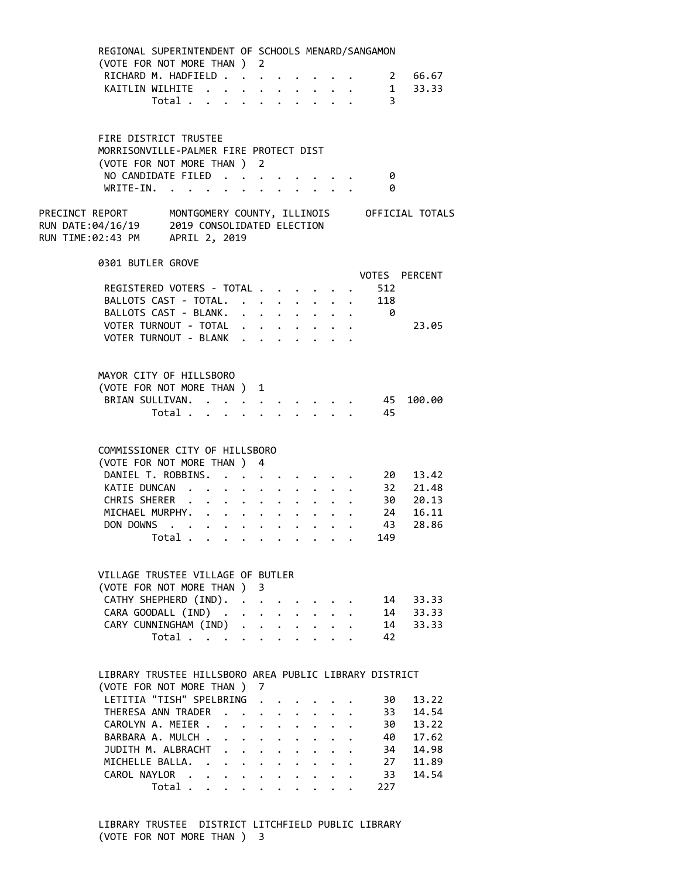| REGIONAL SUPERINTENDENT OF SCHOOLS MENARD/SANGAMON                              |               |                                                                  |  |                                                                  |  |                                                                  |                |                                                                     |
|---------------------------------------------------------------------------------|---------------|------------------------------------------------------------------|--|------------------------------------------------------------------|--|------------------------------------------------------------------|----------------|---------------------------------------------------------------------|
| (VOTE FOR NOT MORE THAN ) 2                                                     |               |                                                                  |  |                                                                  |  |                                                                  |                | RICHARD M. HADFIELD 2 66.67                                         |
| KAITLIN WILHITE 1                                                               |               |                                                                  |  |                                                                  |  |                                                                  |                | 33.33                                                               |
|                                                                                 | Total $\cdot$ |                                                                  |  |                                                                  |  |                                                                  | $\overline{3}$ |                                                                     |
|                                                                                 |               |                                                                  |  |                                                                  |  |                                                                  |                |                                                                     |
| FIRE DISTRICT TRUSTEE                                                           |               |                                                                  |  |                                                                  |  |                                                                  |                |                                                                     |
| MORRISONVILLE-PALMER FIRE PROTECT DIST                                          |               |                                                                  |  |                                                                  |  |                                                                  |                |                                                                     |
| (VOTE FOR NOT MORE THAN ) 2                                                     |               |                                                                  |  |                                                                  |  |                                                                  |                |                                                                     |
| NO CANDIDATE FILED                                                              |               |                                                                  |  |                                                                  |  |                                                                  | 0              |                                                                     |
| WRITE-IN.                                                                       |               |                                                                  |  |                                                                  |  |                                                                  | 0              |                                                                     |
| RUN DATE:04/16/19 2019 CONSOLIDATED ELECTION<br>RUN TIME:02:43 PM APRIL 2, 2019 |               |                                                                  |  |                                                                  |  |                                                                  |                | PRECINCT REPORT     MONTGOMERY COUNTY, ILLINOIS     OFFICIAL TOTALS |
| 0301 BUTLER GROVE                                                               |               |                                                                  |  |                                                                  |  |                                                                  |                |                                                                     |
|                                                                                 |               |                                                                  |  |                                                                  |  |                                                                  |                | VOTES PERCENT                                                       |
| REGISTERED VOTERS - TOTAL                                                       |               |                                                                  |  |                                                                  |  |                                                                  | . 512          |                                                                     |
| BALLOTS CAST - TOTAL. 118                                                       |               |                                                                  |  |                                                                  |  |                                                                  |                |                                                                     |
| BALLOTS CAST - BLANK. 0                                                         |               |                                                                  |  |                                                                  |  |                                                                  |                |                                                                     |
| VOTER TURNOUT - TOTAL                                                           |               |                                                                  |  |                                                                  |  |                                                                  |                | 23.05                                                               |
| VOTER TURNOUT - BLANK                                                           |               |                                                                  |  |                                                                  |  |                                                                  |                |                                                                     |
|                                                                                 |               |                                                                  |  |                                                                  |  |                                                                  |                |                                                                     |
| MAYOR CITY OF HILLSBORO                                                         |               |                                                                  |  |                                                                  |  |                                                                  |                |                                                                     |
| (VOTE FOR NOT MORE THAN ) 1                                                     |               |                                                                  |  |                                                                  |  |                                                                  |                |                                                                     |
| BRIAN SULLIVAN. 45                                                              |               |                                                                  |  |                                                                  |  |                                                                  |                | 100.00                                                              |
|                                                                                 | Total 45      |                                                                  |  |                                                                  |  |                                                                  |                |                                                                     |
|                                                                                 |               |                                                                  |  |                                                                  |  |                                                                  |                |                                                                     |
|                                                                                 |               |                                                                  |  |                                                                  |  |                                                                  |                |                                                                     |
| COMMISSIONER CITY OF HILLSBORO                                                  |               |                                                                  |  |                                                                  |  |                                                                  |                |                                                                     |
| (VOTE FOR NOT MORE THAN ) 4                                                     |               |                                                                  |  |                                                                  |  |                                                                  |                |                                                                     |
| DANIEL T. ROBBINS. 20                                                           |               |                                                                  |  |                                                                  |  |                                                                  |                | 13.42                                                               |
| KATIE DUNCAN 32                                                                 |               |                                                                  |  |                                                                  |  |                                                                  |                | 21.48                                                               |
| CHRIS SHERER 30                                                                 |               |                                                                  |  |                                                                  |  |                                                                  |                | 20.13                                                               |
|                                                                                 |               |                                                                  |  |                                                                  |  |                                                                  |                | MICHAEL MURPHY. 24 16.11                                            |
| DON DOWNS 43                                                                    |               |                                                                  |  |                                                                  |  |                                                                  |                | 28.86                                                               |
|                                                                                 | Total.        | . The contribution of the contribution $\mathcal{L}_\mathcal{A}$ |  |                                                                  |  |                                                                  | 149            |                                                                     |
|                                                                                 |               |                                                                  |  |                                                                  |  |                                                                  |                |                                                                     |
| VILLAGE TRUSTEE VILLAGE OF BUTLER                                               |               |                                                                  |  |                                                                  |  |                                                                  |                |                                                                     |
| (VOTE FOR NOT MORE THAN ) 3                                                     |               |                                                                  |  |                                                                  |  |                                                                  |                |                                                                     |
| CATHY SHEPHERD (IND).                                                           |               |                                                                  |  |                                                                  |  |                                                                  | 14             | 33.33                                                               |
| CARA GOODALL (IND)                                                              |               |                                                                  |  |                                                                  |  |                                                                  |                | 14 33.33                                                            |
| CARY CUNNINGHAM (IND)                                                           |               |                                                                  |  |                                                                  |  |                                                                  | 14             | 33.33                                                               |
|                                                                                 | Total         |                                                                  |  |                                                                  |  |                                                                  | 42             |                                                                     |
|                                                                                 |               |                                                                  |  |                                                                  |  |                                                                  |                |                                                                     |
| LIBRARY TRUSTEE HILLSBORO AREA PUBLIC LIBRARY DISTRICT                          |               |                                                                  |  |                                                                  |  |                                                                  |                |                                                                     |
| (VOTE FOR NOT MORE THAN ) 7                                                     |               |                                                                  |  |                                                                  |  |                                                                  |                |                                                                     |
| LETITIA "TISH" SPELBRING                                                        |               |                                                                  |  |                                                                  |  |                                                                  | 30             | 13.22                                                               |
| THERESA ANN TRADER                                                              |               |                                                                  |  |                                                                  |  |                                                                  | 33             | 14.54                                                               |
| CAROLYN A. MEIER .                                                              |               |                                                                  |  | $\mathbf{r} = \mathbf{r} + \mathbf{r} + \mathbf{r}$ .            |  |                                                                  | 30             | 13.22                                                               |
| BARBARA A. MULCH .                                                              |               |                                                                  |  | $\mathbf{r} = \mathbf{r} + \mathbf{r} + \mathbf{r} + \mathbf{r}$ |  |                                                                  | 40             | 17.62                                                               |
| JUDITH M. ALBRACHT                                                              |               |                                                                  |  |                                                                  |  |                                                                  | 34             | 14.98                                                               |
| MICHELLE BALLA.                                                                 |               |                                                                  |  |                                                                  |  |                                                                  | 27             | 11.89                                                               |
| CAROL NAYLOR                                                                    |               |                                                                  |  |                                                                  |  |                                                                  | 33             | 14.54                                                               |
|                                                                                 | Total         |                                                                  |  |                                                                  |  | $\mathbf{1}$ $\mathbf{1}$ $\mathbf{1}$ $\mathbf{1}$ $\mathbf{1}$ | 227            |                                                                     |
|                                                                                 |               |                                                                  |  |                                                                  |  |                                                                  |                |                                                                     |

 LIBRARY TRUSTEE DISTRICT LITCHFIELD PUBLIC LIBRARY (VOTE FOR NOT MORE THAN ) 3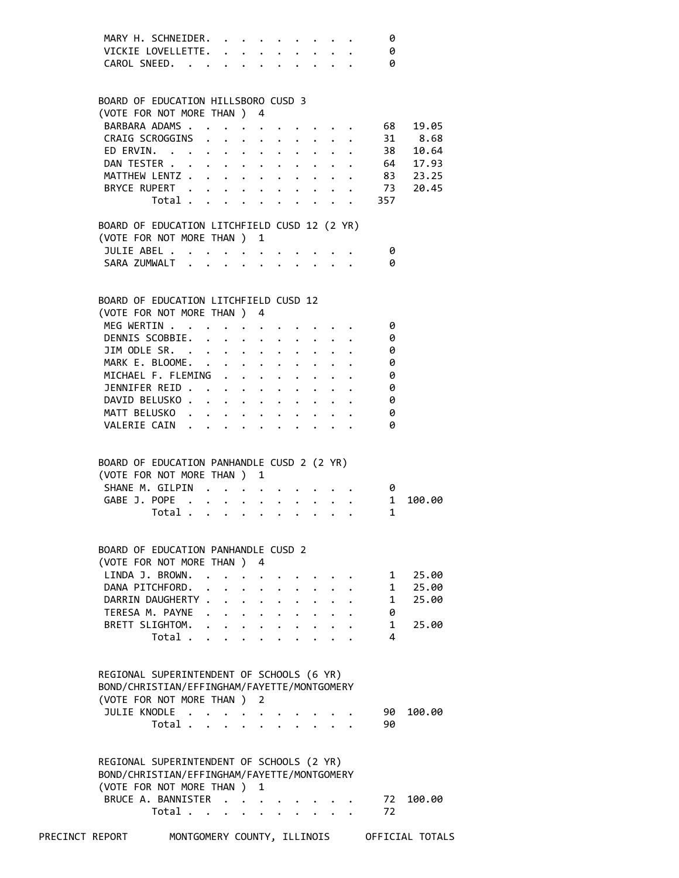| MARY H. SCHNEIDER. |  |  |  |  |   |
|--------------------|--|--|--|--|---|
| VICKIE LOVELLETTE. |  |  |  |  |   |
| CAROL SNEED.       |  |  |  |  | 0 |

| BOARD OF EDUCATION HILLSBORO CUSD 3                                                                                   |                                           |  |                      |                                          |                                 |  |                                                                          |                                            |                        |
|-----------------------------------------------------------------------------------------------------------------------|-------------------------------------------|--|----------------------|------------------------------------------|---------------------------------|--|--------------------------------------------------------------------------|--------------------------------------------|------------------------|
| (VOTE FOR NOT MORE THAN ) 4                                                                                           |                                           |  |                      |                                          |                                 |  |                                                                          |                                            |                        |
|                                                                                                                       | BARBARA ADAMS                             |  |                      |                                          |                                 |  |                                                                          | $\cdot$ $\cdot$ $\cdot$ $\cdot$ $\cdot$ 68 | 19.05                  |
|                                                                                                                       | CRAIG SCROGGINS                           |  |                      |                                          |                                 |  | $\mathbf{r} = \mathbf{r} + \mathbf{r} + \mathbf{r} + \mathbf{r}$ .       |                                            | 31 8.68                |
|                                                                                                                       |                                           |  |                      |                                          |                                 |  |                                                                          |                                            | ED ERVIN. 38 10.64     |
|                                                                                                                       |                                           |  |                      |                                          |                                 |  |                                                                          |                                            | DAN TESTER 64 17.93    |
|                                                                                                                       |                                           |  |                      |                                          |                                 |  |                                                                          |                                            | MATTHEW LENTZ 83 23.25 |
|                                                                                                                       | BRYCE RUPERT 73                           |  |                      |                                          |                                 |  |                                                                          |                                            | 20.45                  |
|                                                                                                                       |                                           |  |                      |                                          |                                 |  |                                                                          | Total 357                                  |                        |
| BOARD OF EDUCATION LITCHFIELD CUSD 12 (2 YR)                                                                          |                                           |  |                      |                                          |                                 |  |                                                                          |                                            |                        |
| (VOTE FOR NOT MORE THAN ) 1                                                                                           |                                           |  |                      |                                          |                                 |  |                                                                          |                                            |                        |
|                                                                                                                       | JULIE ABEL                                |  |                      |                                          |                                 |  |                                                                          | - 0                                        |                        |
|                                                                                                                       | SARA ZUMWALT                              |  |                      |                                          |                                 |  |                                                                          | - 0                                        |                        |
|                                                                                                                       |                                           |  |                      |                                          |                                 |  |                                                                          |                                            |                        |
|                                                                                                                       |                                           |  |                      |                                          |                                 |  |                                                                          |                                            |                        |
| BOARD OF EDUCATION LITCHFIELD CUSD 12                                                                                 |                                           |  |                      |                                          |                                 |  |                                                                          |                                            |                        |
| (VOTE FOR NOT MORE THAN ) 4                                                                                           |                                           |  |                      |                                          |                                 |  |                                                                          |                                            |                        |
|                                                                                                                       | MEG WERTIN                                |  |                      |                                          |                                 |  |                                                                          | - 0                                        |                        |
|                                                                                                                       | DENNIS SCOBBIE.                           |  |                      |                                          |                                 |  | $\mathbf{r}$ , $\mathbf{r}$ , $\mathbf{r}$ , $\mathbf{r}$ , $\mathbf{r}$ | 0                                          |                        |
|                                                                                                                       | JIM ODLE SR. 0                            |  |                      |                                          |                                 |  |                                                                          |                                            |                        |
|                                                                                                                       | MARK E. BLOOME. 0                         |  |                      |                                          |                                 |  |                                                                          |                                            |                        |
|                                                                                                                       | MICHAEL F. FLEMING                        |  |                      |                                          |                                 |  |                                                                          | 0                                          |                        |
|                                                                                                                       | JENNIFER REID                             |  |                      |                                          |                                 |  |                                                                          | 0                                          |                        |
|                                                                                                                       | DAVID BELUSKO                             |  |                      |                                          |                                 |  |                                                                          | 0                                          |                        |
|                                                                                                                       | MATT BELUSKO                              |  |                      |                                          |                                 |  |                                                                          | 0                                          |                        |
|                                                                                                                       | VALERIE CAIN                              |  |                      |                                          |                                 |  |                                                                          | 0                                          |                        |
|                                                                                                                       |                                           |  |                      |                                          |                                 |  |                                                                          |                                            |                        |
| BOARD OF EDUCATION PANHANDLE CUSD 2 (2 YR)<br>(VOTE FOR NOT MORE THAN ) 1                                             | SHANE M. GILPIN 0<br>GABE J. POPE         |  |                      |                                          |                                 |  |                                                                          |                                            | 100.00                 |
|                                                                                                                       |                                           |  |                      |                                          |                                 |  |                                                                          | $\overline{1}$                             |                        |
|                                                                                                                       | Total $\cdots$ $\cdots$ $\cdots$ $\cdots$ |  |                      |                                          |                                 |  |                                                                          | 1                                          |                        |
|                                                                                                                       |                                           |  |                      |                                          |                                 |  |                                                                          |                                            |                        |
| BOARD OF EDUCATION PANHANDLE CUSD 2                                                                                   |                                           |  |                      |                                          |                                 |  |                                                                          |                                            |                        |
| (VOTE FOR NOT MORE THAN ) 4                                                                                           |                                           |  |                      |                                          |                                 |  |                                                                          |                                            |                        |
| LINDA J. BROWN. 1 25.00                                                                                               |                                           |  |                      |                                          |                                 |  |                                                                          |                                            |                        |
|                                                                                                                       | DANA PITCHFORD.                           |  |                      |                                          |                                 |  |                                                                          | 1                                          | 25.00                  |
|                                                                                                                       | DARRIN DAUGHERTY                          |  |                      |                                          |                                 |  |                                                                          | $\mathbf{1}$                               | 25.00                  |
|                                                                                                                       | TERESA M. PAYNE                           |  |                      | $\cdot$ $\cdot$ $\cdot$ $\cdot$          |                                 |  |                                                                          | 0                                          |                        |
|                                                                                                                       | BRETT SLIGHTOM.                           |  |                      | $\mathbf{r} = \mathbf{r} + \mathbf{r}$ . |                                 |  |                                                                          | $\mathbf{1}$                               | 25.00                  |
|                                                                                                                       | Total                                     |  | $\ddot{\phantom{0}}$ |                                          |                                 |  |                                                                          | 4                                          |                        |
|                                                                                                                       |                                           |  |                      |                                          |                                 |  |                                                                          |                                            |                        |
| REGIONAL SUPERINTENDENT OF SCHOOLS (6 YR)<br>BOND/CHRISTIAN/EFFINGHAM/FAYETTE/MONTGOMERY<br>(VOTE FOR NOT MORE THAN ) |                                           |  |                      | 2                                        |                                 |  |                                                                          |                                            |                        |
|                                                                                                                       | JULIE KNODLE                              |  |                      |                                          |                                 |  |                                                                          | 90                                         | 100.00                 |
|                                                                                                                       | Total                                     |  |                      |                                          |                                 |  |                                                                          | 90                                         |                        |
|                                                                                                                       |                                           |  |                      |                                          |                                 |  |                                                                          |                                            |                        |
| REGIONAL SUPERINTENDENT OF SCHOOLS (2 YR)<br>BOND/CHRISTIAN/EFFINGHAM/FAYETTE/MONTGOMERY                              |                                           |  |                      |                                          |                                 |  |                                                                          |                                            |                        |
| (VOTE FOR NOT MORE THAN)                                                                                              |                                           |  |                      | 1                                        |                                 |  |                                                                          |                                            |                        |
|                                                                                                                       | BRUCE A. BANNISTER                        |  |                      |                                          |                                 |  |                                                                          | 72                                         | 100.00                 |
|                                                                                                                       | Total                                     |  |                      |                                          | $\cdot$ $\cdot$ $\cdot$ $\cdot$ |  |                                                                          | 72                                         |                        |
|                                                                                                                       |                                           |  |                      |                                          |                                 |  |                                                                          |                                            |                        |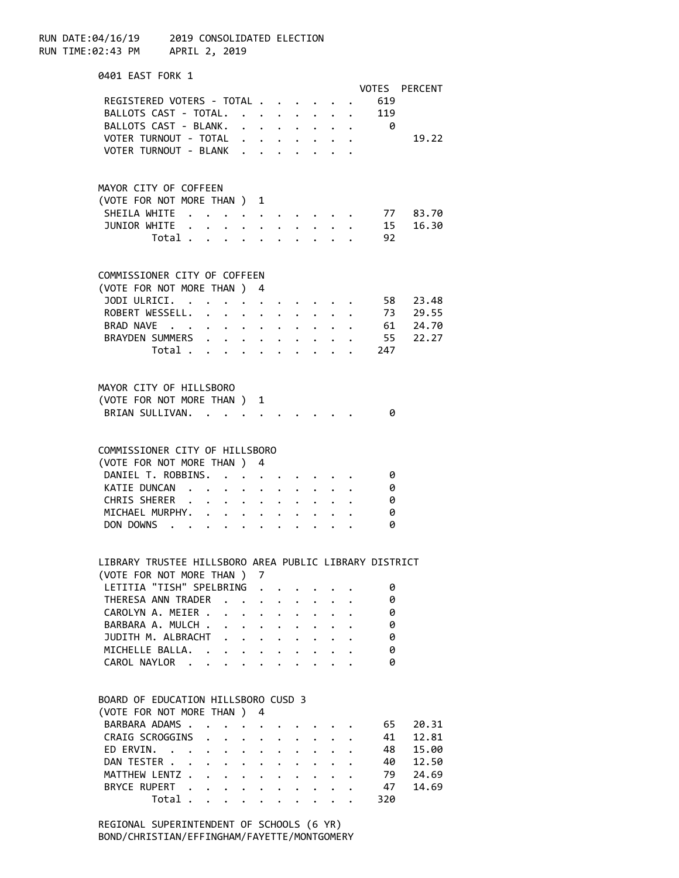RUN DATE:04/16/19 2019 CONSOLIDATED ELECTION RUN TIME:02:43 PM APRIL 2, 2019 0401 EAST FORK 1 VOTES PERCENT REGISTERED VOTERS - TOTAL . . . . . . 619 BALLOTS CAST - TOTAL. . . . . . . . 119 BALLOTS CAST - BLANK. . . . . . . . 0 VOTER TURNOUT - TOTAL . . . . . . . . 19.22 VOTER TURNOUT - BLANK . . . . . MAYOR CITY OF COFFEEN (VOTE FOR NOT MORE THAN ) 1 SHEILA WHITE . . . . . . . . . . . 77 83.70 JUNIOR WHITE . . . . . . . . . . . 15 16.30 Total . . . . . . . . . . 92 COMMISSIONER CITY OF COFFEEN (VOTE FOR NOT MORE THAN ) 4 JODI ULRICI. . . . . . . . . . . 58 23.48 ROBERT WESSELL. . . . . . . . . . 73 29.55 BRAD NAVE . . . . . . . . . . . 61 24.70 BRAYDEN SUMMERS . . . . . . . . . 55 22.27 Total . . . . . . . . . . 247 MAYOR CITY OF HILLSBORO (VOTE FOR NOT MORE THAN ) 1 BRIAN SULLIVAN. . . . . . . . . . 0 COMMISSIONER CITY OF HILLSBORO (VOTE FOR NOT MORE THAN ) 4 DANIEL T. ROBBINS. . . . . . . . . 0 KATIE DUNCAN . . . . . . . . . . 0 CHRIS SHERER . . . . . . . . . . 0 MICHAEL MURPHY. . . . . . . . . . 0 DON DOWNS . . . . . . . . . . . 0 LIBRARY TRUSTEE HILLSBORO AREA PUBLIC LIBRARY DISTRICT (VOTE FOR NOT MORE THAN ) 7 LETITIA "TISH" SPELBRING . . . . . . 0 THERESA ANN TRADER . . . . . . . . 0 CAROLYN A. MEIER . . . . . . . . . 0<br>BARBARA A. MULCH . . . . . . . . . 0 BARBARA A. MULCH . . . . . . . . . 0<br>JUDTTH M. ALBRACHT . . . . . . . . 0 JUDITH M. ALBRACHT . . . . . . . . . MICHELLE BALLA. . . . . . . . . . 0 CAROL NAYLOR . . . . . . . . . . . 0 BOARD OF EDUCATION HILLSBORO CUSD 3 (VOTE FOR NOT MORE THAN ) 4 BARBARA ADAMS . . . . . . . . . . . 65 20.31 CRAIG SCROGGINS . . . . . . . . . 41 12.81 ED ERVIN. . . . . . . . . . . . 48 15.00 DAN TESTER . . . . . . . . . . . . 40 12.50 MATTHEW LENTZ . . . . . . . . . . . 79 24.69 BRYCE RUPERT . . . . . . . . . . 47 14.69 Total . . . . . . . . . . 320

> REGIONAL SUPERINTENDENT OF SCHOOLS (6 YR) BOND/CHRISTIAN/EFFINGHAM/FAYETTE/MONTGOMERY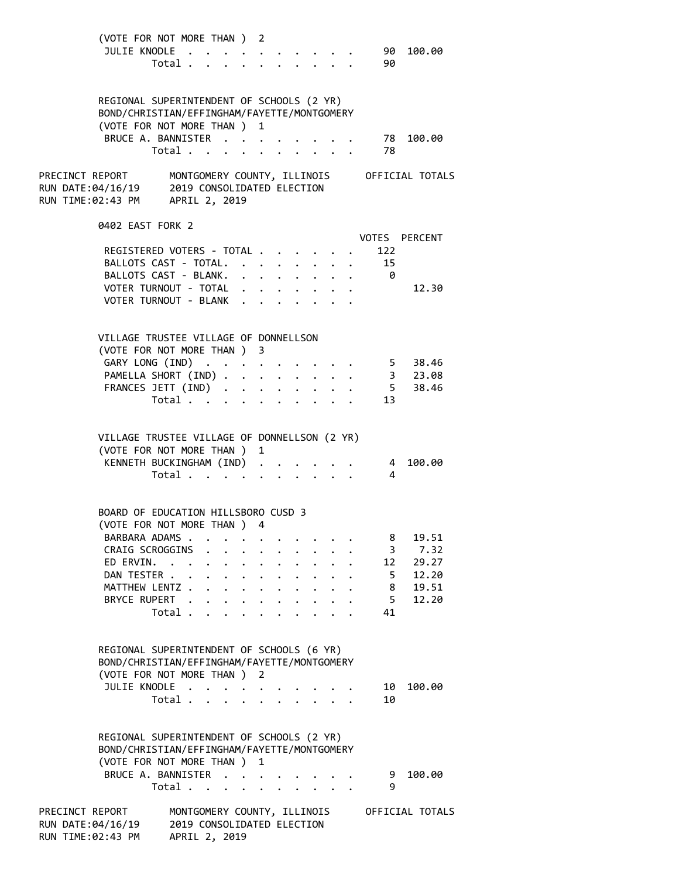| (VOTE FOR NOT MORE THAN ) 2<br>JULIE KNODLE                                                                                                    | Total                                                                               |                                                                                                         |                                                                 |        |                                                                  |                                                                                                         | 90<br>90                  | 100.00                             |
|------------------------------------------------------------------------------------------------------------------------------------------------|-------------------------------------------------------------------------------------|---------------------------------------------------------------------------------------------------------|-----------------------------------------------------------------|--------|------------------------------------------------------------------|---------------------------------------------------------------------------------------------------------|---------------------------|------------------------------------|
| REGIONAL SUPERINTENDENT OF SCHOOLS (2 YR)<br>BOND/CHRISTIAN/EFFINGHAM/FAYETTE/MONTGOMERY<br>(VOTE FOR NOT MORE THAN ) 1<br>BRUCE A. BANNISTER  | Total 78                                                                            |                                                                                                         |                                                                 |        |                                                                  |                                                                                                         | . 78                      | 100.00                             |
| PRECINCT REPORT MONTGOMERY COUNTY, ILLINOIS OFFICIAL TOTALS<br>RUN DATE:04/16/19 2019 CONSOLIDATED ELECTION<br>RUN TIME:02:43 PM APRIL 2, 2019 |                                                                                     |                                                                                                         |                                                                 |        |                                                                  |                                                                                                         |                           |                                    |
| 0402 EAST FORK 2<br>REGISTERED VOTERS - TOTAL<br>BALLOTS CAST - TOTAL.<br>BALLOTS CAST - BLANK.                                                |                                                                                     |                                                                                                         |                                                                 |        |                                                                  | $\mathbf{r} = \mathbf{r} + \mathbf{r} + \mathbf{r} + \mathbf{r} + \mathbf{r} + \mathbf{r} + \mathbf{r}$ | 122<br>15<br>$\theta$     | VOTES PERCENT                      |
| VOTER TURNOUT - TOTAL<br>VOTER TURNOUT - BLANK                                                                                                 |                                                                                     |                                                                                                         |                                                                 |        |                                                                  | $\mathbf{r}$ , and $\mathbf{r}$ , and $\mathbf{r}$ , and $\mathbf{r}$                                   |                           | 12.30                              |
| VILLAGE TRUSTEE VILLAGE OF DONNELLSON<br>(VOTE FOR NOT MORE THAN ) 3<br>GARY LONG (IND)<br>PAMELLA SHORT (IND)<br>FRANCES JETT (IND)           | Total $\cdots$ $\cdots$ $\cdots$                                                    |                                                                                                         |                                                                 |        | $\mathbf{L}^{\text{max}}$ , and $\mathbf{L}^{\text{max}}$        |                                                                                                         | 13                        | 5 38.46<br>3 23.08<br>5 38.46      |
| VILLAGE TRUSTEE VILLAGE OF DONNELLSON (2 YR)<br>(VOTE FOR NOT MORE THAN ) 1<br>KENNETH BUCKINGHAM (IND)                                        | Total $\cdots$ $\cdots$ $\cdots$ $\cdots$                                           |                                                                                                         |                                                                 |        |                                                                  |                                                                                                         | 4                         | 4 100.00                           |
| BOARD OF EDUCATION HILLSBORO CUSD 3<br>(VOTE FOR NOT MORE THAN ) 4<br>BARBARA ADAMS<br>CRAIG SCROGGINS<br>ED ERVIN.<br>DAN TESTER .            | $\ddot{\phantom{0}}$<br>$\ddot{\phantom{0}}$                                        | $\mathbf{r} = \mathbf{r} + \mathbf{r} + \mathbf{r} + \mathbf{r} + \mathbf{r} + \mathbf{r} + \mathbf{r}$ | $\cdot$ $\cdot$ $\cdot$ $\cdot$ $\cdot$ $\cdot$ $\cdot$ $\cdot$ |        |                                                                  |                                                                                                         | 8<br>12<br>5              | 19.51<br>3, 7.32<br>29.27<br>12.20 |
| MATTHEW LENTZ<br>BRYCE RUPERT                                                                                                                  | Total                                                                               |                                                                                                         |                                                                 |        | $\mathbf{1}$ $\mathbf{1}$ $\mathbf{1}$ $\mathbf{1}$ $\mathbf{1}$ |                                                                                                         | 8<br>5 <sup>7</sup><br>41 | 19.51<br>12.20                     |
| REGIONAL SUPERINTENDENT OF SCHOOLS (6 YR)<br>BOND/CHRISTIAN/EFFINGHAM/FAYETTE/MONTGOMERY<br>(VOTE FOR NOT MORE THAN ) 2<br>JULIE KNODLE .      |                                                                                     |                                                                                                         |                                                                 |        |                                                                  |                                                                                                         | 10                        | 100.00                             |
| REGIONAL SUPERINTENDENT OF SCHOOLS (2 YR)<br>BOND/CHRISTIAN/EFFINGHAM/FAYETTE/MONTGOMERY<br>(VOTE FOR NOT MORE THAN ) 1<br>BRUCE A. BANNISTER  | Total                                                                               |                                                                                                         |                                                                 | $\sim$ | $\mathbf{r}$ and $\mathbf{r}$ and $\mathbf{r}$                   |                                                                                                         | 10<br>9                   | 100.00                             |
| PRECINCT REPORT<br>RUN DATE:04/16/19<br>RUN TIME:02:43 PM                                                                                      | Total<br>MONTGOMERY COUNTY, ILLINOIS<br>2019 CONSOLIDATED ELECTION<br>APRIL 2, 2019 |                                                                                                         |                                                                 |        |                                                                  |                                                                                                         | 9                         | OFFICIAL TOTALS                    |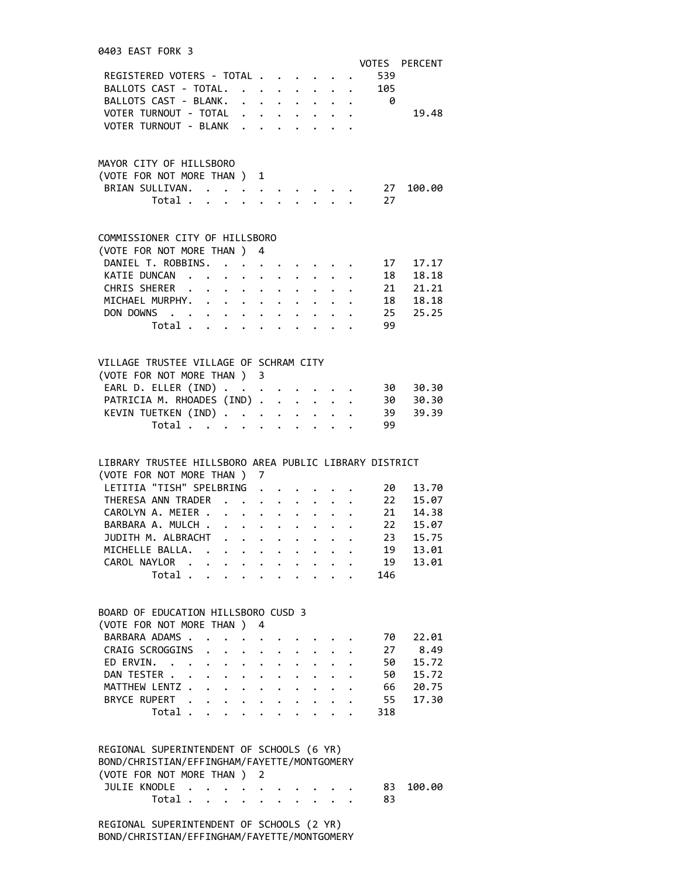| 0403 EAST FORK 3                                           |                                           |                                                                    |                                                             |                                                                     |                      |                      |              |                      |                                    |                                                                               |
|------------------------------------------------------------|-------------------------------------------|--------------------------------------------------------------------|-------------------------------------------------------------|---------------------------------------------------------------------|----------------------|----------------------|--------------|----------------------|------------------------------------|-------------------------------------------------------------------------------|
|                                                            |                                           |                                                                    |                                                             |                                                                     |                      |                      |              |                      |                                    | VOTES PERCENT                                                                 |
|                                                            |                                           |                                                                    |                                                             |                                                                     |                      |                      |              |                      |                                    |                                                                               |
| REGISTERED VOTERS - TOTAL 539<br>BALLOTS CAST - TOTAL. 105 |                                           |                                                                    |                                                             |                                                                     |                      |                      |              |                      |                                    |                                                                               |
|                                                            |                                           |                                                                    |                                                             |                                                                     |                      |                      |              |                      |                                    |                                                                               |
| BALLOTS CAST - BLANK. 0                                    |                                           |                                                                    |                                                             |                                                                     |                      |                      |              |                      |                                    |                                                                               |
|                                                            |                                           |                                                                    |                                                             |                                                                     |                      |                      |              |                      |                                    | VOTER TURNOUT - TOTAL 19.48                                                   |
| VOTER TURNOUT - BLANK                                      |                                           |                                                                    |                                                             |                                                                     |                      |                      |              |                      |                                    |                                                                               |
|                                                            |                                           |                                                                    |                                                             |                                                                     |                      |                      |              |                      |                                    |                                                                               |
|                                                            |                                           |                                                                    |                                                             |                                                                     |                      |                      |              |                      |                                    |                                                                               |
| MAYOR CITY OF HILLSBORO                                    |                                           |                                                                    |                                                             |                                                                     |                      |                      |              |                      |                                    |                                                                               |
| (VOTE FOR NOT MORE THAN ) 1                                |                                           |                                                                    |                                                             |                                                                     |                      |                      |              |                      |                                    |                                                                               |
| BRIAN SULLIVAN. 27                                         |                                           |                                                                    |                                                             |                                                                     |                      |                      |              |                      |                                    | 100.00                                                                        |
|                                                            |                                           |                                                                    |                                                             |                                                                     |                      |                      |              |                      | Total 27                           |                                                                               |
|                                                            |                                           |                                                                    |                                                             |                                                                     |                      |                      |              |                      |                                    |                                                                               |
|                                                            |                                           |                                                                    |                                                             |                                                                     |                      |                      |              |                      |                                    |                                                                               |
|                                                            |                                           |                                                                    |                                                             |                                                                     |                      |                      |              |                      |                                    |                                                                               |
| COMMISSIONER CITY OF HILLSBORO                             |                                           |                                                                    |                                                             |                                                                     |                      |                      |              |                      |                                    |                                                                               |
| (VOTE FOR NOT MORE THAN ) 4                                |                                           |                                                                    |                                                             |                                                                     |                      |                      |              |                      |                                    |                                                                               |
|                                                            |                                           |                                                                    |                                                             |                                                                     |                      |                      |              |                      |                                    | DANIEL T. ROBBINS. 17 17.17<br>KATIE DUNCAN 18 18.18<br>CHRIS SHERER 21 21.21 |
|                                                            |                                           |                                                                    |                                                             |                                                                     |                      |                      |              |                      |                                    |                                                                               |
|                                                            |                                           |                                                                    |                                                             |                                                                     |                      |                      |              |                      |                                    |                                                                               |
|                                                            |                                           |                                                                    |                                                             |                                                                     |                      |                      |              |                      |                                    | MICHAEL MURPHY. 18 18.18                                                      |
|                                                            |                                           |                                                                    |                                                             |                                                                     |                      |                      |              |                      |                                    |                                                                               |
|                                                            |                                           |                                                                    |                                                             |                                                                     |                      |                      |              |                      |                                    | DON DOWNS 25 25.25                                                            |
|                                                            | Total $\cdots$ $\cdots$ $\cdots$ $\cdots$ |                                                                    |                                                             |                                                                     |                      |                      |              |                      | 99                                 |                                                                               |
|                                                            |                                           |                                                                    |                                                             |                                                                     |                      |                      |              |                      |                                    |                                                                               |
|                                                            |                                           |                                                                    |                                                             |                                                                     |                      |                      |              |                      |                                    |                                                                               |
| VILLAGE TRUSTEE VILLAGE OF SCHRAM CITY                     |                                           |                                                                    |                                                             |                                                                     |                      |                      |              |                      |                                    |                                                                               |
| (VOTE FOR NOT MORE THAN ) 3                                |                                           |                                                                    |                                                             |                                                                     |                      |                      |              |                      |                                    |                                                                               |
|                                                            |                                           |                                                                    |                                                             |                                                                     |                      |                      |              |                      |                                    |                                                                               |
|                                                            |                                           |                                                                    |                                                             |                                                                     |                      |                      |              |                      |                                    | EARL D. ELLER (IND) 30 30.30                                                  |
|                                                            |                                           |                                                                    |                                                             |                                                                     |                      |                      |              |                      |                                    | PATRICIA M. RHOADES (IND) 30 30.30                                            |
|                                                            |                                           |                                                                    |                                                             |                                                                     |                      |                      |              |                      |                                    | KEVIN TUETKEN (IND) 39 39.39                                                  |
|                                                            |                                           |                                                                    |                                                             |                                                                     |                      |                      |              |                      | Total 99                           |                                                                               |
|                                                            |                                           |                                                                    |                                                             |                                                                     |                      |                      |              |                      |                                    |                                                                               |
|                                                            |                                           |                                                                    |                                                             |                                                                     |                      |                      |              |                      |                                    |                                                                               |
| LIBRARY TRUSTEE HILLSBORO AREA PUBLIC LIBRARY DISTRICT     |                                           |                                                                    |                                                             |                                                                     |                      |                      |              |                      |                                    |                                                                               |
| (VOTE FOR NOT MORE THAN ) 7                                |                                           |                                                                    |                                                             |                                                                     |                      |                      |              |                      |                                    |                                                                               |
| LETITIA "TISH" SPELBRING                                   |                                           |                                                                    |                                                             |                                                                     |                      |                      |              |                      | $\cdot$ $\cdot$ $\cdot$ $\cdot$ 20 | 13.70                                                                         |
|                                                            |                                           |                                                                    |                                                             |                                                                     |                      |                      |              |                      |                                    |                                                                               |
|                                                            |                                           |                                                                    |                                                             |                                                                     |                      |                      |              |                      |                                    | THERESA ANN TRADER 22 15.07                                                   |
|                                                            |                                           |                                                                    |                                                             |                                                                     |                      |                      |              |                      | CAROLYN A. MEIER 21 14.38          |                                                                               |
|                                                            |                                           |                                                                    |                                                             |                                                                     |                      |                      |              |                      |                                    |                                                                               |
|                                                            |                                           |                                                                    |                                                             |                                                                     |                      |                      |              |                      |                                    | BARBARA A. MULCH 22 15.07                                                     |
|                                                            |                                           |                                                                    |                                                             |                                                                     |                      |                      |              |                      | 23                                 |                                                                               |
| JUDITH M. ALBRACHT                                         |                                           |                                                                    |                                                             |                                                                     |                      |                      |              |                      |                                    | 15.75                                                                         |
| MICHELLE BALLA.                                            |                                           |                                                                    |                                                             |                                                                     |                      |                      |              |                      | 19                                 | 13.01                                                                         |
| CAROL NAYLOR .                                             |                                           |                                                                    |                                                             |                                                                     |                      |                      |              |                      | 19                                 | 13.01                                                                         |
|                                                            | Total .                                   |                                                                    |                                                             |                                                                     |                      |                      |              |                      | 146                                |                                                                               |
|                                                            |                                           |                                                                    |                                                             |                                                                     |                      |                      |              |                      |                                    |                                                                               |
|                                                            |                                           |                                                                    |                                                             |                                                                     |                      |                      |              |                      |                                    |                                                                               |
| BOARD OF EDUCATION HILLSBORO CUSD 3                        |                                           |                                                                    |                                                             |                                                                     |                      |                      |              |                      |                                    |                                                                               |
| (VOTE FOR NOT MORE THAN)                                   |                                           |                                                                    |                                                             | 4                                                                   |                      |                      |              |                      |                                    |                                                                               |
| BARBARA ADAMS.                                             |                                           |                                                                    |                                                             |                                                                     |                      |                      |              |                      | 70                                 |                                                                               |
|                                                            |                                           |                                                                    |                                                             | $\bullet$ .<br><br><br><br><br><br><br><br><br><br><br><br><br><br> |                      |                      |              |                      |                                    | 22.01                                                                         |
| CRAIG SCROGGINS .                                          |                                           |                                                                    | $\mathbf{r} = \mathbf{r} + \mathbf{r}$ , where $\mathbf{r}$ |                                                                     | $\bullet$            |                      |              |                      | 27                                 | 8.49                                                                          |
| ED ERVIN.                                                  |                                           | $\mathbf{r} = \mathbf{r} - \mathbf{r} = \mathbf{r} - \mathbf{r}$ . |                                                             |                                                                     |                      |                      |              |                      | 50                                 | 15.72                                                                         |
| DAN TESTER                                                 |                                           |                                                                    |                                                             | $\sim$ 100 $\mu$                                                    | $\ddot{\phantom{0}}$ | $\ddot{\phantom{0}}$ |              |                      | 50                                 | 15.72                                                                         |
| MATTHEW LENTZ                                              |                                           |                                                                    |                                                             |                                                                     |                      |                      | $\mathbf{L}$ |                      | 66                                 | 20.75                                                                         |
| BRYCE RUPERT                                               |                                           |                                                                    |                                                             |                                                                     |                      | $\ddot{\phantom{0}}$ |              |                      | 55                                 | 17.30                                                                         |
|                                                            | Total                                     |                                                                    |                                                             |                                                                     |                      | $\ddot{\phantom{1}}$ | $\mathbf{L}$ | $\ddot{\phantom{a}}$ | 318                                |                                                                               |
|                                                            |                                           |                                                                    |                                                             |                                                                     |                      |                      |              |                      |                                    |                                                                               |
|                                                            |                                           |                                                                    |                                                             |                                                                     |                      |                      |              |                      |                                    |                                                                               |
|                                                            |                                           |                                                                    |                                                             |                                                                     |                      |                      |              |                      |                                    |                                                                               |
| REGIONAL SUPERINTENDENT OF SCHOOLS (6 YR)                  |                                           |                                                                    |                                                             |                                                                     |                      |                      |              |                      |                                    |                                                                               |
| BOND/CHRISTIAN/EFFINGHAM/FAYETTE/MONTGOMERY                |                                           |                                                                    |                                                             |                                                                     |                      |                      |              |                      |                                    |                                                                               |
| (VOTE FOR NOT MORE THAN ) 2                                |                                           |                                                                    |                                                             |                                                                     |                      |                      |              |                      |                                    |                                                                               |
| JULIE KNODLE                                               | Total $\cdots$ $\cdots$ $\cdots$          |                                                                    |                                                             |                                                                     |                      |                      |              |                      | 83<br>83                           | 100.00                                                                        |

 REGIONAL SUPERINTENDENT OF SCHOOLS (2 YR) BOND/CHRISTIAN/EFFINGHAM/FAYETTE/MONTGOMERY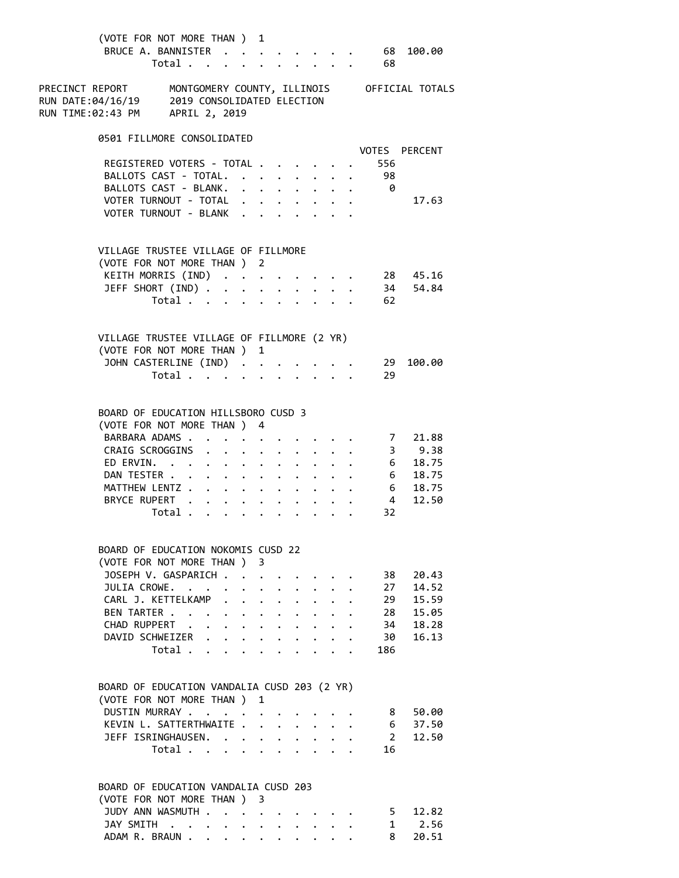| (VOTE FOR NOT MORE THAN ) 1<br>BRUCE A. BANNISTER<br>Total                                                                                     |   |                      |           |                      |                                                                    | $\cdot$ 68 100.00<br>68 |                                |
|------------------------------------------------------------------------------------------------------------------------------------------------|---|----------------------|-----------|----------------------|--------------------------------------------------------------------|-------------------------|--------------------------------|
| PRECINCT REPORT MONTGOMERY COUNTY, ILLINOIS OFFICIAL TOTALS<br>RUN DATE:04/16/19 2019 CONSOLIDATED ELECTION<br>RUN TIME:02:43 PM APRIL 2, 2019 |   |                      |           |                      |                                                                    |                         |                                |
| 0501 FILLMORE CONSOLIDATED                                                                                                                     |   |                      |           |                      |                                                                    |                         |                                |
| REGISTERED VOTERS - TOTAL                                                                                                                      |   |                      |           |                      |                                                                    | 556                     | VOTES PERCENT                  |
| BALLOTS CAST - TOTAL. 98                                                                                                                       |   |                      |           |                      |                                                                    |                         |                                |
| BALLOTS CAST - BLANK. 0                                                                                                                        |   |                      |           |                      |                                                                    |                         | 17.63                          |
| VOTER TURNOUT - TOTAL<br>VOTER TURNOUT - BLANK                                                                                                 |   |                      |           |                      |                                                                    |                         |                                |
| VILLAGE TRUSTEE VILLAGE OF FILLMORE                                                                                                            |   |                      |           |                      |                                                                    |                         |                                |
| (VOTE FOR NOT MORE THAN ) 2                                                                                                                    |   |                      |           |                      |                                                                    |                         |                                |
| KEITH MORRIS (IND) 28 45.16                                                                                                                    |   |                      |           |                      |                                                                    |                         |                                |
| JEFF SHORT (IND) 34 54.84                                                                                                                      |   |                      |           |                      |                                                                    |                         |                                |
| Total 62                                                                                                                                       |   |                      |           |                      |                                                                    |                         |                                |
| VILLAGE TRUSTEE VILLAGE OF FILLMORE (2 YR)<br>(VOTE FOR NOT MORE THAN ) 1                                                                      |   |                      |           |                      |                                                                    |                         |                                |
| JOHN CASTERLINE (IND) 29 100.00                                                                                                                |   |                      |           |                      |                                                                    |                         |                                |
| Total                                                                                                                                          |   |                      |           |                      |                                                                    | 29                      |                                |
| BOARD OF EDUCATION HILLSBORO CUSD 3<br>(VOTE FOR NOT MORE THAN ) 4<br>BARBARA ADAMS<br>CRAIG SCROGGINS 3 9.38<br>ED ERVIN. 6 18.75             |   |                      |           |                      | $\mathbf{z} = \mathbf{z} + \mathbf{z} + \mathbf{z} + \mathbf{z}$ . |                         | 721.88<br>$3$ 9.38             |
|                                                                                                                                                |   |                      |           |                      |                                                                    |                         |                                |
| DAN TESTER 6 18.75<br>MATTHEW LENTZ 6 18.75                                                                                                    |   |                      |           |                      |                                                                    |                         |                                |
| BRYCE RUPERT 4                                                                                                                                 |   |                      |           |                      |                                                                    |                         | 12.50                          |
| Total $\cdots$ $\cdots$ $\cdots$                                                                                                               |   |                      |           |                      |                                                                    | 32                      |                                |
| BOARD OF EDUCATION NOKOMIS CUSD 22                                                                                                             |   |                      |           |                      |                                                                    |                         |                                |
| (VOTE FOR NOT MORE THAN ) 3                                                                                                                    |   |                      |           |                      |                                                                    |                         |                                |
| JOSEPH V. GASPARICH                                                                                                                            |   |                      |           |                      |                                                                    | 38                      | 20.43                          |
| JULIA CROWE.                                                                                                                                   |   |                      |           | $\ddot{\phantom{0}}$ |                                                                    | 27                      | 14.52                          |
| CARL J. KETTELKAMP<br>$\sim$<br>$\ddot{\phantom{0}}$<br>BEN TARTER                                                                             |   | $\ddot{\phantom{a}}$ | $\bullet$ |                      |                                                                    | 29                      | 15.59<br>15.05                 |
| $\cdot$ $\cdot$ $\cdot$ $\cdot$ $\cdot$ $\cdot$ $\cdot$ $\cdot$<br>CHAD RUPPERT<br>$\cdot$ $\cdot$ $\cdot$ $\cdot$ $\cdot$ $\cdot$ $\cdot$     |   |                      |           |                      |                                                                    | 28<br>34                | 18.28                          |
| DAVID SCHWEIZER<br>$\mathbf{L}$                                                                                                                |   |                      |           |                      |                                                                    | 30                      | 16.13                          |
| Total                                                                                                                                          |   |                      |           |                      |                                                                    | 186                     |                                |
| BOARD OF EDUCATION VANDALIA CUSD 203 (2 YR)<br>(VOTE FOR NOT MORE THAN)                                                                        | 1 |                      |           |                      |                                                                    |                         |                                |
| DUSTIN MURRAY                                                                                                                                  |   |                      |           |                      |                                                                    | 8                       | 50.00                          |
| KEVIN L. SATTERTHWAITE.                                                                                                                        |   |                      |           |                      |                                                                    | $6\overline{6}$         | 37.50                          |
| JEFF ISRINGHAUSEN. .                                                                                                                           |   |                      |           |                      |                                                                    | $2^{\circ}$             | 12.50                          |
| Total<br>$\sim$                                                                                                                                |   |                      |           |                      |                                                                    | 16                      |                                |
| BOARD OF EDUCATION VANDALIA CUSD 203                                                                                                           |   |                      |           |                      |                                                                    |                         |                                |
| (VOTE FOR NOT MORE THAN ) 3<br>JUDY ANN WASMUTH                                                                                                |   |                      |           |                      |                                                                    |                         | 5 12.82                        |
| JAY SMITH                                                                                                                                      |   |                      |           |                      |                                                                    |                         | $1 \quad \blacksquare$<br>2.56 |

ADAM R. BRAUN . . . . . . . . . . 8 20.51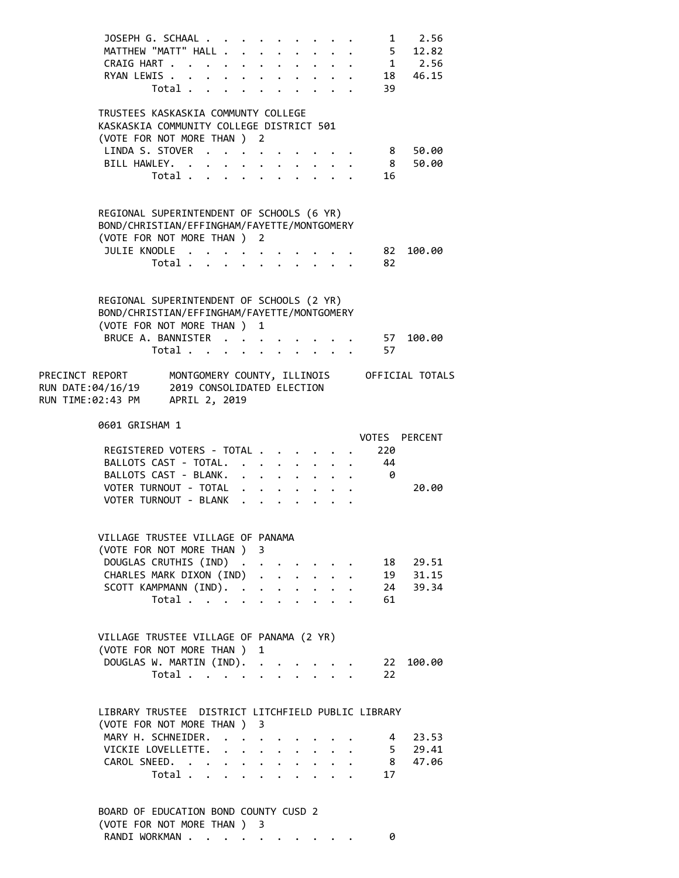| JOSEPH G. SCHAAL<br>MATTHEW "MATT" HALL<br>CRAIG HART<br>RYAN LEWIS .<br>Total                                                                    | $\mathbf{r}$ | $\ddot{\phantom{0}}$                                      | $\mathbf{r} = \mathbf{r} + \mathbf{r} + \mathbf{r} + \mathbf{r}$ .                                                      |                           | $\mathbf{r} = \mathbf{r} + \mathbf{r}$                                                                                |                                                                            | 39                    | $1 \t 2.56$<br>$-5$ 12.82<br>$1$ 2.56<br>18 46.15 |  |
|---------------------------------------------------------------------------------------------------------------------------------------------------|--------------|-----------------------------------------------------------|-------------------------------------------------------------------------------------------------------------------------|---------------------------|-----------------------------------------------------------------------------------------------------------------------|----------------------------------------------------------------------------|-----------------------|---------------------------------------------------|--|
| TRUSTEES KASKASKIA COMMUNTY COLLEGE<br>KASKASKIA COMMUNITY COLLEGE DISTRICT 501<br>(VOTE FOR NOT MORE THAN ) 2<br>LINDA S. STOVER<br>BILL HAWLEY. |              |                                                           |                                                                                                                         |                           |                                                                                                                       |                                                                            | 8 <sup>8</sup>        | 8 50.00<br>50.00                                  |  |
| Total .<br>REGIONAL SUPERINTENDENT OF SCHOOLS (6 YR)                                                                                              | $\mathbf{L}$ | $\mathbf{L}^{\text{max}}$ , and $\mathbf{L}^{\text{max}}$ |                                                                                                                         |                           |                                                                                                                       |                                                                            | 16                    |                                                   |  |
| BOND/CHRISTIAN/EFFINGHAM/FAYETTE/MONTGOMERY<br>(VOTE FOR NOT MORE THAN ) 2<br>JULIE KNODLE<br>Total                                               |              |                                                           |                                                                                                                         |                           |                                                                                                                       |                                                                            | . 82<br>82            | 100.00                                            |  |
| REGIONAL SUPERINTENDENT OF SCHOOLS (2 YR)<br>BOND/CHRISTIAN/EFFINGHAM/FAYETTE/MONTGOMERY<br>(VOTE FOR NOT MORE THAN ) 1<br>BRUCE A. BANNISTER     |              |                                                           |                                                                                                                         |                           |                                                                                                                       |                                                                            | 57                    | 100.00                                            |  |
| Total $\cdots$ $\cdots$ $\cdots$ $\cdots$<br>PRECINCT REPORT MONTGOMERY COUNTY, ILLINOIS OFFICIAL TOTALS<br>RUN TIME:02:43 PM APRIL 2, 2019       |              |                                                           |                                                                                                                         |                           |                                                                                                                       |                                                                            | 57                    |                                                   |  |
| 0601 GRISHAM 1                                                                                                                                    |              |                                                           |                                                                                                                         |                           |                                                                                                                       |                                                                            |                       | VOTES PERCENT                                     |  |
| REGISTERED VOTERS - TOTAL<br>BALLOTS CAST - TOTAL.<br>BALLOTS CAST - BLANK.<br>VOTER TURNOUT - TOTAL<br>VOTER TURNOUT - BLANK                     |              |                                                           | $\mathbf{r} = \mathbf{r} + \mathbf{r} + \mathbf{r}$ .<br>$\mathbf{1}$ . The set of $\mathbf{1}$<br>$\ddot{\phantom{a}}$ |                           |                                                                                                                       |                                                                            | 220<br>44<br>$\theta$ | 20.00                                             |  |
| VILLAGE TRUSTEE VILLAGE OF PANAMA<br>(VOTE FOR NOT MORE THAN ) 3                                                                                  |              |                                                           |                                                                                                                         |                           |                                                                                                                       |                                                                            |                       |                                                   |  |
| DOUGLAS CRUTHIS (IND)<br>CHARLES MARK DIXON (IND).<br>SCOTT KAMPMANN (IND).<br>Total                                                              |              |                                                           |                                                                                                                         |                           | $\mathbf{r}^{\prime}$ , $\mathbf{r}^{\prime}$ , $\mathbf{r}^{\prime}$ , $\mathbf{r}^{\prime}$<br>$\ddot{\phantom{a}}$ | $\mathbf{L}^{\text{max}}$ .<br>$\mathbf{L} = \mathbf{L} \times \mathbf{L}$ | 61                    | 18  29.51<br>19  31.15<br>24  39.34               |  |
| VILLAGE TRUSTEE VILLAGE OF PANAMA (2 YR)<br>(VOTE FOR NOT MORE THAN )<br>DOUGLAS W. MARTIN (IND).                                                 |              |                                                           | 1                                                                                                                       |                           |                                                                                                                       |                                                                            | 22                    | 100.00                                            |  |
| Total<br>LIBRARY TRUSTEE DISTRICT LITCHFIELD PUBLIC LIBRARY                                                                                       |              |                                                           |                                                                                                                         |                           |                                                                                                                       |                                                                            | 22                    |                                                   |  |
|                                                                                                                                                   |              |                                                           |                                                                                                                         |                           |                                                                                                                       |                                                                            |                       |                                                   |  |
| (VOTE FOR NOT MORE THAN ) 3<br>MARY H. SCHNEIDER.<br>VICKIE LOVELLETTE.<br>CAROL SNEED.<br>Total                                                  |              | $\ddot{\phantom{0}}$                                      |                                                                                                                         | $\mathbf{L} = \mathbf{L}$ |                                                                                                                       |                                                                            | 17                    | 4 23.53<br>$-5$ 29.41<br>8 47.06                  |  |

| RANDI WORKMAN |  |   |  |  |  |  |
|---------------|--|---|--|--|--|--|
|               |  | . |  |  |  |  |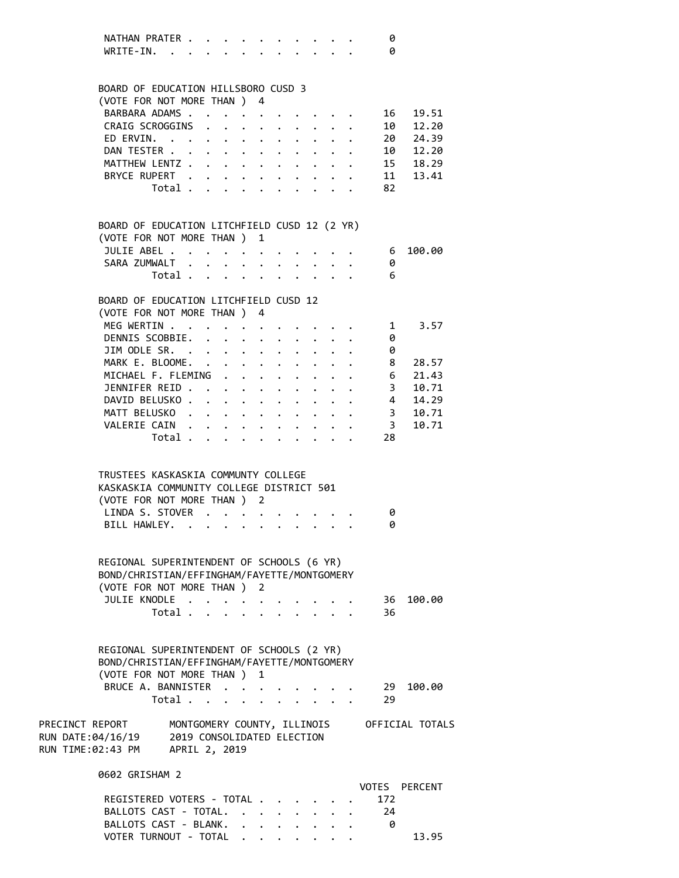| NATHAN PRATER |  |  |   |  |  |  |  |
|---------------|--|--|---|--|--|--|--|
| WRITE-IN.     |  |  | . |  |  |  |  |

 BOARD OF EDUCATION HILLSBORO CUSD 3 (VOTE FOR NOT MORE THAN ) 4 BARBARA ADAMS . . . . . . . . . . . 16 19.51 CRAIG SCROGGINS . . . . . . . . . 10 12.20 ED ERVIN. . . . . . . . . . . . . 20 24.39 DAN TESTER . . . . . . . . . . . . 10 12.20 MATTHEW LENTZ . . . . . . . . . . . 15 18.29 BRYCE RUPERT . . . . . . . . . . 11 13.41 Total . . . . . . . . . . 82 BOARD OF EDUCATION LITCHFIELD CUSD 12 (2 YR) (VOTE FOR NOT MORE THAN ) 1 JULIE ABEL . . . . . . . . . . . 6 100.00 SARA ZUMWALT . . . . . . . . . . . 0 Total . . . . . . . . . . 6 BOARD OF EDUCATION LITCHFIELD CUSD 12 (VOTE FOR NOT MORE THAN ) 4 MEG WERTIN . . . . . . . . . . . . 1 3.57 DENNIS SCOBBIE. . . . . . . . . . 0 JIM ODLE SR. . . . . . . . . . . 0 MARK E. BLOOME. . . . . . . . . . . 8 28.57 MICHAEL F. FLEMING . . . . . . . . . 6 21.43 JENNIFER REID . . . . . . . . . . . 3 10.71 DAVID BELUSKO . . . . . . . . . . . 4 14.29 MATT BELUSKO . . . . . . . . . . . 3 10.71 VALERIE CAIN . . . . . . . . . . . 3 10.71 Total . . . . . . . . . . 28 TRUSTEES KASKASKIA COMMUNTY COLLEGE KASKASKIA COMMUNITY COLLEGE DISTRICT 501 (VOTE FOR NOT MORE THAN ) 2 LINDA S. STOVER . . . . . . . . . 0 BILL HAWLEY. . . . . . . . . . . 0 REGIONAL SUPERINTENDENT OF SCHOOLS (6 YR) BOND/CHRISTIAN/EFFINGHAM/FAYETTE/MONTGOMERY (VOTE FOR NOT MORE THAN ) 2 JULIE KNODLE . . . . . . . . . . 36 100.00 Total . . . . . . . . . . 36 REGIONAL SUPERINTENDENT OF SCHOOLS (2 YR) BOND/CHRISTIAN/EFFINGHAM/FAYETTE/MONTGOMERY (VOTE FOR NOT MORE THAN ) 1 BRUCE A. BANNISTER . . . . . . . . 29 100.00 Total . . . . . . . . . . 29 PRECINCT REPORT MONTGOMERY COUNTY, ILLINOIS OFFICIAL TOTALS RUN DATE:04/16/19 2019 CONSOLIDATED ELECTION RUN TIME:02:43 PM APRIL 2, 2019 0602 GRISHAM 2 VOTES PERCENT REGISTERED VOTERS - TOTAL . . . . . . 172 BALLOTS CAST - TOTAL. . . . . . . . 24 BALLOTS CAST - BLANK. . . . . . . . 0

VOTER TURNOUT - TOTAL . . . . . . . . 13.95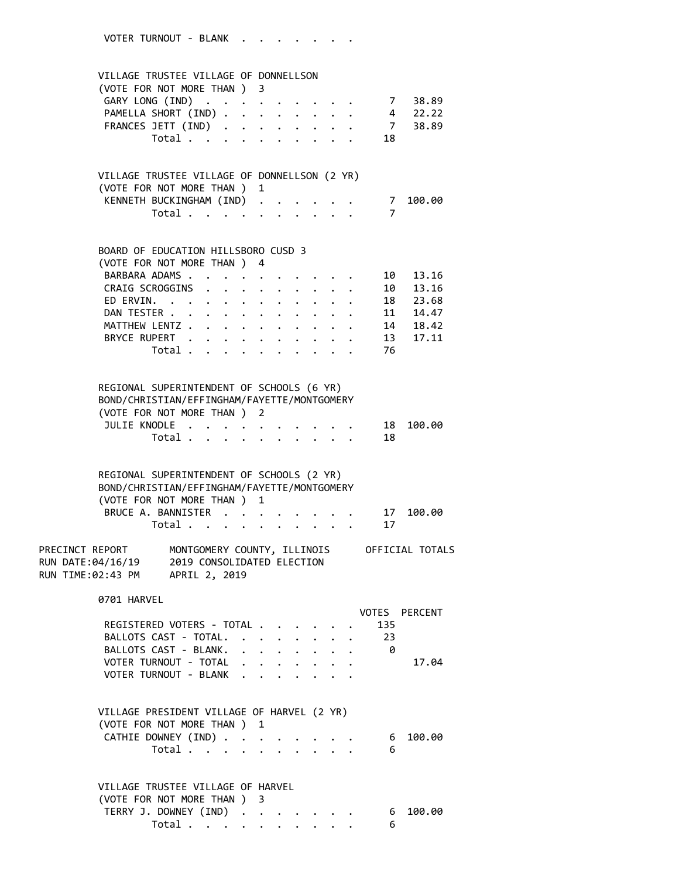VOTER TURNOUT - BLANK . . . . . . . VILLAGE TRUSTEE VILLAGE OF DONNELLSON (VOTE FOR NOT MORE THAN ) 3 GARY LONG (IND) . . . . . . . . . 7 38.89 PAMELLA SHORT (IND) . . . . . . . . . 4 22.22 FRANCES JETT (IND) . . . . . . . . . 7 38.89 Total . . . . . . . . . . 18 VILLAGE TRUSTEE VILLAGE OF DONNELLSON (2 YR) (VOTE FOR NOT MORE THAN ) 1 KENNETH BUCKINGHAM (IND) . . . . . . 7 100.00 Total . . . . . . . . . . 7 BOARD OF EDUCATION HILLSBORO CUSD 3 (VOTE FOR NOT MORE THAN ) 4 BARBARA ADAMS . . . . . . . . . . . 10 13.16<br>CRAIG SCROGGINS . . . . . . . . . 10 13.16 CRAIG SCROGGINS . . . . . . . . . ED ERVIN. . . . . . . . . . . . 18 23.68 DAN TESTER . . . . . . . . . . . . 11 14.47 MATTHEW LENTZ . . . . . . . . . . . 14 18.42 BRYCE RUPERT . . . . . . . . . . 13 17.11 Total . . . . . . . . . . 76 REGIONAL SUPERINTENDENT OF SCHOOLS (6 YR) BOND/CHRISTIAN/EFFINGHAM/FAYETTE/MONTGOMERY (VOTE FOR NOT MORE THAN ) 2 JULIE KNODLE . . . . . . . . . . 18 100.00 Total . . . . . . . . . . 18 REGIONAL SUPERINTENDENT OF SCHOOLS (2 YR) BOND/CHRISTIAN/EFFINGHAM/FAYETTE/MONTGOMERY (VOTE FOR NOT MORE THAN ) 1 BRUCE A. BANNISTER . . . . . . . . 17 100.00 Total . . . . . . . . . . 17 PRECINCT REPORT MONTGOMERY COUNTY, ILLINOIS OFFICIAL TOTALS RUN DATE:04/16/19 2019 CONSOLIDATED ELECTION RUN TIME:02:43 PM APRIL 2, 2019 0701 HARVEL VOTES PERCENT REGISTERED VOTERS - TOTAL . . . . . . 135 BALLOTS CAST - TOTAL. . . . . . . . 23 BALLOTS CAST - BLANK. . . . . . . . . 0 VOTER TURNOUT - TOTAL . . . . . . . 17.04 VOTER TURNOUT - BLANK . . . . . . . VILLAGE PRESIDENT VILLAGE OF HARVEL (2 YR) (VOTE FOR NOT MORE THAN ) 1 CATHIE DOWNEY (IND) . . . . . . . . 6 100.00 Total . . . . . . . . . . . 6 VILLAGE TRUSTEE VILLAGE OF HARVEL (VOTE FOR NOT MORE THAN ) 3 TERRY J. DOWNEY (IND) . . . . . . . 6 100.00<br>Total . . . . . . . . . . 6

Total  $\cdots$  . . . . . . . .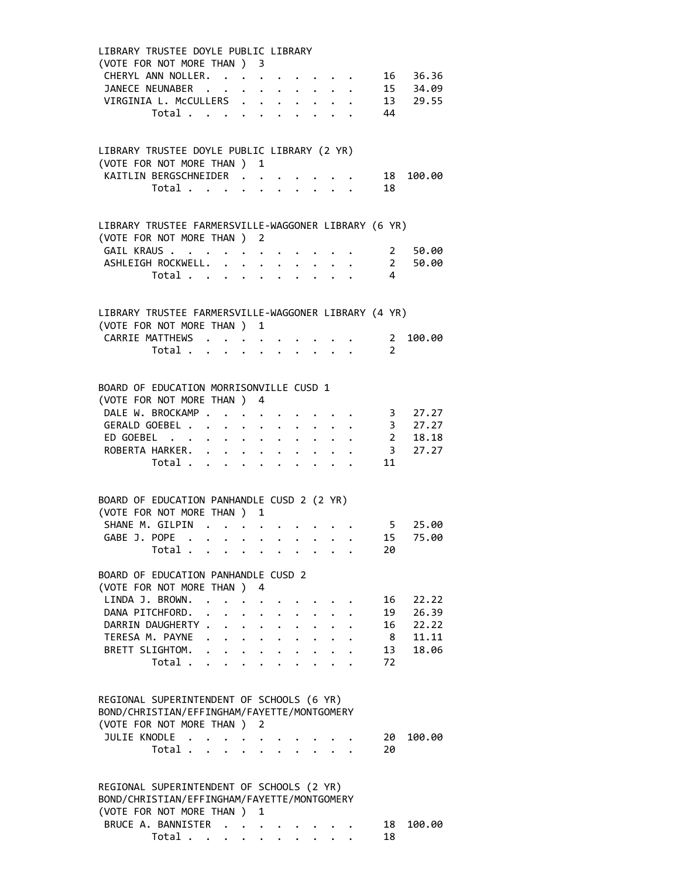| LIBRARY TRUSTEE DOYLE PUBLIC LIBRARY                                       |                                                               |             |                                                                                                                                                                                                                                    |  |                                 |                                                                                            |                         |           |
|----------------------------------------------------------------------------|---------------------------------------------------------------|-------------|------------------------------------------------------------------------------------------------------------------------------------------------------------------------------------------------------------------------------------|--|---------------------------------|--------------------------------------------------------------------------------------------|-------------------------|-----------|
| (VOTE FOR NOT MORE THAN ) 3                                                |                                                               |             |                                                                                                                                                                                                                                    |  |                                 |                                                                                            |                         |           |
| CHERYL ANN NOLLER.                                                         |                                                               |             |                                                                                                                                                                                                                                    |  |                                 | $\mathbf{r} = \mathbf{r} + \mathbf{r} + \mathbf{r} + \mathbf{r} + \mathbf{r} + \mathbf{r}$ |                         | 16 36.36  |
| JANECE NEUNABER                                                            |                                                               |             |                                                                                                                                                                                                                                    |  |                                 |                                                                                            |                         | 15 34.09  |
| VIRGINIA L. McCULLERS 13 29.55                                             |                                                               |             |                                                                                                                                                                                                                                    |  |                                 |                                                                                            |                         |           |
| Total 44                                                                   |                                                               |             |                                                                                                                                                                                                                                    |  |                                 |                                                                                            |                         |           |
|                                                                            |                                                               |             |                                                                                                                                                                                                                                    |  |                                 |                                                                                            |                         |           |
|                                                                            |                                                               |             |                                                                                                                                                                                                                                    |  |                                 |                                                                                            |                         |           |
| LIBRARY TRUSTEE DOYLE PUBLIC LIBRARY (2 YR)<br>(VOTE FOR NOT MORE THAN ) 1 |                                                               |             |                                                                                                                                                                                                                                    |  |                                 |                                                                                            |                         |           |
| KAITLIN BERGSCHNEIDER                                                      |                                                               |             |                                                                                                                                                                                                                                    |  |                                 |                                                                                            | 18                      | 100.00    |
| Total $\cdots$ $\cdots$ $\cdots$ $\cdots$                                  |                                                               |             |                                                                                                                                                                                                                                    |  |                                 |                                                                                            | 18                      |           |
|                                                                            |                                                               |             |                                                                                                                                                                                                                                    |  |                                 |                                                                                            |                         |           |
| LIBRARY TRUSTEE FARMERSVILLE-WAGGONER LIBRARY (6 YR)                       |                                                               |             |                                                                                                                                                                                                                                    |  |                                 |                                                                                            |                         |           |
| (VOTE FOR NOT MORE THAN ) 2                                                |                                                               |             |                                                                                                                                                                                                                                    |  |                                 |                                                                                            |                         |           |
| GAIL KRAUS                                                                 |                                                               |             |                                                                                                                                                                                                                                    |  |                                 |                                                                                            |                         | 2 50.00   |
| ASHLEIGH ROCKWELL.                                                         |                                                               | $\bullet$ . | $\ddot{\phantom{0}}$                                                                                                                                                                                                               |  |                                 |                                                                                            |                         | 2 50.00   |
| Total $\cdots$ $\cdots$                                                    |                                                               |             |                                                                                                                                                                                                                                    |  | $\cdot$ $\cdot$ $\cdot$ $\cdot$ |                                                                                            | 4                       |           |
|                                                                            |                                                               |             |                                                                                                                                                                                                                                    |  |                                 |                                                                                            |                         |           |
| LIBRARY TRUSTEE FARMERSVILLE-WAGGONER LIBRARY (4 YR)                       |                                                               |             |                                                                                                                                                                                                                                    |  |                                 |                                                                                            |                         |           |
| (VOTE FOR NOT MORE THAN ) 1                                                |                                                               |             |                                                                                                                                                                                                                                    |  |                                 |                                                                                            |                         |           |
| CARRIE MATTHEWS                                                            |                                                               |             |                                                                                                                                                                                                                                    |  |                                 |                                                                                            | $\overline{\mathbf{2}}$ | 100.00    |
| Total $\cdots$ $\cdots$ $\cdots$ $\cdots$                                  |                                                               |             |                                                                                                                                                                                                                                    |  |                                 |                                                                                            | $\overline{2}$          |           |
|                                                                            |                                                               |             |                                                                                                                                                                                                                                    |  |                                 |                                                                                            |                         |           |
| BOARD OF EDUCATION MORRISONVILLE CUSD 1                                    |                                                               |             |                                                                                                                                                                                                                                    |  |                                 |                                                                                            |                         |           |
| (VOTE FOR NOT MORE THAN ) 4                                                |                                                               |             |                                                                                                                                                                                                                                    |  |                                 |                                                                                            |                         |           |
| DALE W. BROCKAMP.                                                          | $\mathcal{A}=\mathcal{A}=\mathcal{A}=\mathcal{A}=\mathcal{A}$ |             |                                                                                                                                                                                                                                    |  |                                 |                                                                                            | $\cdots$ $\cdots$ 3     | 27.27     |
| GERALD GOEBEL                                                              |                                                               |             |                                                                                                                                                                                                                                    |  |                                 |                                                                                            |                         | $3$ 27.27 |
| ED GOEBEL 2 18.18                                                          |                                                               |             |                                                                                                                                                                                                                                    |  |                                 |                                                                                            |                         |           |
| ROBERTA HARKER.                                                            |                                                               | $\bullet$ . |                                                                                                                                                                                                                                    |  |                                 |                                                                                            |                         | 3 27.27   |
| Total .                                                                    | $\mathbf{r}$ , $\mathbf{r}$ , $\mathbf{r}$ , $\mathbf{r}$     |             |                                                                                                                                                                                                                                    |  |                                 |                                                                                            | 11                      |           |
|                                                                            |                                                               |             |                                                                                                                                                                                                                                    |  |                                 |                                                                                            |                         |           |
| BOARD OF EDUCATION PANHANDLE CUSD 2 (2 YR)<br>(VOTE FOR NOT MORE THAN ) 1  |                                                               |             |                                                                                                                                                                                                                                    |  |                                 |                                                                                            |                         |           |
|                                                                            |                                                               |             |                                                                                                                                                                                                                                    |  |                                 |                                                                                            |                         |           |
| SHANE M. GILPIN 5 25.00                                                    |                                                               |             |                                                                                                                                                                                                                                    |  |                                 |                                                                                            | 15                      | 75.00     |
| GABE J. POPE                                                               |                                                               |             |                                                                                                                                                                                                                                    |  |                                 |                                                                                            |                         |           |
| Total                                                                      |                                                               |             |                                                                                                                                                                                                                                    |  |                                 |                                                                                            | 20                      |           |
| BOARD OF EDUCATION PANHANDLE CUSD 2                                        |                                                               |             |                                                                                                                                                                                                                                    |  |                                 |                                                                                            |                         |           |
| (VOTE FOR NOT MORE THAN ) 4                                                |                                                               |             |                                                                                                                                                                                                                                    |  |                                 |                                                                                            |                         |           |
| LINDA J. BROWN. .<br>DANA PITCHFORD.                                       |                                                               |             |                                                                                                                                                                                                                                    |  |                                 |                                                                                            | 16                      | 22.22     |
|                                                                            |                                                               |             | $\bullet$ . The set of the set of the set of the set of the set of the set of the set of the set of the set of the set of the set of the set of the set of the set of the set of the set of the set of the set of the set of the s |  |                                 |                                                                                            | 19                      | 26.39     |
| DARRIN DAUGHERTY                                                           |                                                               |             |                                                                                                                                                                                                                                    |  |                                 |                                                                                            | 16                      | 22.22     |
| TERESA M. PAYNE                                                            |                                                               |             |                                                                                                                                                                                                                                    |  |                                 |                                                                                            |                         | 8 11.11   |
| BRETT SLIGHTOM.                                                            | $\mathbf{r}$ , and $\mathbf{r}$ , and $\mathbf{r}$            |             |                                                                                                                                                                                                                                    |  |                                 |                                                                                            | 13                      | 18.06     |
| Total .                                                                    |                                                               |             |                                                                                                                                                                                                                                    |  |                                 |                                                                                            | 72                      |           |
|                                                                            |                                                               |             |                                                                                                                                                                                                                                    |  |                                 |                                                                                            |                         |           |
| REGIONAL SUPERINTENDENT OF SCHOOLS (6 YR)                                  |                                                               |             |                                                                                                                                                                                                                                    |  |                                 |                                                                                            |                         |           |
| BOND/CHRISTIAN/EFFINGHAM/FAYETTE/MONTGOMERY                                |                                                               |             |                                                                                                                                                                                                                                    |  |                                 |                                                                                            |                         |           |
| (VOTE FOR NOT MORE THAN )                                                  |                                                               | 2           |                                                                                                                                                                                                                                    |  |                                 |                                                                                            |                         |           |
| JULIE KNODLE .                                                             |                                                               |             |                                                                                                                                                                                                                                    |  |                                 |                                                                                            | 20                      | 100.00    |
| Total                                                                      | $\sim$                                                        |             |                                                                                                                                                                                                                                    |  |                                 |                                                                                            | 20                      |           |
|                                                                            |                                                               |             |                                                                                                                                                                                                                                    |  |                                 |                                                                                            |                         |           |
| REGIONAL SUPERINTENDENT OF SCHOOLS (2 YR)                                  |                                                               |             |                                                                                                                                                                                                                                    |  |                                 |                                                                                            |                         |           |
| BOND/CHRISTIAN/EFFINGHAM/FAYETTE/MONTGOMERY                                |                                                               |             |                                                                                                                                                                                                                                    |  |                                 |                                                                                            |                         |           |
| (VOTE FOR NOT MORE THAN ) 1                                                |                                                               |             |                                                                                                                                                                                                                                    |  |                                 |                                                                                            |                         |           |
| BRUCE A. BANNISTER                                                         |                                                               |             |                                                                                                                                                                                                                                    |  |                                 |                                                                                            | 18                      | 100.00    |

Total . . . . . . . . . . 18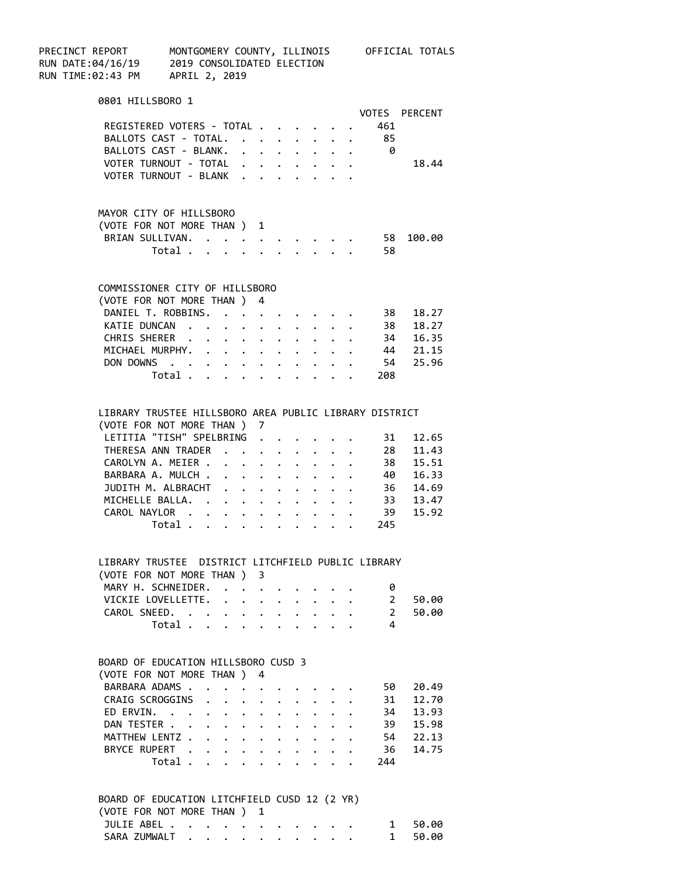| PRECINCT REPORT       MONTGOMERY COUNTY, ILLINOIS<br>RUN DATE:04/16/19     2019 CONSOLIDATED ELECTION<br>RUN TIME:02:43 PM     APRIL 2, 2019 | MONTGOMERY COUNTY, ILLINOIS OFFICIAL TOTALS            |                                         |                      |                      |                      |              |                             |                |                               |
|----------------------------------------------------------------------------------------------------------------------------------------------|--------------------------------------------------------|-----------------------------------------|----------------------|----------------------|----------------------|--------------|-----------------------------|----------------|-------------------------------|
| 0801 HILLSBORO 1                                                                                                                             |                                                        |                                         |                      |                      |                      |              |                             |                |                               |
|                                                                                                                                              |                                                        |                                         |                      |                      |                      |              |                             |                | VOTES PERCENT                 |
|                                                                                                                                              | REGISTERED VOTERS - TOTAL                              |                                         |                      |                      |                      |              |                             | 461            |                               |
|                                                                                                                                              | BALLOTS CAST - TOTAL. 85                               |                                         |                      |                      |                      |              |                             |                |                               |
|                                                                                                                                              | BALLOTS CAST - BLANK. 0                                |                                         |                      |                      |                      |              |                             |                |                               |
|                                                                                                                                              | VOTER TURNOUT - TOTAL                                  |                                         |                      |                      |                      |              |                             |                | 18.44                         |
|                                                                                                                                              | VOTER TURNOUT - BLANK                                  |                                         |                      |                      |                      |              |                             |                |                               |
|                                                                                                                                              | MAYOR CITY OF HILLSBORO                                |                                         |                      |                      |                      |              |                             |                |                               |
|                                                                                                                                              | (VOTE FOR NOT MORE THAN ) 1                            |                                         |                      |                      |                      |              |                             |                |                               |
|                                                                                                                                              | BRIAN SULLIVAN. 58 100.00                              |                                         |                      |                      |                      |              |                             |                |                               |
|                                                                                                                                              | Total $\cdot$                                          |                                         |                      |                      |                      |              |                             | -58            |                               |
|                                                                                                                                              | COMMISSIONER CITY OF HILLSBORO                         |                                         |                      |                      |                      |              |                             |                |                               |
|                                                                                                                                              | (VOTE FOR NOT MORE THAN ) 4                            |                                         |                      |                      |                      |              |                             |                |                               |
|                                                                                                                                              | DANIEL T. ROBBINS. 38 18.27                            |                                         |                      |                      |                      |              |                             |                |                               |
|                                                                                                                                              | KATIE DUNCAN 38 18.27                                  |                                         |                      |                      |                      |              |                             |                |                               |
|                                                                                                                                              | CHRIS SHERER 34 16.35                                  |                                         |                      |                      |                      |              |                             |                |                               |
|                                                                                                                                              | MICHAEL MURPHY. 44 21.15                               |                                         |                      |                      |                      |              |                             |                |                               |
|                                                                                                                                              |                                                        |                                         |                      |                      |                      |              |                             |                |                               |
|                                                                                                                                              | DON DOWNS 54 25.96<br>Total 208                        |                                         |                      |                      |                      |              |                             |                |                               |
|                                                                                                                                              | LIBRARY TRUSTEE HILLSBORO AREA PUBLIC LIBRARY DISTRICT |                                         |                      |                      |                      |              |                             |                |                               |
|                                                                                                                                              | (VOTE FOR NOT MORE THAN ) 7                            |                                         |                      |                      |                      |              |                             |                |                               |
|                                                                                                                                              | LETITIA "TISH" SPELBRING                               |                                         |                      |                      |                      |              |                             | 31             | 12.65                         |
|                                                                                                                                              | THERESA ANN TRADER                                     |                                         |                      |                      |                      |              |                             |                | 28 11.43                      |
|                                                                                                                                              | CAROLYN A. MEIER                                       |                                         |                      |                      |                      |              |                             |                |                               |
|                                                                                                                                              | BARBARA A. MULCH                                       |                                         |                      |                      |                      |              |                             |                | 38 15.51<br>40 16.33          |
|                                                                                                                                              | JUDITH M. ALBRACHT                                     |                                         |                      |                      |                      |              |                             |                | 36 14.69                      |
|                                                                                                                                              | MICHELLE BALLA. 33 13.47                               |                                         |                      |                      |                      |              |                             |                |                               |
|                                                                                                                                              | CAROL NAYLOR 39                                        |                                         |                      |                      |                      |              |                             |                | 15.92                         |
|                                                                                                                                              | Total $\cdots$ $\cdots$ $\cdots$ $\cdots$              |                                         |                      |                      |                      |              |                             | 245            |                               |
|                                                                                                                                              |                                                        |                                         |                      |                      |                      |              |                             |                |                               |
|                                                                                                                                              | LIBRARY TRUSTEE DISTRICT LITCHFIELD PUBLIC LIBRARY     |                                         |                      |                      |                      |              |                             |                |                               |
|                                                                                                                                              | (VOTE FOR NOT MORE THAN ) 3                            |                                         |                      |                      |                      |              |                             |                |                               |
|                                                                                                                                              | MARY H. SCHNEIDER.                                     |                                         |                      |                      |                      |              |                             | 0              |                               |
|                                                                                                                                              | VICKIE LOVELLETTE.<br>CAROL SNEED.                     |                                         |                      |                      |                      |              |                             | $\overline{2}$ | $2^{\circ}$<br>50.00<br>50.00 |
|                                                                                                                                              | Total $\cdots$ $\cdots$ $\cdots$ $\cdots$              |                                         |                      |                      |                      |              | $\mathbf{r}$ , $\mathbf{r}$ | 4              |                               |
|                                                                                                                                              | BOARD OF EDUCATION HILLSBORO CUSD 3                    |                                         |                      |                      |                      |              |                             |                |                               |
|                                                                                                                                              | (VOTE FOR NOT MORE THAN ) 4                            |                                         |                      |                      |                      |              |                             |                |                               |
|                                                                                                                                              | BARBARA ADAMS                                          | $\bullet$ .<br><br><br><br><br><br><br> | $\ddot{\phantom{0}}$ |                      |                      |              |                             | 50 -           | 20.49                         |
|                                                                                                                                              | CRAIG SCROGGINS                                        |                                         |                      |                      |                      |              |                             |                | 31 12.70                      |
|                                                                                                                                              | ED ERVIN.                                              |                                         |                      | $\ddot{\phantom{0}}$ | $\ddot{\phantom{0}}$ | $\mathbf{L}$ |                             |                | 34 13.93                      |
|                                                                                                                                              | DAN TESTER                                             |                                         |                      | $\ddot{\phantom{0}}$ |                      | $\bullet$    |                             |                | 39 15.98                      |
|                                                                                                                                              | MATTHEW LENTZ                                          |                                         | $\ddot{\phantom{0}}$ | $\ddot{\phantom{0}}$ | $\ddot{\phantom{0}}$ |              |                             |                | 54 22.13                      |
|                                                                                                                                              | BRYCE RUPERT                                           |                                         |                      | $\bullet$            |                      |              |                             |                | 36 14.75                      |
|                                                                                                                                              | Total                                                  |                                         |                      |                      |                      |              |                             | 244            |                               |
|                                                                                                                                              | BOARD OF EDUCATION LITCHFIELD CUSD 12 (2 YR)           |                                         |                      |                      |                      |              |                             |                |                               |
|                                                                                                                                              | (VOTE FOR NOT MORE THAN ) 1                            |                                         |                      |                      |                      |              |                             |                |                               |
|                                                                                                                                              | JULIE ABEL                                             |                                         |                      |                      |                      |              |                             | $\mathbf{1}$   | 50.00                         |
|                                                                                                                                              | SARA ZUMWALT 1                                         |                                         |                      |                      |                      |              |                             |                | 50.00                         |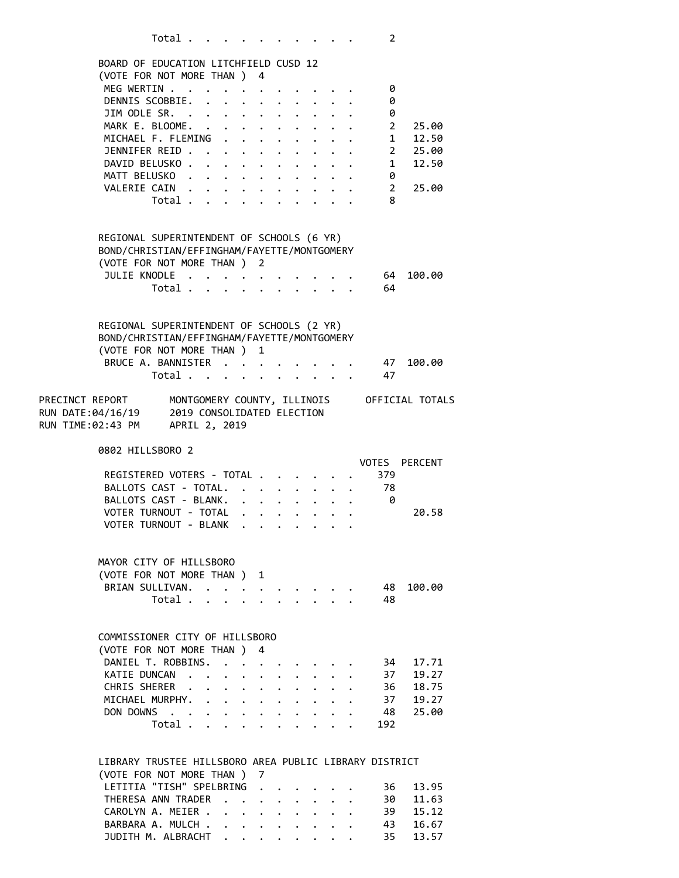|                                                                                        |                                                                | Total                                     |        |                                                                                               |                                                                          |                                                                         |  |  | 2              |                                             |
|----------------------------------------------------------------------------------------|----------------------------------------------------------------|-------------------------------------------|--------|-----------------------------------------------------------------------------------------------|--------------------------------------------------------------------------|-------------------------------------------------------------------------|--|--|----------------|---------------------------------------------|
|                                                                                        |                                                                |                                           |        |                                                                                               |                                                                          |                                                                         |  |  |                |                                             |
|                                                                                        | BOARD OF EDUCATION LITCHFIELD CUSD 12                          |                                           |        |                                                                                               |                                                                          |                                                                         |  |  |                |                                             |
|                                                                                        | (VOTE FOR NOT MORE THAN ) 4                                    |                                           |        |                                                                                               |                                                                          |                                                                         |  |  | 0              |                                             |
|                                                                                        | MEG WERTIN<br>DENNIS SCOBBIE.                                  |                                           |        |                                                                                               |                                                                          |                                                                         |  |  | 0              |                                             |
|                                                                                        | JIM ODLE SR. $\cdot \cdot \cdot \cdot \cdot \cdot \cdot \cdot$ |                                           |        |                                                                                               |                                                                          |                                                                         |  |  | 0              |                                             |
|                                                                                        | MARK E. BLOOME.                                                |                                           |        |                                                                                               | $\mathbf{z} = \mathbf{z} + \mathbf{z}$ , where $\mathbf{z} = \mathbf{z}$ |                                                                         |  |  |                | $2^{\circ}$<br>25.00                        |
|                                                                                        | MICHAEL F. FLEMING                                             |                                           |        |                                                                                               |                                                                          |                                                                         |  |  |                | 1 12.50                                     |
|                                                                                        | JENNIFER REID 2 25.00                                          |                                           |        |                                                                                               |                                                                          |                                                                         |  |  |                |                                             |
|                                                                                        | DAVID BELUSKO. 1                                               |                                           |        |                                                                                               |                                                                          |                                                                         |  |  |                | 12.50                                       |
|                                                                                        | MATT BELUSKO. 0                                                |                                           |        |                                                                                               |                                                                          |                                                                         |  |  |                |                                             |
|                                                                                        | VALERIE CAIN                                                   |                                           |        |                                                                                               |                                                                          |                                                                         |  |  | $\overline{2}$ | 25.00                                       |
|                                                                                        |                                                                | Total                                     |        |                                                                                               |                                                                          |                                                                         |  |  | 8              |                                             |
|                                                                                        |                                                                |                                           |        |                                                                                               |                                                                          |                                                                         |  |  |                |                                             |
|                                                                                        |                                                                |                                           |        |                                                                                               |                                                                          |                                                                         |  |  |                |                                             |
|                                                                                        | REGIONAL SUPERINTENDENT OF SCHOOLS (6 YR)                      |                                           |        |                                                                                               |                                                                          |                                                                         |  |  |                |                                             |
|                                                                                        | BOND/CHRISTIAN/EFFINGHAM/FAYETTE/MONTGOMERY                    |                                           |        |                                                                                               |                                                                          |                                                                         |  |  |                |                                             |
|                                                                                        | (VOTE FOR NOT MORE THAN ) 2                                    |                                           |        |                                                                                               |                                                                          |                                                                         |  |  |                |                                             |
|                                                                                        | JULIE KNODLE                                                   |                                           |        |                                                                                               |                                                                          |                                                                         |  |  | . 64           | 100.00                                      |
|                                                                                        |                                                                | Total $\cdots$ $\cdots$ $\cdots$ $\cdots$ |        |                                                                                               |                                                                          |                                                                         |  |  | 64             |                                             |
|                                                                                        |                                                                |                                           |        |                                                                                               |                                                                          |                                                                         |  |  |                |                                             |
|                                                                                        |                                                                |                                           |        |                                                                                               |                                                                          |                                                                         |  |  |                |                                             |
|                                                                                        | REGIONAL SUPERINTENDENT OF SCHOOLS (2 YR)                      |                                           |        |                                                                                               |                                                                          |                                                                         |  |  |                |                                             |
|                                                                                        | BOND/CHRISTIAN/EFFINGHAM/FAYETTE/MONTGOMERY                    |                                           |        |                                                                                               |                                                                          |                                                                         |  |  |                |                                             |
|                                                                                        | (VOTE FOR NOT MORE THAN ) 1                                    |                                           |        |                                                                                               |                                                                          |                                                                         |  |  |                |                                             |
|                                                                                        | BRUCE A. BANNISTER                                             |                                           |        |                                                                                               |                                                                          |                                                                         |  |  | 47             | 100.00                                      |
|                                                                                        |                                                                | Total                                     |        |                                                                                               |                                                                          |                                                                         |  |  | 47             |                                             |
|                                                                                        |                                                                |                                           |        |                                                                                               |                                                                          |                                                                         |  |  |                |                                             |
| PRECINCT REPORT<br>RUN DATE:04/16/19 2019 CONSOLIDA<br>RUN TIME:02:43 PM APRIL 2, 2019 |                                                                |                                           |        |                                                                                               |                                                                          |                                                                         |  |  |                | MONTGOMERY COUNTY, ILLINOIS OFFICIAL TOTALS |
|                                                                                        |                                                                |                                           |        | 2019 CONSOLIDATED ELECTION                                                                    |                                                                          |                                                                         |  |  |                |                                             |
|                                                                                        |                                                                |                                           |        |                                                                                               |                                                                          |                                                                         |  |  |                |                                             |
|                                                                                        |                                                                |                                           |        |                                                                                               |                                                                          |                                                                         |  |  |                |                                             |
|                                                                                        |                                                                |                                           |        |                                                                                               |                                                                          |                                                                         |  |  |                |                                             |
|                                                                                        | 0802 HILLSBORO 2                                               |                                           |        |                                                                                               |                                                                          |                                                                         |  |  |                |                                             |
|                                                                                        |                                                                |                                           |        |                                                                                               |                                                                          |                                                                         |  |  | VOTES          | PERCENT                                     |
|                                                                                        | REGISTERED VOTERS - TOTAL                                      |                                           |        |                                                                                               |                                                                          |                                                                         |  |  | 379            |                                             |
|                                                                                        | BALLOTS CAST - TOTAL. 78                                       |                                           |        |                                                                                               |                                                                          |                                                                         |  |  |                |                                             |
|                                                                                        | BALLOTS CAST - BLANK.                                          |                                           |        |                                                                                               |                                                                          |                                                                         |  |  | 0              |                                             |
|                                                                                        | VOTER TURNOUT - TOTAL                                          |                                           |        |                                                                                               |                                                                          |                                                                         |  |  |                | 20.58                                       |
|                                                                                        | VOTER TURNOUT - BLANK                                          |                                           |        |                                                                                               | $\mathbf{r}_i$ , and $\mathbf{r}_i$ , and $\mathbf{r}_i$                 |                                                                         |  |  |                |                                             |
|                                                                                        |                                                                |                                           |        |                                                                                               |                                                                          |                                                                         |  |  |                |                                             |
|                                                                                        | MAYOR CITY OF HILLSBORO                                        |                                           |        |                                                                                               |                                                                          |                                                                         |  |  |                |                                             |
|                                                                                        |                                                                |                                           |        |                                                                                               | 1                                                                        |                                                                         |  |  |                |                                             |
|                                                                                        | (VOTE FOR NOT MORE THAN )                                      |                                           | $\sim$ |                                                                                               |                                                                          |                                                                         |  |  | 48             | 100.00                                      |
|                                                                                        | BRIAN SULLIVAN.                                                | Total $\cdots$                            |        | $\mathcal{A}$ , and $\mathcal{A}$ , and $\mathcal{A}$ , and $\mathcal{A}$ , and $\mathcal{A}$ |                                                                          |                                                                         |  |  | 48             |                                             |
|                                                                                        |                                                                |                                           |        |                                                                                               |                                                                          |                                                                         |  |  |                |                                             |
|                                                                                        |                                                                |                                           |        |                                                                                               |                                                                          |                                                                         |  |  |                |                                             |
|                                                                                        | COMMISSIONER CITY OF HILLSBORO                                 |                                           |        |                                                                                               |                                                                          |                                                                         |  |  |                |                                             |
|                                                                                        | (VOTE FOR NOT MORE THAN ) 4                                    |                                           |        |                                                                                               |                                                                          |                                                                         |  |  |                |                                             |
|                                                                                        | DANIEL T. ROBBINS.                                             |                                           |        | $\cdots$ $\cdots$                                                                             |                                                                          |                                                                         |  |  | 34             | 17.71                                       |
|                                                                                        | KATIE DUNCAN                                                   |                                           |        | $\ddot{\phantom{0}}$                                                                          |                                                                          | $\ddot{\phantom{0}}$                                                    |  |  | 37             | 19.27                                       |
|                                                                                        | CHRIS SHERER                                                   |                                           |        |                                                                                               |                                                                          |                                                                         |  |  |                | 36 18.75                                    |
|                                                                                        | MICHAEL MURPHY.                                                |                                           |        |                                                                                               |                                                                          |                                                                         |  |  |                | 37 19.27                                    |
|                                                                                        | DON DOWNS                                                      |                                           |        |                                                                                               |                                                                          |                                                                         |  |  | 48             | 25.00                                       |
|                                                                                        |                                                                | Total .                                   |        |                                                                                               |                                                                          |                                                                         |  |  | 192            |                                             |
|                                                                                        |                                                                |                                           |        |                                                                                               |                                                                          |                                                                         |  |  |                |                                             |
|                                                                                        |                                                                |                                           |        |                                                                                               |                                                                          |                                                                         |  |  |                |                                             |
|                                                                                        | LIBRARY TRUSTEE HILLSBORO AREA PUBLIC LIBRARY DISTRICT         |                                           |        |                                                                                               |                                                                          |                                                                         |  |  |                |                                             |
|                                                                                        | (VOTE FOR NOT MORE THAN)                                       |                                           |        |                                                                                               | 7                                                                        |                                                                         |  |  |                |                                             |
|                                                                                        | LETITIA "TISH" SPELBRING                                       |                                           |        |                                                                                               | $\ddot{\phantom{a}}$                                                     |                                                                         |  |  | 36             | 13.95                                       |
|                                                                                        | THERESA ANN TRADER                                             |                                           |        |                                                                                               |                                                                          |                                                                         |  |  |                | 30 11.63                                    |
|                                                                                        | CAROLYN A. MEIER                                               |                                           |        |                                                                                               |                                                                          |                                                                         |  |  |                | 15.12                                       |
|                                                                                        | BARBARA A. MULCH<br>JUDITH M. ALBRACHT                         |                                           |        |                                                                                               |                                                                          | $\bullet$ .<br><br><br><br><br><br><br><br><br><br><br><br><br><br><br> |  |  | 39<br>43<br>35 | 16.67<br>13.57                              |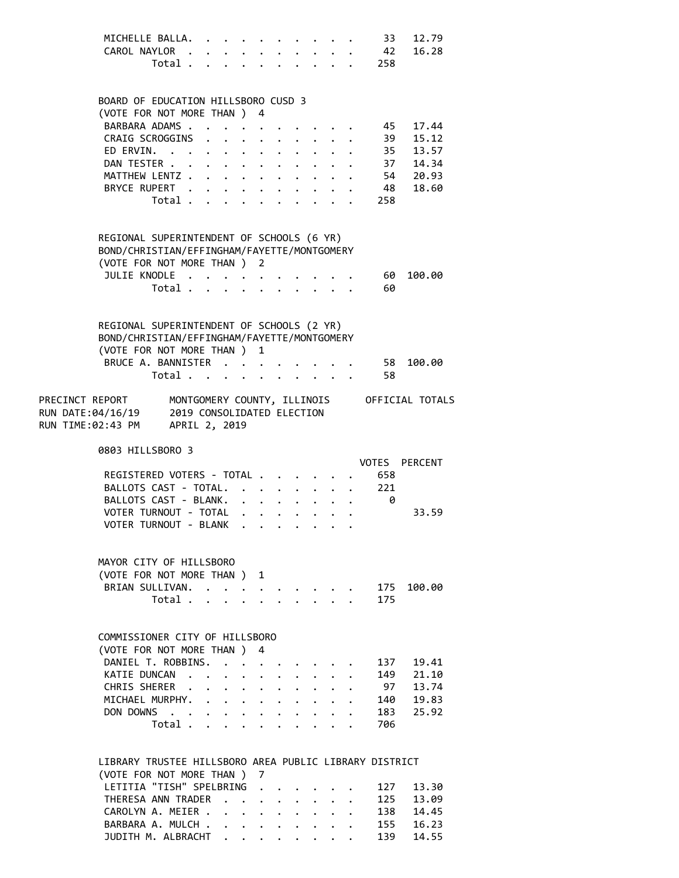| MICHELLE BALLA. 33 12.79 |  |  |  |  |  |  |
|--------------------------|--|--|--|--|--|--|
| CAROL NAYLOR 42 16.28    |  |  |  |  |  |  |
| Total 258                |  |  |  |  |  |  |

#### BOARD OF EDUCATION HILLSBORO CUSD 3 (VOTE FOR NOT MORE THAN ) 4

| $\sqrt{2}$               |  |  |  |  |  |  |
|--------------------------|--|--|--|--|--|--|
| BARBARA ADAMS 45 17.44   |  |  |  |  |  |  |
| CRAIG SCROGGINS 39 15.12 |  |  |  |  |  |  |
| ED ERVIN. 35 13.57       |  |  |  |  |  |  |
| DAN TESTER 37 14.34      |  |  |  |  |  |  |
| MATTHEW LENTZ 54 20.93   |  |  |  |  |  |  |
| BRYCE RUPERT 48 18.60    |  |  |  |  |  |  |
| Total 258                |  |  |  |  |  |  |
|                          |  |  |  |  |  |  |

### REGIONAL SUPERINTENDENT OF SCHOOLS (6 YR) BOND/CHRISTIAN/EFFINGHAM/FAYETTE/MONTGOMERY

| (VOTE FOR NOT MORE THAN ) 2 |  |  |  |  |  |      |  |
|-----------------------------|--|--|--|--|--|------|--|
| JULIE KNODLE 60 100.00      |  |  |  |  |  |      |  |
| Total $\ldots$              |  |  |  |  |  | - 60 |  |

|                 | REGIONAL SUPERINTENDENT OF SCHOOLS (2 YR)<br>BOND/CHRISTIAN/EFFINGHAM/FAYETTE/MONTGOMERY |       |                             |  |  |  |  |                 |           |  |
|-----------------|------------------------------------------------------------------------------------------|-------|-----------------------------|--|--|--|--|-----------------|-----------|--|
|                 | (VOTE FOR NOT MORE THAN ) 1                                                              |       |                             |  |  |  |  |                 |           |  |
|                 | BRUCE A. BANNISTER                                                                       |       |                             |  |  |  |  |                 | 58 100.00 |  |
|                 |                                                                                          | Total |                             |  |  |  |  | - 58            |           |  |
| PRECINCT REPORT |                                                                                          |       | MONTGOMERY COUNTY TILITNOTS |  |  |  |  | OFFICIAL TOTALS |           |  |

| PRECINCI REPURI   | MUNIQUMERY COUNTY, ILLINUIS | UFFILIAL IUIALS |
|-------------------|-----------------------------|-----------------|
| RUN DATE:04/16/19 | 2019 CONSOLIDATED ELECTION  |                 |
| RUN TIME:02:43 PM | APRIL 2, 2019               |                 |

0803 HILLSBORO 3

|                           | VOTES PERCENT |
|---------------------------|---------------|
| REGISTERED VOTERS - TOTAL | 658           |
| BALLOTS CAST - TOTAL. 221 |               |
| BALLOTS CAST - BLANK.     |               |
| VOTER TURNOUT - TOTAL     | 33.59         |
| VOTER TURNOUT - BLANK     |               |

| MAYOR CITY OF HILLSBORO     |  |  |  |  |  |
|-----------------------------|--|--|--|--|--|
| (VOTE FOR NOT MORE THAN ) 1 |  |  |  |  |  |
| BRIAN SULLIVAN. 175 100.00  |  |  |  |  |  |
| Total 175                   |  |  |  |  |  |

### COMMISSIONER CITY OF HILLSBORO

| (VOTE FOR NOT MORE THAN ) 4  |  |  |  |  |           |  |
|------------------------------|--|--|--|--|-----------|--|
| DANIEL T. ROBBINS. 137 19.41 |  |  |  |  |           |  |
| KATIE DUNCAN 149 21.10       |  |  |  |  |           |  |
| CHRIS SHERER 97 13.74        |  |  |  |  |           |  |
| MICHAEL MURPHY. 140 19.83    |  |  |  |  |           |  |
| DON DOWNS 183 25.92          |  |  |  |  |           |  |
|                              |  |  |  |  | Total 706 |  |

### LIBRARY TRUSTEE HILLSBORO AREA PUBLIC LIBRARY DISTRICT (VOTE FOR NOT MORE THAN ) 7 LETITIA "TISH" SPELBRING . . . . . . 127 13.30 THERESA ANN TRADER . . . . . . . . 125 13.09 CAROLYN A. MEIER . . . . . . . . . 138 14.45 BARBARA A. MULCH . . . . . . . . . 155 16.23 JUDITH M. ALBRACHT . . . . . . . . 139 14.55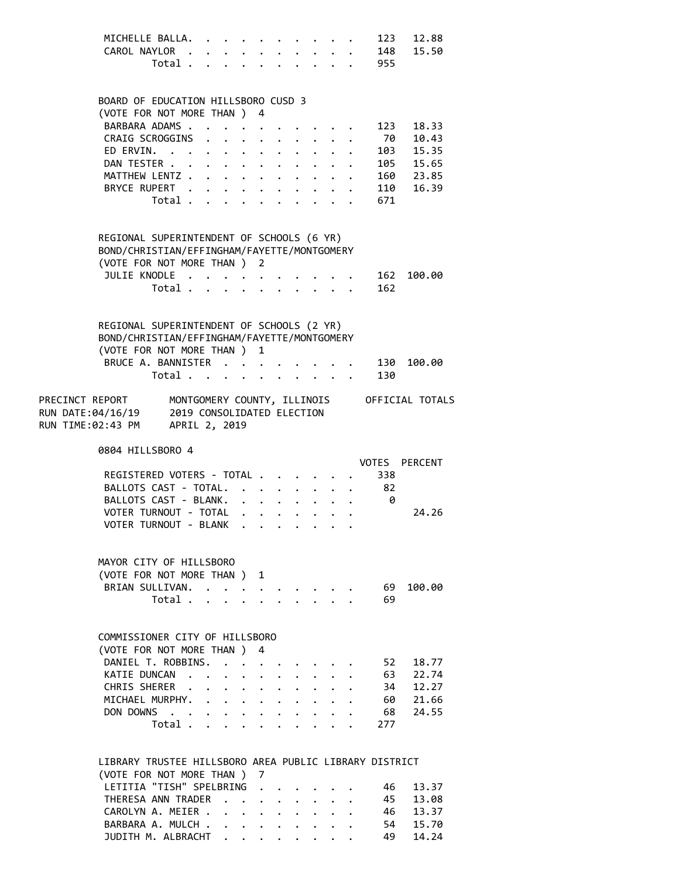| MICHELLE BALLA. 123 12.88 |  |  |  |  |  |  |
|---------------------------|--|--|--|--|--|--|
| CAROL NAYLOR 148 15.50    |  |  |  |  |  |  |
| Total 955                 |  |  |  |  |  |  |

### BOARD OF EDUCATION HILLSBORO CUSD 3

| (VOTE FOR NOT MORE THAN ) 4 |  |  |  |  |  |  |  |  |  |                          |  |
|-----------------------------|--|--|--|--|--|--|--|--|--|--------------------------|--|
|                             |  |  |  |  |  |  |  |  |  | BARBARA ADAMS 123 18.33  |  |
|                             |  |  |  |  |  |  |  |  |  | CRAIG SCROGGINS 70 10.43 |  |
|                             |  |  |  |  |  |  |  |  |  | ED ERVIN. 103 15.35      |  |
|                             |  |  |  |  |  |  |  |  |  | DAN TESTER 105 15.65     |  |
|                             |  |  |  |  |  |  |  |  |  | MATTHEW LENTZ 160 23.85  |  |
|                             |  |  |  |  |  |  |  |  |  | BRYCE RUPERT 110 16.39   |  |
|                             |  |  |  |  |  |  |  |  |  | Total 671                |  |
|                             |  |  |  |  |  |  |  |  |  |                          |  |

### REGIONAL SUPERINTENDENT OF SCHOOLS (6 YR) BOND/CHRISTIAN/EFFINGHAM/FAYETTE/MONTGOMERY (VOTE FOR NOT MORE THAN ) 2

| JULIE KNODLE 162 100.00 |  |  |  |  |  |  |
|-------------------------|--|--|--|--|--|--|
| Total 162               |  |  |  |  |  |  |

| REGIONAL SUPERINTENDENT OF SCHOOLS (2 YR)<br>BOND/CHRISTIAN/EFFINGHAM/FAYETTE/MONTGOMERY |  |  |          |  |  |  |                               |  |
|------------------------------------------------------------------------------------------|--|--|----------|--|--|--|-------------------------------|--|
| (VOTE FOR NOT MORE THAN ) 1                                                              |  |  |          |  |  |  |                               |  |
|                                                                                          |  |  |          |  |  |  | BRUCE A. BANNISTER 130 100.00 |  |
|                                                                                          |  |  |          |  |  |  | Total 130                     |  |
|                                                                                          |  |  | $\cdots$ |  |  |  |                               |  |

| PRECINCT REPORT   | MONTGOMERY COUNTY, ILLINOIS | OFFICIAL TOTALS |
|-------------------|-----------------------------|-----------------|
| RUN DATE:04/16/19 | 2019 CONSOLIDATED ELECTION  |                 |
| RUN TIME:02:43 PM | APRIL 2, 2019               |                 |

0804 HILLSBORO 4

|                           |  |  |  |     | VOTES PERCENT |
|---------------------------|--|--|--|-----|---------------|
| REGISTERED VOTERS - TOTAL |  |  |  | 338 |               |
| BALLOTS CAST - TOTAL. 82  |  |  |  |     |               |
| BALLOTS CAST - BLANK.     |  |  |  |     |               |
| VOTER TURNOUT - TOTAL     |  |  |  |     | 24.26         |
| VOTER TURNOUT - BLANK     |  |  |  |     |               |

| MAYOR CITY OF HILLSBORO     |  |  |  |  |     |  |
|-----------------------------|--|--|--|--|-----|--|
| (VOTE FOR NOT MORE THAN ) 1 |  |  |  |  |     |  |
| BRIAN SULLIVAN. 69 100.00   |  |  |  |  |     |  |
| Total                       |  |  |  |  | -69 |  |

### COMMISSIONER CITY OF HILLSBORO

| (VOTE FOR NOT MORE THAN ) 4 |  |  |  |  |           |  |
|-----------------------------|--|--|--|--|-----------|--|
| DANIEL T. ROBBINS. 52 18.77 |  |  |  |  |           |  |
| KATIE DUNCAN 63 22.74       |  |  |  |  |           |  |
| CHRIS SHERER 34 12.27       |  |  |  |  |           |  |
| MICHAEL MURPHY. 60 21.66    |  |  |  |  |           |  |
| DON DOWNS 68 24.55          |  |  |  |  |           |  |
|                             |  |  |  |  | Total 277 |  |

### LIBRARY TRUSTEE HILLSBORO AREA PUBLIC LIBRARY DISTRICT (VOTE FOR NOT MORE THAN ) 7 LETITIA "TISH" SPELBRING . . . . . . 46 13.37 THERESA ANN TRADER . . . . . . . . 45 13.08 CAROLYN A. MEIER . . . . . . . . . 46 13.37 BARBARA A. MULCH . . . . . . . . . 54 15.70 JUDITH M. ALBRACHT . . . . . . . . 49 14.24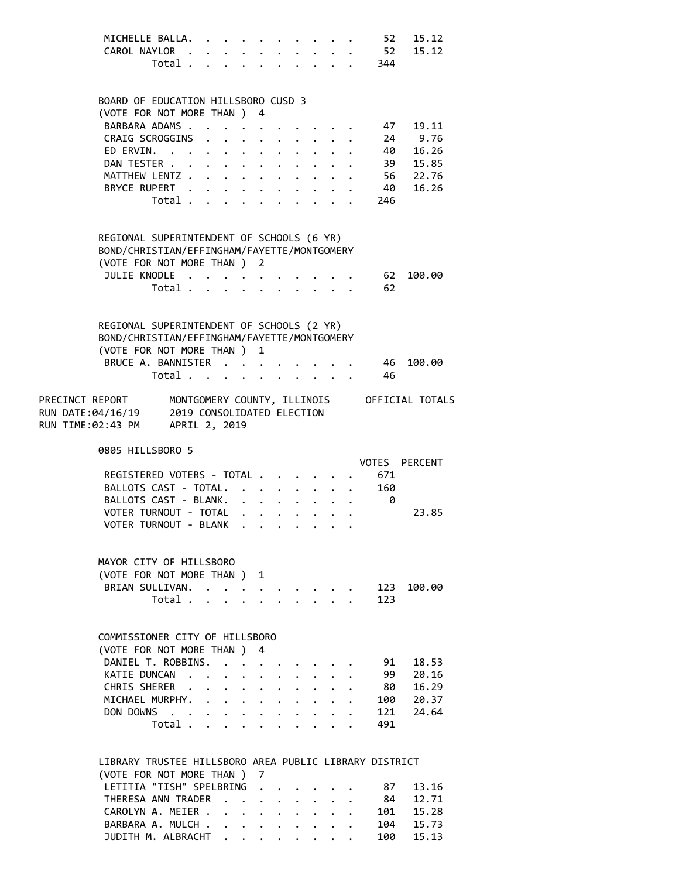| MICHELLE BALLA. 52 15.12 |  |  |  |  |  |  |
|--------------------------|--|--|--|--|--|--|
| CAROL NAYLOR 52 15.12    |  |  |  |  |  |  |
| Total 344                |  |  |  |  |  |  |

# (VOTE FOR NOT MORE THAN ) 4 BARBARA ADAMS . . . . . . . . . . 47 19.11<br>CRAIG SCROGGINS . . . . . . . . . 24 9.76 CRAIG SCROGGINS . . . . . . . . . 24 9.76<br>FD ERVIN. . . . . . . . . . . . 40 16.26

BOARD OF EDUCATION HILLSBORO CUSD 3

| ED ERVIN. 40 16.26     |  |  |  |  |  |            |  |
|------------------------|--|--|--|--|--|------------|--|
| DAN TESTER 39 15.85    |  |  |  |  |  |            |  |
| MATTHEW LENTZ 56 22.76 |  |  |  |  |  |            |  |
| BRYCE RUPERT 40 16.26  |  |  |  |  |  |            |  |
|                        |  |  |  |  |  | Total. 246 |  |
|                        |  |  |  |  |  |            |  |

## REGIONAL SUPERINTENDENT OF SCHOOLS (6 YR) BOND/CHRISTIAN/EFFINGHAM/FAYETTE/MONTGOMERY

| (VOTE FOR NOT MORE THAN ) 2 |  |  |  |  |  |          |  |
|-----------------------------|--|--|--|--|--|----------|--|
| JULIE KNODLE 62 100.00      |  |  |  |  |  |          |  |
|                             |  |  |  |  |  | Total 62 |  |

|                 | REGIONAL SUPERINTENDENT OF SCHOOLS (2 YR)<br>BOND/CHRISTIAN/EFFINGHAM/FAYETTE/MONTGOMERY |       |  |  |  |  |  |                                             |  |  |
|-----------------|------------------------------------------------------------------------------------------|-------|--|--|--|--|--|---------------------------------------------|--|--|
|                 | (VOTE FOR NOT MORE THAN ) 1                                                              |       |  |  |  |  |  |                                             |  |  |
|                 |                                                                                          |       |  |  |  |  |  | BRUCE A. BANNISTER 46 100.00                |  |  |
|                 |                                                                                          | Total |  |  |  |  |  | - 46                                        |  |  |
| DRECINCT REDORT |                                                                                          |       |  |  |  |  |  | MONTGOMERY COUNTY TILITNOTS OFFICIAL TOTALS |  |  |

| PRECINCI REPORT   | MONIGOMERY COUNIY, ILLINOIS | OFFICIAL TOTALS |
|-------------------|-----------------------------|-----------------|
| RUN DATE:04/16/19 | 2019 CONSOLIDATED ELECTION  |                 |
| RUN TIME:02:43 PM | APRIL 2, 2019               |                 |

0805 HILLSBORO 5

|                           | VOTES PERCENT |
|---------------------------|---------------|
| REGISTERED VOTERS - TOTAL | 671           |
| BALLOTS CAST - TOTAL. 160 |               |
| BALLOTS CAST - BLANK.     |               |
| VOTER TURNOUT - TOTAL     | 23.85         |
| VOTER TURNOUT - BLANK     |               |

| MAYOR CITY OF HILLSBORO     |  |  |  |  |  |  |
|-----------------------------|--|--|--|--|--|--|
| (VOTE FOR NOT MORE THAN ) 1 |  |  |  |  |  |  |
| BRIAN SULLIVAN. 123 100.00  |  |  |  |  |  |  |
| Total 123                   |  |  |  |  |  |  |

# COMMISSIONER CITY OF HILLSBORO

|  | (VOTE FOR NOT MORE THAN ) 4 |  |  |  |  |  |  |
|--|-----------------------------|--|--|--|--|--|--|
|  | DANIEL T. ROBBINS. 91 18.53 |  |  |  |  |  |  |
|  | KATIE DUNCAN 99 20.16       |  |  |  |  |  |  |
|  | CHRIS SHERER 80 16.29       |  |  |  |  |  |  |
|  | MICHAEL MURPHY. 100 20.37   |  |  |  |  |  |  |
|  | DON DOWNS 121 24.64         |  |  |  |  |  |  |
|  | Total 491                   |  |  |  |  |  |  |
|  |                             |  |  |  |  |  |  |

### LIBRARY TRUSTEE HILLSBORO AREA PUBLIC LIBRARY DISTRICT (VOTE FOR NOT MORE THAN ) 7 LETITIA "TISH" SPELBRING . . . . . . 87 13.16 THERESA ANN TRADER . . . . . . . . 84 12.71 CAROLYN A. MEIER . . . . . . . . . 101 15.28 BARBARA A. MULCH . . . . . . . . . 104 15.73 JUDITH M. ALBRACHT . . . . . . . . 100 15.13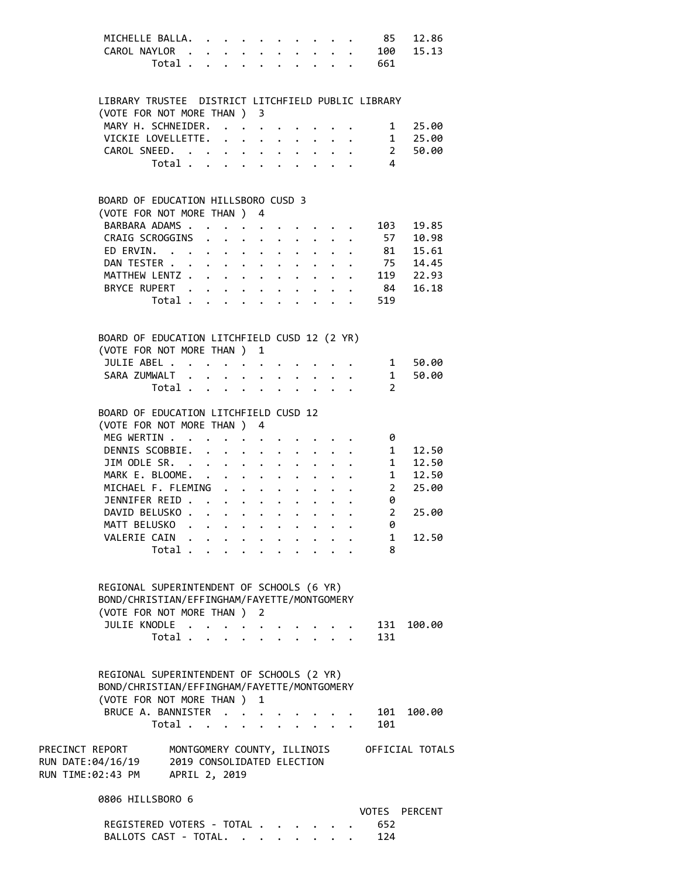|                                                                                                                                                | MICHELLE BALLA.<br>CAROL NAYLOR                                                                                         |                           |                                                                                                                                                 |  |  | Total 661      | 85 12.86<br>100 15.13 |
|------------------------------------------------------------------------------------------------------------------------------------------------|-------------------------------------------------------------------------------------------------------------------------|---------------------------|-------------------------------------------------------------------------------------------------------------------------------------------------|--|--|----------------|-----------------------|
|                                                                                                                                                | LIBRARY TRUSTEE DISTRICT LITCHFIELD PUBLIC LIBRARY                                                                      |                           |                                                                                                                                                 |  |  |                |                       |
|                                                                                                                                                | (VOTE FOR NOT MORE THAN ) 3                                                                                             |                           |                                                                                                                                                 |  |  |                |                       |
|                                                                                                                                                | MARY H. SCHNEIDER. 1 25.00<br>VICKIE LOVELLETTE. 1 25.00<br>CAROL SNEED. 2 50.00<br>Total 4                             |                           |                                                                                                                                                 |  |  |                |                       |
|                                                                                                                                                |                                                                                                                         |                           |                                                                                                                                                 |  |  |                |                       |
|                                                                                                                                                |                                                                                                                         |                           |                                                                                                                                                 |  |  |                |                       |
|                                                                                                                                                | Total $\cdots$ $\cdots$ $\cdots$ $\cdots$                                                                               |                           |                                                                                                                                                 |  |  | $\overline{4}$ |                       |
|                                                                                                                                                | BOARD OF EDUCATION HILLSBORO CUSD 3                                                                                     |                           |                                                                                                                                                 |  |  |                |                       |
|                                                                                                                                                | (VOTE FOR NOT MORE THAN ) 4                                                                                             |                           |                                                                                                                                                 |  |  |                |                       |
|                                                                                                                                                |                                                                                                                         |                           |                                                                                                                                                 |  |  |                |                       |
|                                                                                                                                                | BARBARA ADAMS 103 19.85<br>CRAIG SCROGGINS 57 10.98<br>ED ERVIN. 81 15.61                                               |                           |                                                                                                                                                 |  |  |                |                       |
|                                                                                                                                                | ED ERVIN.                                                                                                               |                           |                                                                                                                                                 |  |  |                |                       |
|                                                                                                                                                | DAN TESTER 75 14.45                                                                                                     |                           |                                                                                                                                                 |  |  |                |                       |
|                                                                                                                                                | MATTHEW LENTZ 119 22.93                                                                                                 |                           |                                                                                                                                                 |  |  |                |                       |
|                                                                                                                                                |                                                                                                                         |                           |                                                                                                                                                 |  |  |                |                       |
|                                                                                                                                                | BRYCE RUPERT 84 16.18                                                                                                   |                           |                                                                                                                                                 |  |  |                |                       |
|                                                                                                                                                |                                                                                                                         |                           |                                                                                                                                                 |  |  | Total 519      |                       |
|                                                                                                                                                | BOARD OF EDUCATION LITCHFIELD CUSD 12 (2 YR)                                                                            |                           |                                                                                                                                                 |  |  |                |                       |
|                                                                                                                                                | (VOTE FOR NOT MORE THAN ) 1                                                                                             |                           |                                                                                                                                                 |  |  |                |                       |
|                                                                                                                                                | JULIE ABEL 1 50.00                                                                                                      |                           |                                                                                                                                                 |  |  |                |                       |
|                                                                                                                                                | SARA ZUMWALT                                                                                                            |                           |                                                                                                                                                 |  |  |                | 1 50.00               |
|                                                                                                                                                |                                                                                                                         |                           |                                                                                                                                                 |  |  | 2              |                       |
|                                                                                                                                                | BOARD OF EDUCATION LITCHFIELD CUSD 12                                                                                   |                           |                                                                                                                                                 |  |  |                |                       |
|                                                                                                                                                | (VOTE FOR NOT MORE THAN ) 4                                                                                             |                           |                                                                                                                                                 |  |  |                |                       |
|                                                                                                                                                | MEG WERTIN                                                                                                              |                           |                                                                                                                                                 |  |  | - 0            |                       |
|                                                                                                                                                | DENNIS SCOBBIE.                                                                                                         |                           | $\mathbf{r}^{\prime}$ , $\mathbf{r}^{\prime}$ , $\mathbf{r}^{\prime}$ , $\mathbf{r}^{\prime}$ , $\mathbf{r}^{\prime}$ , $\mathbf{r}^{\prime}$ , |  |  |                | 1 12.50               |
|                                                                                                                                                | JIM ODLE SR. 1 12.50                                                                                                    |                           |                                                                                                                                                 |  |  |                |                       |
|                                                                                                                                                | MARK E. BLOOME. 1 12.50                                                                                                 |                           |                                                                                                                                                 |  |  |                |                       |
|                                                                                                                                                | MICHAEL F. FLEMING                                                                                                      |                           |                                                                                                                                                 |  |  |                | 2 25.00               |
|                                                                                                                                                | JENNIFER REID                                                                                                           |                           |                                                                                                                                                 |  |  | 0              |                       |
|                                                                                                                                                | DAVID BELUSKO                                                                                                           |                           |                                                                                                                                                 |  |  |                | $2^{\circ}$<br>25.00  |
|                                                                                                                                                |                                                                                                                         |                           |                                                                                                                                                 |  |  |                |                       |
|                                                                                                                                                | MATT BELUSKO                                                                                                            |                           |                                                                                                                                                 |  |  | 0              |                       |
|                                                                                                                                                | VALERIE CAIN                                                                                                            |                           |                                                                                                                                                 |  |  | 1              | 12.50                 |
|                                                                                                                                                | Total .                                                                                                                 | $\mathbf{L}^{\text{max}}$ |                                                                                                                                                 |  |  | 8              |                       |
|                                                                                                                                                | REGIONAL SUPERINTENDENT OF SCHOOLS (6 YR)<br>BOND/CHRISTIAN/EFFINGHAM/FAYETTE/MONTGOMERY<br>(VOTE FOR NOT MORE THAN ) 2 |                           |                                                                                                                                                 |  |  |                |                       |
|                                                                                                                                                | JULIE KNODLE .                                                                                                          |                           |                                                                                                                                                 |  |  | 131            | 100.00                |
|                                                                                                                                                | Total .                                                                                                                 | $\mathbf{r}$              |                                                                                                                                                 |  |  | 131            |                       |
|                                                                                                                                                | REGIONAL SUPERINTENDENT OF SCHOOLS (2 YR)<br>BOND/CHRISTIAN/EFFINGHAM/FAYETTE/MONTGOMERY<br>(VOTE FOR NOT MORE THAN ) 1 |                           |                                                                                                                                                 |  |  |                |                       |
|                                                                                                                                                | BRUCE A. BANNISTER                                                                                                      |                           |                                                                                                                                                 |  |  | 101            | 100.00                |
|                                                                                                                                                | Total $\cdots$ $\cdots$ $\cdots$ $\cdots$                                                                               |                           |                                                                                                                                                 |  |  | 101            |                       |
| PRECINCT REPORT MONTGOMERY COUNTY, ILLINOIS OFFICIAL TOTALS<br>RUN DATE:04/16/19 2019 CONSOLIDATED ELECTION<br>RUN TIME:02:43 PM APRIL 2, 2019 |                                                                                                                         |                           |                                                                                                                                                 |  |  |                |                       |
|                                                                                                                                                | 0806 HILLSBORO 6                                                                                                        |                           |                                                                                                                                                 |  |  |                | VOTES PERCENT         |
|                                                                                                                                                |                                                                                                                         |                           |                                                                                                                                                 |  |  | 652            |                       |
|                                                                                                                                                | REGISTERED VOTERS - TOTAL<br>BALLOTS CAST - TOTAL.                                                                      |                           |                                                                                                                                                 |  |  | 124            |                       |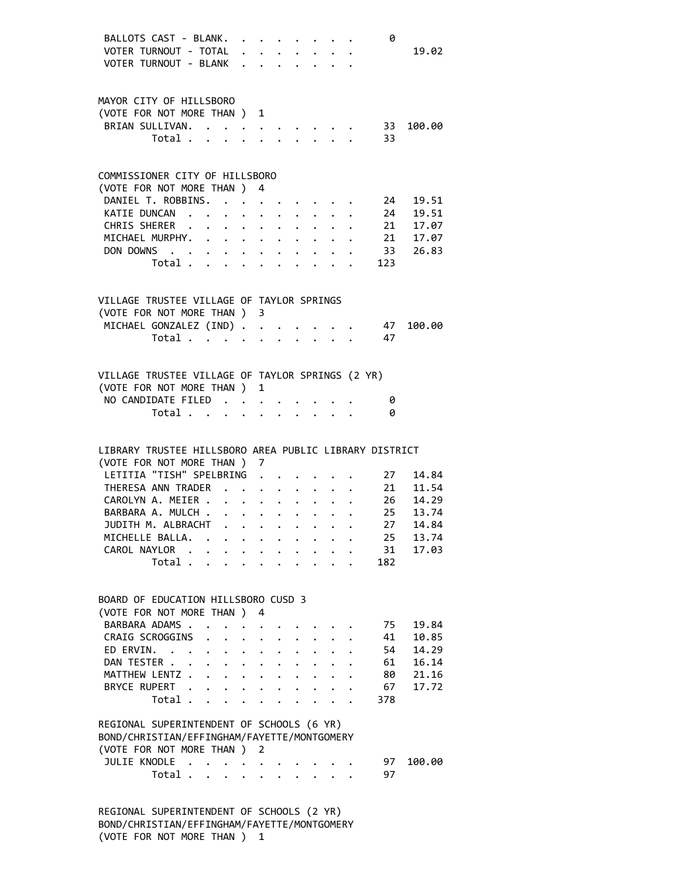|                                                        | BALLOTS CAST - BLANK.                     |                      |                                                                                                                       |                                                                    |  |                                                                                                                                                                                                                                    |                                                                                         |   | 0          |                                                                                       |
|--------------------------------------------------------|-------------------------------------------|----------------------|-----------------------------------------------------------------------------------------------------------------------|--------------------------------------------------------------------|--|------------------------------------------------------------------------------------------------------------------------------------------------------------------------------------------------------------------------------------|-----------------------------------------------------------------------------------------|---|------------|---------------------------------------------------------------------------------------|
|                                                        | VOTER TURNOUT - TOTAL                     |                      |                                                                                                                       |                                                                    |  |                                                                                                                                                                                                                                    |                                                                                         | . |            | 19.02                                                                                 |
|                                                        | VOTER TURNOUT - BLANK                     |                      |                                                                                                                       |                                                                    |  |                                                                                                                                                                                                                                    |                                                                                         |   |            |                                                                                       |
|                                                        |                                           |                      |                                                                                                                       |                                                                    |  |                                                                                                                                                                                                                                    |                                                                                         |   |            |                                                                                       |
|                                                        |                                           |                      |                                                                                                                       |                                                                    |  |                                                                                                                                                                                                                                    |                                                                                         |   |            |                                                                                       |
|                                                        |                                           |                      |                                                                                                                       |                                                                    |  |                                                                                                                                                                                                                                    |                                                                                         |   |            |                                                                                       |
| MAYOR CITY OF HILLSBORO                                |                                           |                      |                                                                                                                       |                                                                    |  |                                                                                                                                                                                                                                    |                                                                                         |   |            |                                                                                       |
| (VOTE FOR NOT MORE THAN ) 1                            |                                           |                      |                                                                                                                       |                                                                    |  |                                                                                                                                                                                                                                    |                                                                                         |   |            |                                                                                       |
|                                                        | BRIAN SULLIVAN.                           |                      |                                                                                                                       |                                                                    |  | $\bullet$ . The contract of the contract of the contract of the contract of the contract of the contract of the contract of the contract of the contract of the contract of the contract of the contract of the contract of the co |                                                                                         |   | 33         | 100.00                                                                                |
|                                                        | Total .                                   |                      | $\mathbf{r}$ , $\mathbf{r}$ , $\mathbf{r}$ , $\mathbf{r}$ , $\mathbf{r}$ , $\mathbf{r}$ , $\mathbf{r}$ , $\mathbf{r}$ |                                                                    |  |                                                                                                                                                                                                                                    |                                                                                         |   | 33         |                                                                                       |
|                                                        |                                           |                      |                                                                                                                       |                                                                    |  |                                                                                                                                                                                                                                    |                                                                                         |   |            |                                                                                       |
|                                                        |                                           |                      |                                                                                                                       |                                                                    |  |                                                                                                                                                                                                                                    |                                                                                         |   |            |                                                                                       |
| COMMISSIONER CITY OF HILLSBORO                         |                                           |                      |                                                                                                                       |                                                                    |  |                                                                                                                                                                                                                                    |                                                                                         |   |            |                                                                                       |
|                                                        |                                           |                      |                                                                                                                       |                                                                    |  |                                                                                                                                                                                                                                    |                                                                                         |   |            |                                                                                       |
| (VOTE FOR NOT MORE THAN ) 4                            |                                           |                      |                                                                                                                       |                                                                    |  |                                                                                                                                                                                                                                    |                                                                                         |   |            |                                                                                       |
|                                                        | DANIEL T. ROBBINS.                        |                      |                                                                                                                       |                                                                    |  |                                                                                                                                                                                                                                    |                                                                                         |   |            |                                                                                       |
|                                                        | KATIE DUNCAN                              |                      |                                                                                                                       | $\cdot$ $\cdot$ $\cdot$ $\cdot$ $\cdot$                            |  |                                                                                                                                                                                                                                    |                                                                                         |   |            |                                                                                       |
|                                                        | CHRIS SHERER                              | $\ddot{\phantom{0}}$ |                                                                                                                       | $\mathbf{r} = \mathbf{r} + \mathbf{r} + \mathbf{r} + \mathbf{r}$ . |  |                                                                                                                                                                                                                                    |                                                                                         |   |            |                                                                                       |
|                                                        | MICHAEL MURPHY.                           |                      |                                                                                                                       |                                                                    |  |                                                                                                                                                                                                                                    |                                                                                         |   |            | 24 19.51<br>24 19.51<br>21 17.07<br>21 17.07                                          |
|                                                        | DON DOWNS 33 26.83                        |                      |                                                                                                                       |                                                                    |  |                                                                                                                                                                                                                                    |                                                                                         |   |            |                                                                                       |
|                                                        |                                           |                      |                                                                                                                       |                                                                    |  |                                                                                                                                                                                                                                    |                                                                                         |   |            |                                                                                       |
|                                                        | Total                                     |                      |                                                                                                                       |                                                                    |  |                                                                                                                                                                                                                                    |                                                                                         |   | 123        |                                                                                       |
|                                                        |                                           |                      |                                                                                                                       |                                                                    |  |                                                                                                                                                                                                                                    |                                                                                         |   |            |                                                                                       |
|                                                        |                                           |                      |                                                                                                                       |                                                                    |  |                                                                                                                                                                                                                                    |                                                                                         |   |            |                                                                                       |
| VILLAGE TRUSTEE VILLAGE OF TAYLOR SPRINGS              |                                           |                      |                                                                                                                       |                                                                    |  |                                                                                                                                                                                                                                    |                                                                                         |   |            |                                                                                       |
| (VOTE FOR NOT MORE THAN ) 3                            |                                           |                      |                                                                                                                       |                                                                    |  |                                                                                                                                                                                                                                    |                                                                                         |   |            |                                                                                       |
|                                                        | MICHAEL GONZALEZ (IND)                    |                      |                                                                                                                       |                                                                    |  |                                                                                                                                                                                                                                    |                                                                                         |   | 47         | 100.00                                                                                |
|                                                        |                                           |                      |                                                                                                                       |                                                                    |  |                                                                                                                                                                                                                                    |                                                                                         |   |            |                                                                                       |
|                                                        | Total                                     |                      |                                                                                                                       |                                                                    |  |                                                                                                                                                                                                                                    | $\mathbf{r}$ , $\mathbf{r}$ , $\mathbf{r}$ , $\mathbf{r}$ , $\mathbf{r}$ , $\mathbf{r}$ |   | 47         |                                                                                       |
|                                                        |                                           |                      |                                                                                                                       |                                                                    |  |                                                                                                                                                                                                                                    |                                                                                         |   |            |                                                                                       |
|                                                        |                                           |                      |                                                                                                                       |                                                                    |  |                                                                                                                                                                                                                                    |                                                                                         |   |            |                                                                                       |
| VILLAGE TRUSTEE VILLAGE OF TAYLOR SPRINGS (2 YR)       |                                           |                      |                                                                                                                       |                                                                    |  |                                                                                                                                                                                                                                    |                                                                                         |   |            |                                                                                       |
| (VOTE FOR NOT MORE THAN ) 1                            |                                           |                      |                                                                                                                       |                                                                    |  |                                                                                                                                                                                                                                    |                                                                                         |   |            |                                                                                       |
|                                                        | NO CANDIDATE FILED                        |                      |                                                                                                                       |                                                                    |  |                                                                                                                                                                                                                                    |                                                                                         |   | 0          |                                                                                       |
|                                                        |                                           |                      |                                                                                                                       |                                                                    |  |                                                                                                                                                                                                                                    |                                                                                         |   |            |                                                                                       |
|                                                        | Total                                     |                      |                                                                                                                       |                                                                    |  |                                                                                                                                                                                                                                    |                                                                                         |   | 0          |                                                                                       |
|                                                        |                                           |                      |                                                                                                                       |                                                                    |  |                                                                                                                                                                                                                                    |                                                                                         |   |            |                                                                                       |
|                                                        |                                           |                      |                                                                                                                       |                                                                    |  |                                                                                                                                                                                                                                    |                                                                                         |   |            |                                                                                       |
| LIBRARY TRUSTEE HILLSBORO AREA PUBLIC LIBRARY DISTRICT |                                           |                      |                                                                                                                       |                                                                    |  |                                                                                                                                                                                                                                    |                                                                                         |   |            |                                                                                       |
|                                                        | (VOTE FOR NOT MORE THAN ) 7               |                      |                                                                                                                       |                                                                    |  |                                                                                                                                                                                                                                    |                                                                                         |   |            |                                                                                       |
|                                                        |                                           |                      |                                                                                                                       |                                                                    |  |                                                                                                                                                                                                                                    |                                                                                         |   | $\cdot$ 27 |                                                                                       |
|                                                        |                                           |                      |                                                                                                                       |                                                                    |  |                                                                                                                                                                                                                                    |                                                                                         |   |            |                                                                                       |
|                                                        | LETITIA "TISH" SPELBRING                  |                      |                                                                                                                       |                                                                    |  |                                                                                                                                                                                                                                    |                                                                                         |   |            | 14.84                                                                                 |
|                                                        | THERESA ANN TRADER 21 11.54               |                      |                                                                                                                       |                                                                    |  |                                                                                                                                                                                                                                    |                                                                                         |   |            |                                                                                       |
|                                                        |                                           |                      |                                                                                                                       |                                                                    |  |                                                                                                                                                                                                                                    |                                                                                         |   |            |                                                                                       |
|                                                        |                                           |                      |                                                                                                                       |                                                                    |  |                                                                                                                                                                                                                                    |                                                                                         |   |            |                                                                                       |
|                                                        |                                           |                      |                                                                                                                       |                                                                    |  |                                                                                                                                                                                                                                    |                                                                                         |   |            |                                                                                       |
|                                                        | JUDITH M. ALBRACHT                        |                      |                                                                                                                       |                                                                    |  |                                                                                                                                                                                                                                    |                                                                                         |   |            | CAROLYN A. MEIER 26 14.29<br>BARBARA A. MULCH 25 13.74<br>JUDITH M. ALBRACHT 27 14.84 |
|                                                        | MICHELLE BALLA.                           |                      |                                                                                                                       |                                                                    |  |                                                                                                                                                                                                                                    |                                                                                         |   | 25         | 13.74                                                                                 |
|                                                        | CAROL NAYLOR                              |                      |                                                                                                                       |                                                                    |  |                                                                                                                                                                                                                                    |                                                                                         |   | 31         | 17.03                                                                                 |
|                                                        | Total $\cdots$ $\cdots$ $\cdots$ $\cdots$ |                      |                                                                                                                       |                                                                    |  |                                                                                                                                                                                                                                    |                                                                                         |   | 182        |                                                                                       |
|                                                        |                                           |                      |                                                                                                                       |                                                                    |  |                                                                                                                                                                                                                                    |                                                                                         |   |            |                                                                                       |
|                                                        |                                           |                      |                                                                                                                       |                                                                    |  |                                                                                                                                                                                                                                    |                                                                                         |   |            |                                                                                       |
|                                                        |                                           |                      |                                                                                                                       |                                                                    |  |                                                                                                                                                                                                                                    |                                                                                         |   |            |                                                                                       |
| BOARD OF EDUCATION HILLSBORO CUSD 3                    |                                           |                      |                                                                                                                       |                                                                    |  |                                                                                                                                                                                                                                    |                                                                                         |   |            |                                                                                       |
| (VOTE FOR NOT MORE THAN ) 4                            |                                           |                      |                                                                                                                       |                                                                    |  |                                                                                                                                                                                                                                    |                                                                                         |   |            |                                                                                       |
|                                                        | BARBARA ADAMS.                            |                      |                                                                                                                       |                                                                    |  |                                                                                                                                                                                                                                    |                                                                                         |   | 75         | 19.84                                                                                 |
|                                                        | CRAIG SCROGGINS                           |                      | $\ddot{\phantom{0}}$                                                                                                  |                                                                    |  | $\cdot$ $\cdot$ $\cdot$ $\cdot$ $\cdot$ $\cdot$ $\cdot$                                                                                                                                                                            |                                                                                         |   | 41         | 10.85                                                                                 |
|                                                        | ED ERVIN.                                 |                      |                                                                                                                       |                                                                    |  |                                                                                                                                                                                                                                    | $\mathbf{1}$ , $\mathbf{1}$ , $\mathbf{1}$ , $\mathbf{1}$                               |   | 54         | 14.29                                                                                 |
|                                                        | DAN TESTER                                |                      |                                                                                                                       |                                                                    |  |                                                                                                                                                                                                                                    |                                                                                         |   | 61         | 16.14                                                                                 |
|                                                        |                                           |                      |                                                                                                                       |                                                                    |  |                                                                                                                                                                                                                                    |                                                                                         |   |            |                                                                                       |
|                                                        | MATTHEW LENTZ                             |                      |                                                                                                                       |                                                                    |  |                                                                                                                                                                                                                                    |                                                                                         |   | 80         | 21.16                                                                                 |
|                                                        | BRYCE RUPERT .                            |                      |                                                                                                                       |                                                                    |  |                                                                                                                                                                                                                                    |                                                                                         |   | 67         | 17.72                                                                                 |
|                                                        | Total                                     |                      |                                                                                                                       |                                                                    |  |                                                                                                                                                                                                                                    |                                                                                         |   | 378        |                                                                                       |
|                                                        |                                           |                      |                                                                                                                       |                                                                    |  |                                                                                                                                                                                                                                    |                                                                                         |   |            |                                                                                       |
| REGIONAL SUPERINTENDENT OF SCHOOLS (6 YR)              |                                           |                      |                                                                                                                       |                                                                    |  |                                                                                                                                                                                                                                    |                                                                                         |   |            |                                                                                       |
|                                                        |                                           |                      |                                                                                                                       |                                                                    |  |                                                                                                                                                                                                                                    |                                                                                         |   |            |                                                                                       |
| BOND/CHRISTIAN/EFFINGHAM/FAYETTE/MONTGOMERY            |                                           |                      |                                                                                                                       |                                                                    |  |                                                                                                                                                                                                                                    |                                                                                         |   |            |                                                                                       |
| (VOTE FOR NOT MORE THAN ) 2                            |                                           |                      |                                                                                                                       |                                                                    |  |                                                                                                                                                                                                                                    |                                                                                         |   |            |                                                                                       |
|                                                        | JULIE KNODLE                              |                      |                                                                                                                       |                                                                    |  |                                                                                                                                                                                                                                    |                                                                                         |   | 97         | 100.00                                                                                |
|                                                        | Total                                     |                      |                                                                                                                       |                                                                    |  |                                                                                                                                                                                                                                    |                                                                                         |   | 97         |                                                                                       |
|                                                        |                                           |                      |                                                                                                                       |                                                                    |  |                                                                                                                                                                                                                                    |                                                                                         |   |            |                                                                                       |
|                                                        |                                           |                      |                                                                                                                       |                                                                    |  |                                                                                                                                                                                                                                    |                                                                                         |   |            |                                                                                       |

 REGIONAL SUPERINTENDENT OF SCHOOLS (2 YR) BOND/CHRISTIAN/EFFINGHAM/FAYETTE/MONTGOMERY (VOTE FOR NOT MORE THAN ) 1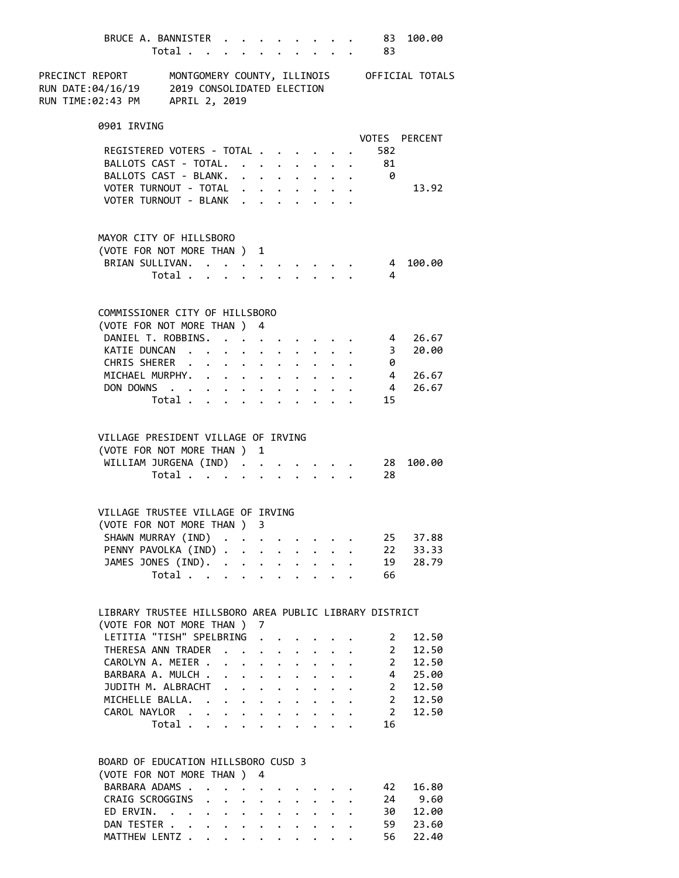|                                                                                                |                                                                                       |                         |  |  |  |                                                                     |                           | BRUCE A. BANNISTER 83<br>Total 83 | 100.00                     |
|------------------------------------------------------------------------------------------------|---------------------------------------------------------------------------------------|-------------------------|--|--|--|---------------------------------------------------------------------|---------------------------|-----------------------------------|----------------------------|
| PRECINCT REPORT MONTGOMERY COUNTY, ILLINOIS OFFICIAL TOTALS<br>RUN TIME:02:43 PM APRIL 2, 2019 |                                                                                       |                         |  |  |  |                                                                     |                           |                                   |                            |
|                                                                                                | 0901 IRVING                                                                           |                         |  |  |  |                                                                     |                           |                                   |                            |
|                                                                                                |                                                                                       |                         |  |  |  |                                                                     |                           |                                   | VOTES PERCENT              |
|                                                                                                | REGISTERED VOTERS - TOTAL                                                             |                         |  |  |  |                                                                     |                           | 582<br>BALLOTS CAST - TOTAL. 81   |                            |
|                                                                                                | BALLOTS CAST - BLANK.                                                                 |                         |  |  |  | $\mathbf{r}=\mathbf{r}+\mathbf{r}+\mathbf{r}+\mathbf{r}+\mathbf{r}$ | $\mathbf{r}=\mathbf{r}$ . | $\theta$                          |                            |
|                                                                                                | VOTER TURNOUT - TOTAL                                                                 |                         |  |  |  |                                                                     |                           |                                   | 13.92                      |
|                                                                                                | VOTER TURNOUT - BLANK                                                                 |                         |  |  |  |                                                                     |                           |                                   |                            |
|                                                                                                | MAYOR CITY OF HILLSBORO                                                               |                         |  |  |  |                                                                     |                           |                                   |                            |
|                                                                                                | (VOTE FOR NOT MORE THAN ) 1                                                           |                         |  |  |  |                                                                     |                           |                                   |                            |
|                                                                                                | BRIAN SULLIVAN.                                                                       | Total $\cdots$ $\cdots$ |  |  |  | $\cdot$ $\cdot$                                                     |                           | $\overline{4}$<br>$\overline{4}$  | 100.00                     |
|                                                                                                |                                                                                       |                         |  |  |  |                                                                     |                           |                                   |                            |
|                                                                                                | COMMISSIONER CITY OF HILLSBORO                                                        |                         |  |  |  |                                                                     |                           |                                   |                            |
|                                                                                                | (VOTE FOR NOT MORE THAN ) 4                                                           |                         |  |  |  |                                                                     |                           |                                   | DANIEL T. ROBBINS. 4 26.67 |
|                                                                                                |                                                                                       |                         |  |  |  |                                                                     |                           | KATIE DUNCAN 3                    | 20.00                      |
|                                                                                                | CHRIS SHERER                                                                          |                         |  |  |  |                                                                     |                           | - 0                               |                            |
|                                                                                                | MICHAEL MURPHY.                                                                       |                         |  |  |  |                                                                     |                           |                                   | 4 26.67                    |
|                                                                                                | DON DOWNS                                                                             | Total                   |  |  |  | $\cdot$ $\cdot$ $\cdot$ $\cdot$ $\cdot$ $\cdot$ $\cdot$ $\cdot$     |                           | 15                                | 4 26.67                    |
|                                                                                                |                                                                                       |                         |  |  |  |                                                                     |                           |                                   |                            |
|                                                                                                | VILLAGE PRESIDENT VILLAGE OF IRVING                                                   |                         |  |  |  |                                                                     |                           |                                   |                            |
|                                                                                                | (VOTE FOR NOT MORE THAN ) 1                                                           |                         |  |  |  |                                                                     |                           |                                   |                            |
|                                                                                                | WILLIAM JURGENA (IND)                                                                 |                         |  |  |  |                                                                     |                           | 28<br>28                          | 100.00                     |
|                                                                                                |                                                                                       | Total                   |  |  |  |                                                                     |                           |                                   |                            |
|                                                                                                | VILLAGE TRUSTEE VILLAGE OF IRVING                                                     |                         |  |  |  |                                                                     |                           |                                   |                            |
|                                                                                                | (VOTE FOR NOT MORE THAN ) 3                                                           |                         |  |  |  |                                                                     |                           |                                   |                            |
|                                                                                                | SHAWN MURRAY (IND)<br>PENNY PAVOLKA (IND)                                             |                         |  |  |  |                                                                     |                           |                                   | 25 37.88                   |
|                                                                                                | JAMES JONES (IND).                                                                    |                         |  |  |  |                                                                     |                           |                                   | 22 33.33<br>19 28.79       |
|                                                                                                |                                                                                       | Total                   |  |  |  |                                                                     |                           | 66                                |                            |
|                                                                                                |                                                                                       |                         |  |  |  |                                                                     |                           |                                   |                            |
|                                                                                                | LIBRARY TRUSTEE HILLSBORO AREA PUBLIC LIBRARY DISTRICT<br>(VOTE FOR NOT MORE THAN ) 7 |                         |  |  |  |                                                                     |                           |                                   |                            |
|                                                                                                | LETITIA "TISH" SPELBRING                                                              |                         |  |  |  |                                                                     |                           | $\overline{2}$                    | 12.50                      |
|                                                                                                | THERESA ANN TRADER                                                                    |                         |  |  |  |                                                                     |                           | $\overline{2}$                    | 12.50                      |
|                                                                                                | CAROLYN A. MEIER                                                                      |                         |  |  |  |                                                                     |                           | $\overline{2}$                    | 12.50<br>$4\quad 25.00$    |
|                                                                                                | BARBARA A. MULCH<br>JUDITH M. ALBRACHT                                                |                         |  |  |  |                                                                     |                           |                                   | 2 12.50                    |
|                                                                                                | MICHELLE BALLA.                                                                       |                         |  |  |  |                                                                     |                           |                                   | 2 12.50                    |
|                                                                                                | CAROL NAYLOR                                                                          |                         |  |  |  |                                                                     |                           |                                   | 2 12.50                    |
|                                                                                                |                                                                                       |                         |  |  |  |                                                                     |                           | Total $\cdot$<br>16               |                            |
|                                                                                                | BOARD OF EDUCATION HILLSBORO CUSD 3                                                   |                         |  |  |  |                                                                     |                           |                                   |                            |
|                                                                                                | (VOTE FOR NOT MORE THAN ) 4                                                           |                         |  |  |  |                                                                     |                           |                                   |                            |
|                                                                                                | BARBARA ADAMS                                                                         |                         |  |  |  |                                                                     |                           | 42                                | 16.80                      |
|                                                                                                | CRAIG SCROGGINS                                                                       |                         |  |  |  |                                                                     |                           |                                   | 24 9.60                    |
|                                                                                                | ED ERVIN.<br>DAN TESTER                                                               |                         |  |  |  |                                                                     |                           | 30<br>59                          | 12.00<br>23.60             |
|                                                                                                | MATTHEW LENTZ                                                                         |                         |  |  |  |                                                                     |                           | 56                                | 22.40                      |
|                                                                                                |                                                                                       |                         |  |  |  |                                                                     |                           |                                   |                            |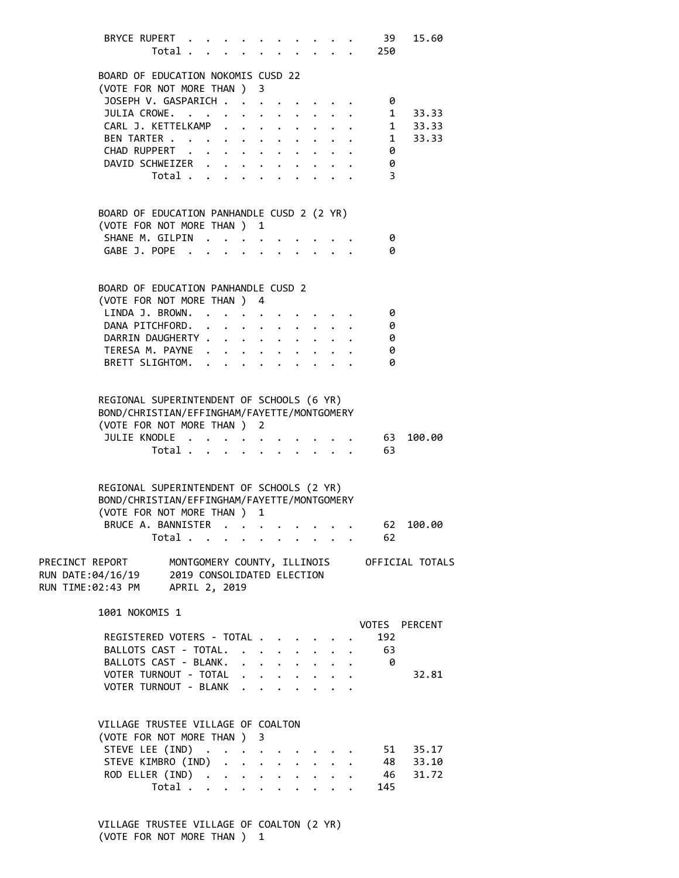| BRYCE RUPERT                                                                                                            | Total                            |  |                      |                                                         |                                                                                                                       |                                        | 39<br>250      | 15.60                                       |
|-------------------------------------------------------------------------------------------------------------------------|----------------------------------|--|----------------------|---------------------------------------------------------|-----------------------------------------------------------------------------------------------------------------------|----------------------------------------|----------------|---------------------------------------------|
| BOARD OF EDUCATION NOKOMIS CUSD 22<br>(VOTE FOR NOT MORE THAN ) 3                                                       |                                  |  |                      |                                                         |                                                                                                                       |                                        |                |                                             |
| JOSEPH V. GASPARICH                                                                                                     |                                  |  |                      |                                                         |                                                                                                                       |                                        | 0              |                                             |
| JULIA CROWE. 1 33.33                                                                                                    |                                  |  |                      |                                                         |                                                                                                                       |                                        |                |                                             |
| CARL J. KETTELKAMP 1 33.33<br>BEN TARTER 1 33.33<br>EVIDENCE 1 33.33                                                    |                                  |  |                      |                                                         |                                                                                                                       |                                        |                |                                             |
| BEN TARTER<br>CHAD RUPPERT                                                                                              |                                  |  |                      |                                                         |                                                                                                                       |                                        |                |                                             |
| DAVID SCHWEIZER                                                                                                         |                                  |  |                      |                                                         | $\mathbf{u}^{\prime}$ , $\mathbf{u}^{\prime}$ , $\mathbf{u}^{\prime}$ , $\mathbf{u}^{\prime}$ , $\mathbf{u}^{\prime}$ |                                        | 0<br>0         |                                             |
|                                                                                                                         | Total $\cdots$ $\cdots$ $\cdots$ |  |                      |                                                         |                                                                                                                       | $\mathbf{1}$ $\mathbf{1}$ $\mathbf{1}$ | $\overline{3}$ |                                             |
| BOARD OF EDUCATION PANHANDLE CUSD 2 (2 YR)                                                                              |                                  |  |                      |                                                         |                                                                                                                       |                                        |                |                                             |
| (VOTE FOR NOT MORE THAN ) 1                                                                                             |                                  |  |                      |                                                         |                                                                                                                       |                                        |                |                                             |
| SHANE M. GILPIN                                                                                                         |                                  |  |                      |                                                         |                                                                                                                       |                                        | 0              |                                             |
| GABE J. POPE                                                                                                            |                                  |  |                      |                                                         | $\mathbf{r}$ , $\mathbf{r}$                                                                                           |                                        | 0              |                                             |
| BOARD OF EDUCATION PANHANDLE CUSD 2                                                                                     |                                  |  |                      |                                                         |                                                                                                                       |                                        |                |                                             |
| (VOTE FOR NOT MORE THAN ) 4                                                                                             |                                  |  |                      |                                                         |                                                                                                                       |                                        |                |                                             |
| LINDA J. BROWN.                                                                                                         |                                  |  |                      |                                                         |                                                                                                                       |                                        | 0              |                                             |
| DANA PITCHFORD.<br>DARRIN DAUGHERTY                                                                                     |                                  |  |                      |                                                         |                                                                                                                       |                                        | 0<br>0         |                                             |
| TERESA M. PAYNE                                                                                                         |                                  |  |                      |                                                         |                                                                                                                       |                                        | 0              |                                             |
| BRETT SLIGHTOM.                                                                                                         |                                  |  |                      |                                                         |                                                                                                                       |                                        | 0              |                                             |
|                                                                                                                         |                                  |  |                      |                                                         |                                                                                                                       |                                        |                |                                             |
| REGIONAL SUPERINTENDENT OF SCHOOLS (6 YR)<br>BOND/CHRISTIAN/EFFINGHAM/FAYETTE/MONTGOMERY<br>(VOTE FOR NOT MORE THAN ) 2 |                                  |  |                      |                                                         |                                                                                                                       |                                        |                |                                             |
| JULIE KNODLE                                                                                                            |                                  |  |                      |                                                         |                                                                                                                       |                                        | 63             | 100.00                                      |
|                                                                                                                         | Total                            |  |                      | $\cdot$ $\cdot$ $\cdot$ $\cdot$ $\cdot$                 |                                                                                                                       |                                        | 63             |                                             |
| REGIONAL SUPERINTENDENT OF SCHOOLS (2 YR)<br>BOND/CHRISTIAN/EFFINGHAM/FAYETTE/MONTGOMERY<br>(VOTE FOR NOT MORE THAN ) 1 |                                  |  |                      |                                                         |                                                                                                                       |                                        |                |                                             |
| BRUCE A. BANNISTER                                                                                                      |                                  |  |                      |                                                         |                                                                                                                       |                                        | 62             | 100.00                                      |
|                                                                                                                         | Total                            |  |                      |                                                         |                                                                                                                       |                                        | 62             |                                             |
| PRECINCT REPORT<br>RUN DATE:04/16/19<br>RUN TIME:02:43 PM APRIL 2, 2019                                                 | 2019 CONSOLIDATED ELECTION       |  |                      |                                                         |                                                                                                                       |                                        |                | MONTGOMERY COUNTY, ILLINOIS OFFICIAL TOTALS |
|                                                                                                                         |                                  |  |                      |                                                         |                                                                                                                       |                                        |                |                                             |
| 1001 NOKOMIS 1                                                                                                          |                                  |  |                      |                                                         |                                                                                                                       |                                        |                | VOTES PERCENT                               |
| REGISTERED VOTERS - TOTAL                                                                                               |                                  |  |                      |                                                         |                                                                                                                       |                                        | 192            |                                             |
| BALLOTS CAST - TOTAL.                                                                                                   |                                  |  | $\ddot{\phantom{0}}$ | $\ddot{\phantom{0}}$                                    | $\ddot{\phantom{0}}$                                                                                                  |                                        | - 63           |                                             |
| BALLOTS CAST - BLANK.                                                                                                   |                                  |  |                      |                                                         |                                                                                                                       |                                        | - 0            |                                             |
| VOTER TURNOUT - TOTAL                                                                                                   |                                  |  |                      |                                                         |                                                                                                                       |                                        |                | 32.81                                       |
| VOTER TURNOUT - BLANK                                                                                                   |                                  |  |                      |                                                         |                                                                                                                       |                                        |                |                                             |
|                                                                                                                         |                                  |  |                      |                                                         |                                                                                                                       |                                        |                |                                             |
| VILLAGE TRUSTEE VILLAGE OF COALTON                                                                                      |                                  |  |                      |                                                         |                                                                                                                       |                                        |                |                                             |
| (VOTE FOR NOT MORE THAN ) 3                                                                                             |                                  |  |                      |                                                         |                                                                                                                       |                                        |                |                                             |
| STEVE LEE (IND)                                                                                                         |                                  |  |                      |                                                         |                                                                                                                       |                                        |                | 51 35.17                                    |
| STEVE KIMBRO (IND)                                                                                                      |                                  |  |                      | $\cdot$ $\cdot$ $\cdot$ $\cdot$ $\cdot$ $\cdot$ $\cdot$ |                                                                                                                       |                                        |                | 48 33.10                                    |
| ROD ELLER (IND)                                                                                                         | Total                            |  |                      |                                                         |                                                                                                                       |                                        | 46             | 31.72                                       |
|                                                                                                                         |                                  |  |                      |                                                         |                                                                                                                       |                                        | 145            |                                             |

 VILLAGE TRUSTEE VILLAGE OF COALTON (2 YR) (VOTE FOR NOT MORE THAN ) 1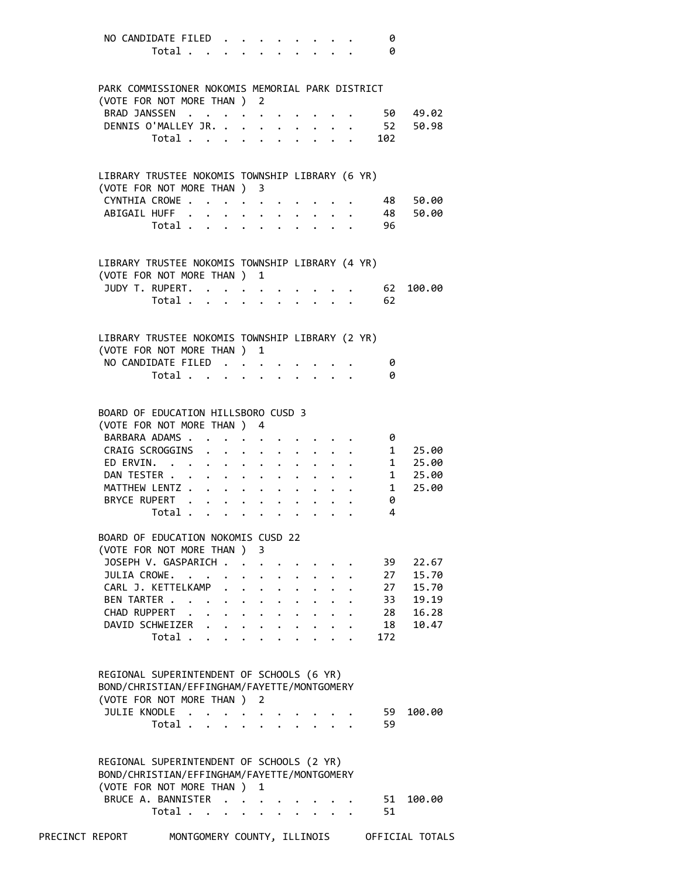| NO CANDIDATE FILED                               |                                           |                             |           |                                      |                           |                                                                  |                      |                                                                  |  | 0                 |                                   |  |
|--------------------------------------------------|-------------------------------------------|-----------------------------|-----------|--------------------------------------|---------------------------|------------------------------------------------------------------|----------------------|------------------------------------------------------------------|--|-------------------|-----------------------------------|--|
|                                                  | Total                                     |                             |           |                                      |                           |                                                                  |                      |                                                                  |  | 0                 |                                   |  |
|                                                  |                                           |                             |           |                                      |                           |                                                                  |                      |                                                                  |  |                   |                                   |  |
|                                                  |                                           |                             |           |                                      |                           |                                                                  |                      |                                                                  |  |                   |                                   |  |
| PARK COMMISSIONER NOKOMIS MEMORIAL PARK DISTRICT |                                           |                             |           |                                      |                           |                                                                  |                      |                                                                  |  |                   |                                   |  |
|                                                  |                                           |                             |           |                                      |                           |                                                                  |                      |                                                                  |  |                   |                                   |  |
| (VOTE FOR NOT MORE THAN ) 2                      |                                           |                             |           |                                      |                           |                                                                  |                      |                                                                  |  |                   |                                   |  |
| BRAD JANSSEN                                     |                                           |                             |           |                                      |                           |                                                                  |                      |                                                                  |  |                   | 50 49.02                          |  |
| DENNIS O'MALLEY JR.                              |                                           |                             |           |                                      |                           | $\ddot{\phantom{a}}$                                             | $\ddot{\phantom{0}}$ |                                                                  |  |                   | 52 50.98                          |  |
|                                                  | Total                                     |                             |           |                                      |                           |                                                                  |                      |                                                                  |  | $\frac{1}{2}$ 102 |                                   |  |
|                                                  |                                           |                             |           |                                      |                           |                                                                  |                      |                                                                  |  |                   |                                   |  |
|                                                  |                                           |                             |           |                                      |                           |                                                                  |                      |                                                                  |  |                   |                                   |  |
| LIBRARY TRUSTEE NOKOMIS TOWNSHIP LIBRARY (6 YR)  |                                           |                             |           |                                      |                           |                                                                  |                      |                                                                  |  |                   |                                   |  |
|                                                  |                                           |                             |           |                                      |                           |                                                                  |                      |                                                                  |  |                   |                                   |  |
| (VOTE FOR NOT MORE THAN ) 3                      |                                           |                             |           |                                      |                           |                                                                  |                      |                                                                  |  |                   |                                   |  |
| CYNTHIA CROWE.                                   |                                           |                             |           |                                      |                           |                                                                  |                      |                                                                  |  |                   | 48 50.00                          |  |
| ABIGAIL HUFF.                                    |                                           |                             |           | $\mathbf{L} = \mathbf{L} \mathbf{L}$ |                           | $\sim$ $-$                                                       |                      |                                                                  |  | 48                | 50.00                             |  |
|                                                  | Total                                     |                             |           |                                      |                           |                                                                  |                      |                                                                  |  | 96                |                                   |  |
|                                                  |                                           |                             |           |                                      |                           |                                                                  |                      |                                                                  |  |                   |                                   |  |
|                                                  |                                           |                             |           |                                      |                           |                                                                  |                      |                                                                  |  |                   |                                   |  |
|                                                  |                                           |                             |           |                                      |                           |                                                                  |                      |                                                                  |  |                   |                                   |  |
| LIBRARY TRUSTEE NOKOMIS TOWNSHIP LIBRARY (4 YR)  |                                           |                             |           |                                      |                           |                                                                  |                      |                                                                  |  |                   |                                   |  |
| (VOTE FOR NOT MORE THAN )                        |                                           |                             |           |                                      | 1                         |                                                                  |                      |                                                                  |  |                   |                                   |  |
| JUDY T. RUPERT.                                  |                                           |                             |           |                                      |                           |                                                                  |                      |                                                                  |  | 62                | 100.00                            |  |
|                                                  | Total $\cdots$ $\cdots$ $\cdots$ $\cdots$ |                             |           |                                      |                           |                                                                  |                      |                                                                  |  | 62                |                                   |  |
|                                                  |                                           |                             |           |                                      |                           |                                                                  |                      |                                                                  |  |                   |                                   |  |
|                                                  |                                           |                             |           |                                      |                           |                                                                  |                      |                                                                  |  |                   |                                   |  |
| LIBRARY TRUSTEE NOKOMIS TOWNSHIP LIBRARY (2 YR)  |                                           |                             |           |                                      |                           |                                                                  |                      |                                                                  |  |                   |                                   |  |
|                                                  |                                           |                             |           |                                      |                           |                                                                  |                      |                                                                  |  |                   |                                   |  |
| (VOTE FOR NOT MORE THAN ) 1                      |                                           |                             |           |                                      |                           |                                                                  |                      |                                                                  |  |                   |                                   |  |
| NO CANDIDATE FILED                               |                                           |                             |           |                                      |                           |                                                                  |                      |                                                                  |  | 0                 |                                   |  |
|                                                  | Total $\cdots$ $\cdots$ $\cdots$ $\cdots$ |                             |           |                                      |                           |                                                                  |                      |                                                                  |  | 0                 |                                   |  |
|                                                  |                                           |                             |           |                                      |                           |                                                                  |                      |                                                                  |  |                   |                                   |  |
|                                                  |                                           |                             |           |                                      |                           |                                                                  |                      |                                                                  |  |                   |                                   |  |
| BOARD OF EDUCATION HILLSBORO CUSD 3              |                                           |                             |           |                                      |                           |                                                                  |                      |                                                                  |  |                   |                                   |  |
| (VOTE FOR NOT MORE THAN ) 4                      |                                           |                             |           |                                      |                           |                                                                  |                      |                                                                  |  |                   |                                   |  |
|                                                  |                                           |                             |           |                                      |                           |                                                                  |                      |                                                                  |  |                   |                                   |  |
| BARBARA ADAMS                                    |                                           |                             |           |                                      |                           |                                                                  |                      |                                                                  |  | 0                 |                                   |  |
| CRAIG SCROGGINS                                  |                                           |                             |           |                                      |                           |                                                                  |                      |                                                                  |  | . 1               | 25.00                             |  |
| ED ERVIN.                                        |                                           |                             |           |                                      |                           |                                                                  | $\bullet$ .          |                                                                  |  |                   | $\cdot \cdot \cdot \cdot 1 25.00$ |  |
| DAN TESTER                                       |                                           |                             |           |                                      |                           |                                                                  |                      |                                                                  |  |                   | $\cdot$ 1 25.00                   |  |
| MATTHEW LENTZ                                    |                                           |                             |           |                                      |                           |                                                                  |                      | $\mathbf{r} = \mathbf{r} + \mathbf{r} + \mathbf{r} + \mathbf{r}$ |  |                   | $1 \quad$<br>25.00                |  |
| BRYCE RUPERT                                     |                                           |                             |           |                                      |                           |                                                                  |                      |                                                                  |  | 0                 |                                   |  |
|                                                  | Total .                                   |                             |           |                                      |                           |                                                                  |                      |                                                                  |  | 4                 |                                   |  |
|                                                  |                                           |                             |           |                                      |                           |                                                                  |                      |                                                                  |  |                   |                                   |  |
|                                                  |                                           |                             |           |                                      |                           |                                                                  |                      |                                                                  |  |                   |                                   |  |
| BOARD OF EDUCATION NOKOMIS CUSD 22               |                                           |                             |           |                                      |                           |                                                                  |                      |                                                                  |  |                   |                                   |  |
| (VOTE FOR NOT MORE THAN )                        |                                           |                             |           |                                      | 3                         |                                                                  |                      |                                                                  |  |                   |                                   |  |
| JOSEPH V. GASPARICH                              |                                           |                             |           |                                      |                           |                                                                  |                      |                                                                  |  |                   | 39<br>22.67                       |  |
| JULIA CROWE.                                     |                                           | $\sim$ $\sim$ $\sim$ $\sim$ | $\bullet$ |                                      |                           | $\cdot$ , $\cdot$ , $\cdot$ , $\cdot$                            |                      |                                                                  |  |                   | 27<br>15.70                       |  |
| CARL J. KETTELKAMP .                             |                                           |                             |           |                                      |                           | $\mathbf{z} = \mathbf{z} + \mathbf{z}$ . The set of $\mathbf{z}$ |                      |                                                                  |  |                   | 27<br>15.70                       |  |
| BEN TARTER                                       |                                           |                             |           |                                      |                           |                                                                  |                      |                                                                  |  |                   | 19.19                             |  |
|                                                  |                                           |                             |           |                                      |                           |                                                                  |                      |                                                                  |  |                   | 33                                |  |
| CHAD RUPPERT                                     |                                           |                             |           |                                      |                           | $\mathbf{r} = \mathbf{r} + \mathbf{r} + \mathbf{r} + \mathbf{r}$ |                      |                                                                  |  |                   | 16.28<br>28                       |  |
| DAVID SCHWEIZER                                  |                                           |                             |           |                                      |                           |                                                                  | $\ddot{\phantom{0}}$ |                                                                  |  |                   | 18<br>10.47                       |  |
|                                                  | Total                                     |                             |           |                                      | $\mathbf{L}^{\text{max}}$ | $\mathbf{L}^{\text{max}}$                                        |                      |                                                                  |  | 172               |                                   |  |
|                                                  |                                           |                             |           |                                      |                           |                                                                  |                      |                                                                  |  |                   |                                   |  |
|                                                  |                                           |                             |           |                                      |                           |                                                                  |                      |                                                                  |  |                   |                                   |  |
| REGIONAL SUPERINTENDENT OF SCHOOLS (6 YR)        |                                           |                             |           |                                      |                           |                                                                  |                      |                                                                  |  |                   |                                   |  |
| BOND/CHRISTIAN/EFFINGHAM/FAYETTE/MONTGOMERY      |                                           |                             |           |                                      |                           |                                                                  |                      |                                                                  |  |                   |                                   |  |
|                                                  |                                           |                             |           |                                      |                           |                                                                  |                      |                                                                  |  |                   |                                   |  |
| (VOTE FOR NOT MORE THAN ) 2                      |                                           |                             |           |                                      |                           |                                                                  |                      |                                                                  |  |                   |                                   |  |
| JULIE KNODLE                                     |                                           |                             |           | $\ddot{\phantom{0}}$                 |                           |                                                                  |                      |                                                                  |  | 59                | 100.00                            |  |
|                                                  | Total                                     |                             | $\sim$    |                                      |                           |                                                                  |                      |                                                                  |  | 59                |                                   |  |
|                                                  |                                           |                             |           |                                      |                           |                                                                  |                      |                                                                  |  |                   |                                   |  |
|                                                  |                                           |                             |           |                                      |                           |                                                                  |                      |                                                                  |  |                   |                                   |  |
|                                                  |                                           |                             |           |                                      |                           |                                                                  |                      |                                                                  |  |                   |                                   |  |
|                                                  |                                           |                             |           |                                      |                           |                                                                  |                      |                                                                  |  |                   |                                   |  |
| REGIONAL SUPERINTENDENT OF SCHOOLS (2 YR)        |                                           |                             |           |                                      |                           |                                                                  |                      |                                                                  |  |                   |                                   |  |
| BOND/CHRISTIAN/EFFINGHAM/FAYETTE/MONTGOMERY      |                                           |                             |           |                                      |                           |                                                                  |                      |                                                                  |  |                   |                                   |  |
| (VOTE FOR NOT MORE THAN )                        |                                           |                             |           |                                      | 1                         |                                                                  |                      |                                                                  |  |                   |                                   |  |
| BRUCE A. BANNISTER                               |                                           |                             |           |                                      |                           |                                                                  |                      |                                                                  |  | 51                | 100.00                            |  |
|                                                  | Total                                     |                             |           | $\ddot{\phantom{a}}$                 |                           |                                                                  |                      |                                                                  |  | 51                |                                   |  |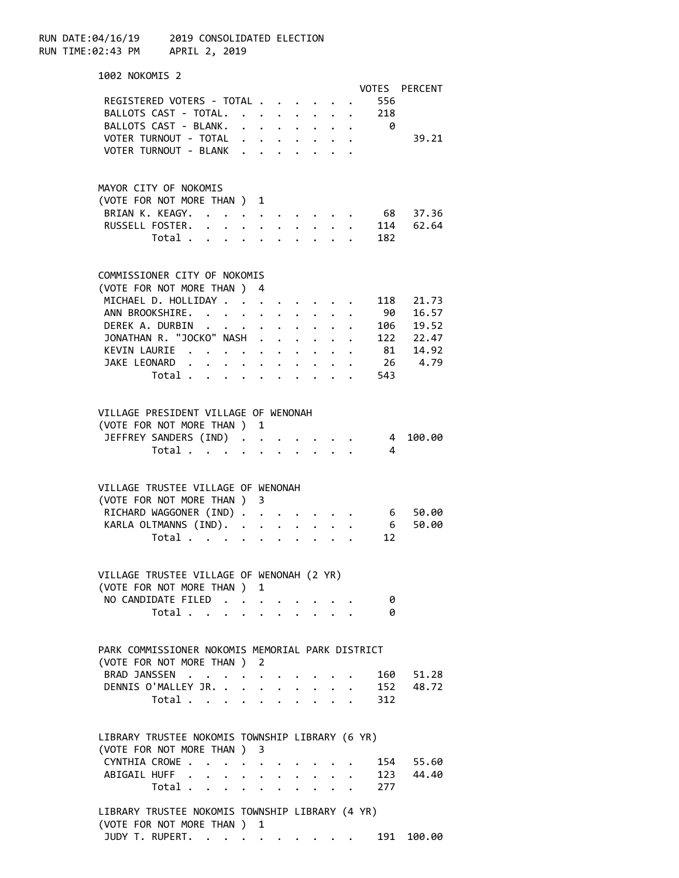RUN DATE:04/16/19 2019 CONSOLIDATED ELECTION RUN TIME:02:43 PM APRIL 2, 2019 1002 NOKOMIS 2 VOTES PERCENT REGISTERED VOTERS - TOTAL . . . . . . 556 BALLOTS CAST - TOTAL. . . . . . . . 218 BALLOTS CAST - BLANK. . . . . . . . 0 VOTER TURNOUT - TOTAL . . . . . . . . 39.21 VOTER TURNOUT - BLANK . . . . MAYOR CITY OF NOKOMIS (VOTE FOR NOT MORE THAN ) 1 BRIAN K. KEAGY. . . . . . . . . . . 68 37.36 RUSSELL FOSTER. . . . . . . . . . 114 62.64 Total . . . . . . . . . . 182 COMMISSIONER CITY OF NOKOMIS (VOTE FOR NOT MORE THAN ) 4 MICHAEL D. HOLLIDAY . . . . . . . . 118 21.73 ANN BROOKSHIRE. . . . . . . . . . 90 16.57 DEREK A. DURBIN . . . . . . . . . . 106 19.52<br>JONATHAN R. "JOCKO" NASH . . . . . . 122 22.47 JONATHAN R. "JOCKO" NASH . . . . . . 122 22.47<br>KEVIN LAURIE . . . . . . . . . . 81 14.92 KEVIN LAURIE . . . . . . . . . . JAKE LEONARD . . . . . . . . . . 26 4.79 Total . . . . . . . . . . 543 VILLAGE PRESIDENT VILLAGE OF WENONAH (VOTE FOR NOT MORE THAN ) 1 JEFFREY SANDERS (IND) . . . . . . . 4 100.00 Total  $\cdots$  . . . . . . . . VILLAGE TRUSTEE VILLAGE OF WENONAH (VOTE FOR NOT MORE THAN ) 3 RICHARD WAGGONER (IND) . . . . . . . 6 50.00 KARLA OLTMANNS (IND). . . . . . . . 6 50.00 Total . . . . . . . . . . 12 VILLAGE TRUSTEE VILLAGE OF WENONAH (2 YR) (VOTE FOR NOT MORE THAN ) 1 NO CANDIDATE FILED . . . . . . . . 0 Total . . . . . . . . . . 0 PARK COMMISSIONER NOKOMIS MEMORIAL PARK DISTRICT (VOTE FOR NOT MORE THAN ) 2 BRAD JANSSEN . . . . . . . . . . 160 51.28 DENNIS O'MALLEY JR. . . . . . . . . 152 48.72 Total . . . . . . . . . . 312 LIBRARY TRUSTEE NOKOMIS TOWNSHIP LIBRARY (6 YR) (VOTE FOR NOT MORE THAN ) 3 CYNTHIA CROWE . . . . . . . . . . 154 55.60 ABIGAIL HUFF . . . . . . . . . . 123 44.40 Total . . . . . . . . . . 277 LIBRARY TRUSTEE NOKOMIS TOWNSHIP LIBRARY (4 YR)

 (VOTE FOR NOT MORE THAN ) 1 JUDY T. RUPERT. . . . . . . . . . . 191 100.00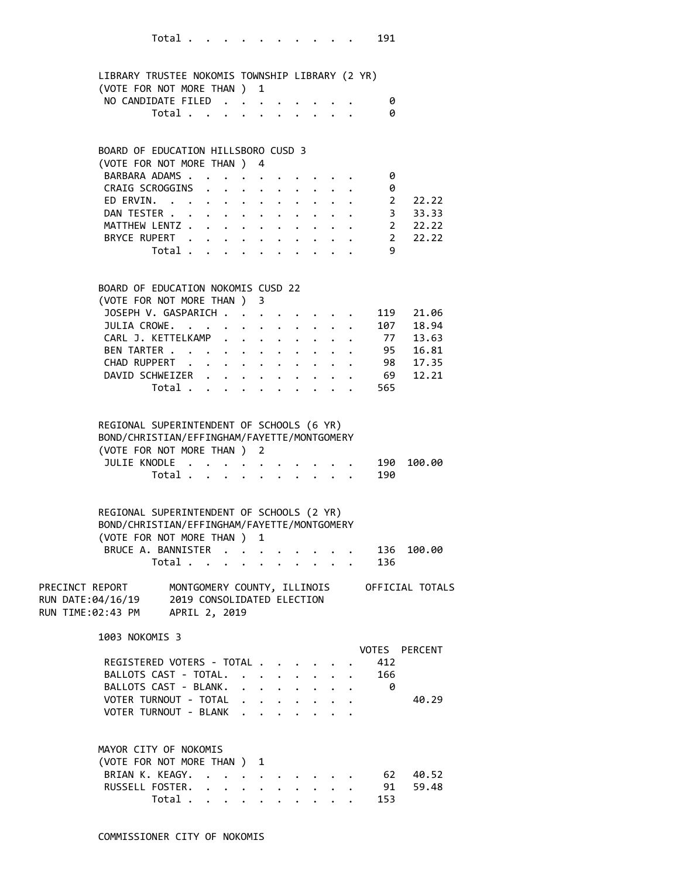|                             | LIBRARY TRUSTEE NOKOMIS TOWNSHIP LIBRARY (2 YR) |   |
|-----------------------------|-------------------------------------------------|---|
| (VOTE FOR NOT MORE THAN ) 1 |                                                 |   |
| NO CANDIDATE FILED          |                                                 | ø |
|                             | Total $\ldots$ $\ldots$ $\ldots$ $\ldots$       | 0 |

### BOARD OF EDUCATION HILLSBORO CUSD 3

| (VOTE FOR NOT MORE THAN ) 4 |  |  |  |  |                                                                                                                                                                                                                                |       |
|-----------------------------|--|--|--|--|--------------------------------------------------------------------------------------------------------------------------------------------------------------------------------------------------------------------------------|-------|
| BARBARA ADAMS. 0            |  |  |  |  |                                                                                                                                                                                                                                |       |
| CRAIG SCROGGINS 0           |  |  |  |  |                                                                                                                                                                                                                                |       |
| ED ERVIN. 2                 |  |  |  |  |                                                                                                                                                                                                                                | 22.22 |
| DAN TESTER 3 33.33          |  |  |  |  |                                                                                                                                                                                                                                |       |
| MATTHEW LENTZ 2 22.22       |  |  |  |  |                                                                                                                                                                                                                                |       |
| BRYCE RUPERT 2 22.22        |  |  |  |  |                                                                                                                                                                                                                                |       |
| Total.                      |  |  |  |  | and the contract of the contract of the contract of the contract of the contract of the contract of the contract of the contract of the contract of the contract of the contract of the contract of the contract of the contra |       |

### BOARD OF EDUCATION NOKOMIS CUSD 22

| BUARD OF EDUCATION NOROMIS COSD 22 |                |  |  |  |  |     |  |
|------------------------------------|----------------|--|--|--|--|-----|--|
| (VOTE FOR NOT MORE THAN ) 3        |                |  |  |  |  |     |  |
| JOSEPH V. GASPARICH 119 21.06      |                |  |  |  |  |     |  |
| JULIA CROWE. 107 18.94             |                |  |  |  |  |     |  |
| CARL J. KETTELKAMP 77 13.63        |                |  |  |  |  |     |  |
| BEN TARTER 95 16.81                |                |  |  |  |  |     |  |
| CHAD RUPPERT 98 17.35              |                |  |  |  |  |     |  |
| DAVID SCHWEIZER 69 12.21           |                |  |  |  |  |     |  |
|                                    | Total $\cdots$ |  |  |  |  | 565 |  |
|                                    |                |  |  |  |  |     |  |

#### REGIONAL SUPERINTENDENT OF SCHOOLS (6 YR)

| BOND/CHRISTIAN/EFFINGHAM/FAYETTE/MONTGOMERY |  |  |  |  |
|---------------------------------------------|--|--|--|--|
| (VOTE FOR NOT MORE THAN ) 2                 |  |  |  |  |
| JULIE KNODLE 190 100.00                     |  |  |  |  |
| Total 190                                   |  |  |  |  |

| REGIONAL SUPERINTENDENT OF SCHOOLS (2 YR)   |  |  |  |  |  |
|---------------------------------------------|--|--|--|--|--|
| BOND/CHRISTIAN/EFFINGHAM/FAYETTE/MONTGOMERY |  |  |  |  |  |
| (VOTE FOR NOT MORE THAN ) 1                 |  |  |  |  |  |
| BRUCE A. BANNISTER 136 100.00               |  |  |  |  |  |
| Total 136                                   |  |  |  |  |  |

| PRECINCT REPORT   | MONTGOMERY COUNTY, ILLINOIS | OFFICIAL TOTALS |
|-------------------|-----------------------------|-----------------|
| RUN DATE:04/16/19 | 2019 CONSOLIDATED ELECTION  |                 |
| RUN TIME:02:43 PM | APRIL 2, 2019               |                 |

1003 NOKOMIS 3

|                           | VOTES PERCENT |
|---------------------------|---------------|
| REGISTERED VOTERS - TOTAL |               |
| BALLOTS CAST - TOTAL.     | 166           |
| BALLOTS CAST - BLANK.     |               |
| VOTER TURNOUT - TOTAL     | 40.29         |
| VOTER TURNOUT - BLANK     |               |

| MAYOR CITY OF NOKOMIS       |           |  |  |  |  |  |  |
|-----------------------------|-----------|--|--|--|--|--|--|
| (VOTE FOR NOT MORE THAN ) 1 |           |  |  |  |  |  |  |
| BRIAN K. KEAGY. 62 40.52    |           |  |  |  |  |  |  |
| RUSSELL FOSTER. 91 59.48    |           |  |  |  |  |  |  |
|                             | Total 153 |  |  |  |  |  |  |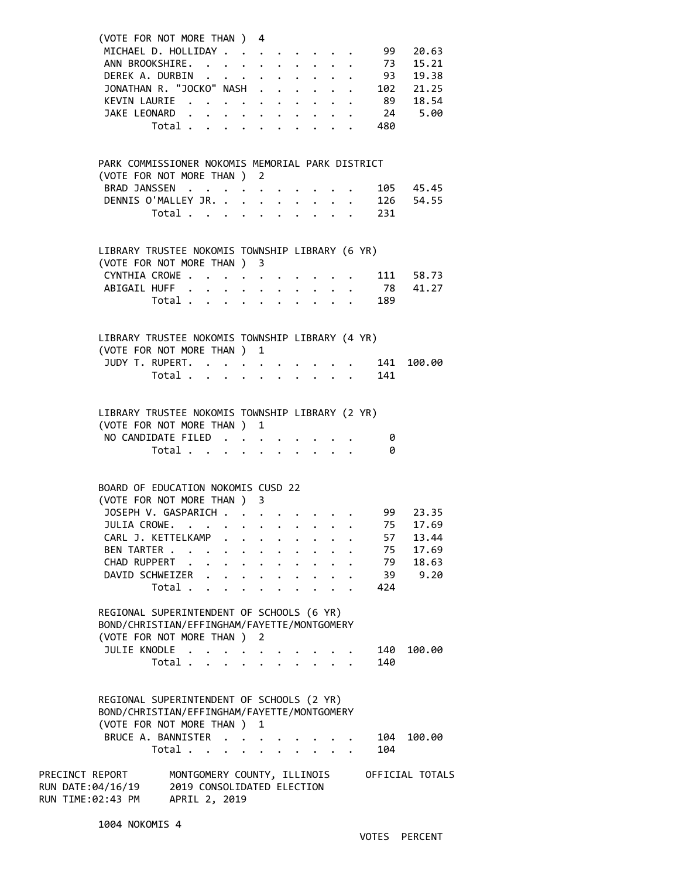| (VOTE FOR NOT MORE THAN ) 4<br>MICHAEL D. HOLLIDAY 99 20.63                                                                                   |                                                                            |  |                         |                      |                                         |  |                                                                                      |                 |
|-----------------------------------------------------------------------------------------------------------------------------------------------|----------------------------------------------------------------------------|--|-------------------------|----------------------|-----------------------------------------|--|--------------------------------------------------------------------------------------|-----------------|
|                                                                                                                                               |                                                                            |  |                         |                      |                                         |  |                                                                                      |                 |
| ANN BROOKSHIRE. 73 15.21                                                                                                                      |                                                                            |  |                         |                      |                                         |  |                                                                                      |                 |
| DEREK A. DURBIN                                                                                                                               |                                                                            |  |                         |                      |                                         |  | . 93 19.38                                                                           |                 |
| JONATHAN R. "JOCKO" NASH                                                                                                                      |                                                                            |  |                         |                      |                                         |  | $\begin{array}{cccc} . & 102 & 21.25 \\ . & 89 & 18.54 \\ . & 24 & 5.00 \end{array}$ |                 |
| KEVIN LAURIE                                                                                                                                  |                                                                            |  |                         |                      |                                         |  |                                                                                      |                 |
| JAKE LEONARD                                                                                                                                  | $\ddot{\phantom{0}}$                                                       |  |                         |                      | $\cdot$ $\cdot$ $\cdot$ $\cdot$ $\cdot$ |  |                                                                                      |                 |
|                                                                                                                                               | Total                                                                      |  | $\cdot$ $\cdot$ $\cdot$ |                      |                                         |  | . 480                                                                                |                 |
|                                                                                                                                               |                                                                            |  |                         |                      |                                         |  |                                                                                      |                 |
| PARK COMMISSIONER NOKOMIS MEMORIAL PARK DISTRICT<br>(VOTE FOR NOT MORE THAN ) 2                                                               |                                                                            |  |                         |                      |                                         |  |                                                                                      |                 |
| BRAD JANSSEN                                                                                                                                  |                                                                            |  |                         |                      |                                         |  | . 105 45.45                                                                          |                 |
| DENNIS O'MALLEY JR.                                                                                                                           |                                                                            |  |                         | $\ddot{\phantom{0}}$ | $\ddot{\phantom{a}}$                    |  | $\cdot$ 126 54.55                                                                    |                 |
|                                                                                                                                               | Total                                                                      |  | $\ddot{\phantom{0}}$    |                      |                                         |  | $\sim$ 231                                                                           |                 |
|                                                                                                                                               |                                                                            |  |                         |                      |                                         |  |                                                                                      |                 |
| LIBRARY TRUSTEE NOKOMIS TOWNSHIP LIBRARY (6 YR)<br>(VOTE FOR NOT MORE THAN ) 3                                                                |                                                                            |  |                         |                      |                                         |  |                                                                                      |                 |
| CYNTHIA CROWE 111 58.73                                                                                                                       |                                                                            |  |                         |                      |                                         |  |                                                                                      |                 |
| ABIGAIL HUFF 78 41.27                                                                                                                         |                                                                            |  |                         |                      |                                         |  |                                                                                      |                 |
|                                                                                                                                               | Total                                                                      |  |                         |                      |                                         |  | . 189                                                                                |                 |
|                                                                                                                                               |                                                                            |  |                         |                      |                                         |  |                                                                                      |                 |
| LIBRARY TRUSTEE NOKOMIS TOWNSHIP LIBRARY (4 YR)<br>(VOTE FOR NOT MORE THAN ) 1                                                                |                                                                            |  |                         |                      |                                         |  |                                                                                      |                 |
| JUDY T. RUPERT.                                                                                                                               |                                                                            |  |                         |                      |                                         |  | $\cdot$ $\cdot$ $\cdot$ $\cdot$ 141                                                  | 100.00          |
|                                                                                                                                               | Total 141                                                                  |  |                         |                      |                                         |  |                                                                                      |                 |
|                                                                                                                                               |                                                                            |  |                         |                      |                                         |  |                                                                                      |                 |
| LIBRARY TRUSTEE NOKOMIS TOWNSHIP LIBRARY (2 YR)<br>(VOTE FOR NOT MORE THAN ) 1                                                                |                                                                            |  |                         |                      |                                         |  |                                                                                      |                 |
| NO CANDIDATE FILED                                                                                                                            |                                                                            |  |                         |                      |                                         |  | 0                                                                                    |                 |
|                                                                                                                                               | Total                                                                      |  |                         |                      |                                         |  | - 0                                                                                  |                 |
|                                                                                                                                               |                                                                            |  |                         |                      |                                         |  |                                                                                      |                 |
| BOARD OF EDUCATION NOKOMIS CUSD 22<br>(VOTE FOR NOT MORE THAN ) 3                                                                             |                                                                            |  |                         |                      |                                         |  |                                                                                      |                 |
| JOSEPH V. GASPARICH 99 23.35                                                                                                                  |                                                                            |  |                         |                      |                                         |  |                                                                                      |                 |
| JULIA CROWE.                                                                                                                                  |                                                                            |  |                         |                      |                                         |  |                                                                                      | 75 17.69        |
| CARL J. KETTELKAMP                                                                                                                            |                                                                            |  |                         |                      |                                         |  | 57                                                                                   | 13.44           |
| BEN TARTER                                                                                                                                    |                                                                            |  |                         |                      |                                         |  |                                                                                      | 75 17.69        |
| CHAD RUPPERT                                                                                                                                  |                                                                            |  |                         |                      |                                         |  |                                                                                      | 79 18.63        |
| DAVID SCHWEIZER                                                                                                                               |                                                                            |  |                         |                      |                                         |  |                                                                                      | 39 9.20         |
|                                                                                                                                               | Total $\cdots$ $\cdots$ $\cdots$ $\cdots$                                  |  |                         |                      |                                         |  | 424                                                                                  |                 |
|                                                                                                                                               |                                                                            |  |                         |                      |                                         |  |                                                                                      |                 |
| REGIONAL SUPERINTENDENT OF SCHOOLS (6 YR)<br>BOND/CHRISTIAN/EFFINGHAM/FAYETTE/MONTGOMERY<br>(VOTE FOR NOT MORE THAN ) 2                       |                                                                            |  |                         |                      |                                         |  |                                                                                      |                 |
| JULIE KNODLE                                                                                                                                  |                                                                            |  |                         |                      |                                         |  | 140                                                                                  | 100.00          |
|                                                                                                                                               | Total                                                                      |  |                         |                      |                                         |  | 140                                                                                  |                 |
|                                                                                                                                               |                                                                            |  |                         |                      |                                         |  |                                                                                      |                 |
| REGIONAL SUPERINTENDENT OF SCHOOLS (2 YR)<br>BOND/CHRISTIAN/EFFINGHAM/FAYETTE/MONTGOMERY<br>(VOTE FOR NOT MORE THAN ) 1<br>BRUCE A. BANNISTER |                                                                            |  |                         |                      |                                         |  | 104                                                                                  | 100.00          |
|                                                                                                                                               | Total                                                                      |  |                         |                      |                                         |  | 104                                                                                  |                 |
| PRECINCT REPORT<br>RUN DATE:04/16/19<br>RUN TIME:02:43 PM                                                                                     | MONTGOMERY COUNTY, ILLINOIS<br>2019 CONSOLIDATED ELECTION<br>APRIL 2, 2019 |  |                         |                      |                                         |  |                                                                                      | OFFICIAL TOTALS |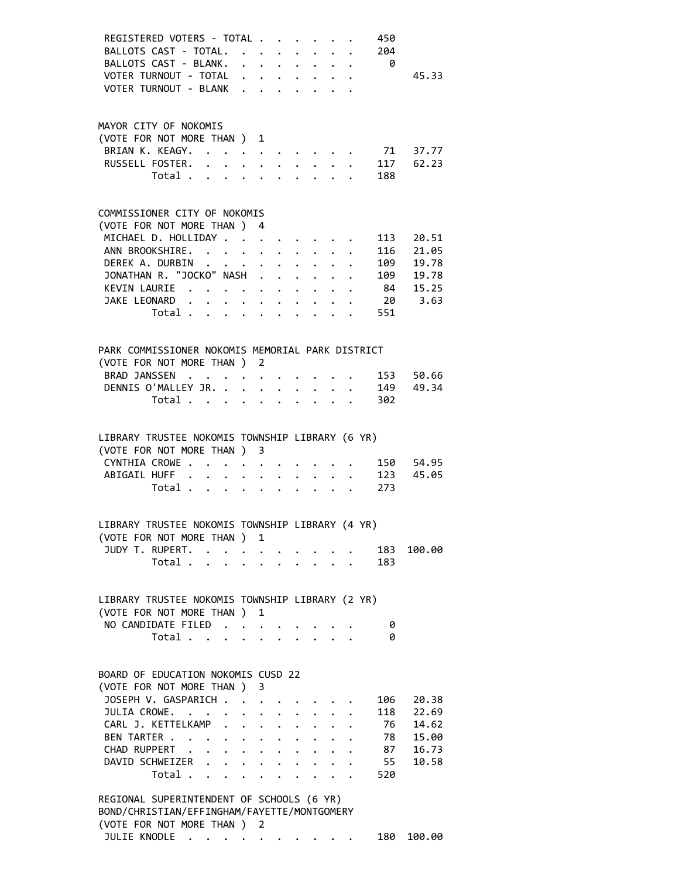| REGISTERED VOTERS - TOTAL<br>450                                                                               |        |
|----------------------------------------------------------------------------------------------------------------|--------|
| BALLOTS CAST - TOTAL.<br>204                                                                                   |        |
| BALLOTS CAST - BLANK. 0                                                                                        |        |
| VOTER TURNOUT - TOTAL                                                                                          | 45.33  |
| VOTER TURNOUT - BLANK                                                                                          |        |
|                                                                                                                |        |
|                                                                                                                |        |
| MAYOR CITY OF NOKOMIS                                                                                          |        |
| (VOTE FOR NOT MORE THAN ) 1                                                                                    |        |
| BRIAN K. KEAGY. 71 37.77                                                                                       |        |
| RUSSELL FOSTER. 117 62.23                                                                                      |        |
| Total 188                                                                                                      |        |
|                                                                                                                |        |
| COMMISSIONER CITY OF NOKOMIS                                                                                   |        |
| (VOTE FOR NOT MORE THAN ) 4                                                                                    |        |
| MICHAEL D. HOLLIDAY<br>113<br>$\mathcal{L}^{\text{max}}$                                                       | 20.51  |
| ANN BROOKSHIRE. 116                                                                                            | 21.05  |
| DEREK A. DURBIN<br>109                                                                                         | 19.78  |
| JONATHAN R. "JOCKO" NASH 109 19.78                                                                             |        |
|                                                                                                                |        |
| KEVIN LAURIE 84 15.25                                                                                          |        |
| JAKE LEONARD 20 3.63                                                                                           |        |
| 551<br>Total $\cdots$ $\cdots$ $\cdots$ $\cdots$                                                               |        |
|                                                                                                                |        |
| PARK COMMISSIONER NOKOMIS MEMORIAL PARK DISTRICT                                                               |        |
| (VOTE FOR NOT MORE THAN ) 2                                                                                    |        |
| <b>BRAD JANSSEN</b><br>. 153 50.66                                                                             |        |
|                                                                                                                |        |
| DENNIS O'MALLEY JR. 149 49.34                                                                                  |        |
| Total 302                                                                                                      |        |
|                                                                                                                |        |
| LIBRARY TRUSTEE NOKOMIS TOWNSHIP LIBRARY (6 YR)                                                                |        |
| (VOTE FOR NOT MORE THAN ) 3                                                                                    |        |
| CYNTHIA CROWE 150 54.95                                                                                        |        |
|                                                                                                                |        |
| ABIGAIL HUFF 123 45.05                                                                                         |        |
| 273<br>Total $\ldots$ $\ldots$ $\ldots$ $\ldots$                                                               |        |
|                                                                                                                |        |
| LIBRARY TRUSTEE NOKOMIS TOWNSHIP LIBRARY (4 YR)                                                                |        |
| (VOTE FOR NOT MORE THAN ) 1                                                                                    |        |
| JUDY T. RUPERT.<br>183                                                                                         | 100.00 |
| $\ddot{\phantom{0}}$<br>Total<br>$\mathbf{r} = \mathbf{r} - \mathbf{r}$<br>183                                 |        |
|                                                                                                                |        |
|                                                                                                                |        |
| LIBRARY TRUSTEE NOKOMIS TOWNSHIP LIBRARY (2 YR)                                                                |        |
| (VOTE FOR NOT MORE THAN )<br>1                                                                                 |        |
| NO CANDIDATE FILED.<br>0<br>$\cdot$                                                                            |        |
| Total<br>0                                                                                                     |        |
|                                                                                                                |        |
|                                                                                                                |        |
| BOARD OF EDUCATION NOKOMIS CUSD 22                                                                             |        |
| (VOTE FOR NOT MORE THAN)<br>3                                                                                  |        |
| JOSEPH V. GASPARICH .<br>106<br>$\ddot{\phantom{a}}$                                                           | 20.38  |
| JULIA CROWE.<br>118                                                                                            | 22.69  |
| CARL J. KETTELKAMP<br>76                                                                                       | 14.62  |
| 78<br>BEN TARTER<br>$\mathbf{r} = \mathbf{r} \cdot \mathbf{r}$<br>$\ddot{\phantom{0}}$<br>$\ddot{\phantom{0}}$ | 15.00  |
| CHAD RUPPERT<br>87                                                                                             | 16.73  |
| $\mathbf{L}$<br>$\ddot{\phantom{0}}$                                                                           |        |
| DAVID SCHWEIZER<br>55<br>$\ddot{\phantom{0}}$                                                                  | 10.58  |
| Total<br>520<br>$\ddot{\phantom{0}}$<br>$\ddot{\phantom{0}}$<br>$\ddot{\phantom{0}}$                           |        |
| REGIONAL SUPERINTENDENT OF SCHOOLS (6 YR)                                                                      |        |
| BOND/CHRISTIAN/EFFINGHAM/FAYETTE/MONTGOMERY                                                                    |        |
|                                                                                                                |        |
| (VOTE FOR NOT MORE THAN ) 2                                                                                    |        |
| JULIE KNODLE<br>180<br>$\mathcal{A}=\mathcal{A}=\mathcal{A}=\mathcal{A}=\mathcal{A}=\mathcal{A}$ .             | 100.00 |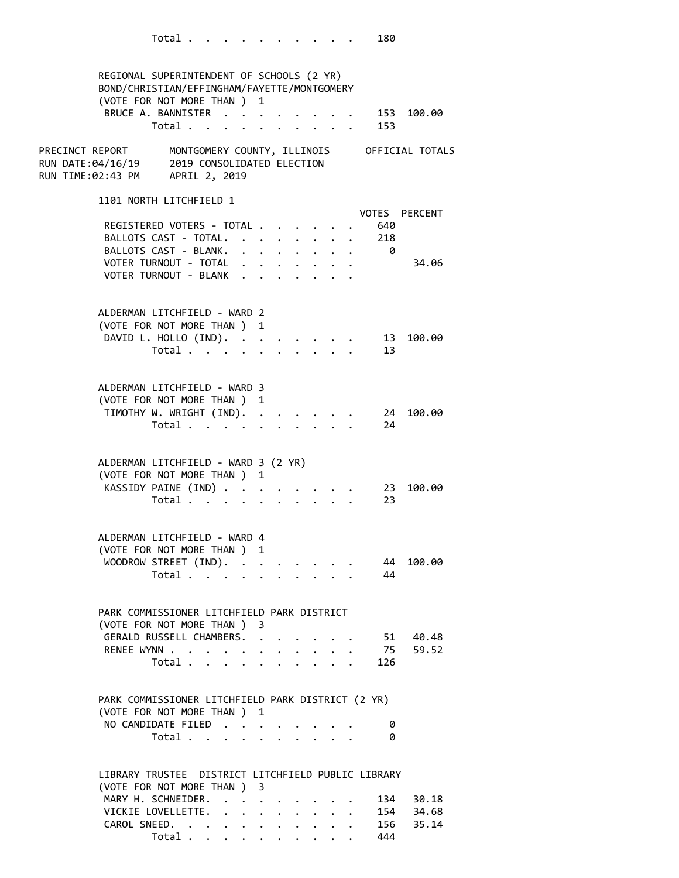REGIONAL SUPERINTENDENT OF SCHOOLS (2 YR) BOND/CHRISTIAN/EFFINGHAM/FAYETTE/MONTGOMERY (VOTE FOR NOT MORE THAN ) 1 BRUCE A. BANNISTER . . . . . . . . 153 100.00 Total . . . . . . . . . . 153 PRECINCT REPORT MONTGOMERY COUNTY, ILLINOIS OFFICIAL TOTALS RUN DATE:04/16/19 2019 CONSOLIDATED ELECTION RUN TIME:02:43 PM APRIL 2, 2019 1101 NORTH LITCHFIELD 1 VOTES PERCENT REGISTERED VOTERS - TOTAL . . . . . . 640 BALLOTS CAST - TOTAL. . . . . . . . 218<br>BALLOTS CAST - BLANK. . . . . . . . 0 BALLOTS CAST - BLANK. . . . . . . . VOTER TURNOUT - TOTAL . . . . . . . . 34.06 VOTER TURNOUT - BLANK . . . . . . . ALDERMAN LITCHFIELD - WARD 2 (VOTE FOR NOT MORE THAN ) 1 DAVID L. HOLLO (IND). . . . . . . . 13 100.00 Total . . . . . . . . . . 13 ALDERMAN LITCHFIELD - WARD 3 (VOTE FOR NOT MORE THAN ) 1 TIMOTHY W. WRIGHT (IND). . . . . . . 24 100.00 Total . . . . . . . . . . 24 ALDERMAN LITCHFIELD - WARD 3 (2 YR) (VOTE FOR NOT MORE THAN ) 1 KASSIDY PAINE (IND) . . . . . . . . 23 100.00 Total . . . . . . . . . . 23 ALDERMAN LITCHFIELD - WARD 4 (VOTE FOR NOT MORE THAN ) 1 WOODROW STREET (IND). . . . . . . . 44 100.00 Total . . . . . . . . . . 44 PARK COMMISSIONER LITCHFIELD PARK DISTRICT (VOTE FOR NOT MORE THAN ) 3 GERALD RUSSELL CHAMBERS. . . . . . . 51 40.48 RENEE WYNN . . . . . . . . . . . . 75 59.52 Total . . . . . . . . . . 126 PARK COMMISSIONER LITCHFIELD PARK DISTRICT (2 YR) (VOTE FOR NOT MORE THAN ) 1 NO CANDIDATE FILED . . . . . . . . 0 Total . . . . . . . . . . 0 LIBRARY TRUSTEE DISTRICT LITCHFIELD PUBLIC LIBRARY (VOTE FOR NOT MORE THAN ) 3 MARY H. SCHNEIDER. . . . . . . . . 134 30.18 VICKIE LOVELLETTE. . . . . . . . . 154 34.68<br>CAROL SNEED. . . . . . . . . . . 156 35.14 CAROL SNEED. . . . . . . . . . . 156 35.14

Total . . . . . . . . . . 444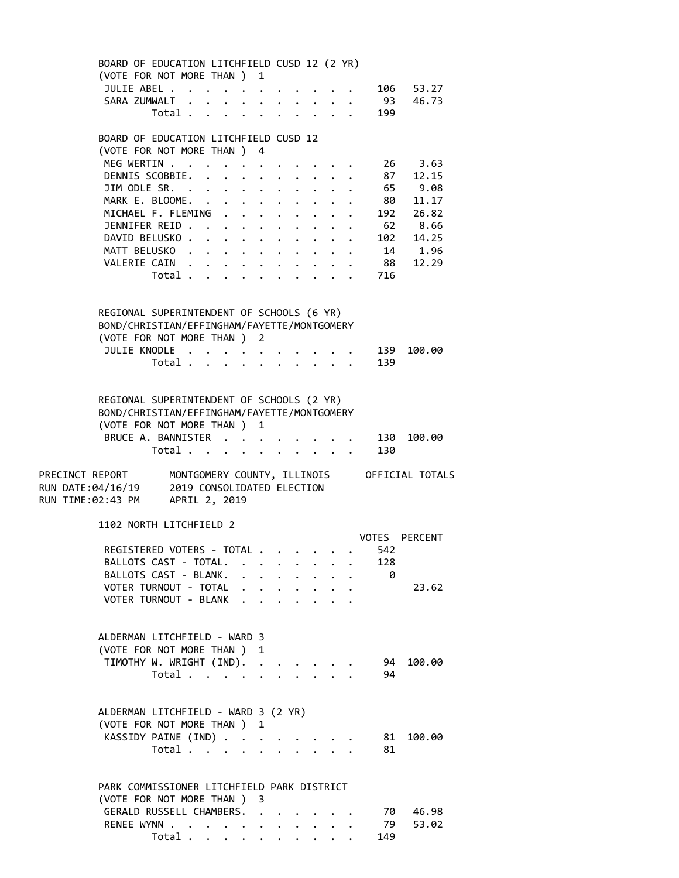BOARD OF EDUCATION LITCHFIELD CUSD 12 (2 YR) (VOTE FOR NOT MORE THAN ) 1 JULIE ABEL . . . . . . . . . . . 106 53.27 SARA ZUMWALT . . . . . . . . . . 93 46.73 Total . . . . . . . . . . 199 BOARD OF EDUCATION LITCHFIELD CUSD 12 (VOTE FOR NOT MORE THAN ) 4 MEG WERTIN . . . . . . . . . . . 26 3.63 DENNIS SCOBBIE. . . . . . . . . . 87 12.15 JIM ODLE SR. . . . . . . . . . . . 65 9.08 MARK E. BLOOME. . . . . . . . . . . 80 11.17 MICHAEL F. FLEMING . . . . . . . . 192 26.82 JENNIFER REID . . . . . . . . . . . 62 8.66<br>DAVID BELUSKO . . . . . . . . . . 102 14.25 DAVID BELUSKO . . . . . . . . . . . 102<br>MATT BELUSKO . . . . . . . . . . 14<br>VALERIE CAIN . . . . . . . . . . 88 MATT BELUSKO . . . . . . . . . . . 14 1.96 VALERIE CAIN . . . . . . . . . . 88 12.29 Total . . . . . . . . . . 716 REGIONAL SUPERINTENDENT OF SCHOOLS (6 YR) BOND/CHRISTIAN/EFFINGHAM/FAYETTE/MONTGOMERY (VOTE FOR NOT MORE THAN ) 2 JULIE KNODLE . . . . . . . . . . 139 100.00 Total . . . . . . . . . . 139 REGIONAL SUPERINTENDENT OF SCHOOLS (2 YR) BOND/CHRISTIAN/EFFINGHAM/FAYETTE/MONTGOMERY (VOTE FOR NOT MORE THAN ) 1 BRUCE A. BANNISTER . . . . . . . . 130 100.00 Total . . . . . . . . . . 130 PRECINCT REPORT MONTGOMERY COUNTY, ILLINOIS OFFICIAL TOTALS RUN DATE:04/16/19 2019 CONSOLIDATED ELECTION RUN TIME:02:43 PM APRIL 2, 2019 1102 NORTH LITCHFIELD 2 VOTES PERCENT REGISTERED VOTERS - TOTAL . . . . . . 542 BALLOTS CAST - TOTAL. . . . . . . . 128 BALLOTS CAST - BLANK. . . . . . . . 0 VOTER TURNOUT - TOTAL . . . . . . . . 23.62 VOTER TURNOUT - BLANK . . . . . . . ALDERMAN LITCHFIELD - WARD 3 (VOTE FOR NOT MORE THAN ) 1 TIMOTHY W. WRIGHT (IND). . . . . . . 94 100.00 Total . . . . . . . . . . 94 ALDERMAN LITCHFIELD - WARD 3 (2 YR) (VOTE FOR NOT MORE THAN ) 1 KASSIDY PAINE (IND) . . . . . . . . 81 100.00 Total . . . . . . . . . . 81 PARK COMMISSIONER LITCHFIELD PARK DISTRICT (VOTE FOR NOT MORE THAN ) 3 GERALD RUSSELL CHAMBERS. . . . . . . 70 46.98 RENEE WYNN . . . . . . . . . . . . 79 53.02 Total . . . . . . . . . . 149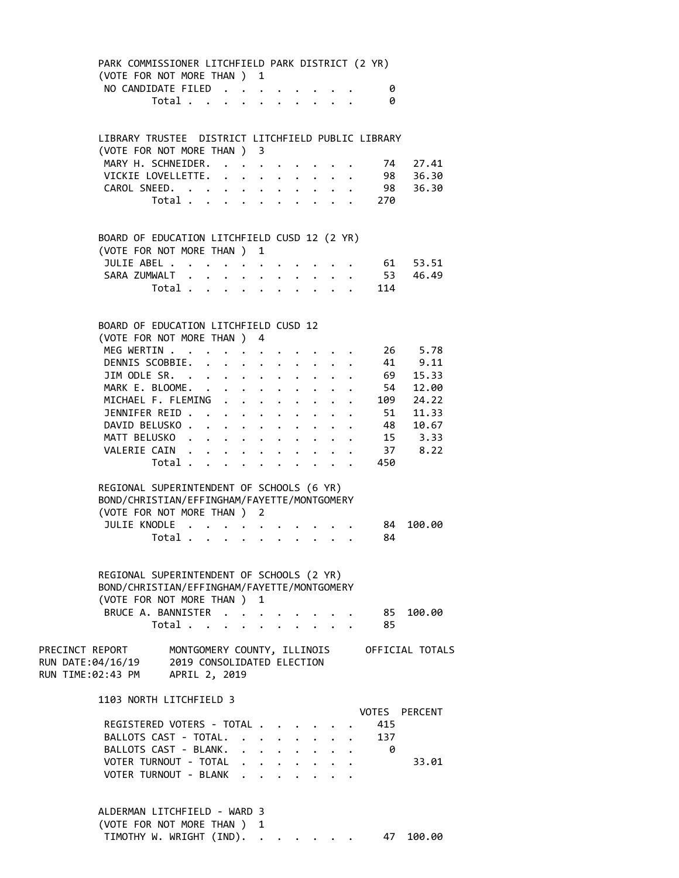| PARK COMMISSIONER LITCHFIELD PARK DISTRICT (2 YR)<br>(VOTE FOR NOT MORE THAN ) 1<br>NO CANDIDATE FILED |                                           |                      |                                                                                                                                                     |                      |                      |                           |  | 0               |                                             |  |
|--------------------------------------------------------------------------------------------------------|-------------------------------------------|----------------------|-----------------------------------------------------------------------------------------------------------------------------------------------------|----------------------|----------------------|---------------------------|--|-----------------|---------------------------------------------|--|
|                                                                                                        | Total                                     |                      | $\mathbf{L}$                                                                                                                                        | $\ddot{\phantom{0}}$ |                      | $\cdot$ $\cdot$ $\cdot$   |  | 0               |                                             |  |
| LIBRARY TRUSTEE DISTRICT LITCHFIELD PUBLIC LIBRARY<br>(VOTE FOR NOT MORE THAN ) 3                      |                                           |                      |                                                                                                                                                     |                      |                      |                           |  |                 |                                             |  |
| MARY H. SCHNEIDER.                                                                                     |                                           |                      |                                                                                                                                                     |                      |                      |                           |  | 74              | 27.41                                       |  |
| VICKIE LOVELLETTE.                                                                                     |                                           |                      | $\bullet$ $\bullet$ $\bullet$                                                                                                                       | $\ddot{\phantom{a}}$ |                      | $\mathbf{L}^{\text{max}}$ |  |                 | 98 36.30                                    |  |
| CAROL SNEED.                                                                                           |                                           |                      | $\bullet$ .<br><br><br><br><br><br><br><br><br><br><br><br><br><br><br><br><br><br><br><br><br><br><br><br><br><br><br><br><br><br><br><br><br><br> |                      |                      |                           |  |                 | 98 36.30                                    |  |
|                                                                                                        | Total                                     |                      |                                                                                                                                                     |                      |                      |                           |  | $\frac{1}{270}$ |                                             |  |
| BOARD OF EDUCATION LITCHFIELD CUSD 12 (2 YR)                                                           |                                           |                      |                                                                                                                                                     |                      |                      |                           |  |                 |                                             |  |
| (VOTE FOR NOT MORE THAN)                                                                               |                                           |                      |                                                                                                                                                     | 1                    |                      |                           |  |                 |                                             |  |
| JULIE ABEL                                                                                             |                                           |                      |                                                                                                                                                     |                      |                      |                           |  |                 | 61 53.51                                    |  |
| SARA ZUMWALT                                                                                           |                                           | $\ddot{\phantom{0}}$ |                                                                                                                                                     |                      |                      |                           |  |                 | . 53 46.49                                  |  |
| Total .                                                                                                | $\mathbf{A}^{\text{max}}$                 | $\ddot{\phantom{0}}$ | $\ddot{\phantom{a}}$                                                                                                                                |                      |                      |                           |  | 114             |                                             |  |
| BOARD OF EDUCATION LITCHFIELD CUSD 12                                                                  |                                           |                      |                                                                                                                                                     |                      |                      |                           |  |                 |                                             |  |
| (VOTE FOR NOT MORE THAN ) 4                                                                            |                                           |                      |                                                                                                                                                     |                      |                      |                           |  |                 |                                             |  |
| MEG WERTIN                                                                                             |                                           |                      |                                                                                                                                                     |                      |                      |                           |  |                 | 26 5.78                                     |  |
| DENNIS SCOBBIE. .                                                                                      |                                           | $\ddot{\phantom{0}}$ | $\ddot{\phantom{a}}$                                                                                                                                | $\ddot{\phantom{0}}$ | $\bullet$ .          |                           |  |                 | 41 9.11                                     |  |
| JIM ODLE SR.<br>MARK E. BLOOME. .                                                                      |                                           |                      | $\ddot{\phantom{0}}$                                                                                                                                | $\ddot{\phantom{0}}$ |                      |                           |  |                 | $69$ 15.33                                  |  |
| MICHAEL F. FLEMING                                                                                     |                                           | $\ddot{\phantom{0}}$ | $\ddot{\phantom{0}}$<br>$\ddot{\phantom{1}}$                                                                                                        | $\mathbf{L}$         | $\ddot{\phantom{0}}$ |                           |  |                 | 54 12.00<br>. 109 24.22                     |  |
| JENNIFER REID                                                                                          |                                           |                      | $\ddot{\phantom{0}}$                                                                                                                                | $\cdot$ $\cdot$      |                      | $\ddot{\phantom{1}}$      |  |                 | 51 11.33                                    |  |
| DAVID BELUSKO.                                                                                         |                                           |                      |                                                                                                                                                     |                      | $\ddot{\phantom{0}}$ | $\ddotsc$                 |  |                 | . 48 10.67                                  |  |
| MATT BELUSKO                                                                                           |                                           |                      |                                                                                                                                                     | $\ddot{\phantom{0}}$ | $\ddot{\phantom{0}}$ | $\ddot{\phantom{a}}$      |  |                 | 15 3.33                                     |  |
| VALERIE CAIN                                                                                           |                                           |                      |                                                                                                                                                     |                      |                      |                           |  |                 | . 37 8.22                                   |  |
|                                                                                                        | Total $\cdots$ $\cdots$ $\cdots$          |                      |                                                                                                                                                     |                      |                      |                           |  | 450             |                                             |  |
| REGIONAL SUPERINTENDENT OF SCHOOLS (6 YR)                                                              |                                           |                      |                                                                                                                                                     |                      |                      |                           |  |                 |                                             |  |
| BOND/CHRISTIAN/EFFINGHAM/FAYETTE/MONTGOMERY                                                            |                                           |                      |                                                                                                                                                     |                      |                      |                           |  |                 |                                             |  |
| (VOTE FOR NOT MORE THAN ) 2                                                                            |                                           |                      |                                                                                                                                                     |                      |                      |                           |  |                 |                                             |  |
| JULIE KNODLE                                                                                           |                                           |                      |                                                                                                                                                     |                      |                      |                           |  | 84              | 100.00                                      |  |
|                                                                                                        | Total $\cdots$ $\cdots$ $\cdots$ $\cdots$ |                      |                                                                                                                                                     |                      |                      |                           |  | 84              |                                             |  |
|                                                                                                        |                                           |                      |                                                                                                                                                     |                      |                      |                           |  |                 |                                             |  |
| REGIONAL SUPERINTENDENT OF SCHOOLS (2 YR)                                                              |                                           |                      |                                                                                                                                                     |                      |                      |                           |  |                 |                                             |  |
| BOND/CHRISTIAN/EFFINGHAM/FAYETTE/MONTGOMERY<br>(VOTE FOR NOT MORE THAN ) 1                             |                                           |                      |                                                                                                                                                     |                      |                      |                           |  |                 |                                             |  |
| BRUCE A. BANNISTER                                                                                     |                                           |                      |                                                                                                                                                     |                      |                      |                           |  | 85              | 100.00                                      |  |
|                                                                                                        | Total                                     |                      |                                                                                                                                                     |                      |                      |                           |  | 85              |                                             |  |
| PRECINCT REPORT                                                                                        |                                           |                      |                                                                                                                                                     |                      |                      |                           |  |                 | MONTGOMERY COUNTY, ILLINOIS OFFICIAL TOTALS |  |
| RUN DATE: 04/16/19<br>RUN TIME:02:43 PM APRIL 2, 2019                                                  | 2019 CONSOLIDATED ELECTION                |                      |                                                                                                                                                     |                      |                      |                           |  |                 |                                             |  |
| 1103 NORTH LITCHFIELD 3                                                                                |                                           |                      |                                                                                                                                                     |                      |                      |                           |  | VOTES           | <b>PERCENT</b>                              |  |
| REGISTERED VOTERS - TOTAL                                                                              |                                           |                      |                                                                                                                                                     |                      |                      |                           |  | 415             |                                             |  |
| BALLOTS CAST - TOTAL.                                                                                  |                                           |                      |                                                                                                                                                     |                      |                      |                           |  | 137             |                                             |  |
| BALLOTS CAST - BLANK.                                                                                  |                                           |                      |                                                                                                                                                     |                      |                      |                           |  | 0               |                                             |  |
| VOTER TURNOUT - TOTAL                                                                                  |                                           |                      |                                                                                                                                                     |                      |                      |                           |  |                 | 33.01                                       |  |
| VOTER TURNOUT - BLANK .                                                                                |                                           |                      |                                                                                                                                                     |                      |                      |                           |  |                 |                                             |  |
|                                                                                                        |                                           |                      |                                                                                                                                                     |                      |                      |                           |  |                 |                                             |  |

| ALDERMAN LITCHFIELD - WARD 3       |  |  |  |  |
|------------------------------------|--|--|--|--|
| (VOTE FOR NOT MORE THAN ) 1        |  |  |  |  |
| TIMOTHY W. WRIGHT (IND). 47 100.00 |  |  |  |  |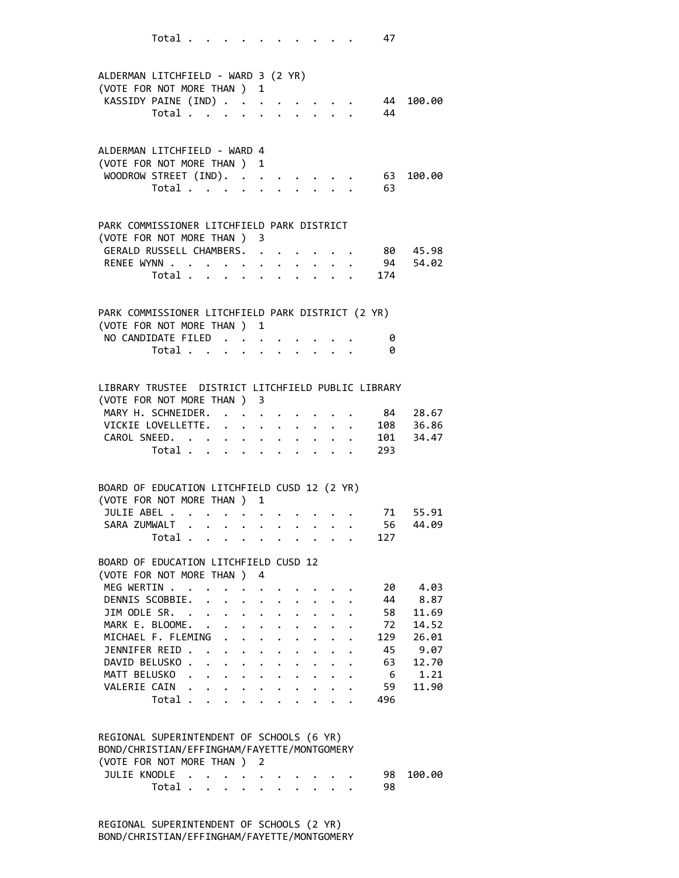|                                                                    | Total                   |              |                                          |                                        |                                                           |             |                                                       |                                      |                                                                 | 47                  |                    |
|--------------------------------------------------------------------|-------------------------|--------------|------------------------------------------|----------------------------------------|-----------------------------------------------------------|-------------|-------------------------------------------------------|--------------------------------------|-----------------------------------------------------------------|---------------------|--------------------|
|                                                                    |                         |              |                                          |                                        |                                                           |             |                                                       |                                      |                                                                 |                     |                    |
| ALDERMAN LITCHFIELD - WARD 3 (2 YR)<br>(VOTE FOR NOT MORE THAN ) 1 |                         |              |                                          |                                        |                                                           |             |                                                       |                                      |                                                                 |                     |                    |
| KASSIDY PAINE (IND)                                                |                         |              |                                          |                                        |                                                           |             |                                                       |                                      |                                                                 |                     | 44 100.00          |
|                                                                    | Total                   |              |                                          |                                        | $\mathbf{L}^{\text{max}}$ , and $\mathbf{L}^{\text{max}}$ |             |                                                       |                                      |                                                                 | -44                 |                    |
|                                                                    |                         |              |                                          |                                        |                                                           |             |                                                       |                                      |                                                                 |                     |                    |
| ALDERMAN LITCHFIELD - WARD 4                                       |                         |              |                                          |                                        |                                                           |             |                                                       |                                      |                                                                 |                     |                    |
| (VOTE FOR NOT MORE THAN ) 1                                        |                         |              |                                          |                                        |                                                           |             |                                                       |                                      |                                                                 |                     |                    |
| WOODROW STREET (IND).                                              |                         |              |                                          |                                        |                                                           |             |                                                       |                                      |                                                                 | 63                  | 100.00             |
|                                                                    | Total                   |              |                                          |                                        |                                                           |             |                                                       |                                      |                                                                 | 63                  |                    |
|                                                                    |                         |              |                                          |                                        |                                                           |             |                                                       |                                      |                                                                 |                     |                    |
| PARK COMMISSIONER LITCHFIELD PARK DISTRICT                         |                         |              |                                          |                                        |                                                           |             |                                                       |                                      |                                                                 |                     |                    |
| (VOTE FOR NOT MORE THAN ) 3                                        |                         |              |                                          |                                        |                                                           |             |                                                       |                                      |                                                                 |                     |                    |
| GERALD RUSSELL CHAMBERS.                                           |                         |              |                                          |                                        |                                                           |             |                                                       |                                      |                                                                 |                     | . 80 45.98         |
| RENEE WYNN                                                         |                         |              |                                          |                                        | $\bullet$                                                 |             | $\ddot{\phantom{0}}$                                  | $\ddot{\phantom{0}}$                 |                                                                 |                     | . 94 54.02         |
|                                                                    | Total $\cdots$ $\cdots$ |              |                                          |                                        |                                                           |             | $\cdot$ $\cdot$ $\cdot$ $\cdot$ $\cdot$               |                                      |                                                                 | 174                 |                    |
|                                                                    |                         |              |                                          |                                        |                                                           |             |                                                       |                                      |                                                                 |                     |                    |
| PARK COMMISSIONER LITCHFIELD PARK DISTRICT (2 YR)                  |                         |              |                                          |                                        |                                                           |             |                                                       |                                      |                                                                 |                     |                    |
| (VOTE FOR NOT MORE THAN ) 1                                        |                         |              |                                          |                                        |                                                           |             |                                                       |                                      |                                                                 |                     |                    |
| NO CANDIDATE FILED                                                 | Total                   |              |                                          |                                        |                                                           |             |                                                       |                                      |                                                                 | 0<br>0              |                    |
|                                                                    |                         |              |                                          |                                        |                                                           |             |                                                       |                                      |                                                                 |                     |                    |
|                                                                    |                         |              |                                          |                                        |                                                           |             |                                                       |                                      |                                                                 |                     |                    |
| LIBRARY TRUSTEE DISTRICT LITCHFIELD PUBLIC LIBRARY                 |                         |              |                                          |                                        |                                                           |             |                                                       |                                      |                                                                 |                     |                    |
| (VOTE FOR NOT MORE THAN ) 3                                        |                         |              |                                          |                                        |                                                           |             |                                                       |                                      |                                                                 |                     |                    |
| MARY H. SCHNEIDER.<br>VICKIE LOVELLETTE. .                         |                         |              |                                          |                                        |                                                           |             |                                                       |                                      |                                                                 | 84                  | 28.67<br>108 36.86 |
| CAROL SNEED.                                                       |                         |              |                                          | $\ddot{\phantom{0}}$                   | $\ddot{\phantom{0}}$                                      |             | $\ddot{\phantom{0}}$<br>$\ddot{\phantom{0}}$          | $\mathbf{L}^{\text{max}}$            |                                                                 | $\cdot$ $\cdot$ 101 | 34.47              |
|                                                                    | Total $\cdot$           |              |                                          |                                        |                                                           |             |                                                       |                                      |                                                                 | 293                 |                    |
|                                                                    |                         |              |                                          |                                        |                                                           |             |                                                       |                                      |                                                                 |                     |                    |
| BOARD OF EDUCATION LITCHFIELD CUSD 12 (2 YR)                       |                         |              |                                          |                                        |                                                           |             |                                                       |                                      |                                                                 |                     |                    |
| (VOTE FOR NOT MORE THAN)                                           |                         |              |                                          |                                        | 1                                                         |             |                                                       |                                      |                                                                 |                     |                    |
| JULIE ABEL .                                                       |                         | $\mathbf{L}$ |                                          |                                        |                                                           |             |                                                       |                                      |                                                                 |                     | 71 55.91           |
| SARA ZUMWALT                                                       |                         |              | $\mathbf{z} = \mathbf{z} + \mathbf{z}$ . | $\sigma_{\rm{eff}}$                    |                                                           |             | $\mathbf{r} = \mathbf{r} + \mathbf{r} + \mathbf{r}$ . |                                      |                                                                 | 56                  | 44.09              |
|                                                                    | Total                   |              |                                          |                                        |                                                           |             |                                                       |                                      | $\mathcal{L}(\mathcal{A})$ , and $\mathcal{L}(\mathcal{A})$     | 127                 |                    |
| BOARD OF EDUCATION LITCHFIELD CUSD 12                              |                         |              |                                          |                                        |                                                           |             |                                                       |                                      |                                                                 |                     |                    |
| (VOTE FOR NOT MORE THAN)                                           |                         |              |                                          |                                        | 4                                                         |             |                                                       |                                      |                                                                 |                     |                    |
| MEG WERTIN                                                         |                         |              |                                          |                                        |                                                           |             |                                                       |                                      |                                                                 | 20                  | 4.03               |
| DENNIS SCOBBIE. .                                                  |                         |              |                                          | $\ddot{\phantom{0}}$                   | $\mathbf{L} = \mathbf{L} \mathbf{L}$                      | $\bullet$ . |                                                       |                                      |                                                                 | 44                  | 8.87               |
| JIM ODLE SR. .                                                     |                         |              |                                          | $\mathbf{r} = \mathbf{r} + \mathbf{r}$ |                                                           |             |                                                       |                                      |                                                                 | 58                  | 11.69              |
| MARK E. BLOOME.                                                    |                         |              |                                          |                                        | $\ddot{\phantom{a}}$                                      |             |                                                       |                                      |                                                                 | 72                  | 14.52              |
| MICHAEL F. FLEMING<br>JENNIFER REID                                |                         |              |                                          |                                        |                                                           |             |                                                       | $\mathbf{L}$<br>$\ddot{\phantom{a}}$ | $\mathbf{L}$                                                    | 129<br>45           | 26.01<br>9.07      |
| DAVID BELUSKO                                                      |                         |              |                                          |                                        |                                                           |             | $\bullet$ .                                           |                                      | $\ddot{\phantom{a}}$                                            | 63                  | 12.70              |
| MATT BELUSKO.                                                      |                         |              |                                          |                                        |                                                           |             |                                                       |                                      | $\bullet$ .<br><br><br><br><br><br><br><br><br><br><br><br><br> | $6\overline{6}$     | 1.21               |
| VALERIE CAIN                                                       |                         |              |                                          |                                        |                                                           |             | $\mathbf{z} = \mathbf{z}$ . The $\mathbf{z}$          |                                      |                                                                 | 59                  | 11.90              |
|                                                                    | Total                   |              |                                          |                                        |                                                           |             |                                                       |                                      |                                                                 | 496                 |                    |
|                                                                    |                         |              |                                          |                                        |                                                           |             |                                                       |                                      |                                                                 |                     |                    |
| REGIONAL SUPERINTENDENT OF SCHOOLS (6 YR)                          |                         |              |                                          |                                        |                                                           |             |                                                       |                                      |                                                                 |                     |                    |
| BOND/CHRISTIAN/EFFINGHAM/FAYETTE/MONTGOMERY                        |                         |              |                                          |                                        |                                                           |             |                                                       |                                      |                                                                 |                     |                    |
| (VOTE FOR NOT MORE THAN)                                           |                         |              |                                          |                                        | 2                                                         |             |                                                       |                                      |                                                                 |                     |                    |
| JULIE KNODLE .                                                     |                         |              | $\cdots$                                 |                                        |                                                           |             |                                                       |                                      |                                                                 | 98                  | 100.00             |
|                                                                    | Total                   |              |                                          |                                        | $\ddot{\phantom{0}}$                                      |             |                                                       |                                      |                                                                 | 98                  |                    |

 REGIONAL SUPERINTENDENT OF SCHOOLS (2 YR) BOND/CHRISTIAN/EFFINGHAM/FAYETTE/MONTGOMERY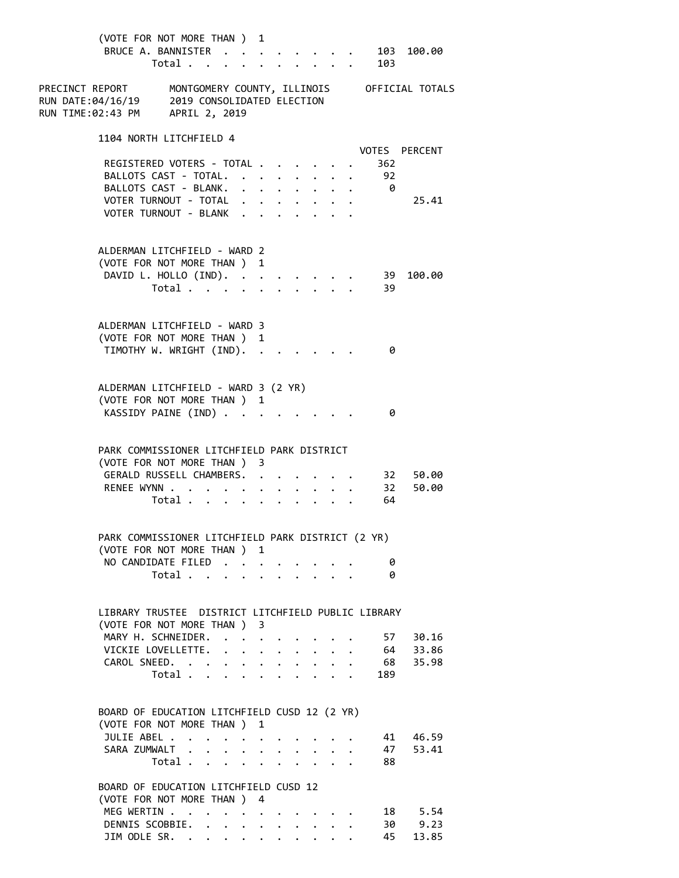| (VOTE FOR NOT MORE THAN ) 1<br>BRUCE A. BANNISTER                                                                                              | Total                                     |                      |                                        |              |              |              | $\mathbf{r}$ and $\mathbf{r}$ and $\mathbf{r}$                           |                           | 103  | $\cdot$ 103 100.00 |
|------------------------------------------------------------------------------------------------------------------------------------------------|-------------------------------------------|----------------------|----------------------------------------|--------------|--------------|--------------|--------------------------------------------------------------------------|---------------------------|------|--------------------|
| PRECINCT REPORT MONTGOMERY COUNTY, ILLINOIS OFFICIAL TOTALS<br>RUN DATE:04/16/19 2019 CONSOLIDATED ELECTION<br>RUN TIME:02:43 PM APRIL 2, 2019 |                                           |                      |                                        |              |              |              |                                                                          |                           |      |                    |
| 1104 NORTH LITCHFIELD 4                                                                                                                        |                                           |                      |                                        |              |              |              |                                                                          |                           |      |                    |
| REGISTERED VOTERS - TOTAL                                                                                                                      |                                           |                      |                                        |              |              |              |                                                                          |                           | -362 | VOTES PERCENT      |
| BALLOTS CAST - TOTAL. 92                                                                                                                       |                                           |                      |                                        |              |              |              |                                                                          |                           |      |                    |
| BALLOTS CAST - BLANK. 0<br>VOTER TURNOUT - TOTAL                                                                                               |                                           |                      |                                        |              |              |              |                                                                          |                           |      | 25.41              |
| VOTER TURNOUT - BLANK                                                                                                                          |                                           |                      |                                        |              |              |              |                                                                          |                           |      |                    |
| ALDERMAN LITCHFIELD - WARD 2                                                                                                                   |                                           |                      |                                        |              |              |              |                                                                          |                           |      |                    |
| (VOTE FOR NOT MORE THAN ) 1                                                                                                                    |                                           |                      |                                        |              |              |              |                                                                          |                           |      |                    |
| DAVID L. HOLLO (IND). 39                                                                                                                       |                                           |                      |                                        |              |              |              |                                                                          |                           |      | 100.00             |
|                                                                                                                                                | Total 39                                  |                      |                                        |              |              |              |                                                                          |                           |      |                    |
| ALDERMAN LITCHFIELD - WARD 3                                                                                                                   |                                           |                      |                                        |              |              |              |                                                                          |                           |      |                    |
| (VOTE FOR NOT MORE THAN ) 1                                                                                                                    |                                           |                      |                                        |              |              |              |                                                                          |                           |      |                    |
| TIMOTHY W. WRIGHT (IND).                                                                                                                       |                                           |                      |                                        |              |              |              |                                                                          |                           | - 0  |                    |
| ALDERMAN LITCHFIELD - WARD 3 (2 YR)                                                                                                            |                                           |                      |                                        |              |              |              |                                                                          |                           |      |                    |
| (VOTE FOR NOT MORE THAN ) 1                                                                                                                    |                                           |                      |                                        |              |              |              |                                                                          |                           |      |                    |
| KASSIDY PAINE (IND)                                                                                                                            |                                           |                      |                                        |              |              |              |                                                                          |                           | 0    |                    |
| PARK COMMISSIONER LITCHFIELD PARK DISTRICT<br>(VOTE FOR NOT MORE THAN ) 3                                                                      |                                           |                      |                                        |              |              |              |                                                                          |                           |      |                    |
| GERALD RUSSELL CHAMBERS. 32 50.00                                                                                                              |                                           |                      |                                        |              |              |              |                                                                          |                           |      |                    |
| RENEE WYNN 32 50.00                                                                                                                            |                                           |                      |                                        |              |              |              |                                                                          |                           |      |                    |
|                                                                                                                                                | Total 64                                  |                      |                                        |              |              |              |                                                                          |                           |      |                    |
| PARK COMMISSIONER LITCHFIELD PARK DISTRICT (2 YR)                                                                                              |                                           |                      |                                        |              |              |              |                                                                          |                           |      |                    |
| (VOTE FOR NOT MORE THAN ) 1                                                                                                                    |                                           |                      |                                        |              |              |              |                                                                          |                           |      |                    |
| NO CANDIDATE FILED                                                                                                                             |                                           |                      |                                        |              |              |              |                                                                          |                           | 0    |                    |
|                                                                                                                                                | Total $\cdots$ $\cdots$ $\cdots$ $\cdots$ |                      |                                        |              |              |              |                                                                          |                           | 0    |                    |
| LIBRARY TRUSTEE DISTRICT LITCHFIELD PUBLIC LIBRARY                                                                                             |                                           |                      |                                        |              |              |              |                                                                          |                           |      |                    |
| (VOTE FOR NOT MORE THAN ) 3<br>MARY H. SCHNEIDER. .                                                                                            |                                           |                      |                                        |              |              |              |                                                                          |                           |      | 57 30.16           |
| VICKIE LOVELLETTE.                                                                                                                             |                                           |                      | $\mathbf{a} = \mathbf{a} + \mathbf{b}$ |              |              |              |                                                                          |                           |      | 64 33.86           |
| CAROL SNEED.                                                                                                                                   |                                           |                      |                                        |              |              |              |                                                                          |                           |      | 68 35.98           |
|                                                                                                                                                | Total $\cdots$                            |                      |                                        |              |              |              |                                                                          |                           | 189  |                    |
| BOARD OF EDUCATION LITCHFIELD CUSD 12 (2 YR)                                                                                                   |                                           |                      |                                        |              |              |              |                                                                          |                           |      |                    |
| (VOTE FOR NOT MORE THAN ) 1                                                                                                                    |                                           |                      |                                        |              |              |              |                                                                          |                           |      |                    |
| JULIE ABEL                                                                                                                                     |                                           |                      | $\sim$                                 |              |              |              |                                                                          |                           |      | 41 46.59           |
| SARA ZUMWALT                                                                                                                                   |                                           | $\ddot{\phantom{a}}$ |                                        |              |              |              | $\mathbf{r}$ , $\mathbf{r}$ , $\mathbf{r}$ , $\mathbf{r}$ , $\mathbf{r}$ |                           |      | 47 53.41           |
|                                                                                                                                                | Total                                     |                      |                                        | $\mathbf{r}$ | $\mathbf{r}$ | $\mathbf{r}$ | $\mathbf{r}$                                                             | $\mathbf{L}^{\text{max}}$ | 88   |                    |
| BOARD OF EDUCATION LITCHFIELD CUSD 12<br>(VOTE FOR NOT MORE THAN ) 4                                                                           |                                           |                      |                                        |              |              |              |                                                                          |                           |      |                    |
| MEG WERTIN                                                                                                                                     |                                           |                      |                                        |              |              |              |                                                                          |                           |      | 18 5.54            |
| DENNIS SCOBBIE.                                                                                                                                |                                           |                      |                                        |              |              |              |                                                                          |                           |      | 30 9.23            |
| JIM ODLE SR.                                                                                                                                   |                                           |                      |                                        |              |              |              |                                                                          |                           | 45   | 13.85              |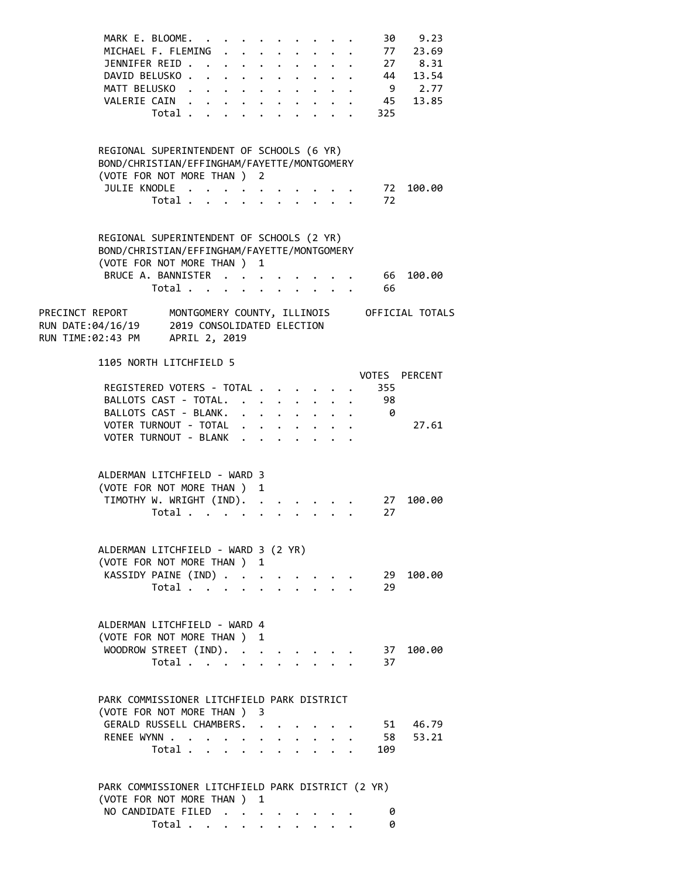| MARK E. BLOOME.<br>MICHAEL F. FLEMING .<br>JENNIFER REID<br>DAVID BELUSKO<br>MATT BELUSKO.<br>VALERIE CAIN<br>Total $\cdots$ $\cdots$                              | 30<br>9.23<br>. 77 23.69<br>$\cdot$ $\cdot$ $\cdot$ $\cdot$ $\cdot$ $\cdot$ $\cdot$<br>$\begin{array}{cccc} . & 27 & 8.31 \\ . & 44 & 13.54 \\ . & 9 & 2.77 \end{array}$<br>$\mathbf{r} = \mathbf{r} + \mathbf{r}$ , where $\mathbf{r} = \mathbf{r}$<br>45 13.85<br>$\mathbf{r} = \mathbf{r} + \mathbf{r}$ . The $\mathbf{r}$<br>325 |
|--------------------------------------------------------------------------------------------------------------------------------------------------------------------|--------------------------------------------------------------------------------------------------------------------------------------------------------------------------------------------------------------------------------------------------------------------------------------------------------------------------------------|
| REGIONAL SUPERINTENDENT OF SCHOOLS (6 YR)<br>BOND/CHRISTIAN/EFFINGHAM/FAYETTE/MONTGOMERY<br>(VOTE FOR NOT MORE THAN ) 2<br>JULIE KNODLE<br>Total<br>$\mathbf{L}$   | 72 100.00<br>72<br>$\mathbf{r}$ , $\mathbf{r}$                                                                                                                                                                                                                                                                                       |
| REGIONAL SUPERINTENDENT OF SCHOOLS (2 YR)<br>BOND/CHRISTIAN/EFFINGHAM/FAYETTE/MONTGOMERY<br>(VOTE FOR NOT MORE THAN ) 1<br>BRUCE A. BANNISTER<br>Total             | 66 100.00<br>66                                                                                                                                                                                                                                                                                                                      |
| PRECINCT REPORT MONTGOMERY COUNTY, ILLINOIS OFFICIAL TOTALS<br>RUN DATE:04/16/19 2019 CONSOLIDATED ELECTION<br>RUN TIME:02:43 PM APRIL 2, 2019                     |                                                                                                                                                                                                                                                                                                                                      |
| 1105 NORTH LITCHFIELD 5<br>REGISTERED VOTERS - TOTAL<br>BALLOTS CAST - TOTAL.<br>BALLOTS CAST - BLANK.                                                             | VOTES PERCENT<br>355<br>98<br>$\mathbf{r} = \mathbf{r} + \mathbf{r}$<br>- 0                                                                                                                                                                                                                                                          |
| VOTER TURNOUT - TOTAL<br>VOTER TURNOUT - BLANK                                                                                                                     | 27.61<br>$\cdot$ $\cdot$ $\cdot$ $\cdot$ $\cdot$ $\cdot$ $\cdot$ $\cdot$                                                                                                                                                                                                                                                             |
| ALDERMAN LITCHFIELD - WARD 3<br>(VOTE FOR NOT MORE THAN ) 1<br>TIMOTHY W. WRIGHT (IND).<br>Total $\cdots$ $\cdots$ $\cdots$ $\cdots$                               | 27<br>100.00<br>27                                                                                                                                                                                                                                                                                                                   |
| ALDERMAN LITCHFIELD - WARD 3 (2 YR)<br>(VOTE FOR NOT MORE THAN ) 1<br>KASSIDY PAINE (IND)<br>Total                                                                 | 29 100.00<br>29                                                                                                                                                                                                                                                                                                                      |
| ALDERMAN LITCHFIELD - WARD 4<br>(VOTE FOR NOT MORE THAN ) 1<br>WOODROW STREET (IND).<br>Total $\cdots$ $\cdots$ $\cdots$                                           | 37 100.00<br>37                                                                                                                                                                                                                                                                                                                      |
| PARK COMMISSIONER LITCHFIELD PARK DISTRICT<br>(VOTE FOR NOT MORE THAN ) 3<br>GERALD RUSSELL CHAMBERS. .<br>RENEE WYNN<br>Total $\cdots$ $\cdots$ $\cdots$ $\cdots$ | 51 46.79<br>58 53.21<br>$\cdot$ $\cdot$ $\cdot$<br>$\cdot$ $\cdot$ $\cdot$<br>109                                                                                                                                                                                                                                                    |
| PARK COMMISSIONER LITCHFIELD PARK DISTRICT (2 YR)<br>(VOTE FOR NOT MORE THAN ) 1<br>NO CANDIDATE FILED<br>Total $\cdots$ $\cdots$ $\cdots$                         | 0<br>0                                                                                                                                                                                                                                                                                                                               |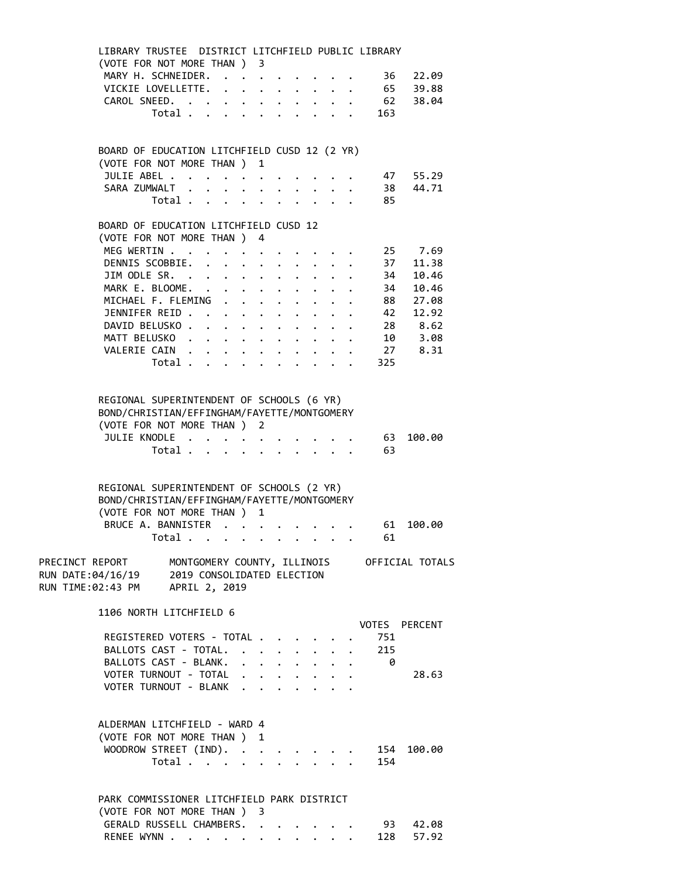| LIBRARY TRUSTEE DISTRICT LITCHFIELD PUBLIC LIBRARY<br>(VOTE FOR NOT MORE THAN ) 3                                                                                         |                                  |  |  |             |                                                 |                                                                                                |                                  |
|---------------------------------------------------------------------------------------------------------------------------------------------------------------------------|----------------------------------|--|--|-------------|-------------------------------------------------|------------------------------------------------------------------------------------------------|----------------------------------|
| MARY H. SCHNEIDER.                                                                                                                                                        |                                  |  |  |             |                                                 |                                                                                                |                                  |
| VICKIE LOVELLETTE.                                                                                                                                                        |                                  |  |  |             |                                                 |                                                                                                | 36       22.09<br>65       39.88 |
| CAROL SNEED.                                                                                                                                                              |                                  |  |  |             |                                                 |                                                                                                | $62 \t 38.04$                    |
|                                                                                                                                                                           |                                  |  |  |             |                                                 | Total 163                                                                                      |                                  |
|                                                                                                                                                                           |                                  |  |  |             |                                                 |                                                                                                |                                  |
| BOARD OF EDUCATION LITCHFIELD CUSD 12 (2 YR)                                                                                                                              |                                  |  |  |             |                                                 |                                                                                                |                                  |
| (VOTE FOR NOT MORE THAN ) 1                                                                                                                                               |                                  |  |  |             |                                                 |                                                                                                |                                  |
| JULIE ABEL<br>SARA ZUMWALT                                                                                                                                                |                                  |  |  |             |                                                 |                                                                                                | 47 55.29                         |
|                                                                                                                                                                           |                                  |  |  |             |                                                 |                                                                                                | 38 44.71                         |
|                                                                                                                                                                           | Total                            |  |  |             | $\cdot$ $\cdot$ $\cdot$ $\cdot$ $\cdot$ $\cdot$ | 85                                                                                             |                                  |
| BOARD OF EDUCATION LITCHFIELD CUSD 12                                                                                                                                     |                                  |  |  |             |                                                 |                                                                                                |                                  |
| (VOTE FOR NOT MORE THAN ) 4                                                                                                                                               |                                  |  |  |             |                                                 |                                                                                                |                                  |
| MEG WERTIN 25 7.69                                                                                                                                                        |                                  |  |  |             |                                                 |                                                                                                |                                  |
| DENNIS SCOBBIE.                                                                                                                                                           |                                  |  |  |             |                                                 | 37                                                                                             | 11.38                            |
| JIM ODLE SR.                                                                                                                                                              |                                  |  |  |             |                                                 | 34<br>34                                                                                       | 10.46                            |
| MARK E. BLOOME.<br>MICHAEL F. FLEMING                                                                                                                                     |                                  |  |  |             |                                                 |                                                                                                | 10.46<br>$88 \overline{)27.08}$  |
| JENNIFER REID 42 12.92                                                                                                                                                    |                                  |  |  | $\bullet$ . |                                                 |                                                                                                |                                  |
| DAVID BELUSKO 28 8.62                                                                                                                                                     |                                  |  |  |             |                                                 |                                                                                                |                                  |
| MATT BELUSKO 10 3.08                                                                                                                                                      |                                  |  |  |             |                                                 |                                                                                                |                                  |
| VALERIE CAIN 27 8.31                                                                                                                                                      |                                  |  |  |             |                                                 |                                                                                                |                                  |
|                                                                                                                                                                           | Total $\cdots$                   |  |  |             |                                                 | 325                                                                                            |                                  |
|                                                                                                                                                                           |                                  |  |  |             |                                                 |                                                                                                |                                  |
| REGIONAL SUPERINTENDENT OF SCHOOLS (6 YR)<br>BOND/CHRISTIAN/EFFINGHAM/FAYETTE/MONTGOMERY<br>(VOTE FOR NOT MORE THAN ) 2                                                   |                                  |  |  |             |                                                 |                                                                                                |                                  |
| JULIE KNODLE                                                                                                                                                              |                                  |  |  |             |                                                 | 63                                                                                             | 100.00                           |
|                                                                                                                                                                           |                                  |  |  |             |                                                 | Total 63                                                                                       |                                  |
| REGIONAL SUPERINTENDENT OF SCHOOLS (2 YR)<br>BOND/CHRISTIAN/EFFINGHAM/FAYETTE/MONTGOMERY<br>(VOTE FOR NOT MORE THAN ) 1<br>BRUCE A. BANNISTER 61                          |                                  |  |  |             |                                                 |                                                                                                | 100.00                           |
| Total                                                                                                                                                                     |                                  |  |  |             |                                                 | 61<br>$\mathbf{r}$ , and $\mathbf{r}$ , and $\mathbf{r}$ , and $\mathbf{r}$ , and $\mathbf{r}$ |                                  |
| PRECINCT REPORT MONTGOMERY COUNTY, ILLINOIS OFFICIAL TOTALS<br>RUN DATE:04/16/19 2019 CONSOLIDATED ELECTION<br>RUN TIME:02:43 PM APRIL 2, 2019<br>1106 NORTH LITCHFIELD 6 |                                  |  |  |             |                                                 |                                                                                                |                                  |
|                                                                                                                                                                           |                                  |  |  |             |                                                 |                                                                                                | VOTES PERCENT                    |
| REGISTERED VOTERS - TOTAL                                                                                                                                                 |                                  |  |  |             |                                                 | 751                                                                                            |                                  |
| BALLOTS CAST - TOTAL.                                                                                                                                                     |                                  |  |  |             |                                                 | $\cdot$ $\cdot$ $\cdot$ $\cdot$ $\cdot$ $\cdot$ $\cdot$ 215                                    |                                  |
| BALLOTS CAST - BLANK.                                                                                                                                                     |                                  |  |  |             |                                                 | $\theta$                                                                                       |                                  |
| VOTER TURNOUT - TOTAL                                                                                                                                                     |                                  |  |  |             |                                                 |                                                                                                | 28.63                            |
| VOTER TURNOUT - BLANK                                                                                                                                                     |                                  |  |  |             |                                                 |                                                                                                |                                  |
| ALDERMAN LITCHFIELD - WARD 4<br>(VOTE FOR NOT MORE THAN ) 1<br>WOODROW STREET (IND).                                                                                      | Total $\cdots$ $\cdots$ $\cdots$ |  |  |             |                                                 | 154                                                                                            | 154 100.00                       |
|                                                                                                                                                                           |                                  |  |  |             |                                                 |                                                                                                |                                  |
| PARK COMMISSIONER LITCHFIELD PARK DISTRICT                                                                                                                                |                                  |  |  |             |                                                 |                                                                                                |                                  |
| (VOTE FOR NOT MORE THAN ) 3                                                                                                                                               |                                  |  |  |             |                                                 |                                                                                                |                                  |
| GERALD RUSSELL CHAMBERS.                                                                                                                                                  |                                  |  |  |             |                                                 |                                                                                                | 93 42.08                         |
| RENEE WYNN                                                                                                                                                                |                                  |  |  |             |                                                 |                                                                                                | 128 57.92                        |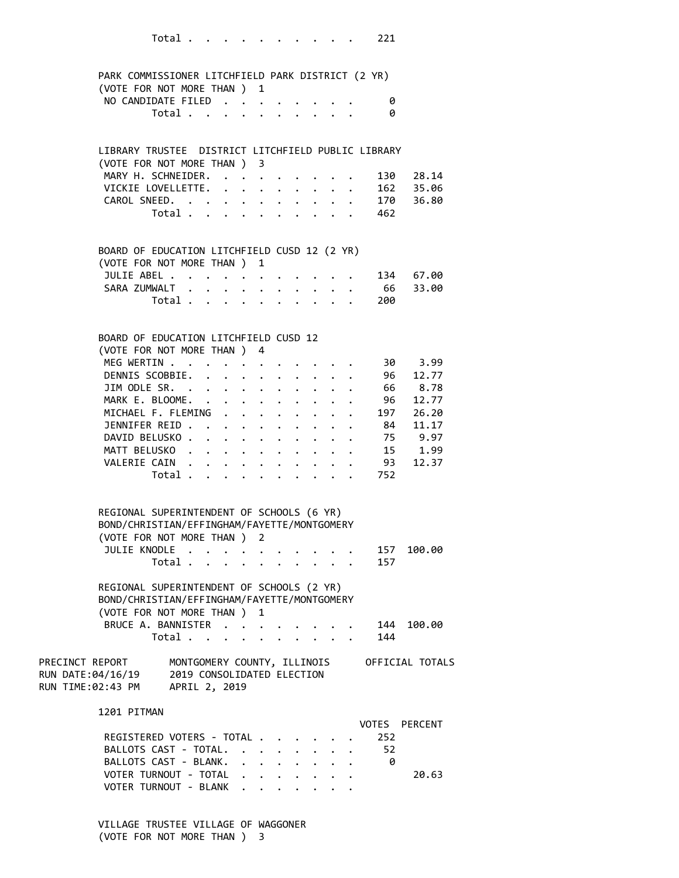|                                                             | Total 221                                                           |                                                                |                         |                                        |                      |                      |                                 |              |     |                     |
|-------------------------------------------------------------|---------------------------------------------------------------------|----------------------------------------------------------------|-------------------------|----------------------------------------|----------------------|----------------------|---------------------------------|--------------|-----|---------------------|
|                                                             | PARK COMMISSIONER LITCHFIELD PARK DISTRICT (2 YR)                   |                                                                |                         |                                        |                      |                      |                                 |              |     |                     |
|                                                             | (VOTE FOR NOT MORE THAN ) 1                                         |                                                                |                         |                                        |                      |                      |                                 |              |     |                     |
|                                                             | NO CANDIDATE FILED                                                  |                                                                |                         |                                        |                      |                      |                                 |              | 0   |                     |
|                                                             | Total                                                               |                                                                |                         |                                        |                      |                      |                                 |              | ø   |                     |
|                                                             |                                                                     |                                                                |                         |                                        |                      |                      |                                 |              |     |                     |
|                                                             | LIBRARY TRUSTEE DISTRICT LITCHFIELD PUBLIC LIBRARY                  |                                                                |                         |                                        |                      |                      |                                 |              |     |                     |
|                                                             | (VOTE FOR NOT MORE THAN ) 3                                         |                                                                |                         |                                        |                      |                      |                                 |              |     |                     |
|                                                             | MARY H. SCHNEIDER.                                                  |                                                                |                         |                                        |                      |                      |                                 |              |     | 130 28.14           |
|                                                             | VICKIE LOVELLETTE. 162 35.06<br>CAROL SNEED. 170 36.80<br>Total 462 |                                                                |                         |                                        |                      |                      |                                 |              |     |                     |
|                                                             |                                                                     |                                                                |                         |                                        |                      |                      |                                 |              |     |                     |
|                                                             |                                                                     |                                                                |                         |                                        |                      |                      |                                 |              |     |                     |
|                                                             |                                                                     |                                                                |                         |                                        |                      |                      |                                 |              |     |                     |
|                                                             | BOARD OF EDUCATION LITCHFIELD CUSD 12 (2 YR)                        |                                                                |                         |                                        |                      |                      |                                 |              |     |                     |
|                                                             | (VOTE FOR NOT MORE THAN ) 1                                         |                                                                |                         |                                        |                      |                      |                                 |              |     |                     |
|                                                             | JULIE ABEL                                                          |                                                                |                         |                                        |                      |                      |                                 |              |     | 134 67.00           |
|                                                             | SARA ZUMWALT .                                                      | $\ddot{\phantom{0}}$                                           | $\cdot$ $\cdot$ $\cdot$ |                                        |                      |                      | $\cdot$ $\cdot$ $\cdot$ $\cdot$ |              | 200 | 66 33.00            |
|                                                             | Total                                                               |                                                                |                         |                                        | $\ddot{\phantom{0}}$ |                      | $\ddot{\phantom{0}}$            |              |     |                     |
|                                                             | BOARD OF EDUCATION LITCHFIELD CUSD 12                               |                                                                |                         |                                        |                      |                      |                                 |              |     |                     |
|                                                             | (VOTE FOR NOT MORE THAN ) 4                                         |                                                                |                         |                                        |                      |                      |                                 |              |     |                     |
| MEG WERTIN .                                                |                                                                     | . The contract of the contract of the contract of the $\alpha$ |                         |                                        |                      |                      |                                 |              |     | 30 3.99             |
|                                                             | DENNIS SCOBBIE.                                                     |                                                                |                         |                                        |                      |                      |                                 |              |     | 12.77               |
|                                                             | JIM ODLE SR.                                                        |                                                                |                         |                                        |                      |                      | $\bullet$ .                     |              | 96  |                     |
|                                                             | MARK E. BLOOME.                                                     |                                                                |                         |                                        |                      |                      |                                 |              |     | 66 8.78<br>96 12.77 |
|                                                             | MICHAEL F. FLEMING                                                  |                                                                |                         | $\mathbf{z} = \mathbf{z} + \mathbf{z}$ | $\bullet$ .          | $\ddot{\phantom{0}}$ | $\ddot{\phantom{0}}$            | $\mathbf{r}$ |     | . 197 26.20         |
|                                                             | JENNIFER REID 84 11.17                                              |                                                                |                         |                                        |                      |                      |                                 |              |     |                     |
|                                                             |                                                                     |                                                                |                         |                                        |                      |                      |                                 |              |     |                     |
|                                                             | DAVID BELUSKO 75 9.97                                               |                                                                |                         |                                        |                      |                      |                                 |              |     |                     |
|                                                             | MATT BELUSKO                                                        |                                                                |                         |                                        |                      |                      |                                 |              |     | 15 1.99             |
|                                                             | VALERIE CAIN<br>Total 752                                           |                                                                |                         |                                        |                      |                      |                                 |              |     | 93 12.37            |
|                                                             |                                                                     |                                                                |                         |                                        |                      |                      |                                 |              |     |                     |
|                                                             | REGIONAL SUPERINTENDENT OF SCHOOLS (6 YR)                           |                                                                |                         |                                        |                      |                      |                                 |              |     |                     |
|                                                             | BOND/CHRISTIAN/EFFINGHAM/FAYETTE/MONTGOMERY                         |                                                                |                         |                                        |                      |                      |                                 |              |     |                     |
|                                                             | (VOTE FOR NOT MORE THAN ) 2                                         |                                                                |                         |                                        |                      |                      |                                 |              |     |                     |
|                                                             | JULIE KNODLE                                                        |                                                                |                         |                                        |                      |                      |                                 |              |     | 157 100.00          |
|                                                             | Total $\cdots$ $\cdots$ $\cdots$ $\cdots$                           |                                                                |                         |                                        |                      |                      |                                 |              | 157 |                     |
|                                                             | REGIONAL SUPERINTENDENT OF SCHOOLS (2 YR)                           |                                                                |                         |                                        |                      |                      |                                 |              |     |                     |
|                                                             | BOND/CHRISTIAN/EFFINGHAM/FAYETTE/MONTGOMERY                         |                                                                |                         |                                        |                      |                      |                                 |              |     |                     |
|                                                             | (VOTE FOR NOT MORE THAN ) 1                                         |                                                                |                         |                                        |                      |                      |                                 |              |     |                     |
|                                                             | BRUCE A. BANNISTER                                                  |                                                                |                         |                                        |                      |                      |                                 |              | 144 | 100.00              |
|                                                             | Total                                                               |                                                                |                         |                                        |                      |                      | $\cdot$ $\cdot$ $\cdot$ $\cdot$ |              | 144 |                     |
| PRECINCT REPORT MONTGOMERY COUNTY, ILLINOIS OFFICIAL TOTALS |                                                                     |                                                                |                         |                                        |                      |                      |                                 |              |     |                     |
| RUN DATE:04/16/19                                           | 2019 CONSOLIDATED ELECTION                                          |                                                                |                         |                                        |                      |                      |                                 |              |     |                     |
| RUN TIME:02:43 PM APRIL 2, 2019                             |                                                                     |                                                                |                         |                                        |                      |                      |                                 |              |     |                     |
|                                                             |                                                                     |                                                                |                         |                                        |                      |                      |                                 |              |     |                     |
| 1201 PITMAN                                                 |                                                                     |                                                                |                         |                                        |                      |                      |                                 |              |     | VOTES PERCENT       |
|                                                             | REGISTERED VOTERS - TOTAL                                           |                                                                |                         |                                        |                      |                      |                                 |              | 252 |                     |
|                                                             | BALLOTS CAST - TOTAL.                                               |                                                                |                         |                                        |                      |                      |                                 |              | 52  |                     |
|                                                             | BALLOTS CAST - BLANK.                                               |                                                                |                         |                                        |                      |                      |                                 |              | 0   |                     |
|                                                             | VOTER TURNOUT - TOTAL                                               |                                                                |                         |                                        |                      |                      |                                 |              |     | 20.63               |
|                                                             | VOTER TURNOUT - BLANK                                               |                                                                |                         |                                        |                      |                      |                                 |              |     |                     |
|                                                             |                                                                     |                                                                |                         |                                        |                      |                      |                                 |              |     |                     |

 VILLAGE TRUSTEE VILLAGE OF WAGGONER (VOTE FOR NOT MORE THAN ) 3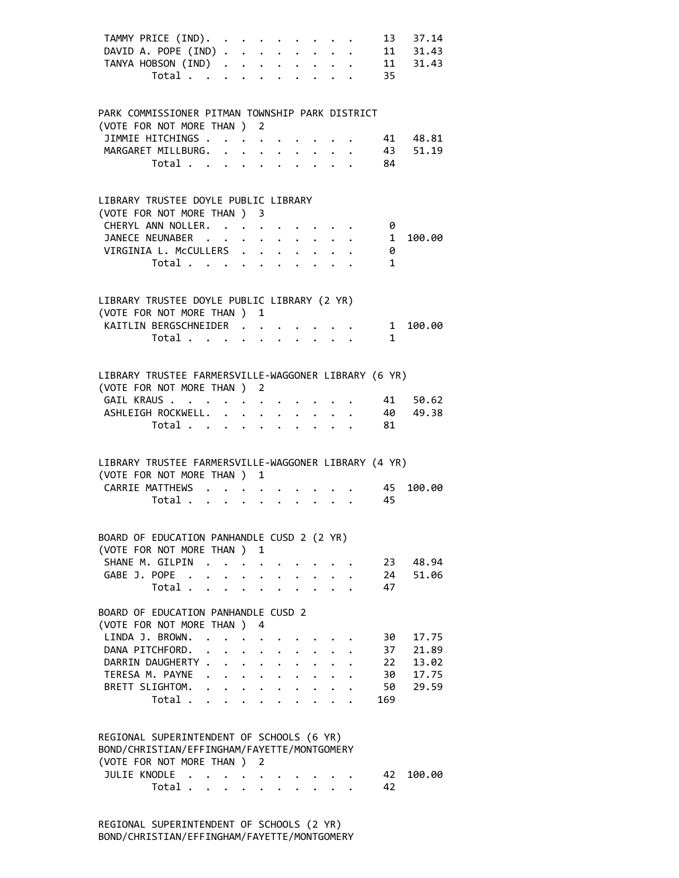|  | TAMMY PRICE (IND).                                   |                                                                  |   |                      |  |                                                          | 13           | 37.14         |
|--|------------------------------------------------------|------------------------------------------------------------------|---|----------------------|--|----------------------------------------------------------|--------------|---------------|
|  | DAVID A. POPE (IND)                                  |                                                                  |   |                      |  |                                                          |              | $11 \t 31.43$ |
|  | TANYA HOBSON $(IND)$ 11                              |                                                                  |   |                      |  |                                                          |              | 31.43         |
|  | Total $\cdot$                                        |                                                                  |   |                      |  |                                                          | 35           |               |
|  |                                                      |                                                                  |   |                      |  |                                                          |              |               |
|  |                                                      |                                                                  |   |                      |  |                                                          |              |               |
|  | PARK COMMISSIONER PITMAN TOWNSHIP PARK DISTRICT      |                                                                  |   |                      |  |                                                          |              |               |
|  | (VOTE FOR NOT MORE THAN ) 2                          |                                                                  |   |                      |  |                                                          |              |               |
|  | JIMMIE HITCHINGS                                     |                                                                  |   |                      |  |                                                          |              | 41 48.81      |
|  | MARGARET MILLBURG.<br>Total                          |                                                                  |   |                      |  | $\mathbf{r}=\mathbf{r}+\mathbf{r}+\mathbf{r}+\mathbf{r}$ | 43<br>- 84   | 51.19         |
|  |                                                      |                                                                  |   |                      |  |                                                          |              |               |
|  |                                                      |                                                                  |   |                      |  |                                                          |              |               |
|  | LIBRARY TRUSTEE DOYLE PUBLIC LIBRARY                 |                                                                  |   |                      |  |                                                          |              |               |
|  | (VOTE FOR NOT MORE THAN ) 3                          |                                                                  |   |                      |  |                                                          |              |               |
|  | CHERYL ANN NOLLER.                                   |                                                                  |   |                      |  |                                                          | 0            |               |
|  | JANECE NEUNABER                                      |                                                                  |   |                      |  |                                                          |              | 1 100.00      |
|  | VIRGINIA L. McCULLERS                                |                                                                  |   |                      |  |                                                          | 0            |               |
|  | Total                                                |                                                                  |   |                      |  |                                                          | 1            |               |
|  |                                                      |                                                                  |   |                      |  |                                                          |              |               |
|  | LIBRARY TRUSTEE DOYLE PUBLIC LIBRARY (2 YR)          |                                                                  |   |                      |  |                                                          |              |               |
|  | (VOTE FOR NOT MORE THAN)                             |                                                                  | 1 |                      |  |                                                          |              |               |
|  | KAITLIN BERGSCHNEIDER                                |                                                                  |   |                      |  |                                                          | $\mathbf{1}$ | 100.00        |
|  | Total                                                |                                                                  |   |                      |  |                                                          | $\mathbf{1}$ |               |
|  |                                                      |                                                                  |   |                      |  |                                                          |              |               |
|  |                                                      |                                                                  |   |                      |  |                                                          |              |               |
|  | LIBRARY TRUSTEE FARMERSVILLE-WAGGONER LIBRARY (6 YR) |                                                                  |   |                      |  |                                                          |              |               |
|  | (VOTE FOR NOT MORE THAN ) 2                          |                                                                  |   |                      |  |                                                          |              |               |
|  | GAIL KRAUS                                           |                                                                  |   |                      |  |                                                          | 41           | 50.62         |
|  | ASHLEIGH ROCKWELL. 40                                |                                                                  |   |                      |  |                                                          |              | 49.38         |
|  | Total 81                                             |                                                                  |   |                      |  |                                                          |              |               |
|  |                                                      |                                                                  |   |                      |  |                                                          |              |               |
|  |                                                      |                                                                  |   |                      |  |                                                          |              |               |
|  | LIBRARY TRUSTEE FARMERSVILLE-WAGGONER LIBRARY (4 YR) |                                                                  |   |                      |  |                                                          |              |               |
|  | (VOTE FOR NOT MORE THAN ) 1                          |                                                                  |   |                      |  |                                                          |              |               |
|  | CARRIE MATTHEWS                                      |                                                                  |   |                      |  |                                                          | 45           | 100.00        |
|  | Total $\cdots$ $\cdots$ $\cdots$ $\cdots$            |                                                                  |   |                      |  |                                                          | 45           |               |
|  |                                                      |                                                                  |   |                      |  |                                                          |              |               |
|  | BOARD OF EDUCATION PANHANDLE CUSD 2 (2 YR)           |                                                                  |   |                      |  |                                                          |              |               |
|  | (VOTE FOR NOT MORE THAN ) 1                          |                                                                  |   |                      |  |                                                          |              |               |
|  | SHANE M. GILPIN                                      |                                                                  |   |                      |  |                                                          | 23           | 48.94         |
|  | GABE J. POPE                                         |                                                                  |   |                      |  |                                                          | 24           | 51.06         |
|  | Total                                                |                                                                  |   |                      |  |                                                          | 47           |               |
|  |                                                      |                                                                  |   |                      |  |                                                          |              |               |
|  | BOARD OF EDUCATION PANHANDLE CUSD 2                  |                                                                  |   |                      |  |                                                          |              |               |
|  | (VOTE FOR NOT MORE THAN )                            |                                                                  | 4 |                      |  |                                                          |              |               |
|  | LINDA J. BROWN. .                                    |                                                                  |   |                      |  |                                                          | 30           | 17.75         |
|  | DANA PITCHFORD.                                      | $\mathbf{r} = \mathbf{r} + \mathbf{r} + \mathbf{r} + \mathbf{r}$ |   | $\ddot{\phantom{0}}$ |  |                                                          | 37           | 21.89         |
|  | DARRIN DAUGHERTY                                     |                                                                  |   |                      |  |                                                          | 22           | 13.02         |
|  | TERESA M. PAYNE                                      |                                                                  |   |                      |  |                                                          | 30           | 17.75         |
|  | BRETT SLIGHTOM.                                      |                                                                  |   |                      |  |                                                          | 50           | 29.59         |
|  | Total                                                |                                                                  |   |                      |  |                                                          | 169          |               |
|  |                                                      |                                                                  |   |                      |  |                                                          |              |               |
|  |                                                      |                                                                  |   |                      |  |                                                          |              |               |
|  | REGIONAL SUPERINTENDENT OF SCHOOLS (6 YR)            |                                                                  |   |                      |  |                                                          |              |               |
|  | BOND/CHRISTIAN/EFFINGHAM/FAYETTE/MONTGOMERY          |                                                                  |   |                      |  |                                                          |              |               |
|  | (VOTE FOR NOT MORE THAN ) 2                          |                                                                  |   |                      |  |                                                          |              |               |
|  | JULIE KNODLE                                         |                                                                  |   |                      |  |                                                          | 42           | 100.00        |
|  | Total                                                |                                                                  |   |                      |  |                                                          | 42           |               |
|  |                                                      |                                                                  |   |                      |  |                                                          |              |               |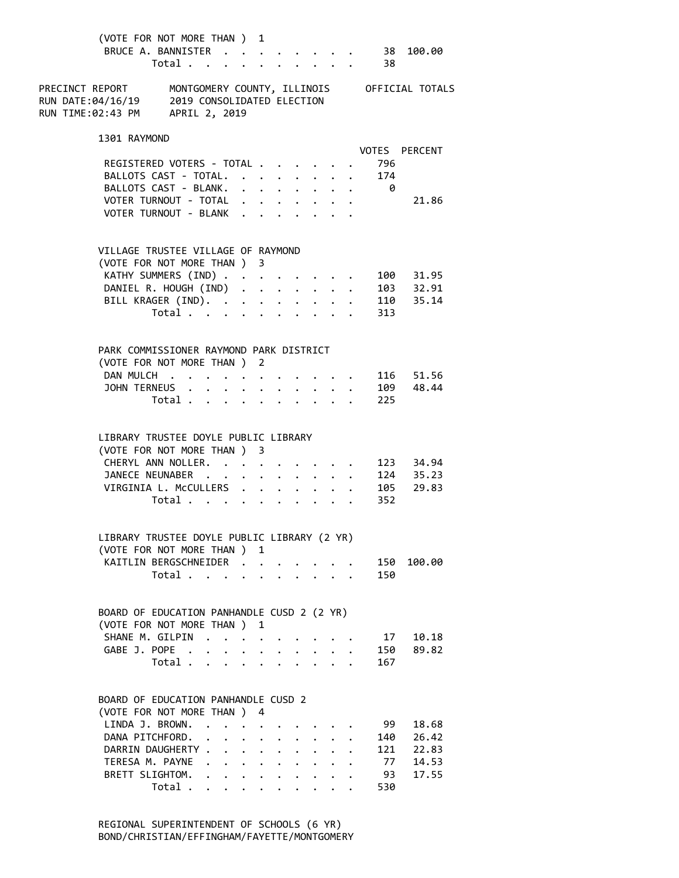| (VOTE FOR NOT MORE THAN ) 1                                                                        | BRUCE A. BANNISTER 38<br>Total $\cdot$ |                                                                                          |                      |                                                             |                                  |                                  |                                  |                         | 38    | 100.00                                      |  |
|----------------------------------------------------------------------------------------------------|----------------------------------------|------------------------------------------------------------------------------------------|----------------------|-------------------------------------------------------------|----------------------------------|----------------------------------|----------------------------------|-------------------------|-------|---------------------------------------------|--|
| PRECINCT REPORT<br>RUN DATE:04/16/19 2019 CONSOLIDATED ELECTION<br>RUN TIME:02:43 PM APRIL 2, 2019 |                                        |                                                                                          |                      |                                                             |                                  |                                  |                                  |                         |       | MONTGOMERY COUNTY, ILLINOIS OFFICIAL TOTALS |  |
| 1301 RAYMOND                                                                                       |                                        |                                                                                          |                      |                                                             |                                  |                                  |                                  |                         |       | VOTES PERCENT                               |  |
|                                                                                                    | REGISTERED VOTERS - TOTAL              |                                                                                          |                      |                                                             |                                  |                                  |                                  |                         | 796   |                                             |  |
|                                                                                                    | BALLOTS CAST - TOTAL.                  |                                                                                          |                      |                                                             |                                  |                                  |                                  |                         | . 174 |                                             |  |
|                                                                                                    | BALLOTS CAST - BLANK.                  |                                                                                          |                      |                                                             |                                  |                                  |                                  |                         | . 0   |                                             |  |
|                                                                                                    | VOTER TURNOUT - TOTAL                  |                                                                                          |                      |                                                             |                                  |                                  |                                  |                         |       | 21.86                                       |  |
|                                                                                                    | VOTER TURNOUT - BLANK                  |                                                                                          |                      |                                                             |                                  |                                  |                                  |                         |       |                                             |  |
| VILLAGE TRUSTEE VILLAGE OF RAYMOND                                                                 |                                        |                                                                                          |                      |                                                             |                                  |                                  |                                  |                         |       |                                             |  |
| (VOTE FOR NOT MORE THAN ) 3                                                                        |                                        |                                                                                          |                      |                                                             |                                  |                                  |                                  |                         |       |                                             |  |
|                                                                                                    | KATHY SUMMERS (IND)                    |                                                                                          |                      |                                                             |                                  |                                  |                                  |                         |       | 100 31.95                                   |  |
|                                                                                                    | DANIEL R. HOUGH (IND) 103 32.91        |                                                                                          |                      |                                                             |                                  |                                  |                                  |                         |       |                                             |  |
|                                                                                                    | BILL KRAGER (IND).                     |                                                                                          |                      |                                                             |                                  |                                  |                                  |                         |       | 110 35.14                                   |  |
|                                                                                                    | Total                                  |                                                                                          |                      | $\mathbf{L}$                                                |                                  | $\mathbf{r}$                     |                                  |                         | 313   |                                             |  |
| PARK COMMISSIONER RAYMOND PARK DISTRICT                                                            |                                        |                                                                                          |                      |                                                             |                                  |                                  |                                  |                         |       |                                             |  |
| (VOTE FOR NOT MORE THAN ) 2                                                                        |                                        |                                                                                          |                      |                                                             |                                  |                                  |                                  |                         |       |                                             |  |
|                                                                                                    | DAN MULCH                              |                                                                                          |                      |                                                             |                                  |                                  |                                  |                         |       | 116 51.56                                   |  |
| JOHN TERNEUS .                                                                                     |                                        | $\mathbf{r}$ , and $\mathbf{r}$ , and $\mathbf{r}$ , and $\mathbf{r}$ , and $\mathbf{r}$ |                      |                                                             |                                  |                                  |                                  |                         |       | 109 48.44                                   |  |
|                                                                                                    | Total                                  |                                                                                          |                      |                                                             |                                  |                                  |                                  |                         | 225   |                                             |  |
| LIBRARY TRUSTEE DOYLE PUBLIC LIBRARY                                                               |                                        |                                                                                          |                      |                                                             |                                  |                                  |                                  |                         |       |                                             |  |
| (VOTE FOR NOT MORE THAN ) 3                                                                        |                                        |                                                                                          |                      |                                                             |                                  |                                  |                                  |                         |       |                                             |  |
|                                                                                                    | CHERYL ANN NOLLER.                     |                                                                                          |                      |                                                             |                                  |                                  |                                  |                         |       | 123 34.94                                   |  |
|                                                                                                    | JANECE NEUNABER                        |                                                                                          |                      |                                                             |                                  |                                  |                                  |                         |       | 124 35.23                                   |  |
|                                                                                                    | VIRGINIA L. McCULLERS                  |                                                                                          |                      |                                                             |                                  |                                  |                                  |                         |       | 105 29.83                                   |  |
|                                                                                                    | Total                                  |                                                                                          |                      |                                                             | $\ddot{\phantom{0}}$             |                                  |                                  |                         | 352   |                                             |  |
| LIBRARY TRUSTEE DOYLE PUBLIC LIBRARY (2 YR)                                                        |                                        |                                                                                          |                      |                                                             |                                  |                                  |                                  |                         |       |                                             |  |
| (VOTE FOR NOT MORE THAN ) 1                                                                        |                                        |                                                                                          |                      |                                                             |                                  |                                  |                                  |                         |       |                                             |  |
|                                                                                                    | KAITLIN BERGSCHNEIDER                  |                                                                                          |                      |                                                             |                                  |                                  |                                  |                         | 150   | 100.00                                      |  |
|                                                                                                    | Total                                  |                                                                                          |                      |                                                             |                                  |                                  |                                  |                         | 150   |                                             |  |
| BOARD OF EDUCATION PANHANDLE CUSD 2 (2 YR)                                                         |                                        |                                                                                          |                      |                                                             |                                  |                                  |                                  |                         |       |                                             |  |
| (VOTE FOR NOT MORE THAN ) 1                                                                        |                                        |                                                                                          |                      |                                                             |                                  |                                  |                                  |                         |       |                                             |  |
|                                                                                                    | SHANE M. GILPIN                        |                                                                                          |                      | $\ddot{\phantom{0}}$                                        |                                  |                                  |                                  |                         | 17    | 10.18                                       |  |
|                                                                                                    | GABE J. POPE                           |                                                                                          |                      |                                                             |                                  |                                  |                                  |                         | 150   | 89.82                                       |  |
|                                                                                                    | Total                                  |                                                                                          |                      |                                                             |                                  |                                  |                                  |                         | 167   |                                             |  |
| BOARD OF EDUCATION PANHANDLE CUSD 2                                                                |                                        |                                                                                          |                      |                                                             |                                  |                                  |                                  |                         |       |                                             |  |
| (VOTE FOR NOT MORE THAN ) 4                                                                        |                                        |                                                                                          |                      |                                                             |                                  |                                  |                                  |                         |       |                                             |  |
| LINDA J. BROWN.                                                                                    |                                        | $\ddot{\phantom{0}}$                                                                     |                      |                                                             |                                  |                                  |                                  |                         | 99    | 18.68                                       |  |
| DANA PITCHFORD.                                                                                    |                                        | $\ddot{\phantom{0}}$<br>$\ddot{\phantom{0}}$                                             | $\ddot{\phantom{0}}$ | $\ddot{\phantom{0}}$                                        |                                  |                                  | $\sim$                           |                         | 140   | 26.42                                       |  |
|                                                                                                    | DARRIN DAUGHERTY                       |                                                                                          |                      |                                                             | $\ddot{\phantom{0}}$             | $\ddot{\phantom{0}}$             | $\bullet$ . The set of $\bullet$ |                         | 121   | 22.83                                       |  |
|                                                                                                    | TERESA M. PAYNE                        |                                                                                          |                      | $\ddot{\phantom{0}}$                                        | $\ddot{\phantom{0}}$             | $\ddot{\phantom{0}}$             | $\ddot{\phantom{0}}$             | $\ddot{\phantom{0}}$    | 77    | 14.53                                       |  |
|                                                                                                    | BRETT SLIGHTOM.                        |                                                                                          |                      |                                                             | $\bullet$ . The set of $\bullet$ | $\bullet$ .                      |                                  | $\cdot$ $\cdot$ $\cdot$ | -93   | 17.55                                       |  |
|                                                                                                    | Total                                  |                                                                                          |                      | $\bullet$ .<br><br><br><br><br><br><br><br><br><br><br><br> | $\bullet$                        | $\bullet$ . The set of $\bullet$ |                                  |                         | 530   |                                             |  |

 REGIONAL SUPERINTENDENT OF SCHOOLS (6 YR) BOND/CHRISTIAN/EFFINGHAM/FAYETTE/MONTGOMERY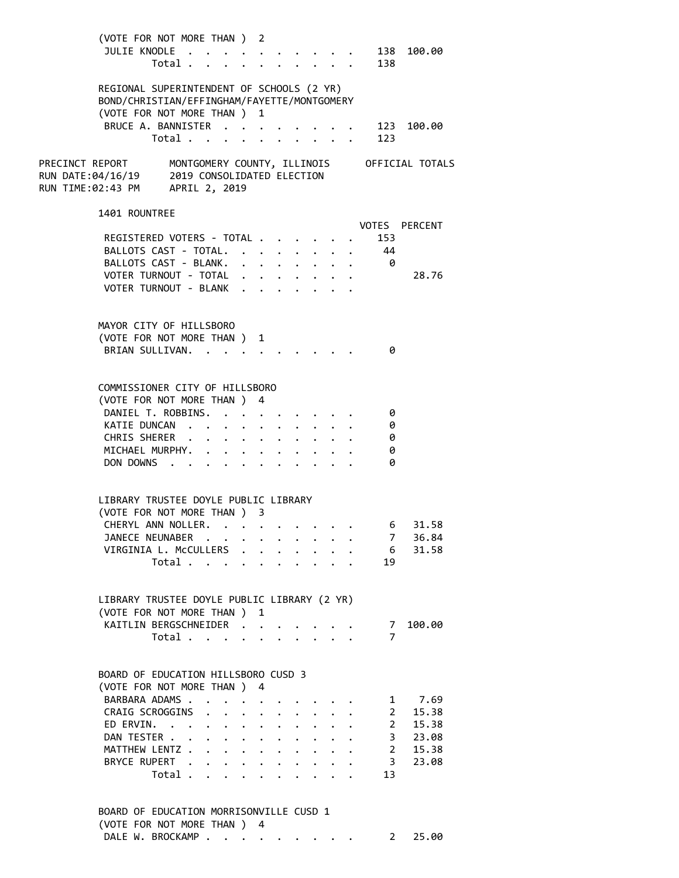| (VOTE FOR NOT MORE THAN ) 2<br>JULIE KNODLE 138 100.00<br>Total .                                                                                               |                                                                          |  | $\mathbf{r}$ , $\mathbf{r}$ , $\mathbf{r}$ , $\mathbf{r}$ , $\mathbf{r}$ |  | 138            |               |
|-----------------------------------------------------------------------------------------------------------------------------------------------------------------|--------------------------------------------------------------------------|--|--------------------------------------------------------------------------|--|----------------|---------------|
| REGIONAL SUPERINTENDENT OF SCHOOLS (2 YR)<br>BOND/CHRISTIAN/EFFINGHAM/FAYETTE/MONTGOMERY<br>(VOTE FOR NOT MORE THAN ) 1                                         |                                                                          |  |                                                                          |  |                |               |
| BRUCE A. BANNISTER<br>Total                                                                                                                                     |                                                                          |  |                                                                          |  | 123            | 123 100.00    |
| PRECINCT REPORT       MONTGOMERY COUNTY, ILLINOIS       OFFICIAL TOTALS<br>RUN DATE:04/16/19      2019 CONSOLIDATED ELECTION<br>RUN TIME:02:43 PM APRIL 2, 2019 |                                                                          |  |                                                                          |  |                |               |
| 1401 ROUNTREE                                                                                                                                                   |                                                                          |  |                                                                          |  |                | VOTES PERCENT |
| REGISTERED VOTERS - TOTAL                                                                                                                                       |                                                                          |  |                                                                          |  | 153            |               |
| BALLOTS CAST - TOTAL.                                                                                                                                           |                                                                          |  |                                                                          |  | 44             |               |
| BALLOTS CAST - BLANK.                                                                                                                                           |                                                                          |  |                                                                          |  |                |               |
| VOTER TURNOUT - TOTAL                                                                                                                                           |                                                                          |  |                                                                          |  |                | 28.76         |
| VOTER TURNOUT - BLANK                                                                                                                                           |                                                                          |  |                                                                          |  |                |               |
| MAYOR CITY OF HILLSBORO                                                                                                                                         |                                                                          |  |                                                                          |  |                |               |
| (VOTE FOR NOT MORE THAN ) 1                                                                                                                                     |                                                                          |  |                                                                          |  |                |               |
| BRIAN SULLIVAN. .                                                                                                                                               |                                                                          |  |                                                                          |  | 0              |               |
|                                                                                                                                                                 |                                                                          |  |                                                                          |  |                |               |
|                                                                                                                                                                 |                                                                          |  |                                                                          |  |                |               |
| COMMISSIONER CITY OF HILLSBORO                                                                                                                                  |                                                                          |  |                                                                          |  |                |               |
| (VOTE FOR NOT MORE THAN ) 4<br>DANIEL T. ROBBINS.                                                                                                               |                                                                          |  |                                                                          |  |                |               |
|                                                                                                                                                                 |                                                                          |  |                                                                          |  | - 0            |               |
| KATIE DUNCAN                                                                                                                                                    |                                                                          |  |                                                                          |  | - 0            |               |
| CHRIS SHERER                                                                                                                                                    |                                                                          |  |                                                                          |  | - 0            |               |
| MICHAEL MURPHY.                                                                                                                                                 |                                                                          |  |                                                                          |  | 0<br>0         |               |
| DON DOWNS                                                                                                                                                       |                                                                          |  |                                                                          |  |                |               |
|                                                                                                                                                                 |                                                                          |  |                                                                          |  |                |               |
| LIBRARY TRUSTEE DOYLE PUBLIC LIBRARY                                                                                                                            |                                                                          |  |                                                                          |  |                |               |
| (VOTE FOR NOT MORE THAN ) 3                                                                                                                                     |                                                                          |  |                                                                          |  |                |               |
| CHERYL ANN NOLLER. 6 31.58                                                                                                                                      |                                                                          |  |                                                                          |  |                |               |
| JANECE NEUNABER                                                                                                                                                 |                                                                          |  |                                                                          |  | $\overline{7}$ | 36.84         |
| VIRGINIA L. McCULLERS .                                                                                                                                         |                                                                          |  |                                                                          |  |                | 6 31.58       |
| Total                                                                                                                                                           |                                                                          |  |                                                                          |  | 19             |               |
|                                                                                                                                                                 |                                                                          |  |                                                                          |  |                |               |
| LIBRARY TRUSTEE DOYLE PUBLIC LIBRARY (2 YR)                                                                                                                     |                                                                          |  |                                                                          |  |                |               |
| (VOTE FOR NOT MORE THAN ) 1                                                                                                                                     |                                                                          |  |                                                                          |  |                |               |
| KAITLIN BERGSCHNEIDER                                                                                                                                           |                                                                          |  |                                                                          |  | $\overline{7}$ | 7 100.00      |
| Total                                                                                                                                                           |                                                                          |  |                                                                          |  |                |               |
|                                                                                                                                                                 |                                                                          |  |                                                                          |  |                |               |
| BOARD OF EDUCATION HILLSBORO CUSD 3                                                                                                                             |                                                                          |  |                                                                          |  |                |               |
| (VOTE FOR NOT MORE THAN ) 4                                                                                                                                     |                                                                          |  |                                                                          |  |                |               |
| BARBARA ADAMS                                                                                                                                                   | $\mathbf{r} = \mathbf{r} + \mathbf{r}$ , where $\mathbf{r} = \mathbf{r}$ |  |                                                                          |  |                | 1 7.69        |
| CRAIG SCROGGINS<br>$\ddot{\phantom{0}}$                                                                                                                         | $\cdot$ $\cdot$ $\cdot$ $\cdot$                                          |  | $\cdot$ $\cdot$ $\cdot$                                                  |  |                | 2 15.38       |
| ED ERVIN.                                                                                                                                                       |                                                                          |  |                                                                          |  |                | 2 15.38       |
| DAN TESTER<br>$\mathbf{r} = \mathbf{r} + \mathbf{r} + \mathbf{r} + \mathbf{r} + \mathbf{r} + \mathbf{r} + \mathbf{r}$                                           |                                                                          |  |                                                                          |  |                | 3 23.08       |
| MATTHEW LENTZ                                                                                                                                                   |                                                                          |  |                                                                          |  |                | 2 15.38       |
| BRYCE RUPERT .<br>$\cdot$ $\cdot$ $\cdot$ $\cdot$ $\cdot$ $\cdot$                                                                                               |                                                                          |  |                                                                          |  |                | 3 23.08       |
| Total                                                                                                                                                           |                                                                          |  |                                                                          |  | 13             |               |
|                                                                                                                                                                 |                                                                          |  |                                                                          |  |                |               |
| BOARD OF EDUCATION MORRISONVILLE CUSD 1                                                                                                                         |                                                                          |  |                                                                          |  |                |               |
| (VOTE FOR NOT MORE THAN ) 4                                                                                                                                     |                                                                          |  |                                                                          |  |                |               |
| DALE W. BROCKAMP                                                                                                                                                |                                                                          |  |                                                                          |  | 2              | 25.00         |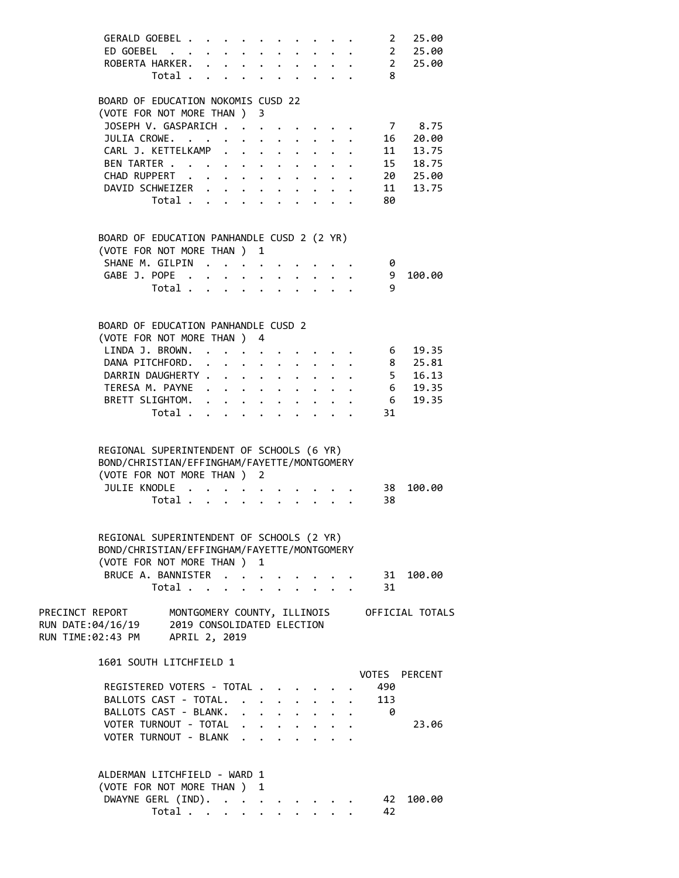|                                                                                                    | GERALD GOEBEL<br>ED GOEBEL 2 25.00<br>ROBERTA HARKER. 2 25.00<br>Total 8<br>BOARD OF EDUCATION NOKOMIS CUSD 22<br>(VOTE FOR NOT MORE THAN ) 3<br>JOSEPH V. GASPARICH<br>JULIA CROWE.       |                      |                      | $\cdot$ $\cdot$ $\cdot$ $\cdot$ $\cdot$ $\cdot$ $\cdot$ |                           |                                              |                                                | 2 25.00<br>7 8.75<br>$\cdot \cdot \cdot \cdot$ 16 20.00 |
|----------------------------------------------------------------------------------------------------|--------------------------------------------------------------------------------------------------------------------------------------------------------------------------------------------|----------------------|----------------------|---------------------------------------------------------|---------------------------|----------------------------------------------|------------------------------------------------|---------------------------------------------------------|
|                                                                                                    | CARL J. KETTELKAMP 11 13.75<br>BEN TARTER 15 18.75                                                                                                                                         |                      |                      |                                                         |                           |                                              |                                                |                                                         |
|                                                                                                    | CHAD RUPPERT 20 25.00                                                                                                                                                                      |                      |                      |                                                         |                           |                                              |                                                |                                                         |
|                                                                                                    | DAVID SCHWEIZER<br>Total                                                                                                                                                                   |                      |                      |                                                         |                           |                                              | 80                                             | 11 13.75                                                |
|                                                                                                    | BOARD OF EDUCATION PANHANDLE CUSD 2 (2 YR)                                                                                                                                                 |                      |                      |                                                         |                           |                                              |                                                |                                                         |
|                                                                                                    | (VOTE FOR NOT MORE THAN ) 1<br>SHANE M. GILPIN                                                                                                                                             |                      |                      |                                                         |                           |                                              | - 0                                            |                                                         |
|                                                                                                    | GABE J. POPE                                                                                                                                                                               |                      |                      |                                                         |                           |                                              | 9                                              | 100.00                                                  |
|                                                                                                    | Total                                                                                                                                                                                      |                      |                      |                                                         |                           |                                              | 9                                              |                                                         |
|                                                                                                    | BOARD OF EDUCATION PANHANDLE CUSD 2<br>(VOTE FOR NOT MORE THAN ) 4                                                                                                                         |                      |                      |                                                         |                           |                                              |                                                |                                                         |
|                                                                                                    | LINDA J. BROWN. 6                                                                                                                                                                          |                      |                      |                                                         |                           |                                              |                                                | 19.35                                                   |
|                                                                                                    | DANA PITCHFORD. 8 25.81                                                                                                                                                                    |                      |                      |                                                         |                           |                                              |                                                |                                                         |
|                                                                                                    | DARRIN DAUGHERTY 5 16.13                                                                                                                                                                   |                      |                      |                                                         |                           |                                              |                                                |                                                         |
|                                                                                                    | TERESA M. PAYNE 6 19.35<br>BRETT SLIGHTOM.                                                                                                                                                 |                      |                      |                                                         |                           |                                              | 6                                              | 19.35                                                   |
|                                                                                                    | Total                                                                                                                                                                                      |                      |                      |                                                         |                           |                                              | 31                                             |                                                         |
|                                                                                                    | REGIONAL SUPERINTENDENT OF SCHOOLS (6 YR)<br>BOND/CHRISTIAN/EFFINGHAM/FAYETTE/MONTGOMERY<br>(VOTE FOR NOT MORE THAN ) 2<br>JULIE KNODLE<br>Total $\cdot$                                   |                      |                      |                                                         |                           |                                              | 38<br>38                                       | 100.00                                                  |
|                                                                                                    | REGIONAL SUPERINTENDENT OF SCHOOLS (2 YR)<br>BOND/CHRISTIAN/EFFINGHAM/FAYETTE/MONTGOMERY<br>(VOTE FOR NOT MORE THAN ) 1<br>BRUCE A. BANNISTER<br>Total $\ldots$ $\ldots$ $\ldots$ $\ldots$ |                      |                      |                                                         |                           |                                              | $\cdot \quad \cdot \quad \cdot \quad$ 31<br>31 | 100.00                                                  |
| PRECINCT REPORT<br>RUN DATE:04/16/19 2019 CONSOLIDATED ELECTION<br>RUN TIME:02:43 PM APRIL 2, 2019 |                                                                                                                                                                                            |                      |                      |                                                         |                           |                                              |                                                | MONTGOMERY COUNTY, ILLINOIS OFFICIAL TOTALS             |
|                                                                                                    | 1601 SOUTH LITCHFIELD 1                                                                                                                                                                    |                      |                      |                                                         |                           |                                              |                                                | VOTES PERCENT                                           |
|                                                                                                    | REGISTERED VOTERS - TOTAL<br>BALLOTS CAST - TOTAL.<br>BALLOTS CAST - BLANK.                                                                                                                |                      |                      |                                                         |                           | $\mathbf{r} = \mathbf{r} \cdot \mathbf{r}$ . | 490<br>113<br>- 0                              |                                                         |
|                                                                                                    | VOTER TURNOUT - TOTAL<br>VOTER TURNOUT - BLANK                                                                                                                                             |                      |                      |                                                         |                           |                                              |                                                | 23.06                                                   |
|                                                                                                    | ALDERMAN LITCHFIELD - WARD 1<br>(VOTE FOR NOT MORE THAN ) 1<br>DWAYNE GERL (IND).                                                                                                          |                      |                      |                                                         |                           |                                              | 42                                             | 100.00                                                  |
|                                                                                                    | Total                                                                                                                                                                                      | $\ddot{\phantom{0}}$ | $\ddot{\phantom{0}}$ |                                                         | $\mathbf{r}$ $\mathbf{r}$ |                                              | 42                                             |                                                         |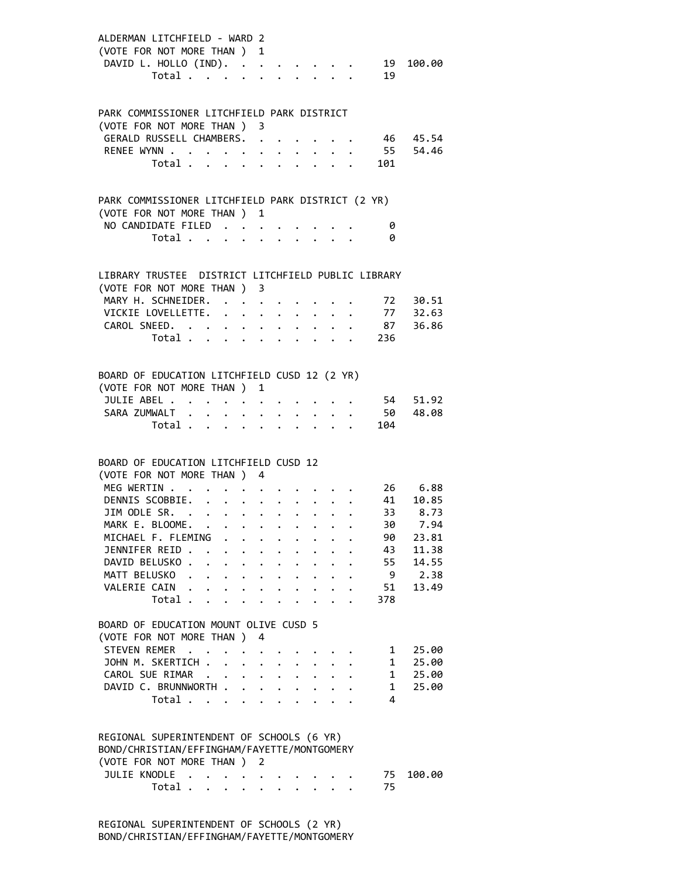| ALDERMAN LITCHFIELD - WARD 2<br>(VOTE FOR NOT MORE THAN ) 1<br>DAVID L. HOLLO (IND). 19 100.00 | Total 19 |              |                      |                                          |                                                                 |             |           |                                                      |
|------------------------------------------------------------------------------------------------|----------|--------------|----------------------|------------------------------------------|-----------------------------------------------------------------|-------------|-----------|------------------------------------------------------|
| PARK COMMISSIONER LITCHFIELD PARK DISTRICT                                                     |          |              |                      |                                          |                                                                 |             |           |                                                      |
| (VOTE FOR NOT MORE THAN ) 3<br>GERALD RUSSELL CHAMBERS. 46 45.54                               |          |              |                      |                                          |                                                                 |             |           |                                                      |
| RENEE WYNN 55 54.46                                                                            |          |              |                      |                                          |                                                                 |             |           |                                                      |
|                                                                                                |          |              |                      |                                          |                                                                 |             | Total 101 |                                                      |
| PARK COMMISSIONER LITCHFIELD PARK DISTRICT (2 YR)                                              |          |              |                      |                                          |                                                                 |             |           |                                                      |
| (VOTE FOR NOT MORE THAN ) 1                                                                    |          |              |                      |                                          |                                                                 |             |           |                                                      |
| NO CANDIDATE FILED                                                                             |          |              |                      |                                          |                                                                 |             | 0         |                                                      |
|                                                                                                | Total    |              |                      |                                          |                                                                 |             | ø         |                                                      |
|                                                                                                |          |              |                      |                                          |                                                                 |             |           |                                                      |
| LIBRARY TRUSTEE DISTRICT LITCHFIELD PUBLIC LIBRARY<br>(VOTE FOR NOT MORE THAN ) 3              |          |              |                      |                                          |                                                                 |             |           |                                                      |
| MARY H. SCHNEIDER.                                                                             |          |              |                      |                                          |                                                                 | $\bullet$ . |           | 72 30.51                                             |
| VICKIE LOVELLETTE.                                                                             |          |              |                      |                                          |                                                                 |             |           | $\cdot \cdot \cdot \cdot \cdot \cdot 77 \quad 32.63$ |
| CAROL SNEED. 87 36.86                                                                          |          |              |                      |                                          |                                                                 |             |           |                                                      |
|                                                                                                |          |              |                      |                                          |                                                                 |             | Total 236 |                                                      |
|                                                                                                |          |              |                      |                                          |                                                                 |             |           |                                                      |
| BOARD OF EDUCATION LITCHFIELD CUSD 12 (2 YR)                                                   |          |              |                      |                                          |                                                                 |             |           |                                                      |
| (VOTE FOR NOT MORE THAN ) 1                                                                    |          |              |                      |                                          |                                                                 |             |           |                                                      |
| JULIE ABEL                                                                                     |          |              |                      |                                          |                                                                 |             |           | 54 51.92                                             |
| SARA ZUMWALT                                                                                   |          |              |                      |                                          |                                                                 |             |           | $\cdot$ 50 48.08                                     |
|                                                                                                |          |              |                      |                                          |                                                                 |             | Total 104 |                                                      |
|                                                                                                |          |              |                      |                                          |                                                                 |             |           |                                                      |
| BOARD OF EDUCATION LITCHFIELD CUSD 12<br>(VOTE FOR NOT MORE THAN ) 4                           |          |              |                      |                                          |                                                                 |             |           |                                                      |
| MEG WERTIN                                                                                     |          |              |                      |                                          |                                                                 |             |           | 26 6.88                                              |
| DENNIS SCOBBIE.                                                                                |          |              | $\ddot{\phantom{0}}$ |                                          | $\cdot$ $\cdot$ $\cdot$ $\cdot$ $\cdot$ $\cdot$ $\cdot$ $\cdot$ |             |           | $41$ 10.85                                           |
| JIM ODLE SR.                                                                                   |          |              |                      |                                          |                                                                 |             |           | 33 8.73                                              |
| MARK F. BIOOMF.                                                                                |          |              |                      |                                          |                                                                 |             |           | 30 7.94                                              |
| MICHAEL F. FLEMING                                                                             |          |              |                      |                                          |                                                                 |             | 90        | 23.81                                                |
| JENNIFER REID                                                                                  |          |              |                      |                                          |                                                                 |             | 43        | 11.38                                                |
| DAVID BELUSKO                                                                                  |          |              |                      |                                          |                                                                 |             | 55        | 14.55                                                |
| MATT BELUSKO                                                                                   |          |              |                      |                                          |                                                                 |             | - 9       | 2.38                                                 |
| VALERIE CAIN                                                                                   |          |              |                      |                                          |                                                                 |             | 51        | 13.49                                                |
|                                                                                                | Total    |              |                      |                                          |                                                                 |             | 378       |                                                      |
| BOARD OF EDUCATION MOUNT OLIVE CUSD 5                                                          |          |              |                      |                                          |                                                                 |             |           |                                                      |
| (VOTE FOR NOT MORE THAN )                                                                      |          |              | 4                    |                                          |                                                                 |             |           |                                                      |
| STEVEN REMER                                                                                   |          |              |                      |                                          |                                                                 |             | 1         | 25.00                                                |
| JOHN M. SKERTICH                                                                               |          |              |                      |                                          |                                                                 |             | 1         | 25.00                                                |
| CAROL SUE RIMAR                                                                                |          |              |                      |                                          |                                                                 |             | 1         | 25.00                                                |
| DAVID C. BRUNNWORTH                                                                            |          |              |                      | $\mathbf{r} = \mathbf{r} + \mathbf{r}$ . | $\ddot{\phantom{0}}$                                            |             | $1 \quad$ | 25.00                                                |
|                                                                                                | Total    | $\mathbf{L}$ | $\mathbf{L}$         | $\ddot{\phantom{0}}$                     |                                                                 |             | 4         |                                                      |
|                                                                                                |          |              |                      |                                          |                                                                 |             |           |                                                      |
| REGIONAL SUPERINTENDENT OF SCHOOLS (6 YR)                                                      |          |              |                      |                                          |                                                                 |             |           |                                                      |
| BOND/CHRISTIAN/EFFINGHAM/FAYETTE/MONTGOMERY                                                    |          |              |                      |                                          |                                                                 |             |           |                                                      |
| (VOTE FOR NOT MORE THAN )                                                                      |          |              | 2                    |                                          |                                                                 |             |           |                                                      |
| JULIE KNODLE                                                                                   | Total    |              |                      |                                          |                                                                 |             | 75<br>75  | 100.00                                               |
|                                                                                                |          |              |                      |                                          | $\mathbf{r}$ , $\mathbf{r}$ , $\mathbf{r}$ , $\mathbf{r}$       |             |           |                                                      |

 REGIONAL SUPERINTENDENT OF SCHOOLS (2 YR) BOND/CHRISTIAN/EFFINGHAM/FAYETTE/MONTGOMERY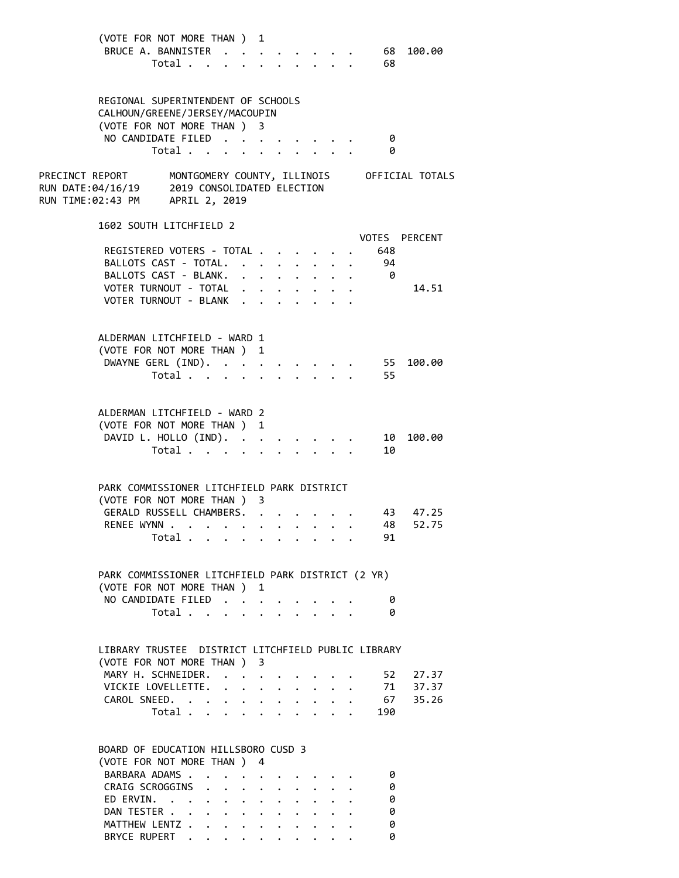| (VOTE FOR NOT MORE THAN ) 1                                                                                                                                                              |                      |                                  |                      |                                        |                                         |                                 |                         |                                             |
|------------------------------------------------------------------------------------------------------------------------------------------------------------------------------------------|----------------------|----------------------------------|----------------------|----------------------------------------|-----------------------------------------|---------------------------------|-------------------------|---------------------------------------------|
| BRUCE A. BANNISTER                                                                                                                                                                       |                      |                                  |                      |                                        |                                         |                                 | 68                      | 100.00                                      |
| Total                                                                                                                                                                                    |                      |                                  |                      | $\mathbf{r}$ . The set of $\mathbf{r}$ |                                         | $\cdot$ $\cdot$ $\cdot$ $\cdot$ | 68                      |                                             |
|                                                                                                                                                                                          |                      |                                  |                      |                                        |                                         |                                 |                         |                                             |
|                                                                                                                                                                                          |                      |                                  |                      |                                        |                                         |                                 |                         |                                             |
| REGIONAL SUPERINTENDENT OF SCHOOLS<br>CALHOUN/GREENE/JERSEY/MACOUPIN                                                                                                                     |                      |                                  |                      |                                        |                                         |                                 |                         |                                             |
| (VOTE FOR NOT MORE THAN ) 3                                                                                                                                                              |                      |                                  |                      |                                        |                                         |                                 |                         |                                             |
| NO CANDIDATE FILED                                                                                                                                                                       |                      |                                  |                      |                                        |                                         |                                 | - 0                     |                                             |
| Total $\cdots$                                                                                                                                                                           |                      |                                  |                      |                                        |                                         | $\mathbf{L} = \mathbf{L}$       | - 0                     |                                             |
|                                                                                                                                                                                          |                      |                                  |                      |                                        |                                         |                                 |                         |                                             |
| PRECINCT REPORT                                                                                                                                                                          |                      |                                  |                      |                                        |                                         |                                 |                         | MONTGOMERY COUNTY, ILLINOIS OFFICIAL TOTALS |
| RUN DATE:04/16/19 2019 CONSOLIDATED ELECTION                                                                                                                                             |                      |                                  |                      |                                        |                                         |                                 |                         |                                             |
| RUN TIME:02:43 PM APRIL 2, 2019                                                                                                                                                          |                      |                                  |                      |                                        |                                         |                                 |                         |                                             |
|                                                                                                                                                                                          |                      |                                  |                      |                                        |                                         |                                 |                         |                                             |
| 1602 SOUTH LITCHFIELD 2                                                                                                                                                                  |                      |                                  |                      |                                        |                                         |                                 |                         |                                             |
|                                                                                                                                                                                          |                      |                                  |                      |                                        |                                         |                                 |                         | VOTES PERCENT                               |
| REGISTERED VOTERS - TOTAL                                                                                                                                                                |                      |                                  |                      |                                        |                                         |                                 | 648                     |                                             |
| BALLOTS CAST - TOTAL. 94                                                                                                                                                                 |                      |                                  |                      |                                        |                                         |                                 |                         |                                             |
| BALLOTS CAST - BLANK.                                                                                                                                                                    |                      |                                  |                      |                                        |                                         |                                 | $\overline{\mathbf{0}}$ |                                             |
| VOTER TURNOUT - TOTAL                                                                                                                                                                    |                      |                                  |                      |                                        |                                         |                                 |                         | 14.51                                       |
| VOTER TURNOUT - BLANK .                                                                                                                                                                  |                      |                                  |                      |                                        |                                         |                                 |                         |                                             |
|                                                                                                                                                                                          |                      |                                  |                      |                                        |                                         |                                 |                         |                                             |
| ALDERMAN LITCHFIELD - WARD 1                                                                                                                                                             |                      |                                  |                      |                                        |                                         |                                 |                         |                                             |
| (VOTE FOR NOT MORE THAN ) 1                                                                                                                                                              |                      |                                  |                      |                                        |                                         |                                 |                         |                                             |
| DWAYNE GERL (IND).                                                                                                                                                                       |                      |                                  |                      |                                        |                                         |                                 | 55                      | 100.00                                      |
| Total                                                                                                                                                                                    |                      |                                  |                      |                                        | $\cdot$ $\cdot$ $\cdot$ $\cdot$ $\cdot$ |                                 | 55                      |                                             |
|                                                                                                                                                                                          |                      |                                  | $\ddot{\phantom{0}}$ |                                        |                                         |                                 |                         |                                             |
|                                                                                                                                                                                          |                      |                                  |                      |                                        |                                         |                                 |                         |                                             |
| ALDERMAN LITCHFIELD - WARD 2                                                                                                                                                             |                      |                                  |                      |                                        |                                         |                                 |                         |                                             |
| (VOTE FOR NOT MORE THAN ) 1                                                                                                                                                              |                      |                                  |                      |                                        |                                         |                                 |                         |                                             |
| DAVID L. HOLLO (IND).                                                                                                                                                                    |                      |                                  |                      |                                        |                                         |                                 | 10                      | 100.00                                      |
| Total                                                                                                                                                                                    |                      |                                  |                      |                                        |                                         |                                 | 10                      |                                             |
|                                                                                                                                                                                          |                      |                                  |                      |                                        |                                         |                                 |                         |                                             |
|                                                                                                                                                                                          |                      |                                  |                      |                                        |                                         |                                 |                         |                                             |
| PARK COMMISSIONER LITCHFIELD PARK DISTRICT                                                                                                                                               |                      |                                  |                      |                                        |                                         |                                 |                         |                                             |
| (VOTE FOR NOT MORE THAN ) 3                                                                                                                                                              |                      |                                  |                      |                                        |                                         |                                 |                         |                                             |
| GERALD RUSSELL CHAMBERS. .                                                                                                                                                               |                      |                                  |                      |                                        |                                         |                                 |                         | 43 47.25                                    |
| RENEE WYNN                                                                                                                                                                               |                      |                                  |                      |                                        |                                         |                                 | 48                      | 52.75                                       |
| Total                                                                                                                                                                                    |                      |                                  |                      |                                        |                                         |                                 | 91                      |                                             |
|                                                                                                                                                                                          |                      |                                  |                      |                                        |                                         |                                 |                         |                                             |
| PARK COMMISSIONER LITCHFIELD PARK DISTRICT (2 YR)                                                                                                                                        |                      |                                  |                      |                                        |                                         |                                 |                         |                                             |
| (VOTE FOR NOT MORE THAN ) 1                                                                                                                                                              |                      |                                  |                      |                                        |                                         |                                 |                         |                                             |
| NO CANDIDATE FILED                                                                                                                                                                       |                      |                                  |                      |                                        |                                         |                                 | 0                       |                                             |
| Total                                                                                                                                                                                    | $\ddot{\phantom{0}}$ |                                  | $\ddot{\phantom{0}}$ |                                        |                                         |                                 | 0                       |                                             |
|                                                                                                                                                                                          |                      |                                  |                      |                                        |                                         |                                 |                         |                                             |
|                                                                                                                                                                                          |                      |                                  |                      |                                        |                                         |                                 |                         |                                             |
| LIBRARY TRUSTEE DISTRICT LITCHFIELD PUBLIC LIBRARY                                                                                                                                       |                      |                                  |                      |                                        |                                         |                                 |                         |                                             |
| (VOTE FOR NOT MORE THAN ) 3                                                                                                                                                              |                      |                                  |                      |                                        |                                         |                                 |                         |                                             |
| MARY H. SCHNEIDER.                                                                                                                                                                       |                      |                                  |                      |                                        |                                         |                                 | 52                      | 27.37                                       |
| VICKIE LOVELLETTE.                                                                                                                                                                       |                      |                                  |                      |                                        |                                         |                                 |                         | 71 37.37                                    |
| CAROL SNEED.                                                                                                                                                                             |                      |                                  |                      | $\ddot{\phantom{a}}$                   |                                         |                                 |                         | 67 35.26                                    |
| Total                                                                                                                                                                                    |                      |                                  |                      |                                        |                                         |                                 | 190                     |                                             |
|                                                                                                                                                                                          |                      |                                  |                      |                                        |                                         |                                 |                         |                                             |
|                                                                                                                                                                                          |                      |                                  |                      |                                        |                                         |                                 |                         |                                             |
| BOARD OF EDUCATION HILLSBORO CUSD 3                                                                                                                                                      |                      |                                  |                      |                                        |                                         |                                 |                         |                                             |
| (VOTE FOR NOT MORE THAN)                                                                                                                                                                 |                      |                                  | 4                    |                                        |                                         |                                 |                         |                                             |
| BARBARA ADAMS.<br>$\ddot{\phantom{1}}$                                                                                                                                                   | $\sim$ $\sim$        | $\bullet$ . The set of $\bullet$ | $\bullet$            |                                        |                                         |                                 | 0                       |                                             |
| CRAIG SCROGGINS                                                                                                                                                                          |                      | $\sim$ 10 $\pm$                  | $\bullet$ .          |                                        | $\cdot$ $\cdot$ $\cdot$ $\cdot$         |                                 | 0                       |                                             |
| ED ERVIN.<br>$\mathbf{r} = \mathbf{r} + \mathbf{r} + \mathbf{r} + \mathbf{r} + \mathbf{r} + \mathbf{r} + \mathbf{r} + \mathbf{r} + \mathbf{r} + \mathbf{r} + \mathbf{r}$<br>DAN TESTER . |                      |                                  |                      |                                        |                                         |                                 | 0<br>0                  |                                             |
| $\ddot{\phantom{a}}$<br>MATTHEW LENTZ                                                                                                                                                    |                      |                                  |                      |                                        |                                         |                                 | ø                       |                                             |
|                                                                                                                                                                                          |                      |                                  |                      |                                        |                                         |                                 |                         |                                             |

BRYCE RUPERT . . . . . . . . . . 0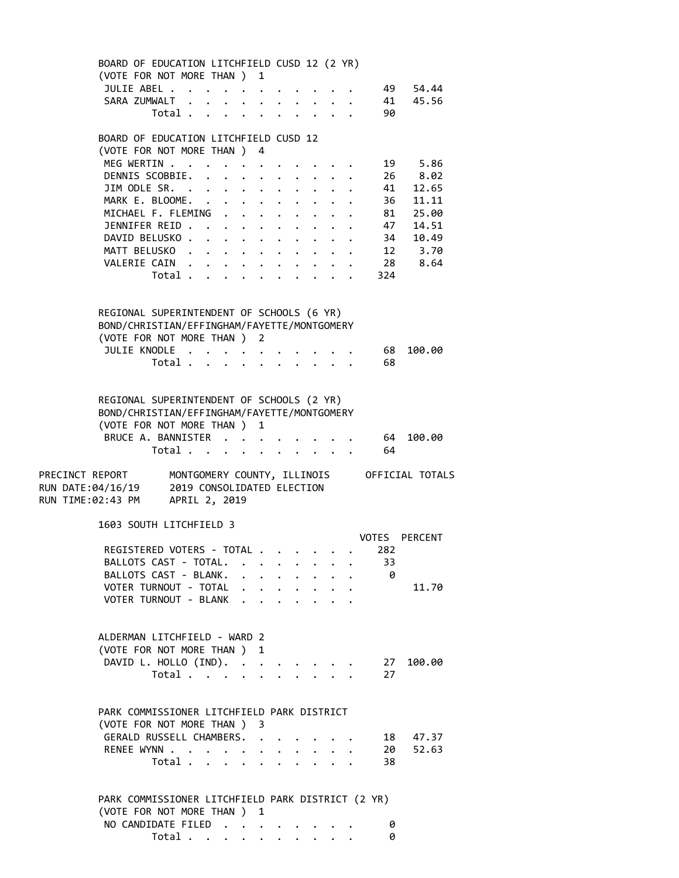BOARD OF EDUCATION LITCHFIELD CUSD 12 (2 YR) (VOTE FOR NOT MORE THAN ) 1 JULIE ABEL . . . . . . . . . . . 49 54.44 SARA ZUMWALT . . . . . . . . . . . 41 45.56 Total . . . . . . . . . . 90 BOARD OF EDUCATION LITCHFIELD CUSD 12 (VOTE FOR NOT MORE THAN ) 4 MEG WERTIN . . . . . . . . . . . . 19 5.86 DENNIS SCOBBIE. . . . . . . . . . 26 8.02 JIM ODLE SR. . . . . . . . . . . 41 12.65 MARK E. BLOOME. . . . . . . . . . . 36 11.11 MICHAEL F. FLEMING . . . . . . . . 81 25.00 JENNIFER REID . . . . . . . . . . 47 14.51 DAVID BELUSKO . . . . . . . . . . . 34 10.49 MATT BELUSKO . . . . . . . . . . 12 3.70 VALERIE CAIN . . . . . . . . . . 28 8.64 Total . . . . . . . . . . 324 REGIONAL SUPERINTENDENT OF SCHOOLS (6 YR) BOND/CHRISTIAN/EFFINGHAM/FAYETTE/MONTGOMERY (VOTE FOR NOT MORE THAN ) 2 JULIE KNODLE . . . . . . . . . . . 68 100.00 Total . . . . . . . . . . 68 REGIONAL SUPERINTENDENT OF SCHOOLS (2 YR) BOND/CHRISTIAN/EFFINGHAM/FAYETTE/MONTGOMERY (VOTE FOR NOT MORE THAN ) 1 BRUCE A. BANNISTER . . . . . . . . 64 100.00 Total . . . . . . . . . . 64 PRECINCT REPORT MONTGOMERY COUNTY, ILLINOIS OFFICIAL TOTALS RUN DATE:04/16/19 2019 CONSOLIDATED ELECTION RUN TIME:02:43 PM APRIL 2, 2019 1603 SOUTH LITCHFIELD 3 VOTES PERCENT REGISTERED VOTERS - TOTAL . . . . . . 282 BALLOTS CAST - TOTAL. . . . . . . . 33 BALLOTS CAST - BLANK. . . . . . . . 0 VOTER TURNOUT - TOTAL . . . . . . . . 11.70 VOTER TURNOUT - BLANK . . . . . . ALDERMAN LITCHFIELD - WARD 2 (VOTE FOR NOT MORE THAN ) 1 DAVID L. HOLLO (IND). . . . . . . . 27 100.00 Total . . . . . . . . . . 27 PARK COMMISSIONER LITCHFIELD PARK DISTRICT (VOTE FOR NOT MORE THAN ) 3 GERALD RUSSELL CHAMBERS. . . . . . . 18 47.37 RENEE WYNN . . . . . . . . . . . . 20 52.63 Total . . . . . . . . . . 38 PARK COMMISSIONER LITCHFIELD PARK DISTRICT (2 YR) (VOTE FOR NOT MORE THAN ) 1 NO CANDIDATE FILED . . . . . . . . 0 Total . . . . . . . . . . 0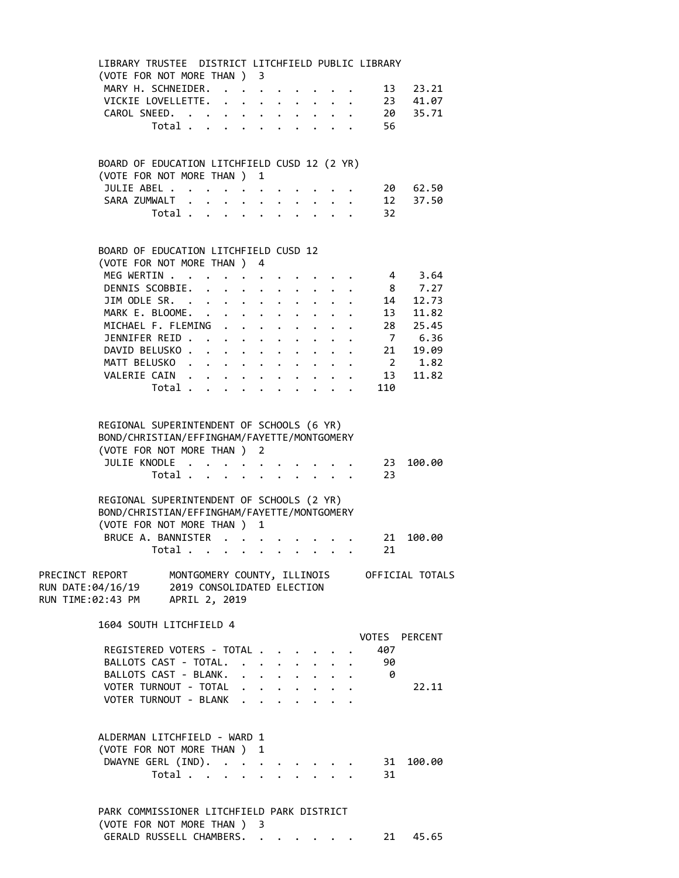| LIBRARY TRUSTEE DISTRICT LITCHFIELD PUBLIC LIBRARY                                                                                      |                                           |  |                                                                  |  |                                 |                                 |          |                                                           |  |
|-----------------------------------------------------------------------------------------------------------------------------------------|-------------------------------------------|--|------------------------------------------------------------------|--|---------------------------------|---------------------------------|----------|-----------------------------------------------------------|--|
| (VOTE FOR NOT MORE THAN ) 3                                                                                                             |                                           |  |                                                                  |  |                                 |                                 |          |                                                           |  |
| MARY H. SCHNEIDER.                                                                                                                      |                                           |  |                                                                  |  | $\cdot$ $\cdot$ $\cdot$ $\cdot$ |                                 |          | 13 23.21<br>23 41.07                                      |  |
| VICKIE LOVELLETTE.                                                                                                                      |                                           |  |                                                                  |  |                                 |                                 |          |                                                           |  |
| CAROL SNEED.                                                                                                                            |                                           |  |                                                                  |  |                                 |                                 |          | 20 35.71                                                  |  |
|                                                                                                                                         | Total $\cdots$ $\cdots$ $\cdots$          |  |                                                                  |  |                                 |                                 | 56       |                                                           |  |
| BOARD OF EDUCATION LITCHFIELD CUSD 12 (2 YR)                                                                                            |                                           |  |                                                                  |  |                                 |                                 |          |                                                           |  |
| (VOTE FOR NOT MORE THAN ) 1                                                                                                             |                                           |  |                                                                  |  |                                 |                                 |          |                                                           |  |
| JULIE ABEL                                                                                                                              |                                           |  |                                                                  |  |                                 |                                 |          | 20 62.50                                                  |  |
| SARA ZUMWALT                                                                                                                            |                                           |  |                                                                  |  |                                 |                                 |          | 12 37.50                                                  |  |
|                                                                                                                                         | Total                                     |  |                                                                  |  |                                 |                                 | 32       |                                                           |  |
| BOARD OF EDUCATION LITCHFIELD CUSD 12                                                                                                   |                                           |  |                                                                  |  |                                 |                                 |          |                                                           |  |
| (VOTE FOR NOT MORE THAN ) 4                                                                                                             |                                           |  |                                                                  |  |                                 |                                 |          |                                                           |  |
| MEG WERTIN                                                                                                                              |                                           |  | $\mathbf{r} = \mathbf{r} + \mathbf{r} + \mathbf{r} + \mathbf{r}$ |  |                                 |                                 |          | 4 3.64                                                    |  |
| DENNIS SCOBBIE.                                                                                                                         |                                           |  |                                                                  |  |                                 |                                 |          | $8 \overline{7.27}$                                       |  |
| JIM ODLE SR. $\cdot \cdot \cdot \cdot \cdot \cdot \cdot \cdot$                                                                          |                                           |  |                                                                  |  |                                 | $\overline{1}$ , $\overline{1}$ |          | $14$ $12.73$                                              |  |
| MARK E. BLOOME.                                                                                                                         |                                           |  |                                                                  |  |                                 |                                 |          | 13 11.82                                                  |  |
| MICHAEL F. FLEMING                                                                                                                      |                                           |  |                                                                  |  |                                 |                                 |          | 28 25.45                                                  |  |
| JENNIFER REID                                                                                                                           |                                           |  |                                                                  |  |                                 |                                 |          | 7 6.36                                                    |  |
| DAVID BELUSKO                                                                                                                           |                                           |  |                                                                  |  |                                 |                                 |          | 21 19.09                                                  |  |
| MATT BELUSKO                                                                                                                            |                                           |  |                                                                  |  |                                 |                                 |          |                                                           |  |
| VALERIE CAIN                                                                                                                            |                                           |  |                                                                  |  |                                 |                                 |          | $\begin{array}{ccc} & 2 & 1.82 \\ 13 & 11.82 \end{array}$ |  |
|                                                                                                                                         | Total $\cdots$ $\cdots$ $\cdots$          |  |                                                                  |  |                                 |                                 | 110      |                                                           |  |
|                                                                                                                                         |                                           |  |                                                                  |  |                                 |                                 |          |                                                           |  |
| REGIONAL SUPERINTENDENT OF SCHOOLS (6 YR)<br>BOND/CHRISTIAN/EFFINGHAM/FAYETTE/MONTGOMERY<br>(VOTE FOR NOT MORE THAN ) 2<br>JULIE KNODLE | Total $\cdots$ $\cdots$ $\cdots$ $\cdots$ |  |                                                                  |  |                                 |                                 | 23       | 23 100.00                                                 |  |
| REGIONAL SUPERINTENDENT OF SCHOOLS (2 YR)                                                                                               |                                           |  |                                                                  |  |                                 |                                 |          |                                                           |  |
| BOND/CHRISTIAN/EFFINGHAM/FAYETTE/MONTGOMERY                                                                                             |                                           |  |                                                                  |  |                                 |                                 |          |                                                           |  |
| (VOTE FOR NOT MORE THAN ) 1                                                                                                             |                                           |  |                                                                  |  |                                 |                                 |          |                                                           |  |
| BRUCE A. BANNISTER                                                                                                                      |                                           |  |                                                                  |  |                                 |                                 | 21       | 100.00                                                    |  |
|                                                                                                                                         | Total $\ldots$ $\ldots$ $\ldots$ $\ldots$ |  |                                                                  |  |                                 |                                 | 21       |                                                           |  |
| RUN TIME:02:43 PM APRIL 2, 2019                                                                                                         |                                           |  |                                                                  |  |                                 |                                 |          |                                                           |  |
| 1604 SOUTH LITCHFIELD 4                                                                                                                 |                                           |  |                                                                  |  |                                 |                                 |          |                                                           |  |
|                                                                                                                                         |                                           |  |                                                                  |  |                                 |                                 |          | <b>VOTES PERCENT</b>                                      |  |
| REGISTERED VOTERS - TOTAL                                                                                                               |                                           |  |                                                                  |  |                                 |                                 | 407      |                                                           |  |
| BALLOTS CAST - TOTAL.                                                                                                                   |                                           |  |                                                                  |  |                                 |                                 | - 90     |                                                           |  |
| BALLOTS CAST - BLANK.                                                                                                                   |                                           |  |                                                                  |  |                                 |                                 | $\theta$ |                                                           |  |
| VOTER TURNOUT - TOTAL                                                                                                                   |                                           |  |                                                                  |  |                                 |                                 |          | 22.11                                                     |  |
| VOTER TURNOUT - BLANK                                                                                                                   |                                           |  |                                                                  |  |                                 |                                 |          |                                                           |  |
| ALDERMAN LITCHFIELD - WARD 1                                                                                                            |                                           |  |                                                                  |  |                                 |                                 |          |                                                           |  |
| (VOTE FOR NOT MORE THAN ) 1                                                                                                             |                                           |  |                                                                  |  |                                 |                                 |          |                                                           |  |
| DWAYNE GERL (IND).                                                                                                                      |                                           |  |                                                                  |  |                                 |                                 |          | 31 100.00                                                 |  |
|                                                                                                                                         | Total                                     |  |                                                                  |  |                                 |                                 | 31       |                                                           |  |
|                                                                                                                                         |                                           |  |                                                                  |  |                                 |                                 |          |                                                           |  |
| PARK COMMISSIONER LITCHFIELD PARK DISTRICT<br>(VOTE FOR NOT MORE THAN ) 3                                                               |                                           |  |                                                                  |  |                                 |                                 |          |                                                           |  |

GERALD RUSSELL CHAMBERS. . . . . . . 21 45.65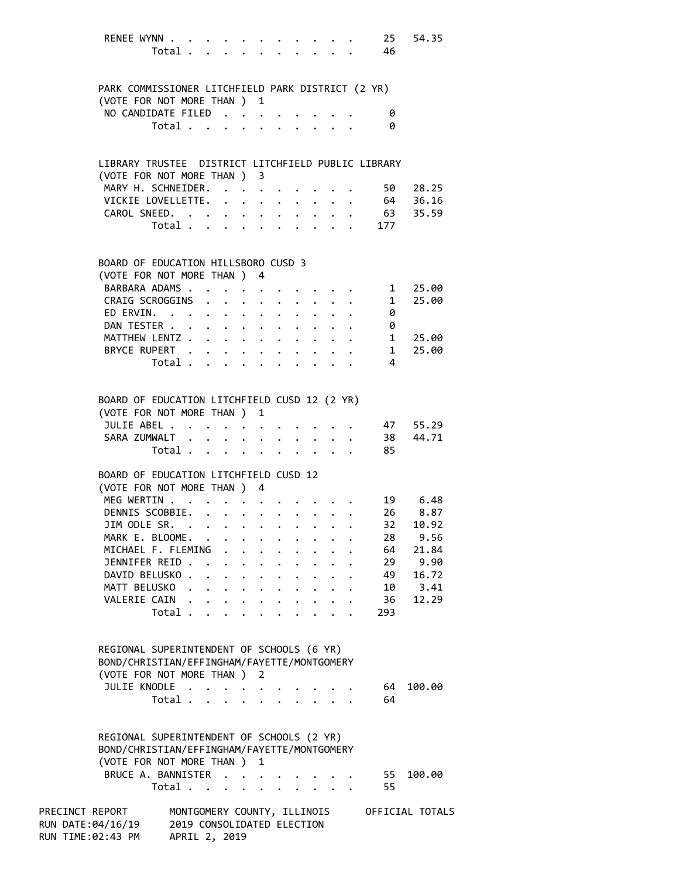| RENEE WYNN                                                                       |                                           |                            |  |                      |  |                                                                                                        | 25<br>Total 46                                                                                                                      | 54.35                                       |
|----------------------------------------------------------------------------------|-------------------------------------------|----------------------------|--|----------------------|--|--------------------------------------------------------------------------------------------------------|-------------------------------------------------------------------------------------------------------------------------------------|---------------------------------------------|
| PARK COMMISSIONER LITCHFIELD PARK DISTRICT (2 YR)<br>(VOTE FOR NOT MORE THAN ) 1 |                                           |                            |  |                      |  |                                                                                                        |                                                                                                                                     |                                             |
| NO CANDIDATE FILED                                                               |                                           |                            |  |                      |  |                                                                                                        | 0                                                                                                                                   |                                             |
|                                                                                  | Total                                     |                            |  |                      |  |                                                                                                        | 0                                                                                                                                   |                                             |
|                                                                                  |                                           |                            |  |                      |  |                                                                                                        |                                                                                                                                     |                                             |
| LIBRARY TRUSTEE DISTRICT LITCHFIELD PUBLIC LIBRARY                               |                                           |                            |  |                      |  |                                                                                                        |                                                                                                                                     |                                             |
| (VOTE FOR NOT MORE THAN ) 3                                                      |                                           |                            |  |                      |  |                                                                                                        |                                                                                                                                     |                                             |
| MARY H. SCHNEIDER.                                                               |                                           |                            |  |                      |  |                                                                                                        | 50                                                                                                                                  | 28.25                                       |
| VICKIE LOVELLETTE.                                                               |                                           |                            |  |                      |  |                                                                                                        |                                                                                                                                     | 64 36.16                                    |
| CAROL SNEED. 63 35.59                                                            |                                           |                            |  |                      |  |                                                                                                        |                                                                                                                                     |                                             |
|                                                                                  |                                           |                            |  |                      |  |                                                                                                        | Total 177                                                                                                                           |                                             |
|                                                                                  |                                           |                            |  |                      |  |                                                                                                        |                                                                                                                                     |                                             |
| BOARD OF EDUCATION HILLSBORO CUSD 3                                              |                                           |                            |  |                      |  |                                                                                                        |                                                                                                                                     |                                             |
| (VOTE FOR NOT MORE THAN ) 4<br>BARBARA ADAMS                                     |                                           |                            |  |                      |  |                                                                                                        |                                                                                                                                     |                                             |
| CRAIG SCROGGINS                                                                  |                                           |                            |  |                      |  |                                                                                                        | $\begin{array}{ccccccccc}\n\cdot & \cdot & \cdot & \cdot & \cdot & & 1 \\ \cdot & \cdot & \cdot & \cdot & \cdot & & 1\n\end{array}$ | 25.00<br>25.00                              |
| ED ERVIN.                                                                        |                                           |                            |  |                      |  |                                                                                                        | 0                                                                                                                                   |                                             |
| DAN TESTER                                                                       |                                           |                            |  |                      |  |                                                                                                        | 0                                                                                                                                   |                                             |
| MATTHEW LENTZ 1                                                                  |                                           |                            |  |                      |  |                                                                                                        |                                                                                                                                     | 25.00                                       |
| BRYCE RUPERT                                                                     |                                           |                            |  |                      |  |                                                                                                        | $\overline{\mathbf{1}}$                                                                                                             | 25.00                                       |
|                                                                                  | Total                                     |                            |  |                      |  |                                                                                                        | 4                                                                                                                                   |                                             |
|                                                                                  |                                           |                            |  |                      |  |                                                                                                        |                                                                                                                                     |                                             |
| BOARD OF EDUCATION LITCHFIELD CUSD 12 (2 YR)                                     |                                           |                            |  |                      |  |                                                                                                        |                                                                                                                                     |                                             |
| (VOTE FOR NOT MORE THAN ) 1                                                      |                                           |                            |  |                      |  |                                                                                                        |                                                                                                                                     |                                             |
| JULIE ABEL                                                                       |                                           |                            |  |                      |  |                                                                                                        |                                                                                                                                     | 47 55.29                                    |
| SARA ZUMWALT 38 44.71                                                            |                                           |                            |  |                      |  |                                                                                                        |                                                                                                                                     |                                             |
|                                                                                  | Total $\ldots$ $\ldots$ $\ldots$ $\ldots$ |                            |  |                      |  |                                                                                                        | 85                                                                                                                                  |                                             |
|                                                                                  |                                           |                            |  |                      |  |                                                                                                        |                                                                                                                                     |                                             |
| BOARD OF EDUCATION LITCHFIELD CUSD 12                                            |                                           |                            |  |                      |  |                                                                                                        |                                                                                                                                     |                                             |
| (VOTE FOR NOT MORE THAN ) 4                                                      |                                           |                            |  |                      |  |                                                                                                        |                                                                                                                                     |                                             |
| MEG WERTIN                                                                       |                                           |                            |  |                      |  |                                                                                                        |                                                                                                                                     | 19 6.48                                     |
| DENNIS SCOBBIE.                                                                  |                                           |                            |  |                      |  |                                                                                                        | 26                                                                                                                                  | 8.87                                        |
| JIM ODLE SR.                                                                     |                                           |                            |  |                      |  |                                                                                                        | $32 -$                                                                                                                              | 10.92                                       |
| MARK E. BLOOME.                                                                  |                                           |                            |  |                      |  |                                                                                                        | 28                                                                                                                                  | 9.56                                        |
| MICHAEL F. FLEMING .                                                             |                                           |                            |  |                      |  |                                                                                                        | 64                                                                                                                                  | 21.84                                       |
| JENNIFER REID                                                                    |                                           |                            |  |                      |  |                                                                                                        | 29<br>49                                                                                                                            | 9.90                                        |
| DAVID BELUSKO.                                                                   |                                           |                            |  |                      |  | $\mathbf{r}$ , $\mathbf{r}$ , $\mathbf{r}$ , $\mathbf{r}$ , $\mathbf{r}$ , $\mathbf{r}$ , $\mathbf{r}$ |                                                                                                                                     | 16.72                                       |
| MATT BELUSKO.<br>VALERIE CAIN                                                    |                                           |                            |  |                      |  |                                                                                                        | 36                                                                                                                                  | 10 3.41<br>12.29                            |
|                                                                                  | Total                                     |                            |  |                      |  |                                                                                                        | 293                                                                                                                                 |                                             |
|                                                                                  |                                           |                            |  |                      |  |                                                                                                        |                                                                                                                                     |                                             |
| REGIONAL SUPERINTENDENT OF SCHOOLS (6 YR)                                        |                                           |                            |  |                      |  |                                                                                                        |                                                                                                                                     |                                             |
| BOND/CHRISTIAN/EFFINGHAM/FAYETTE/MONTGOMERY                                      |                                           |                            |  |                      |  |                                                                                                        |                                                                                                                                     |                                             |
| (VOTE FOR NOT MORE THAN ) 2                                                      |                                           |                            |  |                      |  |                                                                                                        |                                                                                                                                     |                                             |
| JULIE KNODLE                                                                     |                                           |                            |  |                      |  |                                                                                                        | 64                                                                                                                                  | 100.00                                      |
|                                                                                  | Total                                     |                            |  | $\ddot{\phantom{a}}$ |  | $\sim$ $\sim$ $\sim$ $\sim$ $\sim$                                                                     | 64                                                                                                                                  |                                             |
|                                                                                  |                                           |                            |  |                      |  |                                                                                                        |                                                                                                                                     |                                             |
| REGIONAL SUPERINTENDENT OF SCHOOLS (2 YR)                                        |                                           |                            |  |                      |  |                                                                                                        |                                                                                                                                     |                                             |
| BOND/CHRISTIAN/EFFINGHAM/FAYETTE/MONTGOMERY                                      |                                           |                            |  |                      |  |                                                                                                        |                                                                                                                                     |                                             |
| (VOTE FOR NOT MORE THAN ) 1                                                      |                                           |                            |  |                      |  |                                                                                                        |                                                                                                                                     |                                             |
| BRUCE A. BANNISTER                                                               |                                           |                            |  |                      |  |                                                                                                        | 55                                                                                                                                  | 100.00                                      |
|                                                                                  | Total $\cdots$ $\cdots$                   |                            |  |                      |  | $\mathbf{r}$ , $\mathbf{r}$                                                                            | 55                                                                                                                                  |                                             |
| PRECINCT REPORT                                                                  |                                           |                            |  |                      |  |                                                                                                        |                                                                                                                                     | MONTGOMERY COUNTY, ILLINOIS OFFICIAL TOTALS |
| RUN DATE:04/16/19                                                                |                                           | 2019 CONSOLIDATED ELECTION |  |                      |  |                                                                                                        |                                                                                                                                     |                                             |
| RUN TIME:02:43 PM                                                                |                                           | APRIL 2, 2019              |  |                      |  |                                                                                                        |                                                                                                                                     |                                             |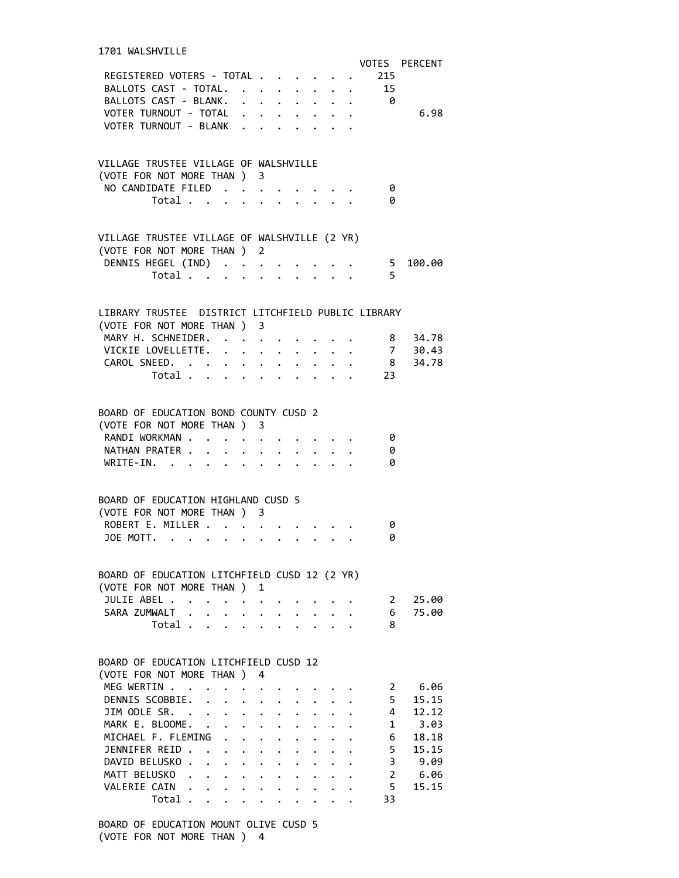| REGISTERED VOTERS - TOTAL<br>BALLOTS CAST - TOTAL.<br>BALLOTS CAST - BLANK.                                                                                                                                                                                                                                                                                                                                                                                               |                                                         |                      |                                              |                                              |                                 | 215<br>15<br>- 0 | VOTES PERCENT  |
|---------------------------------------------------------------------------------------------------------------------------------------------------------------------------------------------------------------------------------------------------------------------------------------------------------------------------------------------------------------------------------------------------------------------------------------------------------------------------|---------------------------------------------------------|----------------------|----------------------------------------------|----------------------------------------------|---------------------------------|------------------|----------------|
| VOTER TURNOUT - TOTAL<br>VOTER TURNOUT - BLANK                                                                                                                                                                                                                                                                                                                                                                                                                            |                                                         |                      |                                              |                                              |                                 |                  | 6.98           |
| VILLAGE TRUSTEE VILLAGE OF WALSHVILLE<br>(VOTE FOR NOT MORE THAN ) 3<br>NO CANDIDATE FILED                                                                                                                                                                                                                                                                                                                                                                                |                                                         |                      |                                              |                                              |                                 | 0                |                |
| Total $\cdots$ $\cdots$ $\cdots$                                                                                                                                                                                                                                                                                                                                                                                                                                          |                                                         |                      |                                              |                                              |                                 | 0                |                |
| VILLAGE TRUSTEE VILLAGE OF WALSHVILLE (2 YR)<br>(VOTE FOR NOT MORE THAN ) 2                                                                                                                                                                                                                                                                                                                                                                                               |                                                         |                      |                                              |                                              |                                 |                  |                |
| DENNIS HEGEL (IND) 5 100.00<br>Total $\cdot$                                                                                                                                                                                                                                                                                                                                                                                                                              |                                                         |                      |                                              |                                              |                                 | 5                |                |
| LIBRARY TRUSTEE DISTRICT LITCHFIELD PUBLIC LIBRARY<br>(VOTE FOR NOT MORE THAN ) 3                                                                                                                                                                                                                                                                                                                                                                                         |                                                         |                      |                                              |                                              |                                 |                  |                |
| MARY H. SCHNEIDER. 8 34.78                                                                                                                                                                                                                                                                                                                                                                                                                                                |                                                         |                      |                                              |                                              |                                 |                  |                |
| VICKIE LOVELLETTE. 7 30.43<br>CAROL SNEED. 8 34.78                                                                                                                                                                                                                                                                                                                                                                                                                        |                                                         |                      |                                              |                                              |                                 |                  |                |
| Total                                                                                                                                                                                                                                                                                                                                                                                                                                                                     |                                                         |                      |                                              |                                              |                                 | 23               |                |
| BOARD OF EDUCATION BOND COUNTY CUSD 2<br>(VOTE FOR NOT MORE THAN ) 3                                                                                                                                                                                                                                                                                                                                                                                                      |                                                         |                      |                                              |                                              |                                 |                  |                |
| RANDI WORKMAN<br>NATHAN PRATER<br>WRITE-IN.                                                                                                                                                                                                                                                                                                                                                                                                                               |                                                         |                      |                                              |                                              |                                 | 0<br>0<br>0      |                |
| BOARD OF EDUCATION HIGHLAND CUSD 5<br>(VOTE FOR NOT MORE THAN ) 3                                                                                                                                                                                                                                                                                                                                                                                                         |                                                         |                      |                                              |                                              |                                 |                  |                |
| ROBERT E. MILLER                                                                                                                                                                                                                                                                                                                                                                                                                                                          |                                                         |                      |                                              |                                              |                                 | 0                |                |
| JOE MOTT.                                                                                                                                                                                                                                                                                                                                                                                                                                                                 |                                                         |                      |                                              |                                              |                                 | 0                |                |
| BOARD OF EDUCATION LITCHFIELD CUSD 12 (2 YR)                                                                                                                                                                                                                                                                                                                                                                                                                              |                                                         |                      |                                              |                                              |                                 |                  |                |
| (VOTE FOR NOT MORE THAN)<br>JULIE ABEL                                                                                                                                                                                                                                                                                                                                                                                                                                    |                                                         | 1                    |                                              |                                              |                                 | $2^{\circ}$      | 25.00          |
| $\ddot{\phantom{0}}$<br>SARA ZUMWALT .                                                                                                                                                                                                                                                                                                                                                                                                                                    | $\ddot{\phantom{0}}$                                    |                      |                                              |                                              | $\cdot$ $\cdot$ $\cdot$ $\cdot$ | 6                | 75.00          |
| Total                                                                                                                                                                                                                                                                                                                                                                                                                                                                     | $\mathbf{L}$ $\mathbf{L}$                               |                      |                                              |                                              | $\mathbf{r}$ $\mathbf{r}$       | 8                |                |
| BOARD OF EDUCATION LITCHFIELD CUSD 12<br>(VOTE FOR NOT MORE THAN )                                                                                                                                                                                                                                                                                                                                                                                                        |                                                         | 4                    |                                              |                                              |                                 |                  |                |
| MEG WERTIN .                                                                                                                                                                                                                                                                                                                                                                                                                                                              |                                                         |                      |                                              |                                              |                                 | 2                | 6.06           |
| DENNIS SCOBBIE.<br>$\ddot{\phantom{a}}$<br>JIM ODLE SR. .                                                                                                                                                                                                                                                                                                                                                                                                                 |                                                         |                      |                                              |                                              |                                 | 5<br>4           | 15.15<br>12.12 |
| MARK E. BLOOME.<br>$\mathbf{r}$                                                                                                                                                                                                                                                                                                                                                                                                                                           | $\ddot{\phantom{0}}$<br>$\cdot$ $\cdot$ $\cdot$ $\cdot$ | $\ddot{\phantom{0}}$ | $\ddot{\phantom{0}}$<br>$\ddot{\phantom{0}}$ | $\ddot{\phantom{a}}$<br>$\ddot{\phantom{0}}$ |                                 | 1                | 3.03           |
| MICHAEL F. FLEMING .                                                                                                                                                                                                                                                                                                                                                                                                                                                      | $\mathbf{L}$                                            | $\ddot{\phantom{0}}$ | $\ddot{\phantom{0}}$                         |                                              |                                 | 6                | 18.18          |
| JENNIFER REID.<br><b>Contract Contract Contract</b>                                                                                                                                                                                                                                                                                                                                                                                                                       |                                                         |                      |                                              |                                              |                                 | 5                | 15.15          |
| DAVID BELUSKO.<br>$\mathbf{L}$                                                                                                                                                                                                                                                                                                                                                                                                                                            | $\ddot{\phantom{0}}$                                    |                      |                                              |                                              |                                 | 3                | 9.09           |
| MATT BELUSKO<br>$\mathbf{r}^{\prime}=\mathbf{r}^{\prime}+\mathbf{r}^{\prime}+\mathbf{r}^{\prime}+\mathbf{r}^{\prime}+\mathbf{r}^{\prime}+\mathbf{r}^{\prime}+\mathbf{r}^{\prime}+\mathbf{r}^{\prime}+\mathbf{r}^{\prime}+\mathbf{r}^{\prime}+\mathbf{r}^{\prime}+\mathbf{r}^{\prime}+\mathbf{r}^{\prime}+\mathbf{r}^{\prime}+\mathbf{r}^{\prime}+\mathbf{r}^{\prime}+\mathbf{r}^{\prime}+\mathbf{r}^{\prime}+\mathbf{r}^{\prime}+\mathbf{r}^{\prime}+\mathbf{r}^{\prime}$ |                                                         |                      |                                              |                                              |                                 | $\overline{2}$   | 6.06           |
| VALERIE CAIN                                                                                                                                                                                                                                                                                                                                                                                                                                                              |                                                         |                      |                                              |                                              |                                 | 5                | 15.15          |
| Total .                                                                                                                                                                                                                                                                                                                                                                                                                                                                   | $\ddot{\phantom{0}}$                                    |                      |                                              |                                              |                                 | 33               |                |

 BOARD OF EDUCATION MOUNT OLIVE CUSD 5 (VOTE FOR NOT MORE THAN ) 4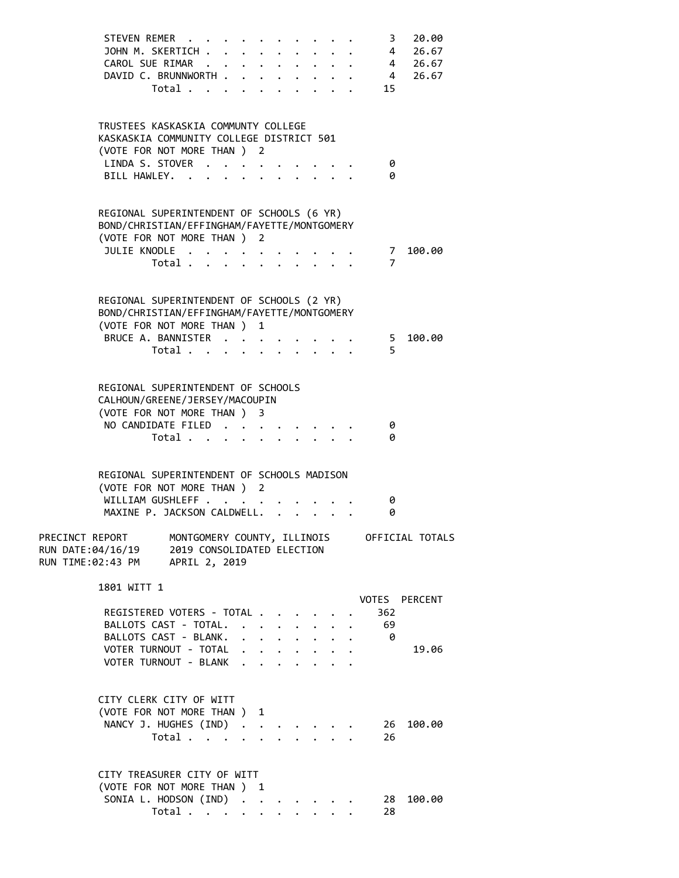|                                                           | STEVEN REMER<br>JOHN M. SKERTICH<br>CAROL SUE RIMAR<br>DAVID C. BRUNNWORTH<br>Total 15                                                                 |                                                                                            |              |                           |  | $\overline{\mathbf{3}}$ | 20.00<br>4 26.67<br>$\cdot$ 4 26.67<br>4 26.67 |
|-----------------------------------------------------------|--------------------------------------------------------------------------------------------------------------------------------------------------------|--------------------------------------------------------------------------------------------|--------------|---------------------------|--|-------------------------|------------------------------------------------|
|                                                           | TRUSTEES KASKASKIA COMMUNTY COLLEGE<br>KASKASKIA COMMUNITY COLLEGE DISTRICT 501<br>(VOTE FOR NOT MORE THAN ) 2<br>LINDA S. STOVER<br>BILL HAWLEY.      |                                                                                            |              |                           |  | 0<br>0                  |                                                |
|                                                           | REGIONAL SUPERINTENDENT OF SCHOOLS (6 YR)<br>BOND/CHRISTIAN/EFFINGHAM/FAYETTE/MONTGOMERY<br>(VOTE FOR NOT MORE THAN ) 2                                |                                                                                            |              |                           |  |                         |                                                |
|                                                           | JULIE KNODLE<br>Total                                                                                                                                  |                                                                                            |              |                           |  | $\overline{7}$          | 7 100.00                                       |
|                                                           | REGIONAL SUPERINTENDENT OF SCHOOLS (2 YR)<br>BOND/CHRISTIAN/EFFINGHAM/FAYETTE/MONTGOMERY<br>(VOTE FOR NOT MORE THAN ) 1<br>BRUCE A. BANNISTER<br>Total |                                                                                            |              |                           |  | 5.                      | 5 100.00                                       |
|                                                           | REGIONAL SUPERINTENDENT OF SCHOOLS<br>CALHOUN/GREENE/JERSEY/MACOUPIN<br>(VOTE FOR NOT MORE THAN ) 3<br>NO CANDIDATE FILED<br>Total                     |                                                                                            |              |                           |  | 0<br>0                  |                                                |
|                                                           | REGIONAL SUPERINTENDENT OF SCHOOLS MADISON<br>(VOTE FOR NOT MORE THAN ) 2<br>WILLIAM GUSHLEFF<br>MAXINE P. JACKSON CALDWELL.                           |                                                                                            |              |                           |  | 0<br>0                  |                                                |
| PRECINCT REPORT<br>RUN DATE:04/16/19<br>RUN TIME:02:43 PM | MONTGOMERY COUNTY, ILLINOIS<br>2019 CONSOLIDATED ELECTION<br>APRIL 2, 2019                                                                             |                                                                                            |              |                           |  |                         | OFFICIAL TOTALS                                |
| 1801 WITT 1                                               | REGISTERED VOTERS - TOTAL<br>BALLOTS CAST - TOTAL. .<br>BALLOTS CAST - BLANK.                                                                          | $\mathbf{L} = \mathbf{L}$                                                                  | $\mathbf{L}$ | $\ddot{\phantom{0}}$      |  | 362<br>69<br>- 0        | VOTES PERCENT                                  |
|                                                           | VOTER TURNOUT - TOTAL<br>VOTER TURNOUT - BLANK                                                                                                         | $\cdot$ $\cdot$ $\cdot$ $\cdot$ $\cdot$ $\cdot$ $\cdot$<br>$\cdot$ $\cdot$ $\cdot$ $\cdot$ |              | $\mathbf{r}$ $\mathbf{r}$ |  |                         | 19.06                                          |
|                                                           | CITY CLERK CITY OF WITT<br>(VOTE FOR NOT MORE THAN )<br>NANCY J. HUGHES (IND) .<br>Total                                                               | 1<br>$\ddot{\phantom{a}}$                                                                  |              |                           |  | 26<br>26                | 100.00                                         |
|                                                           | CITY TREASURER CITY OF WITT<br>(VOTE FOR NOT MORE THAN ) 1<br>SONIA L. HODSON (IND)<br>Total                                                           |                                                                                            |              |                           |  | 28 -<br>28              | 100.00                                         |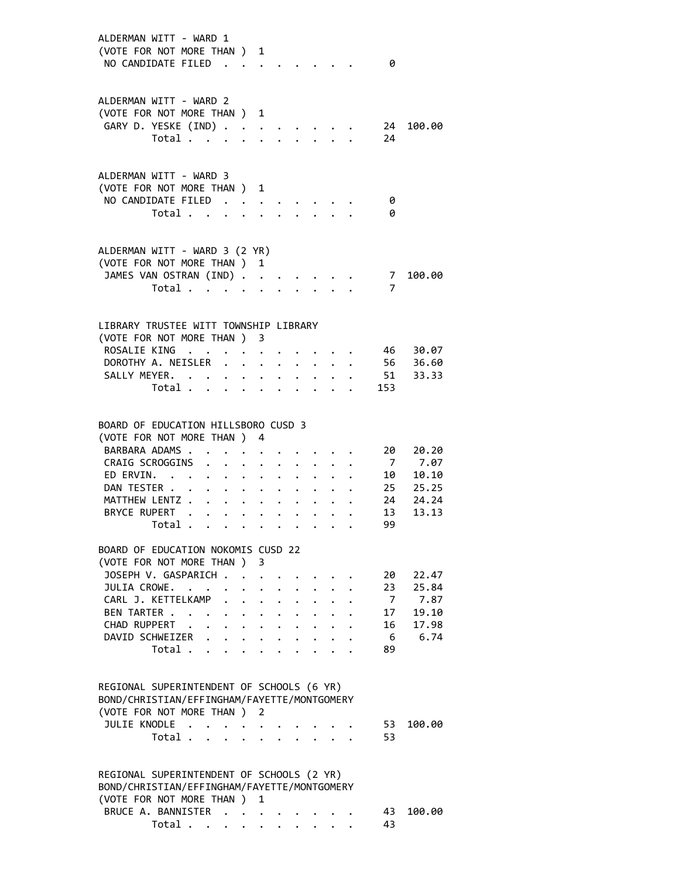| ALDERMAN WITT - WARD 1<br>(VOTE FOR NOT MORE THAN ) 1<br>NO CANDIDATE FILED                                                                                                     |                                                                          |                      |                         |                           |                                   |                                                                          |                      | - 0                                                   |                                                                    |
|---------------------------------------------------------------------------------------------------------------------------------------------------------------------------------|--------------------------------------------------------------------------|----------------------|-------------------------|---------------------------|-----------------------------------|--------------------------------------------------------------------------|----------------------|-------------------------------------------------------|--------------------------------------------------------------------|
| ALDERMAN WITT - WARD 2<br>(VOTE FOR NOT MORE THAN ) 1<br>GARY D. YESKE (IND)                                                                                                    | Total                                                                    |                      |                         |                           | $\sim$ 100 $\sim$                 |                                                                          | 2.123333322          | 24<br>24                                              | 100.00                                                             |
| ALDERMAN WITT - WARD 3<br>(VOTE FOR NOT MORE THAN ) 1<br>NO CANDIDATE FILED                                                                                                     | Total                                                                    | $\ddot{\phantom{a}}$ | $\ddot{\phantom{a}}$    |                           |                                   |                                                                          |                      | 0<br>0                                                |                                                                    |
| ALDERMAN WITT - WARD 3 (2 YR)<br>(VOTE FOR NOT MORE THAN )<br>JAMES VAN OSTRAN (IND)                                                                                            | Total                                                                    |                      |                         | 1                         |                                   |                                                                          |                      | $\overline{7}$<br>7                                   | 100.00                                                             |
| LIBRARY TRUSTEE WITT TOWNSHIP LIBRARY<br>(VOTE FOR NOT MORE THAN ) 3<br>ROSALIE KING<br>DOROTHY A. NEISLER<br>SALLY MEYER.                                                      | $\mathcal{A}=\mathcal{A}=\mathcal{A}=\mathcal{A}=\mathcal{A}$ .<br>Total |                      | $\sim$ $\sim$           | $\bullet$ .               |                                   | $\mathbf{r} = \mathbf{r} + \mathbf{r}$ , where $\mathbf{r} = \mathbf{r}$ |                      | 46<br>$\cdot$ $\cdot$ $\cdot$ $\cdot$ 56<br>51<br>153 | 30.07<br>36.60<br>33.33                                            |
| BOARD OF EDUCATION HILLSBORO CUSD 3<br>(VOTE FOR NOT MORE THAN )<br>BARBARA ADAMS<br>CRAIG SCROGGINS<br>ED ERVIN.<br>DAN TESTER<br>MATTHEW LENTZ<br>BRYCE RUPERT                | Total                                                                    |                      | $\sim 100$ km s $^{-1}$ | 4<br>$\ddot{\phantom{0}}$ | $\mathbf{a}^{\dagger}=\mathbf{a}$ | $\bullet$ . In the case of the case of the $\sim$                        |                      | 20<br>10<br>13<br>99 -                                | 20.20<br>7 7.07<br>10.10<br>25 25.25<br>24 24.24<br>24.24<br>13.13 |
| BOARD OF EDUCATION NOKOMIS CUSD 22<br>(VOTE FOR NOT MORE THAN ) 3<br>JOSEPH V. GASPARICH<br>JULIA CROWE.<br>CARL J. KETTELKAMP<br>BEN TARTER<br>CHAD RUPPERT<br>DAVID SCHWEIZER | Total                                                                    |                      | $\bullet$ .             |                           | $\sim$                            | $\mathbf{r} = \mathbf{r} + \mathbf{r}$                                   | $\ddot{\phantom{a}}$ | 20<br>23<br>$7\overline{ }$<br>17<br>16<br>6<br>89    | 22.47<br>25.84<br>7.87<br>19.10<br>17.98<br>6.74                   |
| REGIONAL SUPERINTENDENT OF SCHOOLS (6 YR)<br>BOND/CHRISTIAN/EFFINGHAM/FAYETTE/MONTGOMERY<br>(VOTE FOR NOT MORE THAN ) 2<br>JULIE KNODLE                                         | Total $\cdots$ $\cdots$ $\cdots$                                         |                      |                         |                           |                                   |                                                                          |                      | 53<br>53                                              | 100.00                                                             |
| REGIONAL SUPERINTENDENT OF SCHOOLS (2 YR)<br>BOND/CHRISTIAN/EFFINGHAM/FAYETTE/MONTGOMERY<br>(VOTE FOR NOT MORE THAN ) 1<br>BRUCE A. BANNISTER                                   | Total                                                                    |                      |                         | $\ddot{\phantom{0}}$      | $\ddot{\phantom{0}}$              |                                                                          |                      | 43<br>43                                              | 100.00                                                             |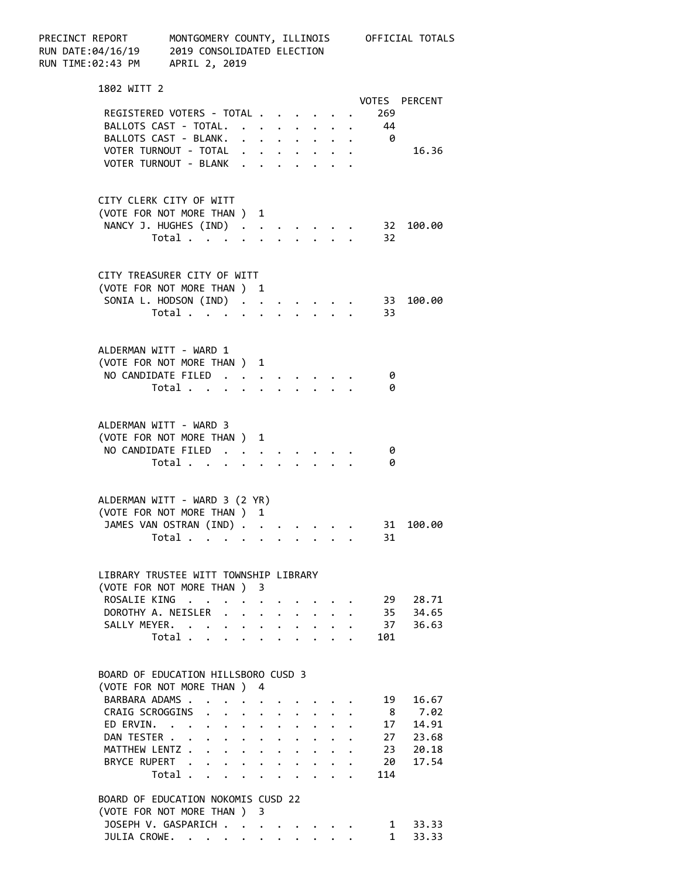| PRECINCT REPORT<br>RUN DATE:04/16/19 2019 CONSOLIDA<br>RUN TIME:02:43 PM APRIL 2, 2019 | MONTGOMERY COUNTY, ILLINOIS OFFICIAL TOTALS<br>2019 CONSOLIDATED ELECTION   |                                                                          |  |                                                           |                           |  |  |                                                                          |  |                           |                       |  |
|----------------------------------------------------------------------------------------|-----------------------------------------------------------------------------|--------------------------------------------------------------------------|--|-----------------------------------------------------------|---------------------------|--|--|--------------------------------------------------------------------------|--|---------------------------|-----------------------|--|
| 1802 WITT 2                                                                            |                                                                             |                                                                          |  |                                                           |                           |  |  |                                                                          |  |                           |                       |  |
|                                                                                        |                                                                             |                                                                          |  |                                                           |                           |  |  |                                                                          |  |                           | VOTES PERCENT         |  |
| REGISTERED VOTERS - TOTAL<br>BALLOTS CAST - TOTAL. 44                                  |                                                                             |                                                                          |  |                                                           |                           |  |  |                                                                          |  | 269                       |                       |  |
| BALLOTS CAST - BLANK. 0                                                                |                                                                             |                                                                          |  |                                                           |                           |  |  |                                                                          |  |                           |                       |  |
| VOTER TURNOUT - TOTAL                                                                  |                                                                             |                                                                          |  |                                                           |                           |  |  |                                                                          |  |                           | 16.36                 |  |
| VOTER TURNOUT - BLANK                                                                  |                                                                             |                                                                          |  |                                                           |                           |  |  |                                                                          |  |                           |                       |  |
| CITY CLERK CITY OF WITT                                                                |                                                                             |                                                                          |  |                                                           |                           |  |  |                                                                          |  |                           |                       |  |
| (VOTE FOR NOT MORE THAN ) 1                                                            |                                                                             |                                                                          |  |                                                           |                           |  |  |                                                                          |  |                           |                       |  |
| NANCY J. HUGHES (IND) 32                                                               |                                                                             |                                                                          |  |                                                           |                           |  |  |                                                                          |  |                           | 100.00                |  |
|                                                                                        | Total $\cdot$                                                               |                                                                          |  |                                                           |                           |  |  |                                                                          |  | 32                        |                       |  |
|                                                                                        |                                                                             |                                                                          |  |                                                           |                           |  |  |                                                                          |  |                           |                       |  |
| CITY TREASURER CITY OF WITT                                                            |                                                                             |                                                                          |  |                                                           |                           |  |  |                                                                          |  |                           |                       |  |
| (VOTE FOR NOT MORE THAN ) 1                                                            |                                                                             |                                                                          |  |                                                           |                           |  |  |                                                                          |  |                           | 100.00                |  |
| SONIA L. HODSON (IND) 33                                                               | Total                                                                       |                                                                          |  |                                                           |                           |  |  |                                                                          |  | 33                        |                       |  |
|                                                                                        |                                                                             |                                                                          |  |                                                           |                           |  |  |                                                                          |  |                           |                       |  |
| ALDERMAN WITT - WARD 1                                                                 |                                                                             |                                                                          |  |                                                           |                           |  |  |                                                                          |  |                           |                       |  |
| (VOTE FOR NOT MORE THAN ) 1                                                            |                                                                             |                                                                          |  |                                                           |                           |  |  |                                                                          |  |                           |                       |  |
| NO CANDIDATE FILED                                                                     |                                                                             |                                                                          |  | $\mathbf{L}^{\text{max}}$ , and $\mathbf{L}^{\text{max}}$ |                           |  |  |                                                                          |  | 0                         |                       |  |
|                                                                                        | Total $\cdots$                                                              |                                                                          |  |                                                           |                           |  |  |                                                                          |  | 0                         |                       |  |
| ALDERMAN WITT - WARD 3                                                                 |                                                                             |                                                                          |  |                                                           |                           |  |  |                                                                          |  |                           |                       |  |
| (VOTE FOR NOT MORE THAN ) 1                                                            |                                                                             |                                                                          |  |                                                           |                           |  |  |                                                                          |  |                           |                       |  |
| NO CANDIDATE FILED                                                                     |                                                                             |                                                                          |  |                                                           |                           |  |  |                                                                          |  | 0                         |                       |  |
|                                                                                        | Total                                                                       |                                                                          |  | $\ddot{\phantom{a}}$                                      |                           |  |  |                                                                          |  | 0                         |                       |  |
| ALDERMAN WITT - WARD 3 (2 YR)                                                          |                                                                             |                                                                          |  |                                                           |                           |  |  |                                                                          |  |                           |                       |  |
| (VOTE FOR NOT MORE THAN ) 1                                                            |                                                                             |                                                                          |  |                                                           |                           |  |  |                                                                          |  |                           |                       |  |
| JAMES VAN OSTRAN (IND)                                                                 |                                                                             |                                                                          |  |                                                           |                           |  |  |                                                                          |  | 31                        | 100.00                |  |
|                                                                                        | Total                                                                       |                                                                          |  |                                                           |                           |  |  |                                                                          |  | 31                        |                       |  |
|                                                                                        |                                                                             |                                                                          |  |                                                           |                           |  |  |                                                                          |  |                           |                       |  |
| LIBRARY TRUSTEE WITT TOWNSHIP LIBRARY<br>(VOTE FOR NOT MORE THAN ) 3                   |                                                                             |                                                                          |  |                                                           |                           |  |  |                                                                          |  |                           |                       |  |
| ROSALIE KING                                                                           | $\mathcal{A}=\mathcal{A}=\mathcal{A}=\mathcal{A}=\mathcal{A}=\mathcal{A}$ . |                                                                          |  |                                                           |                           |  |  |                                                                          |  | 29                        | 28.71                 |  |
| DOROTHY A. NEISLER                                                                     |                                                                             |                                                                          |  |                                                           |                           |  |  |                                                                          |  |                           | 35 34.65              |  |
| SALLY MEYER.                                                                           |                                                                             |                                                                          |  |                                                           |                           |  |  | $\mathbf{r} = \mathbf{r} + \mathbf{r}$ , where $\mathbf{r} = \mathbf{r}$ |  | 37                        | 36.63                 |  |
|                                                                                        | Total $\cdots$ $\cdots$                                                     |                                                                          |  |                                                           |                           |  |  |                                                                          |  | 101                       |                       |  |
|                                                                                        |                                                                             |                                                                          |  |                                                           |                           |  |  |                                                                          |  |                           |                       |  |
| BOARD OF EDUCATION HILLSBORO CUSD 3                                                    |                                                                             |                                                                          |  |                                                           |                           |  |  |                                                                          |  |                           |                       |  |
| (VOTE FOR NOT MORE THAN )                                                              |                                                                             |                                                                          |  | 4                                                         |                           |  |  |                                                                          |  |                           |                       |  |
| BARBARA ADAMS                                                                          |                                                                             |                                                                          |  |                                                           |                           |  |  |                                                                          |  | 19                        | 16.67                 |  |
| CRAIG SCROGGINS                                                                        |                                                                             | $\cdot$ $\cdot$ $\cdot$ $\cdot$ $\cdot$ $\cdot$ $\cdot$ $\cdot$          |  |                                                           |                           |  |  |                                                                          |  |                           | 8 7.02                |  |
| ED ERVIN.<br>DAN TESTER                                                                |                                                                             |                                                                          |  |                                                           |                           |  |  |                                                                          |  |                           | 17  14.91             |  |
| MATTHEW LENTZ                                                                          |                                                                             | $\cdot$ $\cdot$ $\cdot$ $\cdot$ $\cdot$ $\cdot$                          |  |                                                           |                           |  |  |                                                                          |  |                           | 27 23.68              |  |
| BRYCE RUPERT .                                                                         |                                                                             | $\mathbf{r}$ , $\mathbf{r}$ , $\mathbf{r}$ , $\mathbf{r}$ , $\mathbf{r}$ |  |                                                           |                           |  |  |                                                                          |  | 20                        | $23$ $20.18$<br>17.54 |  |
|                                                                                        | Total                                                                       |                                                                          |  |                                                           | $\mathbf{L} = \mathbf{L}$ |  |  |                                                                          |  | 114                       |                       |  |
|                                                                                        |                                                                             |                                                                          |  |                                                           |                           |  |  |                                                                          |  |                           |                       |  |
| BOARD OF EDUCATION NOKOMIS CUSD 22                                                     |                                                                             |                                                                          |  |                                                           |                           |  |  |                                                                          |  |                           |                       |  |
| (VOTE FOR NOT MORE THAN ) 3<br>JOSEPH V. GASPARICH                                     |                                                                             |                                                                          |  |                                                           |                           |  |  |                                                                          |  |                           | 33.33                 |  |
| JULIA CROWE.                                                                           |                                                                             |                                                                          |  |                                                           |                           |  |  |                                                                          |  | $1 \quad$<br>$\mathbf{1}$ | 33.33                 |  |
|                                                                                        |                                                                             |                                                                          |  |                                                           |                           |  |  |                                                                          |  |                           |                       |  |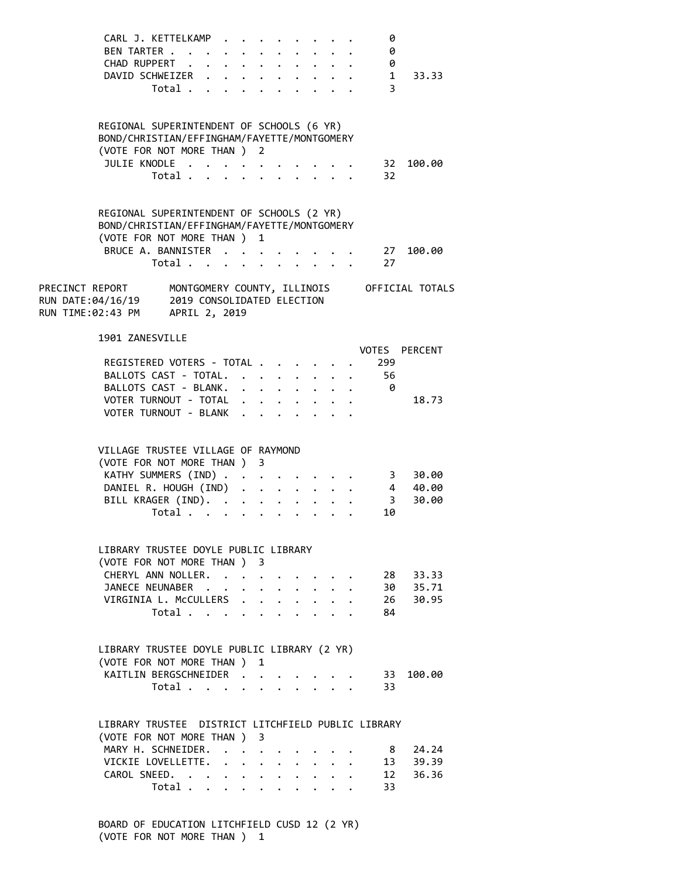|                                                                                 | CARL J. KETTELKAMP<br>CHAD RUPPERT<br>DAVID SCHWEIZER                                                                                            | Total                                     |                                                                                                                         |                           |                      |  |                                                                             | 0<br>BEN TARTER 0<br>. 0<br>3 | 1 33.33                                                     |  |
|---------------------------------------------------------------------------------|--------------------------------------------------------------------------------------------------------------------------------------------------|-------------------------------------------|-------------------------------------------------------------------------------------------------------------------------|---------------------------|----------------------|--|-----------------------------------------------------------------------------|-------------------------------|-------------------------------------------------------------|--|
|                                                                                 | REGIONAL SUPERINTENDENT OF SCHOOLS (6 YR)<br>BOND/CHRISTIAN/EFFINGHAM/FAYETTE/MONTGOMERY<br>(VOTE FOR NOT MORE THAN ) 2<br>JULIE KNODLE          | Total                                     |                                                                                                                         |                           |                      |  | $\mathbf{r}$ , $\mathbf{r}$ , $\mathbf{r}$ , $\mathbf{r}$                   | 32                            | . 32 100.00                                                 |  |
|                                                                                 | REGIONAL SUPERINTENDENT OF SCHOOLS (2 YR)<br>BOND/CHRISTIAN/EFFINGHAM/FAYETTE/MONTGOMERY<br>(VOTE FOR NOT MORE THAN ) 1                          | Total $\ldots$ $\ldots$ $\ldots$ $\ldots$ |                                                                                                                         |                           |                      |  |                                                                             | 27                            | BRUCE A. BANNISTER 27 100.00                                |  |
| RUN DATE:04/16/19 2019 CONSOLIDATED ELECTION<br>RUN TIME:02:43 PM APRIL 2, 2019 |                                                                                                                                                  |                                           |                                                                                                                         |                           |                      |  |                                                                             |                               | PRECINCT REPORT MONTGOMERY COUNTY, ILLINOIS OFFICIAL TOTALS |  |
|                                                                                 | 1901 ZANESVILLE<br>REGISTERED VOTERS - TOTAL<br>BALLOTS CAST - TOTAL.<br>BALLOTS CAST - BLANK.<br>VOTER TURNOUT - TOTAL<br>VOTER TURNOUT - BLANK |                                           |                                                                                                                         |                           |                      |  | $\mathbf{r} = \mathbf{r} + \mathbf{r} + \mathbf{r}$ .                       | 299<br>56<br>- 0              | VOTES PERCENT<br>18.73                                      |  |
|                                                                                 | VILLAGE TRUSTEE VILLAGE OF RAYMOND<br>(VOTE FOR NOT MORE THAN ) 3<br>KATHY SUMMERS (IND)<br>DANIEL R. HOUGH (IND)<br>BILL KRAGER (IND).          | Total                                     |                                                                                                                         |                           |                      |  |                                                                             | 10                            |                                                             |  |
|                                                                                 | LIBRARY TRUSTEE DOYLE PUBLIC LIBRARY<br>(VOTE FOR NOT MORE THAN ) 3<br>CHERYL ANN NOLLER.<br>JANECE NEUNABER<br>VIRGINIA L. McCULLERS .          | Total $\cdots$ $\cdots$ $\cdots$          | $\bullet$                                                                                                               | $\mathbf{L}^{\text{max}}$ | $\ddot{\phantom{0}}$ |  | $\mathbf{L} = \mathbf{L}$<br>$\mathbf{r}$ and $\mathbf{r}$ and $\mathbf{r}$ | 84                            | 28 33.33<br>30 35.71<br>26 30.95                            |  |
|                                                                                 | LIBRARY TRUSTEE DOYLE PUBLIC LIBRARY (2 YR)<br>(VOTE FOR NOT MORE THAN )<br>KAITLIN BERGSCHNEIDER                                                | Total                                     |                                                                                                                         | 1<br>$\mathbf{L}$         |                      |  | $\mathbf{r} = \mathbf{r} + \mathbf{r}$                                      | 33                            | 33 100.00                                                   |  |
|                                                                                 | LIBRARY TRUSTEE DISTRICT LITCHFIELD PUBLIC LIBRARY<br>(VOTE FOR NOT MORE THAN ) 3<br>MARY H. SCHNEIDER.<br>VICKIE LOVELLETTE.<br>CAROL SNEED.    | Total                                     | $\mathbf{z} = \mathbf{z} + \mathbf{z}$ .<br>$\bullet$ .<br><br><br><br><br><br><br><br><br><br><br><br><br>$\mathbf{r}$ | $\ddot{\phantom{0}}$      |                      |  |                                                                             | -33                           | 8 24.24<br>13 39.39<br>12 36.36                             |  |

 BOARD OF EDUCATION LITCHFIELD CUSD 12 (2 YR) (VOTE FOR NOT MORE THAN ) 1